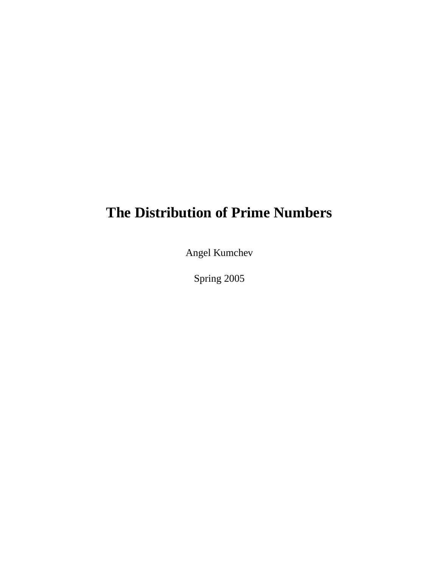## **The Distribution of Prime Numbers**

Angel Kumchev

Spring 2005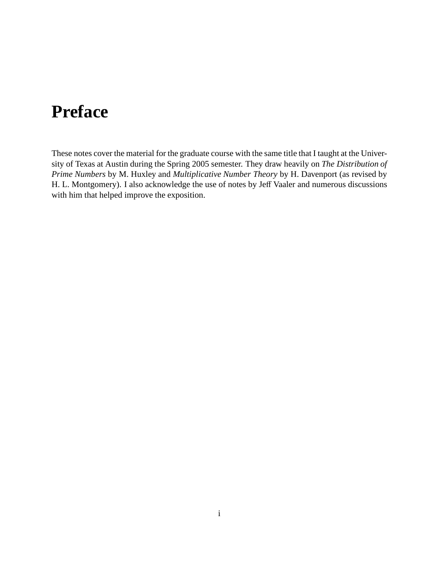# **Preface**

These notes cover the material for the graduate course with the same title that I taught at the University of Texas at Austin during the Spring 2005 semester. They draw heavily on *The Distribution of Prime Numbers* by M. Huxley and *Multiplicative Number Theory* by H. Davenport (as revised by H. L. Montgomery). I also acknowledge the use of notes by Jeff Vaaler and numerous discussions with him that helped improve the exposition.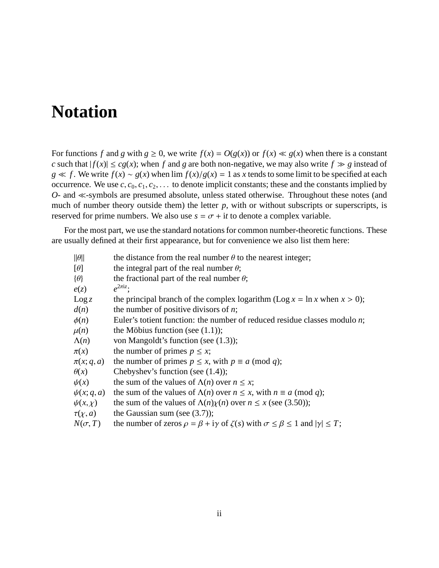## **Notation**

For functions *f* and *g* with  $g \ge 0$ , we write  $f(x) = O(g(x))$  or  $f(x) \ll g(x)$  when there is a constant *c* such that  $|f(x)| \le cg(x)$ ; when *f* and *g* are both non-negative, we may also write  $f \gg g$  instead of *g*  $\ll$  *f*. We write *f*(*x*) ∼ *g*(*x*) when lim *f*(*x*)/*g*(*x*) = 1 as *x* tends to some limit to be specified at each occurrence. We use  $c, c_0, c_1, c_2, \ldots$  to denote implicit constants; these and the constants implied by  $O$ - and  $\ll$ -symbols are presumed absolute, unless stated otherwise. Throughout these notes (and much of number theory outside them) the letter  $p$ , with or without subscripts or superscripts, is reserved for prime numbers. We also use  $s = \sigma + it$  to denote a complex variable.

For the most part, we use the standard notations for common number-theoretic functions. These are usually defined at their first appearance, but for convenience we also list them here:

| $\ \theta\ $    | the distance from the real number $\theta$ to the nearest integer;                                              |
|-----------------|-----------------------------------------------------------------------------------------------------------------|
| $[\theta]$      | the integral part of the real number $\theta$ ;                                                                 |
| $\{\theta\}$    | the fractional part of the real number $\theta$ ;                                                               |
| e(z)            | $e^{2\pi i z}$ :                                                                                                |
| $\text{Log } z$ | the principal branch of the complex logarithm (Log $x = \ln x$ when $x > 0$ );                                  |
| d(n)            | the number of positive divisors of $n$ ;                                                                        |
| $\phi(n)$       | Euler's totient function: the number of reduced residue classes modulo $n$ ;                                    |
| $\mu(n)$        | the Möbius function (see $(1.1)$ );                                                                             |
| $\Lambda(n)$    | von Mangoldt's function (see $(1.3)$ );                                                                         |
| $\pi(x)$        | the number of primes $p \leq x$ ;                                                                               |
| $\pi(x; q, a)$  | the number of primes $p \le x$ , with $p \equiv a \pmod{q}$ ;                                                   |
| $\theta(x)$     | Chebyshev's function (see $(1.4)$ );                                                                            |
| $\psi(x)$       | the sum of the values of $\Lambda(n)$ over $n \leq x$ ;                                                         |
| $\psi(x; q, a)$ | the sum of the values of $\Lambda(n)$ over $n \leq x$ , with $n \equiv a \pmod{q}$ ;                            |
| $\psi(x,\chi)$  | the sum of the values of $\Lambda(n)\chi(n)$ over $n \leq x$ (see (3.50));                                      |
| $\tau(\chi, a)$ | the Gaussian sum (see $(3.7)$ );                                                                                |
| $N(\sigma, T)$  | the number of zeros $\rho = \beta + i\gamma$ of $\zeta(s)$ with $\sigma \le \beta \le 1$ and $ \gamma  \le T$ ; |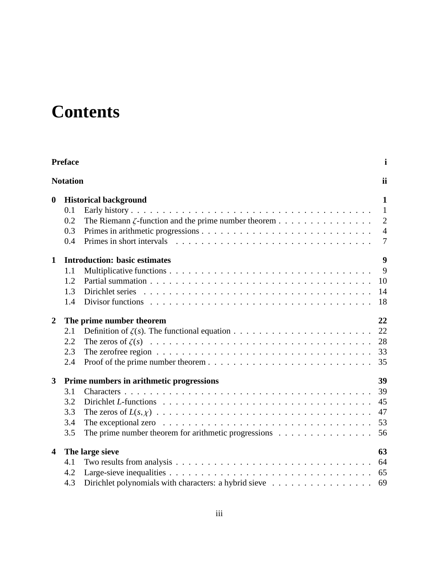# **Contents**

|                         | <b>Preface</b>  |                                                                                                      | $\mathbf i$    |
|-------------------------|-----------------|------------------------------------------------------------------------------------------------------|----------------|
|                         | <b>Notation</b> |                                                                                                      | ii             |
| $\boldsymbol{0}$        |                 | <b>Historical background</b>                                                                         | 1              |
|                         | 0.1             |                                                                                                      | $\mathbf{1}$   |
|                         | 0.2             | The Riemann $\zeta$ -function and the prime number theorem                                           | $\overline{2}$ |
|                         | 0.3             |                                                                                                      | $\overline{4}$ |
|                         | 0.4             |                                                                                                      | $\overline{7}$ |
| $\mathbf{1}$            |                 | <b>Introduction: basic estimates</b>                                                                 | 9              |
|                         | 1.1             |                                                                                                      | 9              |
|                         | 1.2             |                                                                                                      | 10             |
|                         | 1.3             |                                                                                                      | 14             |
|                         | 1.4             |                                                                                                      | 18             |
| $\boldsymbol{2}$        |                 | The prime number theorem                                                                             | 22             |
|                         | 2.1             |                                                                                                      | 22             |
|                         | 2.2             |                                                                                                      | 28             |
|                         | 2.3             | The zerofree region $\ldots \ldots \ldots \ldots \ldots \ldots \ldots \ldots \ldots \ldots \ldots$   | 33             |
|                         | 2.4             |                                                                                                      | 35             |
| $\mathbf{3}$            |                 | Prime numbers in arithmetic progressions                                                             | 39             |
|                         | 3.1             |                                                                                                      | 39             |
|                         | 3.2             |                                                                                                      | 45             |
|                         | 3.3             |                                                                                                      | 47             |
|                         | 3.4             | The exceptional zero $\dots \dots \dots \dots \dots \dots \dots \dots \dots \dots \dots \dots \dots$ | 53             |
|                         | 3.5             | The prime number theorem for arithmetic progressions $\dots \dots \dots \dots \dots$                 | 56             |
| $\overline{\mathbf{4}}$ |                 | The large sieve                                                                                      | 63             |
|                         | 4.1             |                                                                                                      | 64             |
|                         | 4.2             |                                                                                                      | 65             |
|                         | 4.3             |                                                                                                      | 69             |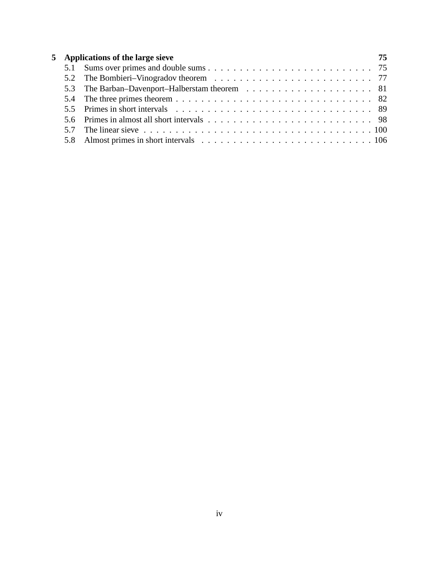|  | 5 Applications of the large sieve                                                                                                        | 75 |
|--|------------------------------------------------------------------------------------------------------------------------------------------|----|
|  |                                                                                                                                          |    |
|  |                                                                                                                                          |    |
|  |                                                                                                                                          |    |
|  |                                                                                                                                          |    |
|  |                                                                                                                                          |    |
|  |                                                                                                                                          |    |
|  | 5.7 The linear sieve $\ldots$ , $\ldots$ , $\ldots$ , $\ldots$ , $\ldots$ , $\ldots$ , $\ldots$ , $\ldots$ , $\ldots$ , $\ldots$ , $100$ |    |
|  |                                                                                                                                          |    |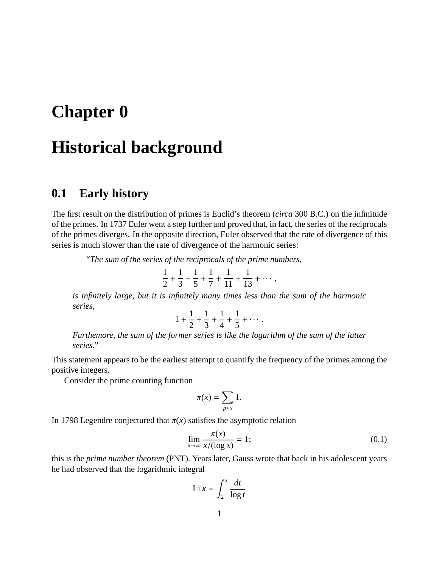## **Chapter 0**

## **Historical background**

### **0.1 Early history**

The first result on the distribution of primes is Euclid's theorem (*circa* 300 B.C.) on the infinitude of the primes. In 1737 Euler went a step further and proved that, in fact, the series of the reciprocals of the primes diverges. In the opposite direction, Euler observed that the rate of divergence of this series is much slower than the rate of divergence of the harmonic series:

*"The sum of the series of the reciprocals of the prime numbers,*

$$
\frac{1}{2} + \frac{1}{3} + \frac{1}{5} + \frac{1}{7} + \frac{1}{11} + \frac{1}{13} + \cdots,
$$

*is infinitely large, but it is infinitely many times less than the sum of the harmonic series,*

$$
1 + \frac{1}{2} + \frac{1}{3} + \frac{1}{4} + \frac{1}{5} + \cdots
$$

*Furthemore, the sum of the former series is like the logarithm of the sum of the latter series."*

This statement appears to be the earliest attempt to quantify the frequency of the primes among the positive integers.

Consider the prime counting function

$$
\pi(x) = \sum_{p \leq x} 1.
$$

In 1798 Legendre conjectured that  $\pi(x)$  satisfies the asymptotic relation

$$
\lim_{x \to \infty} \frac{\pi(x)}{x/(\log x)} = 1;
$$
\n(0.1)

this is the *prime number theorem* (PNT). Years later, Gauss wrote that back in his adolescent years he had observed that the logarithmic integral

$$
\text{Li } x = \int_2^x \frac{dt}{\log t}
$$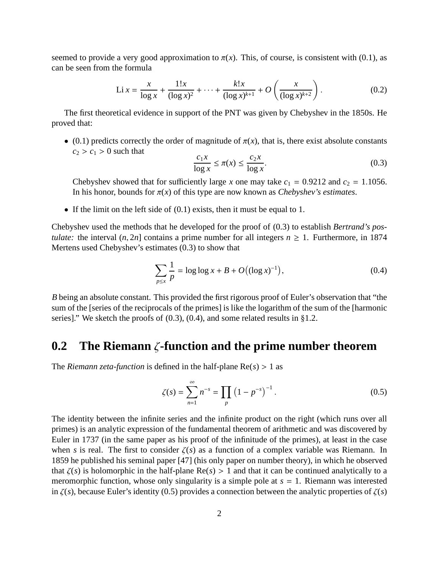seemed to provide a very good approximation to  $\pi(x)$ . This, of course, is consistent with (0.1), as can be seen from the formula

$$
\text{Li } x = \frac{x}{\log x} + \frac{1!x}{(\log x)^2} + \dots + \frac{k!x}{(\log x)^{k+1}} + O\left(\frac{x}{(\log x)^{k+2}}\right). \tag{0.2}
$$

The first theoretical evidence in support of the PNT was given by Chebyshev in the 1850s. He proved that:

• (0.1) predicts correctly the order of magnitude of  $\pi(x)$ , that is, there exist absolute constants  $c_2 > c_1 > 0$  such that

$$
\frac{c_1 x}{\log x} \le \pi(x) \le \frac{c_2 x}{\log x}.\tag{0.3}
$$

Chebyshev showed that for sufficiently large *x* one may take  $c_1 = 0.9212$  and  $c_2 = 1.1056$ . In his honor, bounds for  $\pi(x)$  of this type are now known as *Chebyshev's estimates*.

• If the limit on the left side of  $(0.1)$  exists, then it must be equal to 1.

Chebyshev used the methods that he developed for the proof of (0.3) to establish *Bertrand's postulate:* the interval  $(n, 2n]$  contains a prime number for all integers  $n \ge 1$ . Furthermore, in 1874 Mertens used Chebyshev's estimates (0.3) to show that

$$
\sum_{p \le x} \frac{1}{p} = \log \log x + B + O\big((\log x)^{-1}\big),\tag{0.4}
$$

*B* being an absolute constant. This provided the first rigorous proof of Euler's observation that "the sum of the [series of the reciprocals of the primes] is like the logarithm of the sum of the [harmonic series]." We sketch the proofs of  $(0.3)$ ,  $(0.4)$ , and some related results in §1.2.

#### **0.2 The Riemann** ζ**-function and the prime number theorem**

The *Riemann zeta-function* is defined in the half-plane  $Re(s) > 1$  as

$$
\zeta(s) = \sum_{n=1}^{\infty} n^{-s} = \prod_{p} \left( 1 - p^{-s} \right)^{-1}.
$$
 (0.5)

The identity between the infinite series and the infinite product on the right (which runs over all primes) is an analytic expression of the fundamental theorem of arithmetic and was discovered by Euler in 1737 (in the same paper as his proof of the infinitude of the primes), at least in the case when *s* is real. The first to consider  $\zeta(s)$  as a function of a complex variable was Riemann. In 1859 he published his seminal paper [47] (his only paper on number theory), in which he observed that  $\zeta(s)$  is holomorphic in the half-plane  $\text{Re}(s) > 1$  and that it can be continued analytically to a meromorphic function, whose only singularity is a simple pole at  $s = 1$ . Riemann was interested in  $\zeta(s)$ , because Euler's identity (0.5) provides a connection between the analytic properties of  $\zeta(s)$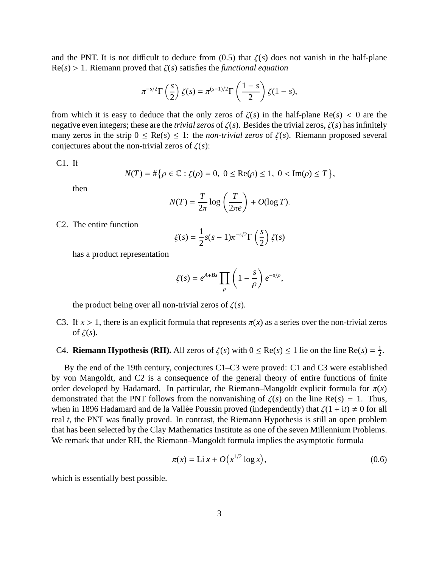and the PNT. It is not difficult to deduce from  $(0.5)$  that  $\zeta(s)$  does not vanish in the half-plane  $Re(s) > 1$ . Riemann proved that  $\zeta(s)$  satisfies the *functional equation* 

$$
\pi^{-s/2}\Gamma\left(\frac{s}{2}\right)\zeta(s)=\pi^{(s-1)/2}\Gamma\left(\frac{1-s}{2}\right)\zeta(1-s),
$$

from which it is easy to deduce that the only zeros of  $\zeta(s)$  in the half-plane Re(s) < 0 are the negative even integers; these are the *trivial zeros* of ζ(*s*). Besides the trivial zeros, ζ(*s*) has infinitely many zeros in the strip  $0 \leq \text{Re}(s) \leq 1$ : the *non-trivial zeros* of  $\zeta(s)$ . Riemann proposed several conjectures about the non-trivial zeros of  $\zeta(s)$ :

C1. If

$$
N(T) = #\big\{\rho \in \mathbb{C} : \zeta(\rho) = 0, \ 0 \le \text{Re}(\rho) \le 1, \ 0 < \text{Im}(\rho) \le T\big\},\
$$

then

$$
N(T) = \frac{T}{2\pi} \log \left( \frac{T}{2\pi e} \right) + O(\log T).
$$

C2. The entire function

$$
\xi(s) = \frac{1}{2}s(s-1)\pi^{-s/2}\Gamma\left(\frac{s}{2}\right)\zeta(s)
$$

has a product representation

$$
\xi(s) = e^{A+Bs} \prod_{\rho} \left(1 - \frac{s}{\rho}\right) e^{-s/\rho},
$$

the product being over all non-trivial zeros of  $\zeta(s)$ .

- C3. If  $x > 1$ , there is an explicit formula that represents  $\pi(x)$  as a series over the non-trivial zeros of  $\zeta(s)$ .
- C4. **Riemann Hypothesis (RH).** All zeros of  $\zeta(s)$  with  $0 \le \text{Re}(s) \le 1$  lie on the line  $\text{Re}(s) = \frac{1}{2}$  $\frac{1}{2}$ .

By the end of the 19th century, conjectures C1–C3 were proved: C1 and C3 were established by von Mangoldt, and C2 is a consequence of the general theory of entire functions of finite order developed by Hadamard. In particular, the Riemann–Mangoldt explicit formula for  $\pi(x)$ demonstrated that the PNT follows from the nonvanishing of  $\zeta(s)$  on the line Re(*s*) = 1. Thus, when in 1896 Hadamard and de la Vallée Poussin proved (independently) that  $\zeta(1 + it) \neq 0$  for all real *t*, the PNT was finally proved. In contrast, the Riemann Hypothesis is still an open problem that has been selected by the Clay Mathematics Institute as one of the seven Millennium Problems. We remark that under RH, the Riemann–Mangoldt formula implies the asymptotic formula

$$
\pi(x) = \text{Li } x + O\big(x^{1/2} \log x\big),\tag{0.6}
$$

which is essentially best possible.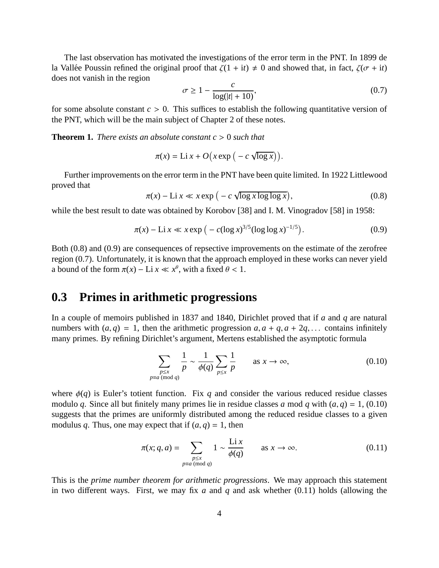The last observation has motivated the investigations of the error term in the PNT. In 1899 de la Vallée Poussin refined the original proof that  $\zeta(1 + it) \neq 0$  and showed that, in fact,  $\zeta(\sigma + it)$ does not vanish in the region

$$
\sigma \ge 1 - \frac{c}{\log(|t| + 10)},\tag{0.7}
$$

for some absolute constant  $c > 0$ . This suffices to establish the following quantitative version of the PNT, which will be the main subject of Chapter 2 of these notes.

**Theorem 1.** *There exists an absolute constant c* > 0 *such that*

$$
\pi(x) = \text{Li } x + O\big(x \exp\big(-c \sqrt{\log x}\big)\big).
$$

Further improvements on the error term in the PNT have been quite limited. In 1922 Littlewood proved that

$$
\pi(x) - \text{Li } x \ll x \exp\left(-c\sqrt{\log x \log \log x}\right),\tag{0.8}
$$

while the best result to date was obtained by Korobov [38] and I. M. Vinogradov [58] in 1958:

$$
\pi(x) - \text{Li} \ x \ll x \exp\left(-c(\log x)^{3/5} (\log \log x)^{-1/5}\right). \tag{0.9}
$$

Both (0.8) and (0.9) are consequences of repsective improvements on the estimate of the zerofree region (0.7). Unfortunately, it is known that the approach employed in these works can never yield a bound of the form  $\pi(x) - \text{Li } x \ll x^{\theta}$ , with a fixed  $\theta < 1$ .

#### **0.3 Primes in arithmetic progressions**

In a couple of memoirs published in 1837 and 1840, Dirichlet proved that if *a* and *q* are natural numbers with  $(a, q) = 1$ , then the arithmetic progression  $a, a + q, a + 2q, \ldots$  contains infinitely many primes. By refining Dirichlet's argument, Mertens established the asymptotic formula

$$
\sum_{\substack{p \le x \\ p \equiv a \pmod{q}}} \frac{1}{p} \sim \frac{1}{\phi(q)} \sum_{p \le x} \frac{1}{p} \qquad \text{as } x \to \infty,
$$
 (0.10)

where  $\phi(q)$  is Euler's totient function. Fix *q* and consider the various reduced residue classes modulo *q*. Since all but finitely many primes lie in residue classes *a* mod *q* with  $(a, q) = 1$ , (0.10) suggests that the primes are uniformly distributed among the reduced residue classes to a given modulus *q*. Thus, one may expect that if  $(a, q) = 1$ , then

$$
\pi(x; q, a) = \sum_{\substack{p \le x \\ p \equiv a \pmod{q}}} 1 \sim \frac{\text{Li } x}{\phi(q)} \quad \text{as } x \to \infty.
$$
 (0.11)

This is the *prime number theorem for arithmetic progressions*. We may approach this statement in two different ways. First, we may fix *a* and *q* and ask whether (0.11) holds (allowing the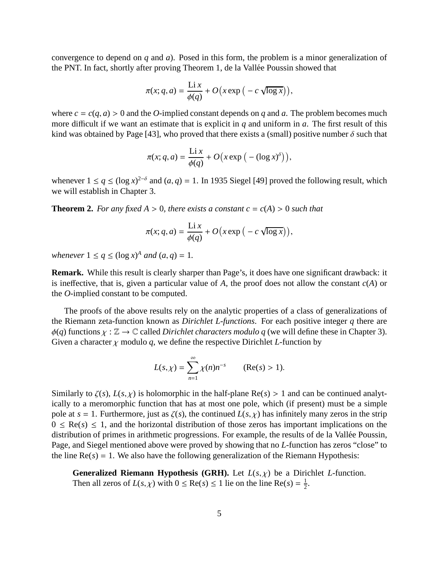convergence to depend on *q* and *a*). Posed in this form, the problem is a minor generalization of the PNT. In fact, shortly after proving Theorem 1, de la Vallée Poussin showed that

$$
\pi(x; q, a) = \frac{\text{Li }x}{\phi(q)} + O\big(x \exp\big(-c\sqrt{\log x}\big)\big),
$$

where  $c = c(q, a) > 0$  and the *O*-implied constant depends on *q* and *a*. The problem becomes much more difficult if we want an estimate that is explicit in *q* and uniform in *a*. The first result of this kind was obtained by Page [43], who proved that there exists a (small) positive number  $\delta$  such that

$$
\pi(x; q, a) = \frac{\operatorname{Li} x}{\phi(q)} + O\big(x \exp\big(-(\log x)^{\delta}\big)\big),
$$

whenever  $1 \le q \le (\log x)^{2-\delta}$  and  $(a, q) = 1$ . In 1935 Siegel [49] proved the following result, which we will establish in Chapter 3.

**Theorem 2.** For any fixed  $A > 0$ , there exists a constant  $c = c(A) > 0$  such that

$$
\pi(x; q, a) = \frac{\text{Li} x}{\phi(q)} + O\big(x \exp\big(-c \sqrt{\log x}\big)\big),
$$

*whenever*  $1 \le q \le (\log x)^A$  *and*  $(a, q) = 1$ *.* 

**Remark.** While this result is clearly sharper than Page's, it does have one significant drawback: it is ineffective, that is, given a particular value of *A*, the proof does not allow the constant *c*(*A*) or the *O*-implied constant to be computed.

The proofs of the above results rely on the analytic properties of a class of generalizations of the Riemann zeta-function known as *Dirichlet L-functions*. For each positive integer *q* there are  $\phi(q)$  functions  $\chi : \mathbb{Z} \to \mathbb{C}$  called *Dirichlet characters modulo q* (we will define these in Chapter 3). Given a character  $\chi$  modulo  $q$ , we define the respective Dirichlet *L*-function by

$$
L(s,\chi)=\sum_{n=1}^{\infty}\chi(n)n^{-s}\qquad(\text{Re}(s)>1).
$$

Similarly to  $\zeta(s)$ ,  $L(s, \chi)$  is holomorphic in the half-plane Re(s) > 1 and can be continued analytically to a meromorphic function that has at most one pole, which (if present) must be a simple pole at  $s = 1$ . Furthermore, just as  $\zeta(s)$ , the continued  $L(s, \chi)$  has infinitely many zeros in the strip  $0 \leq \text{Re}(s) \leq 1$ , and the horizontal distribution of those zeros has important implications on the distribution of primes in arithmetic progressions. For example, the results of de la Vallée Poussin, Page, and Siegel mentioned above were proved by showing that no *L*-function has zeros "close" to the line  $Re(s) = 1$ . We also have the following generalization of the Riemann Hypothesis:

**Generalized Riemann Hypothesis (GRH).** Let  $L(s, \chi)$  be a Dirichlet *L*-function. Then all zeros of  $L(s, \chi)$  with  $0 \le \text{Re}(s) \le 1$  lie on the line  $\text{Re}(s) = \frac{1}{2}$  $\frac{1}{2}$ .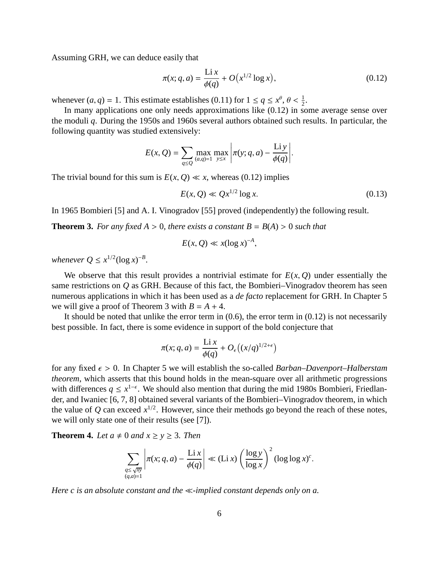Assuming GRH, we can deduce easily that

$$
\pi(x; q, a) = \frac{\text{Li } x}{\phi(q)} + O\big(x^{1/2} \log x\big),\tag{0.12}
$$

whenever  $(a, q) = 1$ . This estimate establishes (0.11) for  $1 \le q \le x^{\theta}, \theta < \frac{1}{2}$ .

In many applications one only needs approximations like (0.12) in some average sense over the moduli *q*. During the 1950s and 1960s several authors obtained such results. In particular, the following quantity was studied extensively:

$$
E(x, Q) = \sum_{q \leq Q} \max_{(a,q)=1} \max_{y \leq x} \left| \pi(y; q, a) - \frac{\text{Liy}}{\phi(q)} \right|.
$$

The trivial bound for this sum is  $E(x, Q) \ll x$ , whereas (0.12) implies

$$
E(x,Q) \ll Qx^{1/2} \log x. \tag{0.13}
$$

In 1965 Bombieri [5] and A. I. Vinogradov [55] proved (independently) the following result.

**Theorem 3.** For any fixed  $A > 0$ , there exists a constant  $B = B(A) > 0$  such that

$$
E(x,Q) \ll x(\log x)^{-A},
$$

*whenever*  $Q \leq x^{1/2} (\log x)^{-B}$ *.* 

We observe that this result provides a nontrivial estimate for  $E(x, Q)$  under essentially the same restrictions on *Q* as GRH. Because of this fact, the Bombieri–Vinogradov theorem has seen numerous applications in which it has been used as a *de facto* replacement for GRH. In Chapter 5 we will give a proof of Theorem 3 with  $B = A + 4$ .

It should be noted that unlike the error term in  $(0.6)$ , the error term in  $(0.12)$  is not necessarily best possible. In fact, there is some evidence in support of the bold conjecture that

$$
\pi(x; q, a) = \frac{\text{Li } x}{\phi(q)} + O_{\epsilon}\big((x/q)^{1/2 + \epsilon}\big)
$$

for any fixed  $\epsilon > 0$ . In Chapter 5 we will establish the so-called *Barban–Davenport–Halberstam theorem*, which asserts that this bound holds in the mean-square over all arithmetic progressions with differences  $q \leq x^{1-\epsilon}$ . We should also mention that during the mid 1980s Bombieri, Friedlander, and Iwaniec [6, 7, 8] obtained several variants of the Bombieri–Vinogradov theorem, in which the value of  $Q$  can exceed  $x^{1/2}$ . However, since their methods go beyond the reach of these notes, we will only state one of their results (see [7]).

**Theorem 4.** Let  $a \neq 0$  and  $x \ge y \ge 3$ . Then

$$
\sum_{\substack{q \leq \sqrt{xy} \\ (q,a)=1}} \left| \pi(x;q,a) - \frac{\operatorname{Li} x}{\phi(q)} \right| \ll (\operatorname{Li} x) \left( \frac{\log y}{\log x} \right)^2 (\log \log x)^c.
$$

*Here c is an absolute constant and the*  $\ll$ -implied constant depends only on a.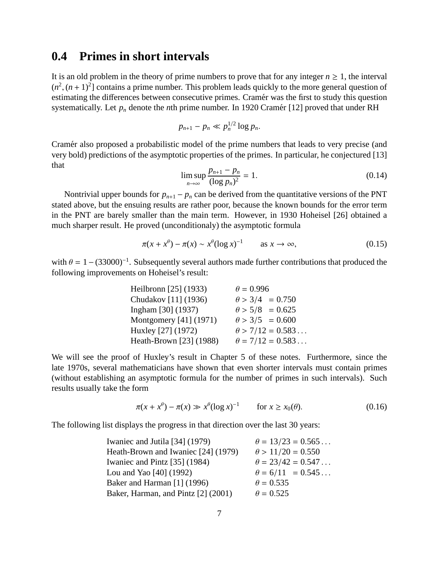#### **0.4 Primes in short intervals**

It is an old problem in the theory of prime numbers to prove that for any integer  $n \geq 1$ , the interval  $(n^2, (n+1)^2]$  contains a prime number. This problem leads quickly to the more general question of estimating the differences between consecutive primes. Cramér was the first to study this question systematically. Let  $p_n$  denote the *n*th prime number. In 1920 Cramér [12] proved that under RH

$$
p_{n+1}-p_n\ll p_n^{1/2}\log p_n.
$$

Cramér also proposed a probabilistic model of the prime numbers that leads to very precise (and very bold) predictions of the asymptotic properties of the primes. In particular, he conjectured [13] that

$$
\limsup_{n \to \infty} \frac{p_{n+1} - p_n}{(\log p_n)^2} = 1.
$$
\n(0.14)

Nontrivial upper bounds for  $p_{n+1} - p_n$  can be derived from the quantitative versions of the PNT stated above, but the ensuing results are rather poor, because the known bounds for the error term in the PNT are barely smaller than the main term. However, in 1930 Hoheisel [26] obtained a much sharper result. He proved (unconditionaly) the asymptotic formula

$$
\pi(x + x^{\theta}) - \pi(x) \sim x^{\theta} (\log x)^{-1} \qquad \text{as } x \to \infty,
$$
\n(0.15)

with  $\theta = 1 - (33000)^{-1}$ . Subsequently several authors made further contributions that produced the following improvements on Hoheisel's result:

| Heilbronn [25] (1933)   | $\theta = 0.996$        |
|-------------------------|-------------------------|
| Chudakov [11] (1936)    | $\theta > 3/4 = 0.750$  |
| Ingham [30] (1937)      | $\theta > 5/8 = 0.625$  |
| Montgomery [41] (1971)  | $\theta > 3/5 = 0.600$  |
| Huxley [27] (1972)      | $\theta$ > 7/12 = 0.583 |
| Heath-Brown [23] (1988) | $\theta = 7/12 = 0.583$ |

We will see the proof of Huxley's result in Chapter 5 of these notes. Furthermore, since the late 1970s, several mathematicians have shown that even shorter intervals must contain primes (without establishing an asymptotic formula for the number of primes in such intervals). Such results usually take the form

$$
\pi(x + x^{\theta}) - \pi(x) \gg x^{\theta} (\log x)^{-1} \qquad \text{for } x \ge x_0(\theta). \tag{0.16}
$$

The following list displays the progress in that direction over the last 30 years:

| Iwaniec and Jutila [34] (1979)      | $\theta = 13/23 = 0.565$ |
|-------------------------------------|--------------------------|
| Heath-Brown and Iwaniec [24] (1979) | $\theta > 11/20 = 0.550$ |
| Iwaniec and Pintz [35] (1984)       | $\theta = 23/42 = 0.547$ |
| Lou and Yao $[40]$ (1992)           | $\theta = 6/11 = 0.545$  |
| Baker and Harman [1] (1996)         | $\theta = 0.535$         |
| Baker, Harman, and Pintz [2] (2001) | $\theta = 0.525$         |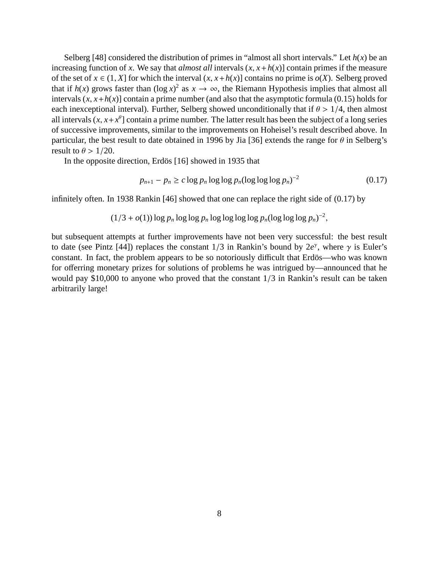Selberg [48] considered the distribution of primes in "almost all short intervals." Let  $h(x)$  be an increasing function of *x*. We say that *almost all* intervals  $(x, x + h(x))$  contain primes if the measure of the set of  $x \in (1, X]$  for which the interval  $(x, x + h(x))$  contains no prime is  $o(X)$ . Selberg proved that if  $h(x)$  grows faster than  $(\log x)^2$  as  $x \to \infty$ , the Riemann Hypothesis implies that almost all intervals  $(x, x+h(x))$  contain a prime number (and also that the asymptotic formula (0.15) holds for each inexceptional interval). Further, Selberg showed unconditionally that if  $\theta > 1/4$ , then almost all intervals  $(x, x + x^{\theta})$  contain a prime number. The latter result has been the subject of a long series of successive improvements, similar to the improvements on Hoheisel's result described above. In particular, the best result to date obtained in 1996 by Jia [36] extends the range for  $\theta$  in Selberg's result to  $\theta > 1/20$ .

In the opposite direction, Erdös [16] showed in 1935 that

$$
p_{n+1} - p_n \ge c \log p_n \log \log p_n (\log \log \log p_n)^{-2}
$$
\n(0.17)

infinitely often. In 1938 Rankin [46] showed that one can replace the right side of (0.17) by

$$
(1/3 + o(1)) \log p_n \log \log p_n \log \log \log \log p_n (\log \log \log p_n)^{-2},
$$

but subsequent attempts at further improvements have not been very successful: the best result to date (see Pintz [44]) replaces the constant  $1/3$  in Rankin's bound by  $2e^{\gamma}$ , where  $\gamma$  is Euler's constant. In fact, the problem appears to be so notoriously difficult that Erdös—who was known for offerring monetary prizes for solutions of problems he was intrigued by—announced that he would pay \$10,000 to anyone who proved that the constant 1/3 in Rankin's result can be taken arbitrarily large!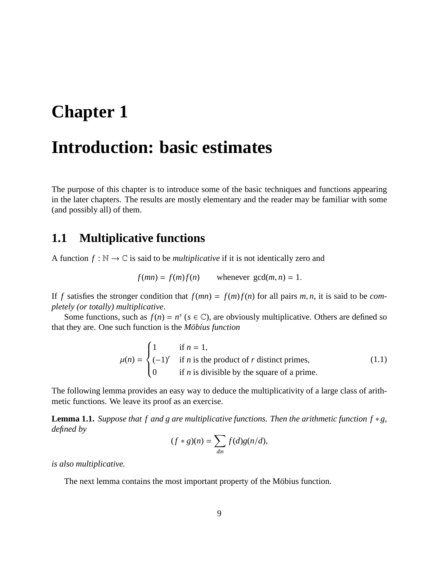## **Chapter 1**

### **Introduction: basic estimates**

The purpose of this chapter is to introduce some of the basic techniques and functions appearing in the later chapters. The results are mostly elementary and the reader may be familiar with some (and possibly all) of them.

#### **1.1 Multiplicative functions**

A function  $f : \mathbb{N} \to \mathbb{C}$  is said to be *multiplicative* if it is not identically zero and

$$
f(mn) = f(m)f(n) \qquad \text{whenever } \gcd(m, n) = 1.
$$

If *f* satisfies the stronger condition that  $f(mn) = f(m)f(n)$  for all pairs *m*, *n*, it is said to be *completely (or totally) multiplicative*.

Some functions, such as  $f(n) = n^s$  ( $s \in \mathbb{C}$ ), are obviously multiplicative. Others are defined so that they are. One such function is the *Möbius function* 

$$
\mu(n) = \begin{cases}\n1 & \text{if } n = 1, \\
(-1)^r & \text{if } n \text{ is the product of } r \text{ distinct primes,} \\
0 & \text{if } n \text{ is divisible by the square of a prime.} \n\end{cases}
$$
\n(1.1)

The following lemma provides an easy way to deduce the multiplicativity of a large class of arithmetic functions. We leave its proof as an exercise.

**Lemma 1.1.** *Suppose that f and g are multiplicative functions. Then the arithmetic function f*  $* g$ *, defined by*

$$
(f * g)(n) = \sum_{d|n} f(d)g(n/d),
$$

*is also multiplicative.*

The next lemma contains the most important property of the Möbius function.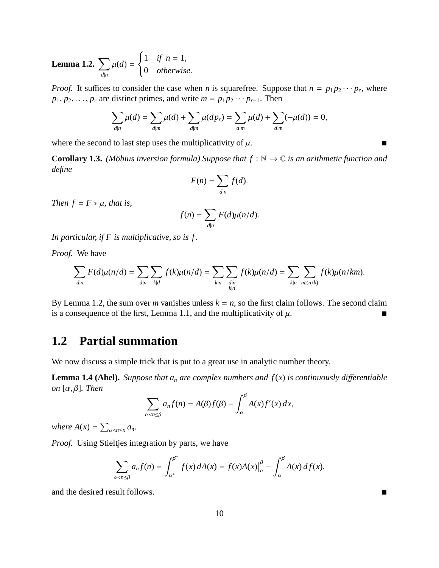**Lemma 1.2.**  $\sum$ *d*|*n*  $\mu(d) =$  $\int 1 \quad \text{if } n = 1,$ 0 *otherwise*.

*Proof.* It suffices to consider the case when *n* is squarefree. Suppose that  $n = p_1 p_2 \cdots p_r$ , where  $p_1, p_2, \ldots, p_r$  are distinct primes, and write  $m = p_1 p_2 \cdots p_{r-1}$ . Then

$$
\sum_{d|n} \mu(d) = \sum_{d|m} \mu(d) + \sum_{d|m} \mu(dp_r) = \sum_{d|m} \mu(d) + \sum_{d|m} (-\mu(d)) = 0,
$$

where the second to last step uses the multiplicativity of  $\mu$ .

**Corollary 1.3.** *(Möbius inversion formula) Suppose that*  $f : \mathbb{N} \to \mathbb{C}$  *is an arithmetic function and define*

$$
F(n) = \sum_{d|n} f(d).
$$

*Then*  $f = F * \mu$ *, that is,* 

$$
f(n) = \sum_{d|n} F(d)\mu(n/d).
$$

*In particular, if F is multiplicative, so is f .*

*Proof.* We have

$$
\sum_{d|n} F(d)\mu(n/d) = \sum_{d|n} \sum_{k|d} f(k)\mu(n/d) = \sum_{k|n} \sum_{\substack{d|n \\ k|d}} f(k)\mu(n/d) = \sum_{k|n} \sum_{m|(n/k)} f(k)\mu(n/km).
$$

By Lemma 1.2, the sum over *m* vanishes unless  $k = n$ , so the first claim follows. The second claim is a consequence of the first, Lemma 1.1, and the multiplicativity of  $\mu$ .

### **1.2 Partial summation**

We now discuss a simple trick that is put to a great use in analytic number theory.

**Lemma 1.4 (Abel).** *Suppose that*  $a_n$  *are complex numbers and*  $f(x)$  *is continuously differentiable on* [α, β]*. Then*

$$
\sum_{\alpha < n \leq \beta} a_n f(n) = A(\beta) f(\beta) - \int_{\alpha}^{\beta} A(x) f'(x) \, dx,
$$

*where*  $A(x) = \sum_{\alpha < n \leq x} a_n$ .

*Proof.* Using Stieltjes integration by parts, we have

$$
\sum_{\alpha < n \leq \beta} a_n f(n) = \int_{\alpha^+}^{\beta^+} f(x) \, dA(x) = f(x) A(x) \Big|_{\alpha}^{\beta} - \int_{\alpha}^{\beta} A(x) \, d f(x),
$$

and the desired result follows.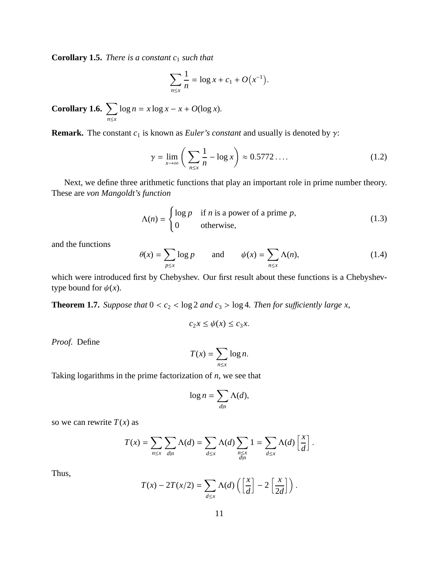**Corollary 1.5.** *There is a constant c*<sup>1</sup> *such that*

$$
\sum_{n \le x} \frac{1}{n} = \log x + c_1 + O(x^{-1}).
$$

**Corollary 1.6.**  $\sum$ *n*≤*x*  $\log n = x \log x - x + O(\log x).$ 

**Remark.** The constant  $c_1$  is known as *Euler's constant* and usually is denoted by  $\gamma$ :

$$
\gamma = \lim_{x \to \infty} \left( \sum_{n \le x} \frac{1}{n} - \log x \right) \approx 0.5772 \dots \tag{1.2}
$$

Next, we define three arithmetic functions that play an important role in prime number theory. These are *von Mangoldt's function*

$$
\Lambda(n) = \begin{cases} \log p & \text{if } n \text{ is a power of a prime } p, \\ 0 & \text{otherwise,} \end{cases}
$$
 (1.3)

and the functions

$$
\theta(x) = \sum_{p \le x} \log p \qquad \text{and} \qquad \psi(x) = \sum_{n \le x} \Lambda(n), \tag{1.4}
$$

which were introduced first by Chebyshev. Our first result about these functions is a Chebyshevtype bound for  $\psi(x)$ .

**Theorem 1.7.** *Suppose that*  $0 < c_2 < \log 2$  *and*  $c_3 > \log 4$ *. Then for sufficiently large x,* 

$$
c_2 x \le \psi(x) \le c_3 x.
$$

*Proof.* Define

$$
T(x) = \sum_{n \le x} \log n.
$$

Taking logarithms in the prime factorization of *n*, we see that

$$
\log n = \sum_{d|n} \Lambda(d),
$$

so we can rewrite  $T(x)$  as

$$
T(x) = \sum_{n \leq x} \sum_{d|n} \Lambda(d) = \sum_{d \leq x} \Lambda(d) \sum_{\substack{n \leq x \\ d|n}} 1 = \sum_{d \leq x} \Lambda(d) \left[ \frac{x}{d} \right].
$$

Thus,

$$
T(x) - 2T(x/2) = \sum_{d \leq x} \Lambda(d) \left( \left[ \frac{x}{d} \right] - 2 \left[ \frac{x}{2d} \right] \right).
$$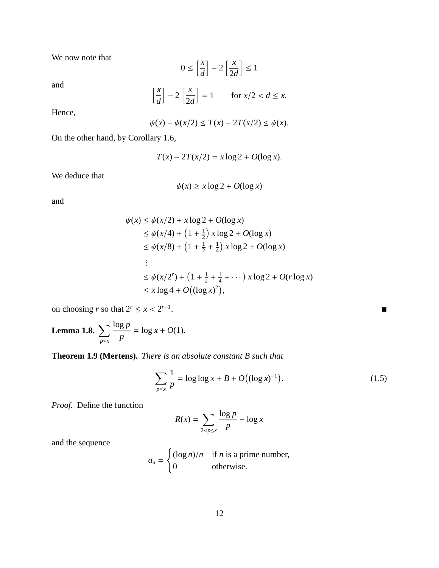We now note that

$$
0 \le \left[\frac{x}{d}\right] - 2\left[\frac{x}{2d}\right] \le 1
$$

and

$$
\left[\frac{x}{d}\right] - 2\left[\frac{x}{2d}\right] = 1 \qquad \text{for } x/2 < d \leq x.
$$

Hence,

$$
\psi(x) - \psi(x/2) \leq T(x) - 2T(x/2) \leq \psi(x).
$$

On the other hand, by Corollary 1.6,

$$
T(x) - 2T(x/2) = x \log 2 + O(\log x).
$$

We deduce that

$$
\psi(x) \ge x \log 2 + O(\log x)
$$

and

$$
\psi(x) \le \psi(x/2) + x \log 2 + O(\log x)
$$
  
\n
$$
\le \psi(x/4) + \left(1 + \frac{1}{2}\right) x \log 2 + O(\log x)
$$
  
\n
$$
\le \psi(x/8) + \left(1 + \frac{1}{2} + \frac{1}{4}\right) x \log 2 + O(\log x)
$$
  
\n:  
\n:  
\n
$$
\le \psi(x/2^r) + \left(1 + \frac{1}{2} + \frac{1}{4} + \cdots\right) x \log 2 + O(r \log x)
$$
  
\n
$$
\le x \log 4 + O\left((\log x)^2\right),
$$

on choosing *r* so that  $2^r \le x < 2^{r+1}$ 

**Lemma 1.8.**  $\sum$ *p*≤*x* log *p p*  $= \log x + O(1).$ 

**Theorem 1.9 (Mertens).** *There is an absolute constant B such that*

1

$$
\sum_{p \le x} \frac{1}{p} = \log \log x + B + O((\log x)^{-1}).
$$
\n(1.5)

*Proof.* Define the function

$$
R(x) = \sum_{2 < p \le x} \frac{\log p}{p} - \log x
$$

and the sequence

$$
a_n = \begin{cases} (\log n)/n & \text{if } n \text{ is a prime number,} \\ 0 & \text{otherwise.} \end{cases}
$$

.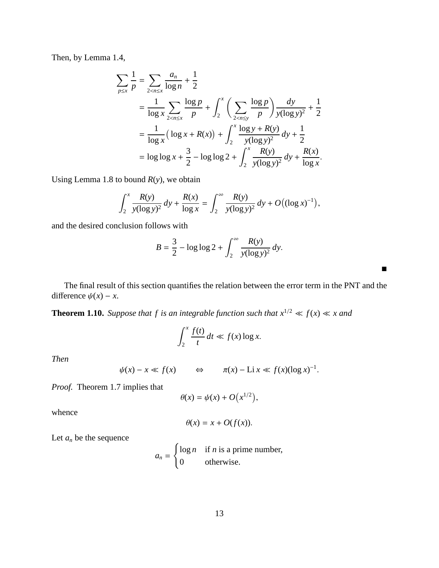Then, by Lemma 1.4,

$$
\sum_{p \le x} \frac{1}{p} = \sum_{2 < n \le x} \frac{a_n}{\log n} + \frac{1}{2}
$$
\n
$$
= \frac{1}{\log x} \sum_{2 < n \le x} \frac{\log p}{p} + \int_2^x \left( \sum_{2 < n \le y} \frac{\log p}{p} \right) \frac{dy}{y(\log y)^2} + \frac{1}{2}
$$
\n
$$
= \frac{1}{\log x} \left( \log x + R(x) \right) + \int_2^x \frac{\log y + R(y)}{y(\log y)^2} dy + \frac{1}{2}
$$
\n
$$
= \log \log x + \frac{3}{2} - \log \log 2 + \int_2^x \frac{R(y)}{y(\log y)^2} dy + \frac{R(x)}{\log x}.
$$

Using Lemma 1.8 to bound *R*(*y*), we obtain

$$
\int_2^x \frac{R(y)}{y(\log y)^2} dy + \frac{R(x)}{\log x} = \int_2^\infty \frac{R(y)}{y(\log y)^2} dy + O((\log x)^{-1}),
$$

and the desired conclusion follows with

$$
B = \frac{3}{2} - \log \log 2 + \int_2^{\infty} \frac{R(y)}{y(\log y)^2} dy.
$$

The final result of this section quantifies the relation between the error term in the PNT and the difference  $\psi(x) - x$ .

**Theorem 1.10.** *Suppose that f is an integrable function such that*  $x^{1/2} \ll f(x) \ll x$  and

$$
\int_2^x \frac{f(t)}{t} dt \ll f(x) \log x.
$$

*Then*

$$
\psi(x) - x \ll f(x) \qquad \Leftrightarrow \qquad \pi(x) - \text{Li } x \ll f(x) (\log x)^{-1}.
$$

*Proof.* Theorem 1.7 implies that

$$
\theta(x) = \psi(x) + O\big(x^{1/2}\big),
$$

whence

$$
\theta(x) = x + O(f(x)).
$$

Let  $a_n$  be the sequence

$$
a_n = \begin{cases} \log n & \text{if } n \text{ is a prime number,} \\ 0 & \text{otherwise.} \end{cases}
$$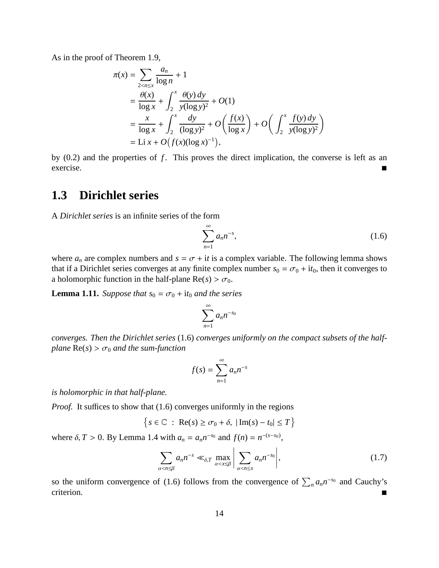As in the proof of Theorem 1.9,

$$
\pi(x) = \sum_{2 < n \le x} \frac{a_n}{\log n} + 1
$$
\n
$$
= \frac{\theta(x)}{\log x} + \int_2^x \frac{\theta(y) \, dy}{y(\log y)^2} + O(1)
$$
\n
$$
= \frac{x}{\log x} + \int_2^x \frac{dy}{(\log y)^2} + O\left(\frac{f(x)}{\log x}\right) + O\left(\int_2^x \frac{f(y) \, dy}{y(\log y)^2}\right)
$$
\n
$$
= \text{Li } x + O\left(f(x)(\log x)^{-1}\right),
$$

by (0.2) and the properties of f. This proves the direct implication, the converse is left as an exercise.

### **1.3 Dirichlet series**

A *Dirichlet series* is an infinite series of the form

$$
\sum_{n=1}^{\infty} a_n n^{-s},\tag{1.6}
$$

where  $a_n$  are complex numbers and  $s = \sigma + it$  is a complex variable. The following lemma shows that if a Dirichlet series converges at any finite complex number  $s_0 = \sigma_0 + i t_0$ , then it converges to a holomorphic function in the half-plane  $Re(s) > \sigma_0$ .

**Lemma 1.11.** *Suppose that*  $s_0 = \sigma_0 + it_0$  *and the series* 

$$
\sum_{n=1}^{\infty} a_n n^{-s_0}
$$

*converges. Then the Dirichlet series* (1.6) *converges uniformly on the compact subsets of the halfplane*  $Re(s) > \sigma_0$  *and the sum-function* 

$$
f(s) = \sum_{n=1}^{\infty} a_n n^{-s}
$$

*is holomorphic in that half-plane.*

*Proof.* It suffices to show that (1.6) converges uniformly in the regions

$$
\left\{s \in \mathbb{C} : \operatorname{Re}(s) \ge \sigma_0 + \delta, \ |\operatorname{Im}(s) - t_0| \le T\right\}
$$

where  $\delta$ , *T* > 0. By Lemma 1.4 with  $a_n = a_n n^{-s_0}$  and  $f(n) = n^{-(s-s_0)}$ ,

$$
\sum_{\alpha < n \leq \beta} a_n n^{-s} \ll_{\delta, T} \max_{\alpha < x \leq \beta} \left| \sum_{\alpha < n \leq x} a_n n^{-s_0} \right|,\tag{1.7}
$$

so the uniform convergence of (1.6) follows from the convergence of  $\sum_{n} a_n n^{-s_0}$  and Cauchy's criterion.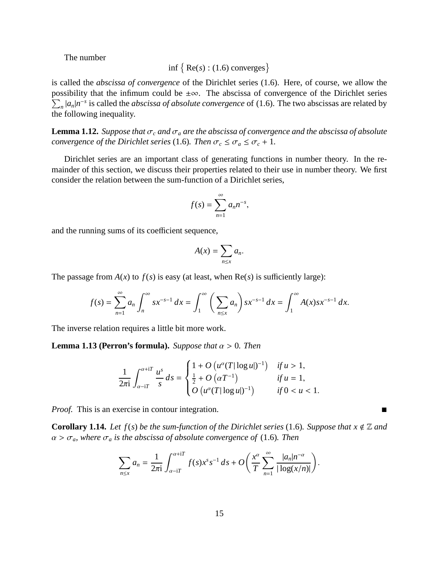The number

$$
\inf \{ \text{Re}(s) : (1.6) \text{ converges} \}
$$

is called the *abscissa of convergence* of the Dirichlet series (1.6). Here, of course, we allow the possibility that the infimum could be  $\pm \infty$ . The abscissa of convergence of the Dirichlet series  $\sum_{n} |a_n| n^{-s}$  is called the *abscissa of absolute convergence* of (1.6). The two abscissas are related by the following inequality.

**Lemma 1.12.** *Suppose that*  $\sigma_c$  *and*  $\sigma_a$  *are the abscissa of convergence and the abscissa of absolute convergence of the Dirichlet series* (1.6)*. Then*  $\sigma_c \leq \sigma_a \leq \sigma_c + 1$ *.* 

Dirichlet series are an important class of generating functions in number theory. In the remainder of this section, we discuss their properties related to their use in number theory. We first consider the relation between the sum-function of a Dirichlet series,

$$
f(s)=\sum_{n=1}^{\infty}a_n n^{-s},
$$

and the running sums of its coefficient sequence,

$$
A(x)=\sum_{n\leq x}a_n.
$$

The passage from  $A(x)$  to  $f(s)$  is easy (at least, when  $Re(s)$  is sufficiently large):

$$
f(s) = \sum_{n=1}^{\infty} a_n \int_n^{\infty} s x^{-s-1} dx = \int_1^{\infty} \left( \sum_{n \le x} a_n \right) s x^{-s-1} dx = \int_1^{\infty} A(x) s x^{-s-1} dx.
$$

The inverse relation requires a little bit more work.

**Lemma 1.13 (Perron's formula).** *Suppose that*  $\alpha > 0$ *. Then* 

$$
\frac{1}{2\pi i} \int_{\alpha - iT}^{\alpha + iT} \frac{u^s}{s} ds = \begin{cases} 1 + O\left(u^{\alpha}(T|\log u|)^{-1}\right) & \text{if } u > 1, \\ \frac{1}{2} + O\left(\alpha T^{-1}\right) & \text{if } u = 1, \\ O\left(u^{\alpha}(T|\log u|)^{-1}\right) & \text{if } 0 < u < 1. \end{cases}
$$

*Proof.* This is an exercise in contour integration.

**Corollary 1.14.** *Let f(s) be the sum-function of the Dirichlet series* (1.6)*. Suppose that*  $x \notin \mathbb{Z}$  *and*  $\alpha > \sigma_a$ , where  $\sigma_a$  *is the abscissa of absolute convergence of* (1.6)*. Then* 

$$
\sum_{n \leq x} a_n = \frac{1}{2\pi i} \int_{\alpha - iT}^{\alpha + iT} f(s) x^s s^{-1} ds + O\left(\frac{x^{\alpha}}{T} \sum_{n=1}^{\infty} \frac{|a_n| n^{-\alpha}}{|\log(x/n)|}\right).
$$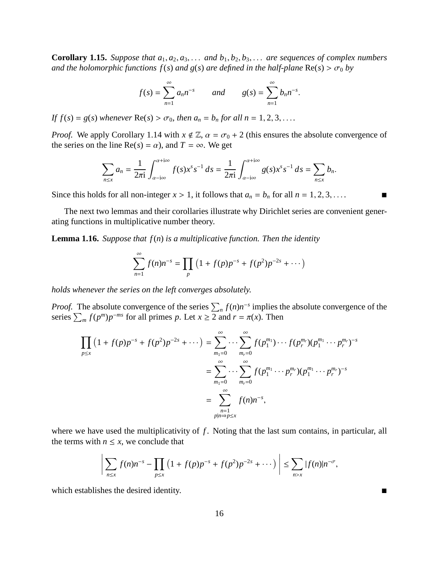**Corollary 1.15.** *Suppose that*  $a_1, a_2, a_3, \ldots$  *and*  $b_1, b_2, b_3, \ldots$  *are sequences of complex numbers and the holomorphic functions*  $f(s)$  *and*  $g(s)$  *are defined in the half-plane*  $\text{Re}(s) > \sigma_0$  by

$$
f(s) = \sum_{n=1}^{\infty} a_n n^{-s}
$$
 and  $g(s) = \sum_{n=1}^{\infty} b_n n^{-s}$ .

*If*  $f(s) = g(s)$  *whenever*  $\text{Re}(s) > \sigma_0$ *, then*  $a_n = b_n$  *for all*  $n = 1, 2, 3, \ldots$ 

*Proof.* We apply Corollary 1.14 with  $x \notin \mathbb{Z}$ ,  $\alpha = \sigma_0 + 2$  (this ensures the absolute convergence of the series on the line  $Re(s) = \alpha$ , and  $T = \infty$ . We get

$$
\sum_{n\leq x} a_n = \frac{1}{2\pi i} \int_{\alpha - i\infty}^{\alpha + i\infty} f(s) x^s s^{-1} ds = \frac{1}{2\pi i} \int_{\alpha - i\infty}^{\alpha + i\infty} g(s) x^s s^{-1} ds = \sum_{n\leq x} b_n.
$$

Since this holds for all non-integer  $x > 1$ , it follows that  $a_n = b_n$  for all  $n = 1, 2, 3, \ldots$ 

The next two lemmas and their corollaries illustrate why Dirichlet series are convenient generating functions in multiplicative number theory.

**Lemma 1.16.** *Suppose that f*(*n*) *is a multiplicative function. Then the identity*

$$
\sum_{n=1}^{\infty} f(n)n^{-s} = \prod_{p} (1 + f(p)p^{-s} + f(p^2)p^{-2s} + \cdots)
$$

*holds whenever the series on the left converges absolutely.*

*Proof.* The absolute convergence of the series  $\sum_{n} f(n)n^{-s}$  implies the absolute convergence of the series  $\sum_{m} f(p^{m})p^{-ms}$  for all primes *p*. Let  $x \ge 2$  and  $r = \pi(x)$ . Then

$$
\prod_{p \le x} (1 + f(p)p^{-s} + f(p^2)p^{-2s} + \cdots) = \sum_{m_1=0}^{\infty} \cdots \sum_{m_r=0}^{\infty} f(p_1^{m_1}) \cdots f(p_r^{m_r})(p_1^{m_1} \cdots p_r^{m_r})^{-s}
$$
  

$$
= \sum_{m_1=0}^{\infty} \cdots \sum_{m_r=0}^{\infty} f(p_1^{m_1} \cdots p_r^{m_r})(p_1^{m_1} \cdots p_r^{m_r})^{-s}
$$
  

$$
= \sum_{\substack{n=1 \ n \text{ prime}}}^{\infty} f(n)n^{-s},
$$

where we have used the multiplicativity of *f*. Noting that the last sum contains, in particular, all the terms with  $n \leq x$ , we conclude that

$$
\left| \sum_{n \leq x} f(n) n^{-s} - \prod_{p \leq x} \left( 1 + f(p) p^{-s} + f(p^2) p^{-2s} + \cdots \right) \right| \leq \sum_{n > x} |f(n)| n^{-\sigma},
$$

which establishes the desired identity.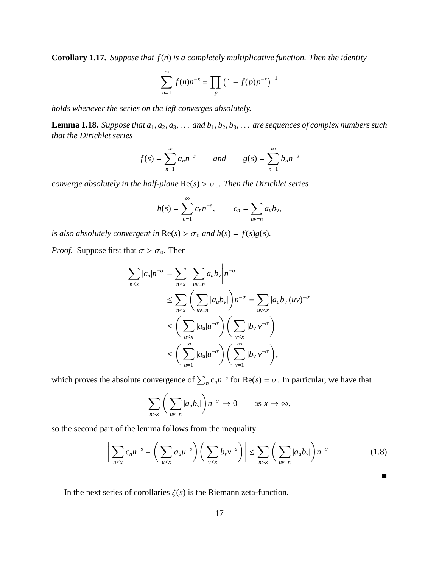**Corollary 1.17.** *Suppose that f*(*n*) *is a completely multiplicative function. Then the identity*

$$
\sum_{n=1}^{\infty} f(n)n^{-s} = \prod_{p} (1 - f(p)p^{-s})^{-1}
$$

*holds whenever the series on the left converges absolutely.*

**Lemma 1.18.** *Suppose that*  $a_1, a_2, a_3, \ldots$  *and*  $b_1, b_2, b_3, \ldots$  *are sequences of complex numbers such that the Dirichlet series*

$$
f(s) = \sum_{n=1}^{\infty} a_n n^{-s}
$$
 and  $g(s) = \sum_{n=1}^{\infty} b_n n^{-s}$ 

*converge absolutely in the half-plane*  $\text{Re}(s) > \sigma_0$ *. Then the Dirichlet series* 

$$
h(s) = \sum_{n=1}^{\infty} c_n n^{-s}, \qquad c_n = \sum_{uv=n} a_u b_v,
$$

*is also absolutely convergent in*  $\text{Re}(s) > \sigma_0$  *and*  $h(s) = f(s)g(s)$ *.* 

*Proof.* Suppose first that  $\sigma > \sigma_0$ . Then

$$
\sum_{n \le x} |c_n| n^{-\sigma} = \sum_{n \le x} \left| \sum_{uv=n} a_u b_v \right| n^{-\sigma}
$$
  
\n
$$
\le \sum_{n \le x} \left( \sum_{uv=n} |a_u b_v| \right) n^{-\sigma} = \sum_{uv \le x} |a_u b_v| (uv)^{-\sigma}
$$
  
\n
$$
\le \left( \sum_{u \le x} |a_u| u^{-\sigma} \right) \left( \sum_{v \le x} |b_v| v^{-\sigma} \right)
$$
  
\n
$$
\le \left( \sum_{u=1}^{\infty} |a_u| u^{-\sigma} \right) \left( \sum_{v=1}^{\infty} |b_v| v^{-\sigma} \right),
$$

which proves the absolute convergence of  $\sum_{n} c_n n^{-s}$  for Re(*s*) =  $\sigma$ . In particular, we have that

$$
\sum_{n>x} \left( \sum_{uv=n} |a_u b_v| \right) n^{-\sigma} \to 0 \quad \text{as } x \to \infty,
$$

so the second part of the lemma follows from the inequality

$$
\left|\sum_{n\leq x}c_n n^{-s}-\left(\sum_{u\leq x}a_u u^{-s}\right)\left(\sum_{v\leq x}b_v v^{-s}\right)\right|\leq \sum_{n>x}\left(\sum_{uv=n}|a_u b_v|\right)n^{-\sigma}.\tag{1.8}
$$

 $\blacksquare$ 

In the next series of corollaries  $\zeta(s)$  is the Riemann zeta-function.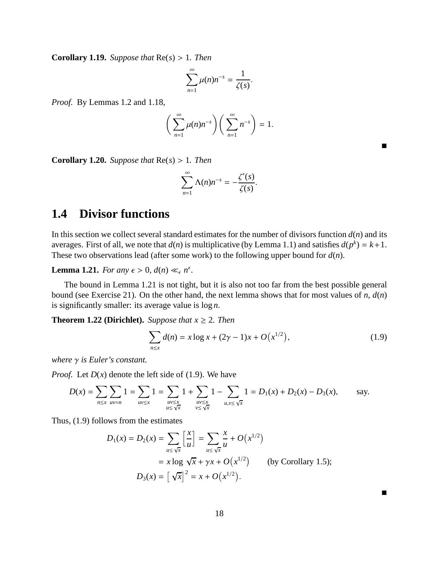**Corollary 1.19.** *Suppose that*  $Re(s) > 1$ *. Then* 

$$
\sum_{n=1}^{\infty} \mu(n) n^{-s} = \frac{1}{\zeta(s)}.
$$

*Proof.* By Lemmas 1.2 and 1.18,

$$
\bigg(\sum_{n=1}^{\infty}\mu(n)n^{-s}\bigg)\bigg(\sum_{n=1}^{\infty}n^{-s}\bigg)=1.
$$

**Corollary 1.20.** *Suppose that*  $Re(s) > 1$ *. Then* 

$$
\sum_{n=1}^{\infty} \Lambda(n) n^{-s} = -\frac{\zeta'(s)}{\zeta(s)}.
$$

### **1.4 Divisor functions**

In this section we collect several standard estimates for the number of divisors function  $d(n)$  and its averages. First of all, we note that  $d(n)$  is multiplicative (by Lemma 1.1) and satisfies  $d(p^k) = k+1$ . These two observations lead (after some work) to the following upper bound for *d*(*n*).

**Lemma 1.21.** *For any*  $\epsilon > 0$ ,  $d(n) \ll_{\epsilon} n^{\epsilon}$ .

The bound in Lemma 1.21 is not tight, but it is also not too far from the best possible general bound (see Exercise 21). On the other hand, the next lemma shows that for most values of *n*, *d*(*n*) is significantly smaller: its average value is log *n*.

**Theorem 1.22 (Dirichlet).** *Suppose that*  $x \ge 2$ *. Then* 

$$
\sum_{n \le x} d(n) = x \log x + (2\gamma - 1)x + O(x^{1/2}),
$$
\n(1.9)

 $\blacksquare$ 

 $\blacksquare$ 

*where* γ *is Euler's constant.*

*Proof.* Let  $D(x)$  denote the left side of (1.9). We have

$$
D(x) = \sum_{n \le x} \sum_{uv=n} 1 = \sum_{uv \le x} 1 = \sum_{uv \le x} 1 + \sum_{uv \le x} 1 - \sum_{u,v \le \sqrt{x}} 1 = D_1(x) + D_2(x) - D_3(x), \quad \text{say.}
$$

Thus, (1.9) follows from the estimates

$$
D_1(x) = D_2(x) = \sum_{u \le \sqrt{x}} \left[ \frac{x}{u} \right] = \sum_{u \le \sqrt{x}} \frac{x}{u} + O(x^{1/2})
$$
  
=  $x \log \sqrt{x} + \gamma x + O(x^{1/2})$  (by Corollary 1.5);  

$$
D_3(x) = \left[ \sqrt{x} \right]^2 = x + O(x^{1/2}).
$$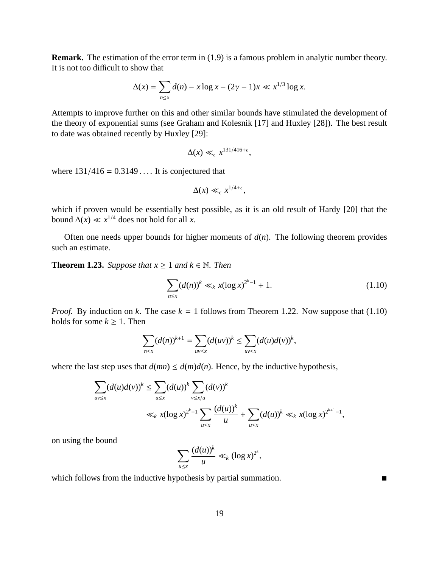**Remark.** The estimation of the error term in (1.9) is a famous problem in analytic number theory. It is not too difficult to show that

$$
\Delta(x) = \sum_{n \le x} d(n) - x \log x - (2\gamma - 1)x \ll x^{1/3} \log x.
$$

Attempts to improve further on this and other similar bounds have stimulated the development of the theory of exponential sums (see Graham and Kolesnik [17] and Huxley [28]). The best result to date was obtained recently by Huxley [29]:

$$
\Delta(x) \ll_{\epsilon} x^{131/416+\epsilon},
$$

where  $131/416 = 0.3149...$  It is conjectured that

$$
\Delta(x) \ll_{\epsilon} x^{1/4+\epsilon},
$$

which if proven would be essentially best possible, as it is an old result of Hardy [20] that the bound  $\Delta(x) \ll x^{1/4}$  does not hold for all *x*.

Often one needs upper bounds for higher moments of  $d(n)$ . The following theorem provides such an estimate.

**Theorem 1.23.** *Suppose that*  $x \ge 1$  *and*  $k \in \mathbb{N}$ *. Then* 

$$
\sum_{n \le x} (d(n))^k \ll_k x(\log x)^{2^k - 1} + 1. \tag{1.10}
$$

*Proof.* By induction on *k*. The case  $k = 1$  follows from Theorem 1.22. Now suppose that (1.10) holds for some  $k \geq 1$ . Then

$$
\sum_{n\leq x}(d(n))^{k+1}=\sum_{uv\leq x}(d(uv))^k\leq \sum_{uv\leq x}(d(u)d(v))^k,
$$

where the last step uses that  $d(mn) \leq d(m)d(n)$ . Hence, by the inductive hypothesis,

$$
\sum_{uv \le x} (d(u)d(v))^k \le \sum_{u \le x} (d(u))^k \sum_{v \le x/u} (d(v))^k
$$
  

$$
\ll_k x(\log x)^{2^k - 1} \sum_{u \le x} \frac{(d(u))^k}{u} + \sum_{u \le x} (d(u))^k \ll_k x(\log x)^{2^{k+1} - 1},
$$

on using the bound

$$
\sum_{u\leq x}\frac{(d(u))^k}{u}\ll_k (\log x)^{2^k},
$$

which follows from the inductive hypothesis by partial summation.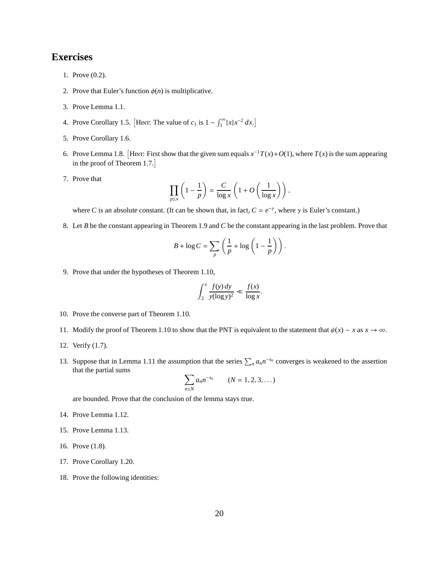#### **Exercises**

- 1. Prove (0.2).
- 2. Prove that Euler's function  $\phi(n)$  is multiplicative.
- 3. Prove Lemma 1.1.
- 4. Prove Corollary 1.5. [HINT: The value of  $c_1$  is  $1 \int_1^{\infty} \{x\} x^{-2} dx$ .]
- 5. Prove Corollary 1.6.
- 6. Prove Lemma 1.8. HINT: First show that the given sum equals  $x^{-1}T(x) + O(1)$ , where  $T(x)$  is the sum appearing in the proof of Theorem 1.7.
- 7. Prove that

$$
\prod_{p\leq x}\left(1-\frac{1}{p}\right)=\frac{C}{\log x}\left(1+O\left(\frac{1}{\log x}\right)\right),\,
$$

where *C* is an absolute constant. (It can be shown that, in fact,  $C = e^{-\gamma}$ , where  $\gamma$  is Euler's constant.)

8. Let *B* be the constant appearing in Theorem 1.9 and *C* be the constant appearing in the last problem. Prove that

$$
B + \log C = \sum_{p} \left( \frac{1}{p} + \log \left( 1 - \frac{1}{p} \right) \right).
$$

9. Prove that under the hypotheses of Theorem 1.10,

$$
\int_2^x \frac{f(y) \, dy}{y (\log y)^2} \ll \frac{f(x)}{\log x}.
$$

- 10. Prove the converse part of Theorem 1.10.
- 11. Modify the proof of Theorem 1.10 to show that the PNT is equivalent to the statement that  $\psi(x) \sim x$  as  $x \to \infty$ .
- 12. Verify (1.7).
- 13. Suppose that in Lemma 1.11 the assumption that the series  $\sum_{n} a_n n^{-s_0}$  converges is weakened to the assertion that the partial sums

$$
\sum_{n \le N} a_n n^{-s_0} \qquad (N = 1, 2, 3, ...)
$$

are bounded. Prove that the conclusion of the lemma stays true.

- 14. Prove Lemma 1.12.
- 15. Prove Lemma 1.13.
- 16. Prove (1.8).
- 17. Prove Corollary 1.20.
- 18. Prove the following identities: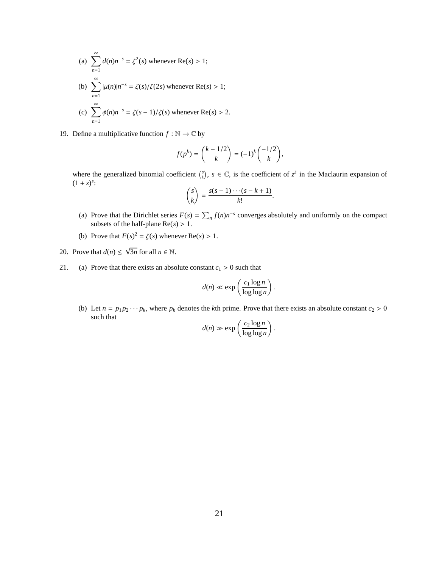(a) 
$$
\sum_{n=1}^{\infty} d(n)n^{-s} = \zeta^2(s)
$$
 whenever Re(s) > 1;  
\n(b) 
$$
\sum_{n=1}^{\infty} |\mu(n)|n^{-s} = \zeta(s)/\zeta(2s)
$$
 whenever Re(s) > 1;  
\n(c) 
$$
\sum_{n=1}^{\infty} \phi(n)n^{-s} = \zeta(s-1)/\zeta(s)
$$
 whenever Re(s) > 2.

19. Define a multiplicative function  $f : \mathbb{N} \to \mathbb{C}$  by

$$
f(p^{k}) = {k - 1/2 \choose k} = (-1)^{k} { -1/2 \choose k},
$$

where the generalized binomial coefficient  $\binom{s}{k}$ ,  $s \in \mathbb{C}$ , is the coefficient of  $z^k$  in the Maclaurin expansion of  $(1 + z)^s$ :

$$
\binom{s}{k} = \frac{s(s-1)\cdots(s-k+1)}{k!}.
$$

- (a) Prove that the Dirichlet series  $F(s) = \sum_{n} f(n)n^{-s}$  converges absolutely and uniformly on the compact subsets of the half-plane  $Re(s) > 1$ .
- (b) Prove that  $F(s)^2 = \zeta(s)$  whenever  $\text{Re}(s) > 1$ .
- 20. Prove that  $d(n) \leq \sqrt{3n}$  for all  $n \in \mathbb{N}$ .
- 21. (a) Prove that there exists an absolute constant  $c_1 > 0$  such that

$$
d(n) \ll \exp\left(\frac{c_1 \log n}{\log \log n}\right).
$$

(b) Let  $n = p_1 p_2 \cdots p_k$ , where  $p_k$  denotes the *k*th prime. Prove that there exists an absolute constant  $c_2 > 0$ such that  $\ddot{\phantom{1}}$ 

$$
d(n) \gg \exp\left(\frac{c_2 \log n}{\log \log n}\right).
$$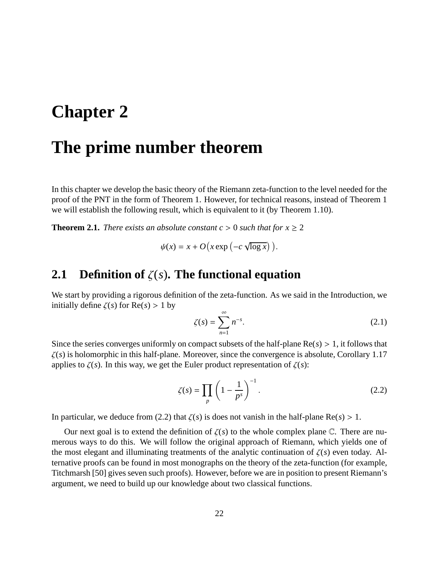## **Chapter 2**

### **The prime number theorem**

In this chapter we develop the basic theory of the Riemann zeta-function to the level needed for the proof of the PNT in the form of Theorem 1. However, for technical reasons, instead of Theorem 1 we will establish the following result, which is equivalent to it (by Theorem 1.10).

**Theorem 2.1.** *There exists an absolute constant c* > 0 *such that for*  $x \ge 2$ 

$$
\psi(x) = x + O\big(x \exp\big(-c \sqrt{\log x}\big)\big).
$$

#### **2.1 Definition of** ζ(*s*)**. The functional equation**

We start by providing a rigorous definition of the zeta-function. As we said in the Introduction, we initially define  $\zeta(s)$  for  $\text{Re}(s) > 1$  by

$$
\zeta(s) = \sum_{n=1}^{\infty} n^{-s}.
$$
 (2.1)

Since the series converges uniformly on compact subsets of the half-plane  $Re(s) > 1$ , it follows that  $\zeta(s)$  is holomorphic in this half-plane. Moreover, since the convergence is absolute, Corollary 1.17 applies to  $\zeta(s)$ . In this way, we get the Euler product representation of  $\zeta(s)$ :

$$
\zeta(s) = \prod_{p} \left( 1 - \frac{1}{p^s} \right)^{-1} . \tag{2.2}
$$

In particular, we deduce from (2.2) that  $\zeta(s)$  is does not vanish in the half-plane Re( $s$ ) > 1.

Our next goal is to extend the definition of  $\zeta(s)$  to the whole complex plane C. There are numerous ways to do this. We will follow the original approach of Riemann, which yields one of the most elegant and illuminating treatments of the analytic continuation of  $\zeta(s)$  even today. Alternative proofs can be found in most monographs on the theory of the zeta-function (for example, Titchmarsh [50] gives seven such proofs). However, before we are in position to present Riemann's argument, we need to build up our knowledge about two classical functions.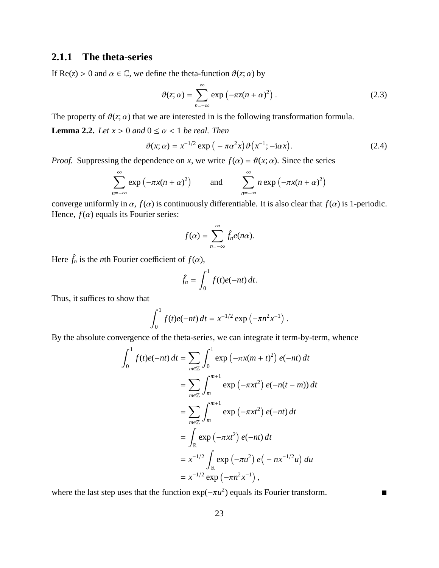#### **2.1.1 The theta-series**

If  $\text{Re}(z) > 0$  and  $\alpha \in \mathbb{C}$ , we define the theta-function  $\vartheta(z; \alpha)$  by

$$
\vartheta(z;\alpha) = \sum_{n=-\infty}^{\infty} \exp\left(-\pi z(n+\alpha)^2\right).
$$
 (2.3)

The property of  $\vartheta(z; \alpha)$  that we are interested in is the following transformation formula.

**Lemma 2.2.** *Let*  $x > 0$  *and*  $0 \le \alpha < 1$  *be real. Then* 

$$
\vartheta(x;\alpha) = x^{-1/2} \exp\left(-\pi \alpha^2 x\right) \vartheta\left(x^{-1}; -i\alpha x\right). \tag{2.4}
$$

*Proof.* Suppressing the dependence on *x*, we write  $f(\alpha) = \vartheta(x; \alpha)$ . Since the series

$$
\sum_{n=-\infty}^{\infty} \exp(-\pi x(n+\alpha)^2) \quad \text{and} \quad \sum_{n=-\infty}^{\infty} n \exp(-\pi x(n+\alpha)^2)
$$

converge uniformly in  $\alpha$ ,  $f(\alpha)$  is continuously differentiable. It is also clear that  $f(\alpha)$  is 1-periodic. Hence,  $f(\alpha)$  equals its Fourier series:

$$
f(\alpha) = \sum_{n=-\infty}^{\infty} \hat{f}_n e(n\alpha).
$$

Here  $\hat{f}_n$  is the *n*th Fourier coefficient of  $f(\alpha)$ ,

$$
\hat{f}_n = \int_0^1 f(t)e(-nt) dt.
$$

Thus, it suffices to show that

$$
\int_0^1 f(t)e(-nt) dt = x^{-1/2} \exp(-\pi n^2 x^{-1}).
$$

By the absolute convergence of the theta-series, we can integrate it term-by-term, whence

$$
\int_{0}^{1} f(t)e(-nt) dt = \sum_{m \in \mathbb{Z}} \int_{0}^{1} \exp(-\pi x(m+t)^{2}) e(-nt) dt
$$
  
= 
$$
\sum_{m \in \mathbb{Z}} \int_{m}^{m+1} \exp(-\pi xt^{2}) e(-n(t-m)) dt
$$
  
= 
$$
\sum_{m \in \mathbb{Z}} \int_{m}^{m+1} \exp(-\pi xt^{2}) e(-nt) dt
$$
  
= 
$$
\int_{\mathbb{R}} \exp(-\pi xt^{2}) e(-nt) dt
$$
  
= 
$$
x^{-1/2} \int_{\mathbb{R}} \exp(-\pi u^{2}) e(-nx^{-1/2}u) du
$$
  
= 
$$
x^{-1/2} \exp(-\pi n^{2} x^{-1}),
$$

where the last step uses that the function  $\exp(-\pi u^2)$  equals its Fourier transform.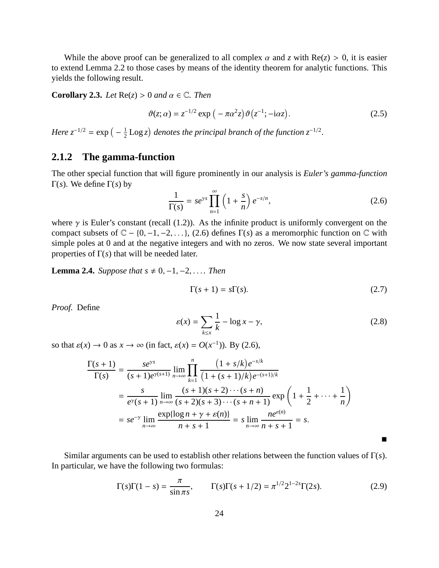While the above proof can be generalized to all complex  $\alpha$  and  $\zeta$  with  $Re(z) > 0$ , it is easier to extend Lemma 2.2 to those cases by means of the identity theorem for analytic functions. This yields the following result.

**Corollary 2.3.** *Let*  $\text{Re}(z) > 0$  *and*  $\alpha \in \mathbb{C}$ *. Then* 

$$
\vartheta(z;\alpha) = z^{-1/2} \exp\left(-\pi \alpha^2 z\right) \vartheta\left(z^{-1}; -i\alpha z\right). \tag{2.5}
$$

*Here*  $z^{-1/2} = \exp(-\frac{1}{2})$  $\frac{1}{2}$  Log *z*) denotes the principal branch of the function  $z^{-1/2}$ .

#### **2.1.2 The gamma-function**

The other special function that will figure prominently in our analysis is *Euler's gamma-function* Γ(*s*). We define Γ(*s*) by

$$
\frac{1}{\Gamma(s)} = s e^{\gamma s} \prod_{n=1}^{\infty} \left( 1 + \frac{s}{n} \right) e^{-s/n},\tag{2.6}
$$

where  $\gamma$  is Euler's constant (recall (1.2)). As the infinite product is uniformly convergent on the compact subsets of  $\mathbb{C}$  − {0, -1, -2, ...}, (2.6) defines  $\Gamma(s)$  as a meromorphic function on  $\mathbb{C}$  with simple poles at 0 and at the negative integers and with no zeros. We now state several important properties of  $\Gamma(s)$  that will be needed later.

**Lemma 2.4.** *Suppose that*  $s \neq 0, -1, -2, \ldots$  *Then* 

$$
\Gamma(s+1) = s\Gamma(s). \tag{2.7}
$$

*Proof.* Define

$$
\varepsilon(x) = \sum_{k \le x} \frac{1}{k} - \log x - \gamma,\tag{2.8}
$$

 $\blacksquare$ 

so that  $\varepsilon(x) \to 0$  as  $x \to \infty$  (in fact,  $\varepsilon(x) = O(x^{-1})$ ). By (2.6),

$$
\frac{\Gamma(s+1)}{\Gamma(s)} = \frac{se^{\gamma s}}{(s+1)e^{\gamma(s+1)}} \lim_{n \to \infty} \prod_{k=1}^{n} \frac{(1+s/k)e^{-s/k}}{(1+(s+1)/k)e^{-(s+1)/k}}
$$
  
= 
$$
\frac{s}{e^{\gamma}(s+1)} \lim_{n \to \infty} \frac{(s+1)(s+2)\cdots(s+n)}{(s+2)(s+3)\cdots(s+n+1)} \exp\left(1+\frac{1}{2}+\cdots+\frac{1}{n}\right)
$$
  
= 
$$
se^{-\gamma} \lim_{n \to \infty} \frac{\exp\{\log n + \gamma + \varepsilon(n)\}}{n+s+1} = s \lim_{n \to \infty} \frac{ne^{\varepsilon(n)}}{n+s+1} = s.
$$

Similar arguments can be used to establish other relations between the function values of Γ(*s*). In particular, we have the following two formulas:

$$
\Gamma(s)\Gamma(1-s) = \frac{\pi}{\sin \pi s}, \qquad \Gamma(s)\Gamma(s+1/2) = \pi^{1/2} 2^{1-2s} \Gamma(2s).
$$
 (2.9)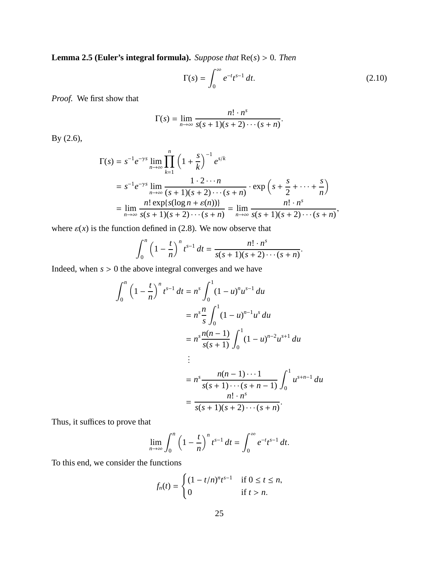**Lemma 2.5 (Euler's integral formula).** *Suppose that* Re(*s*) > 0*. Then*

$$
\Gamma(s) = \int_0^\infty e^{-t} t^{s-1} dt.
$$
\n(2.10)

.

*Proof.* We first show that

$$
\Gamma(s) = \lim_{n \to \infty} \frac{n! \cdot n^s}{s(s+1)(s+2) \cdots (s+n)}
$$

By (2.6),

$$
\Gamma(s) = s^{-1} e^{-\gamma s} \lim_{n \to \infty} \prod_{k=1}^{n} \left( 1 + \frac{s}{k} \right)^{-1} e^{s/k}
$$
  
=  $s^{-1} e^{-\gamma s} \lim_{n \to \infty} \frac{1 \cdot 2 \cdots n}{(s+1)(s+2)\cdots(s+n)} \cdot \exp\left(s + \frac{s}{2} + \cdots + \frac{s}{n}\right)$   
=  $\lim_{n \to \infty} \frac{n! \exp\{s(\log n + \varepsilon(n))\}}{s(s+1)(s+2)\cdots(s+n)} = \lim_{n \to \infty} \frac{n! \cdot n^s}{s(s+1)(s+2)\cdots(s+n)},$ 

where  $\varepsilon(x)$  is the function defined in (2.8). We now observe that

$$
\int_0^n \left(1 - \frac{t}{n}\right)^n t^{s-1} dt = \frac{n! \cdot n^s}{s(s+1)(s+2) \cdots (s+n)}.
$$

Indeed, when *s* > 0 the above integral converges and we have

$$
\int_0^n \left(1 - \frac{t}{n}\right)^n t^{s-1} dt = n^s \int_0^1 (1 - u)^n u^{s-1} du
$$
  

$$
= n^s \frac{n}{s} \int_0^1 (1 - u)^{n-1} u^s du
$$
  

$$
= n^s \frac{n(n-1)}{s(s+1)} \int_0^1 (1 - u)^{n-2} u^{s+1} du
$$
  

$$
\vdots
$$
  

$$
= n^s \frac{n(n-1) \cdots 1}{s(s+1) \cdots (s+n-1)} \int_0^1 u^{s+n-1} du
$$
  

$$
= \frac{n! \cdot n^s}{s(s+1)(s+2) \cdots (s+n)}.
$$

Thus, it suffices to prove that

$$
\lim_{n \to \infty} \int_0^n \left(1 - \frac{t}{n}\right)^n t^{s-1} dt = \int_0^\infty e^{-t} t^{s-1} dt.
$$

To this end, we consider the functions

$$
f_n(t) = \begin{cases} (1 - t/n)^n t^{s-1} & \text{if } 0 \le t \le n, \\ 0 & \text{if } t > n. \end{cases}
$$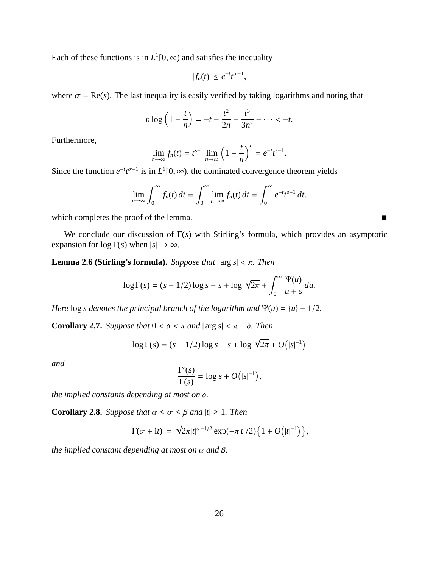Each of these functions is in  $L^1[0, \infty)$  and satisfies the inequality

$$
|f_n(t)| \leq e^{-t} t^{\sigma-1}
$$

,

where  $\sigma = \text{Re}(s)$ . The last inequality is easily verified by taking logarithms and noting that

$$
n \log \left( 1 - \frac{t}{n} \right) = -t - \frac{t^2}{2n} - \frac{t^3}{3n^2} - \dots < -t.
$$

Furthermore,

$$
\lim_{n \to \infty} f_n(t) = t^{s-1} \lim_{n \to \infty} \left(1 - \frac{t}{n}\right)^n = e^{-t} t^{s-1}.
$$

Since the function  $e^{-t}t^{\sigma-1}$  is in  $L^1[0,\infty)$ , the dominated convergence theorem yields

$$
\lim_{n\to\infty}\int_0^\infty f_n(t)\,dt=\int_0^\infty \lim_{n\to\infty}f_n(t)\,dt=\int_0^\infty e^{-t}t^{s-1}\,dt,
$$

which completes the proof of the lemma.

We conclude our discussion of Γ(*s*) with Stirling's formula, which provides an asymptotic expansion for  $\log \Gamma(s)$  when  $|s| \to \infty$ .

**Lemma 2.6 (Stirling's formula).** *Suppose that*  $|\arg s| < \pi$ . *Then* 

$$
\log \Gamma(s) = (s - 1/2) \log s - s + \log \sqrt{2\pi} + \int_0^\infty \frac{\Psi(u)}{u + s} du.
$$

*Here*  $\log s$  *denotes the principal branch of the logarithm and*  $\Psi(u) = \{u\} - \frac{1}{2}$ *.* 

**Corollary 2.7.** *Suppose that*  $0 < \delta < \pi$  *and*  $|\arg s| < \pi - \delta$ *. Then* 

$$
\log \Gamma(s) = (s - 1/2) \log s - s + \log \sqrt{2\pi} + O(|s|^{-1})
$$

*and*

$$
\frac{\Gamma'(s)}{\Gamma(s)} = \log s + O(|s|^{-1}),
$$

*the implied constants depending at most on* δ*.*

**Corollary 2.8.** *Suppose that*  $\alpha \leq \sigma \leq \beta$  *and*  $|t| \geq 1$ *. Then* 

$$
|\Gamma(\sigma + it)| = \sqrt{2\pi}|t|^{\sigma - 1/2} \exp(-\pi|t|/2) \left\{ 1 + O(|t|^{-1}) \right\},\,
$$

*the implied constant depending at most on*  $\alpha$  *and*  $\beta$ *.*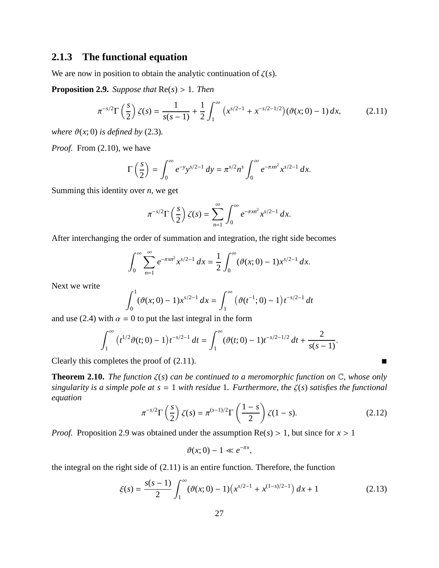#### **2.1.3 The functional equation**

We are now in position to obtain the analytic continuation of  $\zeta(s)$ .

**Proposition 2.9.** *Suppose that* Re(*s*) > 1*. Then*

$$
\pi^{-s/2}\Gamma\left(\frac{s}{2}\right)\zeta(s) = \frac{1}{s(s-1)} + \frac{1}{2}\int_1^\infty \left(x^{s/2-1} + x^{-s/2-1/2}\right)(\vartheta(x;0) - 1) \, dx,\tag{2.11}
$$

*where*  $\vartheta(x; 0)$  *is defined by* (2.3).

*Proof.* From (2.10), we have

$$
\Gamma\left(\frac{s}{2}\right) = \int_0^\infty e^{-y} y^{s/2 - 1} \, dy = \pi^{s/2} n^s \int_0^\infty e^{-\pi x n^2} x^{s/2 - 1} \, dx.
$$

Summing this identity over *n*, we get

$$
\pi^{-s/2}\Gamma\left(\frac{s}{2}\right)\zeta(s)=\sum_{n=1}^{\infty}\int_{0}^{\infty}e^{-\pi xn^{2}}x^{s/2-1} dx.
$$

After interchanging the order of summation and integration, the right side becomes

$$
\int_0^\infty \sum_{n=1}^\infty e^{-\pi x n^2} x^{s/2 - 1} \, dx = \frac{1}{2} \int_0^\infty (\vartheta(x; 0) - 1) x^{s/2 - 1} \, dx.
$$

Next we write

$$
\int_0^1 (\vartheta(x;0)-1)x^{s/2-1} dx = \int_1^\infty (\vartheta(t^{-1};0)-1)t^{-s/2-1} dt
$$

and use (2.4) with  $\alpha = 0$  to put the last integral in the form

$$
\int_1^{\infty} (t^{1/2}\vartheta(t;0)-1)t^{-s/2-1} dt = \int_1^{\infty} (\vartheta(t;0)-1)t^{-s/2-1/2} dt + \frac{2}{s(s-1)}.
$$

Clearly this completes the proof of  $(2.11)$ .

**Theorem 2.10.** *The function* ζ(*s*) *can be continued to a meromorphic function on* C*, whose only singularity is a simple pole at s* = 1 *with residue* 1*. Furthermore, the* ζ(*s*) *satisfies the functional equation*

$$
\pi^{-s/2}\Gamma\left(\frac{s}{2}\right)\zeta(s) = \pi^{(s-1)/2}\Gamma\left(\frac{1-s}{2}\right)\zeta(1-s). \tag{2.12}
$$

*Proof.* Proposition 2.9 was obtained under the assumption  $Re(s) > 1$ , but since for  $x > 1$ 

$$
\vartheta(x;0)-1\ll e^{-\pi x},
$$

the integral on the right side of (2.11) is an entire function. Therefore, the function

$$
\xi(s) = \frac{s(s-1)}{2} \int_1^{\infty} (\vartheta(x; 0) - 1) \left( x^{s/2 - 1} + x^{(1-s)/2 - 1} \right) dx + 1 \tag{2.13}
$$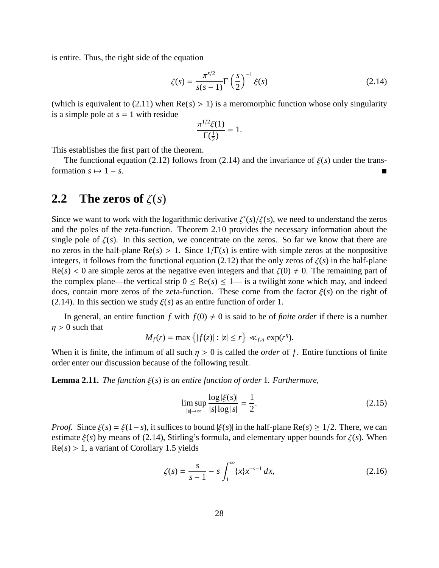is entire. Thus, the right side of the equation

$$
\zeta(s) = \frac{\pi^{s/2}}{s(s-1)} \Gamma\left(\frac{s}{2}\right)^{-1} \xi(s) \tag{2.14}
$$

(which is equivalent to (2.11) when  $Re(s) > 1$ ) is a meromorphic function whose only singularity is a simple pole at  $s = 1$  with residue

$$
\frac{\pi^{1/2}\xi(1)}{\Gamma(\frac{1}{2})}=1.
$$

This establishes the first part of the theorem.

The functional equation (2.12) follows from (2.14) and the invariance of  $\xi(s)$  under the transformation  $s \mapsto 1 - s$ .

#### **2.2** The zeros of  $\zeta(s)$

Since we want to work with the logarithmic derivative  $\zeta'(s)/\zeta(s)$ , we need to understand the zeros and the poles of the zeta-function. Theorem 2.10 provides the necessary information about the single pole of  $\zeta(s)$ . In this section, we concentrate on the zeros. So far we know that there are no zeros in the half-plane  $Re(s) > 1$ . Since  $1/\Gamma(s)$  is entire with simple zeros at the nonpositive integers, it follows from the functional equation (2.12) that the only zeros of  $\zeta(s)$  in the half-plane  $Re(s) < 0$  are simple zeros at the negative even integers and that  $\zeta(0) \neq 0$ . The remaining part of the complex plane—the vertical strip  $0 \leq Re(s) \leq 1$ — is a twilight zone which may, and indeed does, contain more zeros of the zeta-function. These come from the factor ξ(*s*) on the right of (2.14). In this section we study  $\xi(s)$  as an entire function of order 1.

In general, an entire function *f* with  $f(0) \neq 0$  is said to be of *finite order* if there is a number  $\eta > 0$  such that

$$
M_f(r) = \max\left\{|f(z)| : |z| \le r\right\} \ll_{f,\eta} \exp(r^{\eta}).
$$

When it is finite, the infimum of all such  $\eta > 0$  is called the *order* of f. Entire functions of finite order enter our discussion because of the following result.

**Lemma 2.11.** *The function* ξ(*s*) *is an entire function of order* 1*. Furthermore,*

$$
\limsup_{|s| \to \infty} \frac{\log |\xi(s)|}{|s| \log |s|} = \frac{1}{2}.
$$
\n(2.15)

*Proof.* Since  $\xi(s) = \xi(1-s)$ , it suffices to bound  $|\xi(s)|$  in the half-plane Re(*s*) ≥ 1/2. There, we can estimate  $\xi(s)$  by means of (2.14), Stirling's formula, and elementary upper bounds for  $\zeta(s)$ . When  $Re(s) > 1$ , a variant of Corollary 1.5 yields

$$
\zeta(s) = \frac{s}{s-1} - s \int_1^{\infty} \{x\} x^{-s-1} dx,
$$
\n(2.16)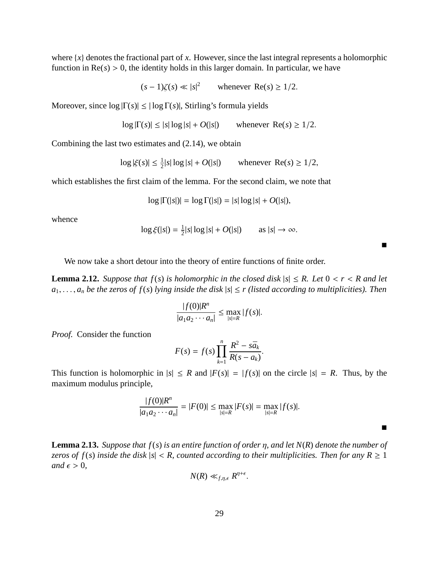where  $\{x\}$  denotes the fractional part of *x*. However, since the last integral represents a holomorphic function in  $Re(s) > 0$ , the identity holds in this larger domain. In particular, we have

$$
(s-1)\zeta(s) \ll |s|^2 \qquad \text{whenever } \text{Re}(s) \ge 1/2.
$$

Moreover, since  $\log |\Gamma(s)| \leq |\log \Gamma(s)|$ , Stirling's formula yields

$$
\log|\Gamma(s)| \le |s| \log|s| + O(|s|) \qquad \text{whenever } \text{Re}(s) \ge 1/2.
$$

Combining the last two estimates and (2.14), we obtain

$$
\log|\xi(s)| \le \frac{1}{2}|s|\log|s| + O(|s|)
$$
 whenever Re(s)  $\ge 1/2$ ,

which establishes the first claim of the lemma. For the second claim, we note that

$$
\log |\Gamma(|s|)| = \log \Gamma(|s|) = |s| \log |s| + O(|s|),
$$

whence

$$
\log \xi(|s|) = \frac{1}{2}|s| \log |s| + O(|s|) \qquad \text{as } |s| \to \infty.
$$

 $\blacksquare$ 

п

We now take a short detour into the theory of entire functions of finite order.

**Lemma 2.12.** *Suppose that*  $f(s)$  *is holomorphic in the closed disk*  $|s| \leq R$ *. Let*  $0 < r < R$  *and let*  $a_1, \ldots, a_n$  *be the zeros of f(s) lying inside the disk*  $|s| \le r$  *(listed according to multiplicities). Then* 

$$
\frac{|f(0)|R^n}{|a_1 a_2 \cdots a_n|} \le \max_{|s|=R} |f(s)|.
$$

*Proof.* Consider the function

$$
F(s) = f(s) \prod_{k=1}^{n} \frac{R^2 - s\bar{a}_k}{R(s - a_k)}.
$$

This function is holomorphic in  $|s| \leq R$  and  $|F(s)| = |f(s)|$  on the circle  $|s| = R$ . Thus, by the maximum modulus principle,

$$
\frac{|f(0)|R^n}{|a_1a_2\cdots a_n|} = |F(0)| \le \max_{|s|=R} |F(s)| = \max_{|s|=R} |f(s)|.
$$

**Lemma 2.13.** *Suppose that f*(*s*) *is an entire function of order* η*, and let N*(*R*) *denote the number of zeros of f(s) inside the disk*  $|s| < R$ , *counted according to their multiplicities. Then for any*  $R \ge 1$ *and*  $\epsilon > 0$ ,

$$
N(R) \ll_{f,\eta,\epsilon} R^{\eta+\epsilon}.
$$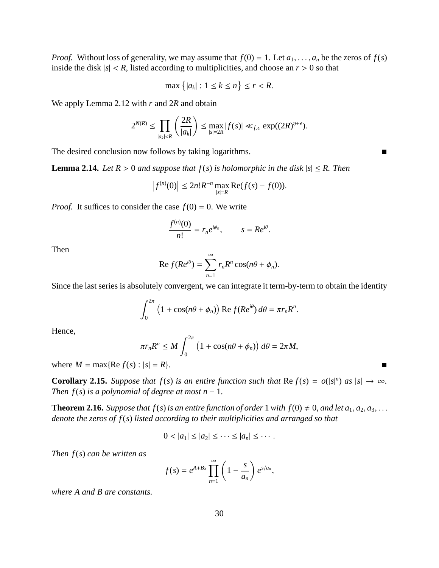*Proof.* Without loss of generality, we may assume that  $f(0) = 1$ . Let  $a_1, \ldots, a_n$  be the zeros of  $f(s)$ inside the disk  $|s| < R$ , listed according to multiplicities, and choose an  $r > 0$  so that

$$
\max\left\{|a_k|: 1 \le k \le n\right\} \le r < R.
$$

We apply Lemma 2.12 with *r* and 2*R* and obtain

$$
2^{N(R)} \le \prod_{|a_k| < R} \left(\frac{2R}{|a_k|}\right) \le \max_{|s|=2R} |f(s)| \ll_{f,\epsilon} \exp((2R)^{\eta+\epsilon}).
$$

The desired conclusion now follows by taking logarithms.

**Lemma 2.14.** *Let*  $R > 0$  *and suppose that*  $f(s)$  *is holomorphic in the disk*  $|s| \leq R$ *. Then* 

$$
\left|f^{(n)}(0)\right| \le 2n!R^{-n} \max_{|s|=R} \text{Re}(f(s) - f(0)).
$$

*Proof.* It suffices to consider the case  $f(0) = 0$ . We write

$$
\frac{f^{(n)}(0)}{n!} = r_n e^{i\phi_n}, \qquad s = Re^{i\theta}.
$$

Then

$$
\operatorname{Re} f(Re^{i\theta}) = \sum_{n=1}^{\infty} r_n R^n \cos(n\theta + \phi_n).
$$

Since the last series is absolutely convergent, we can integrate it term-by-term to obtain the identity

$$
\int_0^{2\pi} \left(1 + \cos(n\theta + \phi_n)\right) \text{Re } f(Re^{i\theta}) d\theta = \pi r_n R^n.
$$

Hence,

$$
\pi r_n R^n \leq M \int_0^{2\pi} \left(1 + \cos(n\theta + \phi_n)\right) d\theta = 2\pi M,
$$

where  $M = \max{\{Re\ f(s) : |s| = R\}}$ .

**Corollary 2.15.** *Suppose that*  $f(s)$  *is an entire function such that*  $\text{Re } f(s) = o(|s|^n)$  *as*  $|s| \to \infty$ *. Then*  $f(s)$  *is a polynomial of degree at most n* − 1*.* 

**Theorem 2.16.** *Suppose that f(s) is an entire function of order* 1 *with f(0)*  $\neq$  0*, and let a*<sub>1</sub>*, a*<sub>2</sub>*, a*<sub>3</sub>*,... denote the zeros of f*(*s*) *listed according to their multiplicities and arranged so that*

$$
0 < |a_1| \leq |a_2| \leq \cdots \leq |a_n| \leq \cdots.
$$

*Then f*(*s*) *can be written as*

$$
f(s) = e^{A+Bs} \prod_{n=1}^{\infty} \left(1 - \frac{s}{a_n}\right) e^{s/a_n},
$$

*where A and B are constants.*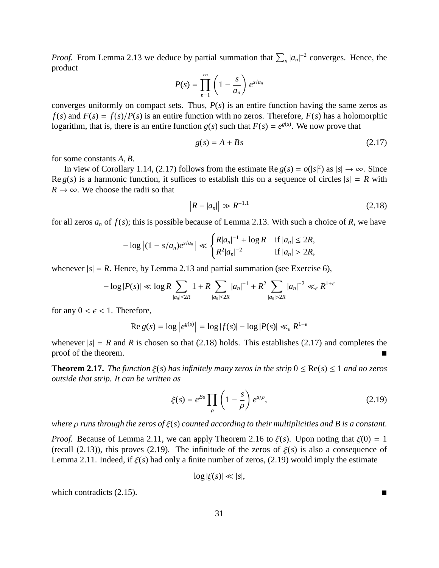*Proof.* From Lemma 2.13 we deduce by partial summation that  $\sum_{n} |a_n|^{-2}$  converges. Hence, the product

$$
P(s) = \prod_{n=1}^{\infty} \left(1 - \frac{s}{a_n}\right) e^{s/a_n}
$$

converges uniformly on compact sets. Thus,  $P(s)$  is an entire function having the same zeros as  $f(s)$  and  $F(s) = f(s)/P(s)$  is an entire function with no zeros. Therefore,  $F(s)$  has a holomorphic logarithm, that is, there is an entire function  $g(s)$  such that  $F(s) = e^{g(s)}$ . We now prove that

$$
g(s) = A + Bs \tag{2.17}
$$

for some constants *A*, *B*.

In view of Corollary 1.14, (2.17) follows from the estimate Re  $g(s) = o(|s|^2)$  as  $|s| \to \infty$ . Since Re  $g(s)$  is a harmonic function, it suffices to establish this on a sequence of circles  $|s| = R$  with  $R \rightarrow \infty$ . We choose the radii so that

$$
|R - |a_n| \gg R^{-1.1}
$$
 (2.18)

for all zeros  $a_n$  of  $f(s)$ ; this is possible because of Lemma 2.13. With such a choice of  $R$ , we have

$$
-\log | (1 - s/a_n)e^{s/a_n} | \ll \begin{cases} R|a_n|^{-1} + \log R & \text{if } |a_n| \leq 2R, \\ R^2|a_n|^{-2} & \text{if } |a_n| > 2R, \end{cases}
$$

whenever  $|s| = R$ . Hence, by Lemma 2.13 and partial summation (see Exercise 6),

$$
-\log|P(s)| \ll \log R \sum_{|a_n| \leq 2R} 1 + R \sum_{|a_n| \leq 2R} |a_n|^{-1} + R^2 \sum_{|a_n| > 2R} |a_n|^{-2} \ll_{\epsilon} R^{1+\epsilon}
$$

for any  $0 < \epsilon < 1$ . Therefore,

$$
\operatorname{Re} g(s) = \log \left| e^{g(s)} \right| = \log |f(s)| - \log |P(s)| \ll_{\epsilon} R^{1+\epsilon}
$$

whenever  $|s| = R$  and R is chosen so that (2.18) holds. This establishes (2.17) and completes the proof of the theorem.

**Theorem 2.17.** *The function*  $\xi(s)$  *has infinitely many zeros in the strip*  $0 \leq \text{Re}(s) \leq 1$  *and no zeros outside that strip. It can be written as*

$$
\xi(s) = e^{Bs} \prod_{\rho} \left( 1 - \frac{s}{\rho} \right) e^{s/\rho},\tag{2.19}
$$

*where* ρ *runs through the zeros of* ξ(*s*) *counted according to their multiplicities and B is a constant.*

*Proof.* Because of Lemma 2.11, we can apply Theorem 2.16 to  $\xi(s)$ . Upon noting that  $\xi(0) = 1$ (recall (2.13)), this proves (2.19). The infinitude of the zeros of  $\xi(s)$  is also a consequence of Lemma 2.11. Indeed, if  $\xi(s)$  had only a finite number of zeros, (2.19) would imply the estimate

$$
\log|\xi(s)| \ll |s|,
$$

which contradicts  $(2.15)$ .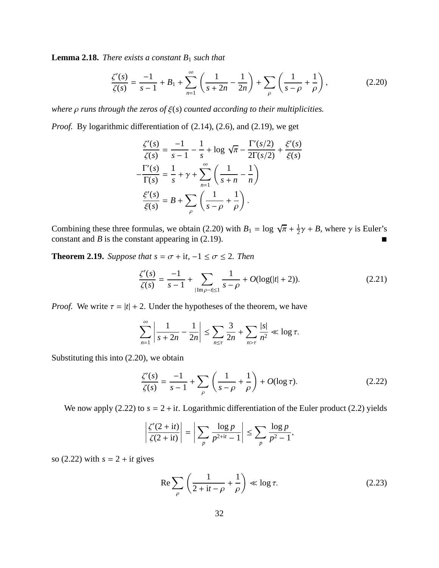**Lemma 2.18.** *There exists a constant B*<sup>1</sup> *such that*

$$
\frac{\zeta'(s)}{\zeta(s)} = \frac{-1}{s-1} + B_1 + \sum_{n=1}^{\infty} \left( \frac{1}{s+2n} - \frac{1}{2n} \right) + \sum_{\rho} \left( \frac{1}{s-\rho} + \frac{1}{\rho} \right),\tag{2.20}
$$

*where* ρ *runs through the zeros of* ξ(*s*) *counted according to their multiplicities.*

*Proof.* By logarithmic differentiation of  $(2.14)$ ,  $(2.6)$ , and  $(2.19)$ , we get

$$
\frac{\zeta'(s)}{\zeta(s)} = \frac{-1}{s-1} - \frac{1}{s} + \log \sqrt{\pi} - \frac{\Gamma'(s/2)}{2\Gamma(s/2)} + \frac{\xi'(s)}{\xi(s)}
$$

$$
-\frac{\Gamma'(s)}{\Gamma(s)} = \frac{1}{s} + \gamma + \sum_{n=1}^{\infty} \left(\frac{1}{s+n} - \frac{1}{n}\right)
$$

$$
\frac{\xi'(s)}{\xi(s)} = B + \sum_{\rho} \left(\frac{1}{s-\rho} + \frac{1}{\rho}\right).
$$

Combining these three formulas, we obtain (2.20) with  $B_1 = \log \sqrt{\pi} + \frac{1}{2}$  $\frac{1}{2}\gamma + B$ , where  $\gamma$  is Euler's constant and *B* is the constant appearing in (2.19).

**Theorem 2.19.** *Suppose that*  $s = \sigma + it$ ,  $-1 \leq \sigma \leq 2$ *. Then* 

$$
\frac{\zeta'(s)}{\zeta(s)} = \frac{-1}{s-1} + \sum_{|\text{Im}\,\rho - t| \le 1} \frac{1}{s-\rho} + O(\log(|t|+2)).\tag{2.21}
$$

*Proof.* We write  $\tau = |t| + 2$ . Under the hypotheses of the theorem, we have

$$
\sum_{n=1}^{\infty} \left| \frac{1}{s+2n} - \frac{1}{2n} \right| \le \sum_{n \le \tau} \frac{3}{2n} + \sum_{n > \tau} \frac{|s|}{n^2} \ll \log \tau.
$$

Substituting this into (2.20), we obtain

$$
\frac{\zeta'(s)}{\zeta(s)} = \frac{-1}{s-1} + \sum_{\rho} \left( \frac{1}{s-\rho} + \frac{1}{\rho} \right) + O(\log \tau). \tag{2.22}
$$

We now apply (2.22) to  $s = 2 + it$ . Logarithmic differentiation of the Euler product (2.2) yields

$$
\left|\frac{\zeta'(2+it)}{\zeta(2+it)}\right| = \left|\sum_{p} \frac{\log p}{p^{2+it}-1}\right| \le \sum_{p} \frac{\log p}{p^2-1},
$$

so  $(2.22)$  with  $s = 2 + it$  gives

$$
\operatorname{Re}\sum_{\rho}\left(\frac{1}{2+\mathrm{i}t-\rho}+\frac{1}{\rho}\right)\ll\log\tau.\tag{2.23}
$$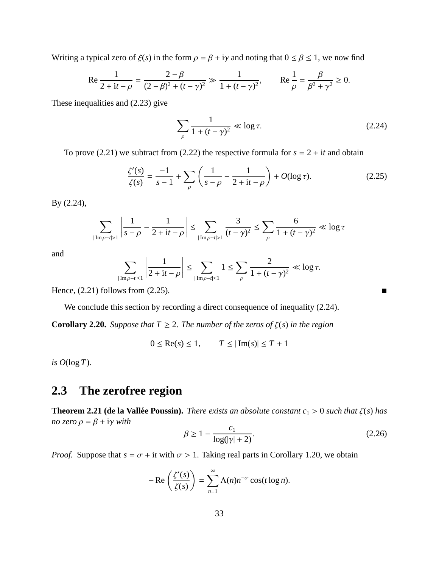Writing a typical zero of  $\xi(s)$  in the form  $\rho = \beta + i\gamma$  and noting that  $0 \le \beta \le 1$ , we now find

Re 
$$
\frac{1}{2 + it - \rho} = \frac{2 - \beta}{(2 - \beta)^2 + (t - \gamma)^2}
$$
  $\gg \frac{1}{1 + (t - \gamma)^2}$ , Re  $\frac{1}{\rho} = \frac{\beta}{\beta^2 + \gamma^2} \ge 0$ .

These inequalities and (2.23) give

$$
\sum_{\rho} \frac{1}{1 + (t - \gamma)^2} \ll \log \tau.
$$
 (2.24)

To prove (2.21) we subtract from (2.22) the respective formula for  $s = 2 + it$  and obtain

$$
\frac{\zeta'(s)}{\zeta(s)} = \frac{-1}{s-1} + \sum_{\rho} \left( \frac{1}{s-\rho} - \frac{1}{2+it-\rho} \right) + O(\log \tau). \tag{2.25}
$$

By (2.24),

$$
\sum_{|\text{Im}\rho - t| > 1} \left| \frac{1}{s - \rho} - \frac{1}{2 + it - \rho} \right| \le \sum_{|\text{Im}\rho - t| > 1} \frac{3}{(t - \gamma)^2} \le \sum_{\rho} \frac{6}{1 + (t - \gamma)^2} \ll \log \tau
$$

and

$$
\sum_{|\mathrm{Im}\,\rho-t|\leq 1}\left|\frac{1}{2+\mathrm{i}t-\rho}\right|\leq \sum_{|\mathrm{Im}\,\rho-t|\leq 1}1\leq \sum_{\rho}\frac{2}{1+(t-\gamma)^2}\ll \log\tau.
$$

Hence,  $(2.21)$  follows from  $(2.25)$ .

We conclude this section by recording a direct consequence of inequality (2.24).

**Corollary 2.20.** *Suppose that*  $T \geq 2$ *. The number of the zeros of*  $\zeta(s)$  *in the region* 

 $0 \le \text{Re}(s) \le 1,$  *T* ≤  $|\text{Im}(s)| \le T + 1$ 

*is*  $O(\log T)$ *.* 

## **2.3 The zerofree region**

**Theorem 2.21 (de la Vallée Poussin).** *There exists an absolute constant*  $c_1 > 0$  *such that*  $\zeta(s)$  *has no zero*  $\rho = \beta + i\gamma$  *with* 

$$
\beta \ge 1 - \frac{c_1}{\log(|\gamma| + 2)}.\tag{2.26}
$$

*Proof.* Suppose that  $s = \sigma + it$  with  $\sigma > 1$ . Taking real parts in Corollary 1.20, we obtain

$$
-\operatorname{Re}\left(\frac{\zeta'(s)}{\zeta(s)}\right)=\sum_{n=1}^{\infty}\Lambda(n)n^{-\sigma}\cos(t\log n).
$$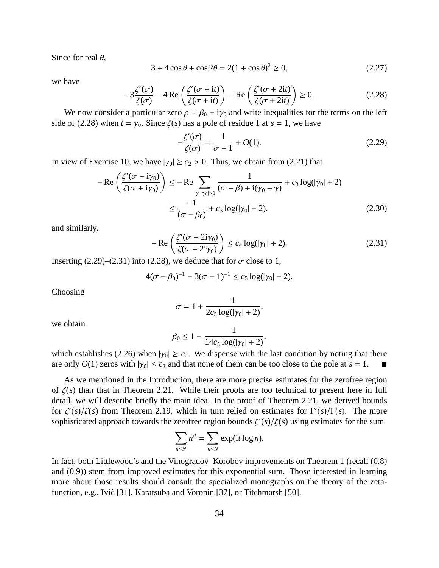Since for real  $\theta$ ,

$$
3 + 4\cos\theta + \cos 2\theta = 2(1 + \cos \theta)^2 \ge 0,
$$
 (2.27)

we have

$$
-3\frac{\zeta'(\sigma)}{\zeta(\sigma)} - 4\operatorname{Re}\left(\frac{\zeta'(\sigma + it)}{\zeta(\sigma + it)}\right) - \operatorname{Re}\left(\frac{\zeta'(\sigma + 2it)}{\zeta(\sigma + 2it)}\right) \ge 0. \tag{2.28}
$$

We now consider a particular zero  $\rho = \beta_0 + i\gamma_0$  and write inequalities for the terms on the left side of (2.28) when  $t = \gamma_0$ . Since  $\zeta(s)$  has a pole of residue 1 at  $s = 1$ , we have

$$
-\frac{\zeta'(\sigma)}{\zeta(\sigma)} = \frac{1}{\sigma - 1} + O(1). \tag{2.29}
$$

In view of Exercise 10, we have  $|\gamma_0| \ge c_2 > 0$ . Thus, we obtain from (2.21) that

$$
-\operatorname{Re}\left(\frac{\zeta'(\sigma + i\gamma_0)}{\zeta(\sigma + i\gamma_0)}\right) \le -\operatorname{Re}\sum_{|\gamma - \gamma_0| \le 1} \frac{1}{(\sigma - \beta) + i(\gamma_0 - \gamma)} + c_3 \log(|\gamma_0| + 2)
$$
  

$$
\le \frac{-1}{(\sigma - \beta_0)} + c_3 \log(|\gamma_0| + 2), \tag{2.30}
$$

and similarly,

$$
-\operatorname{Re}\left(\frac{\zeta'(\sigma+2i\gamma_0)}{\zeta(\sigma+2i\gamma_0)}\right) \le c_4 \log(|\gamma_0|+2). \tag{2.31}
$$

Inserting (2.29)–(2.31) into (2.28), we deduce that for  $\sigma$  close to 1,

$$
4(\sigma - \beta_0)^{-1} - 3(\sigma - 1)^{-1} \le c_5 \log(|\gamma_0| + 2).
$$

Choosing

$$
\sigma = 1 + \frac{1}{2c_5 \log(|\gamma_0| + 2)},
$$

we obtain

$$
\beta_0 \le 1 - \frac{1}{14c_5 \log(|\gamma_0| + 2)},
$$

which establishes (2.26) when  $|\gamma_0| \ge c_2$ . We dispense with the last condition by noting that there are only  $O(1)$  zeros with  $|\gamma_0| \le c_2$  and that none of them can be too close to the pole at  $s = 1$ .

As we mentioned in the Introduction, there are more precise estimates for the zerofree region of ζ(*s*) than that in Theorem 2.21. While their proofs are too technical to present here in full detail, we will describe briefly the main idea. In the proof of Theorem 2.21, we derived bounds for  $\zeta'(s)/\zeta(s)$  from Theorem 2.19, which in turn relied on estimates for  $\Gamma'(s)/\Gamma(s)$ . The more sophisticated approach towards the zerofree region bounds  $\zeta'(s)/\zeta(s)$  using estimates for the sum

$$
\sum_{n\leq N} n^{it} = \sum_{n\leq N} \exp(it \log n).
$$

In fact, both Littlewood's and the Vinogradov–Korobov improvements on Theorem 1 (recall (0.8) and (0.9)) stem from improved estimates for this exponential sum. Those interested in learning more about those results should consult the specialized monographs on the theory of the zetafunction, e.g., Ivić [31], Karatsuba and Voronin [37], or Titchmarsh [50].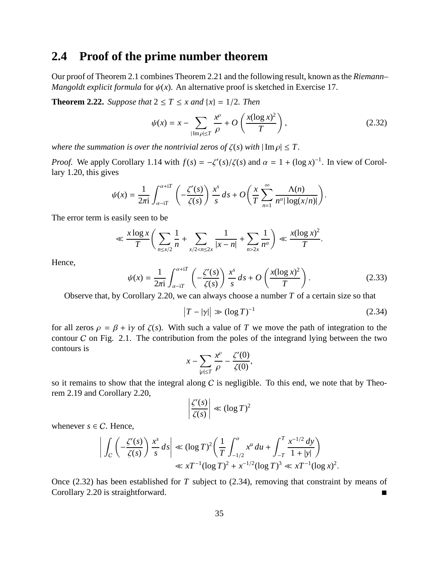### **2.4 Proof of the prime number theorem**

Our proof of Theorem 2.1 combines Theorem 2.21 and the following result, known as the *Riemann– Mangoldt explicit formula* for  $\psi(x)$ . An alternative proof is sketched in Exercise 17.

**Theorem 2.22.** *Suppose that*  $2 \le T \le x$  *and*  $\{x\} = 1/2$ *. Then* 

$$
\psi(x) = x - \sum_{|\text{Im}\,\rho| \le T} \frac{x^{\rho}}{\rho} + O\left(\frac{x(\log x)^2}{T}\right),\tag{2.32}
$$

*where the summation is over the nontrivial zeros of*  $\zeta(s)$  *with*  $|\operatorname{Im} \rho| \leq T$ .

*Proof.* We apply Corollary 1.14 with  $f(s) = -\zeta'(s)/\zeta(s)$  and  $\alpha = 1 + (\log x)^{-1}$ . In view of Corollary 1.20, this gives

$$
\psi(x) = \frac{1}{2\pi i} \int_{\alpha - iT}^{\alpha + iT} \left( -\frac{\zeta'(s)}{\zeta(s)} \right) \frac{x^s}{s} ds + O\left( \frac{x}{T} \sum_{n=1}^{\infty} \frac{\Lambda(n)}{n^{\alpha} |\log(x/n)|} \right).
$$

The error term is easily seen to be

$$
\ll \frac{x \log x}{T} \bigg( \sum_{n \le x/2} \frac{1}{n} + \sum_{x/2 < n \le 2x} \frac{1}{|x - n|} + \sum_{n > 2x} \frac{1}{n^{\alpha}} \bigg) \ll \frac{x (\log x)^2}{T}.
$$

Hence,

$$
\psi(x) = \frac{1}{2\pi i} \int_{\alpha - iT}^{\alpha + iT} \left( -\frac{\zeta'(s)}{\zeta(s)} \right) \frac{x^s}{s} ds + O\left(\frac{x(\log x)^2}{T}\right).
$$
 (2.33)

Observe that, by Corollary 2.20, we can always choose a number *T* of a certain size so that

$$
\left|T - |\gamma|\right| \gg \left(\log T\right)^{-1} \tag{2.34}
$$

for all zeros  $\rho = \beta + i\gamma$  of  $\zeta(s)$ . With such a value of *T* we move the path of integration to the contour  $C$  on Fig. 2.1. The contribution from the poles of the integrand lying between the two contours is

$$
x - \sum_{|\rho| \le T} \frac{x^{\rho}}{\rho} - \frac{\zeta'(0)}{\zeta(0)},
$$

so it remains to show that the integral along  $C$  is negligible. To this end, we note that by Theorem 2.19 and Corollary 2.20,

$$
\left|\frac{\zeta'(s)}{\zeta(s)}\right| \ll (\log T)^2
$$

whenever  $s \in C$ . Hence,

$$
\left| \int_C \left( -\frac{\zeta'(s)}{\zeta(s)} \right) \frac{x^s}{s} ds \right| \ll (\log T)^2 \left( \frac{1}{T} \int_{-1/2}^{\alpha} x^u du + \int_{-T}^T \frac{x^{-1/2} dy}{1 + |y|} \right) \ll xT^{-1} (\log T)^2 + x^{-1/2} (\log T)^3 \ll xT^{-1} (\log x)^2.
$$

Once (2.32) has been established for *T* subject to (2.34), removing that constraint by means of Corollary 2.20 is straightforward. ■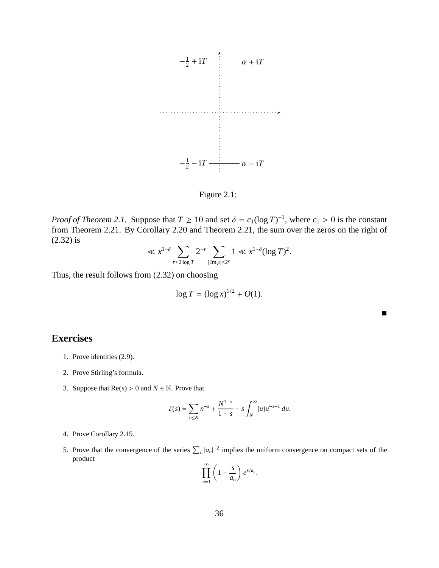

Figure 2.1:

*Proof of Theorem 2.1.* Suppose that  $T \ge 10$  and set  $\delta = c_1(\log T)^{-1}$ , where  $c_1 > 0$  is the constant from Theorem 2.21. By Corollary 2.20 and Theorem 2.21, the sum over the zeros on the right of (2.32) is

$$
\ll x^{1-\delta} \sum_{r \le 2\log T} 2^{-r} \sum_{|\mathrm{Im}\,\rho| \le 2^r} 1 \ll x^{1-\delta} (\log T)^2.
$$

Thus, the result follows from (2.32) on choosing

$$
\log T = (\log x)^{1/2} + O(1).
$$

#### **Exercises**

- 1. Prove identities (2.9).
- 2. Prove Stirling's formula.
- 3. Suppose that  $\text{Re}(s) > 0$  and  $N \in \mathbb{N}$ . Prove that

$$
\zeta(s) = \sum_{n \le N} n^{-s} + \frac{N^{1-s}}{1-s} - s \int_N^{\infty} \{u\} u^{-s-1} du.
$$

- 4. Prove Corollary 2.15.
- 5. Prove that the convergence of the series  $\sum_{n} |a_n|^{-2}$  implies the uniform convergence on compact sets of the product

$$
\prod_{n=1}^{\infty} \left(1 - \frac{s}{a_n}\right) e^{s/a_n}.
$$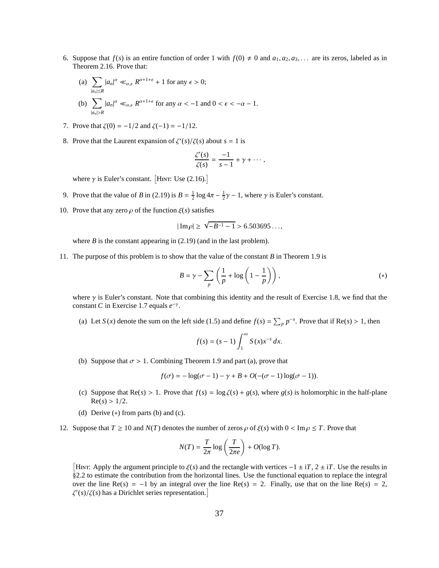- 6. Suppose that  $f(s)$  is an entire function of order 1 with  $f(0) \neq 0$  and  $a_1, a_2, a_3, \ldots$  are its zeros, labeled as in Theorem 2.16. Prove that:
	- (a)  $\sum$ |*an*|≤*R*  $|a_n|^{\alpha} \ll_{\alpha,\epsilon} R^{\alpha+1+\epsilon} + 1$  for any  $\epsilon > 0$ ;
	- (b)  $\sum$ |*an*|>*R*  $|a_n|^{\alpha} \ll_{\alpha,\epsilon} R^{\alpha+1+\epsilon}$  for any  $\alpha < -1$  and  $0 < \epsilon < -\alpha - 1$ .
- 7. Prove that  $\zeta(0) = -1/2$  and  $\zeta(-1) = -1/12$ .
- 8. Prove that the Laurent expansion of  $\zeta'(s)/\zeta(s)$  about  $s = 1$  is

$$
\frac{\zeta'(s)}{\zeta(s)}=\frac{-1}{s-1}+\gamma+\cdots,
$$

where  $\gamma$  is Euler's constant. [HINT: Use (2.16).]

- 9. Prove that the value of *B* in (2.19) is  $B = \frac{1}{2} \log 4\pi \frac{1}{2}\gamma 1$ , where  $\gamma$  is Euler's constant.
- 10. Prove that any zero  $\rho$  of the function  $\xi(s)$  satisfies

$$
|\operatorname{Im}\rho|\geq \sqrt{-B^{-1}-1}>6.503695\ldots,
$$

where  $B$  is the constant appearing in  $(2.19)$  (and in the last problem).

11. The purpose of this problem is to show that the value of the constant *B* in Theorem 1.9 is

$$
B = \gamma - \sum_{p} \left( \frac{1}{p} + \log \left( 1 - \frac{1}{p} \right) \right),
$$
 (\*)

where  $\gamma$  is Euler's constant. Note that combining this identity and the result of Exercise 1.8, we find that the constant *C* in Exercise 1.7 equals  $e^{-\gamma}$ .

(a) Let  $S(x)$  denote the sum on the left side (1.5) and define  $f(s) = \sum_p p^{-s}$ . Prove that if  $Re(s) > 1$ , then

$$
f(s) = (s-1)\int_1^\infty S(x)x^{-s}\,dx.
$$

(b) Suppose that  $\sigma > 1$ . Combining Theorem 1.9 and part (a), prove that

$$
f(\sigma) = -\log(\sigma - 1) - \gamma + B + O(-(\sigma - 1)\log(\sigma - 1)).
$$

- (c) Suppose that  $Re(s) > 1$ . Prove that  $f(s) = log \zeta(s) + g(s)$ , where  $g(s)$  is holomorphic in the half-plane  $Re(s) > 1/2$ .
- (d) Derive  $(*)$  from parts (b) and (c).
- 12. Suppose that  $T \ge 10$  and  $N(T)$  denotes the number of zeros  $\rho$  of  $\xi(s)$  with  $0 < \text{Im } \rho \le T$ . Prove that

$$
N(T) = \frac{T}{2\pi} \log \left( \frac{T}{2\pi e} \right) + O(\log T).
$$

[HINT: Apply the argument principle to  $\xi(s)$  and the rectangle with vertices  $-1 \pm iT$ ,  $2 \pm iT$ . Use the results in §2.2 to estimate the contribution from the horizontal lines. Use the functional equation to replace the integral over the line  $Re(s) = -1$  by an integral over the line  $Re(s) = 2$ . Finally, use that on the line  $Re(s) = 2$ ,  $\zeta'(s)/\zeta(s)$  has a Dirichlet series representation.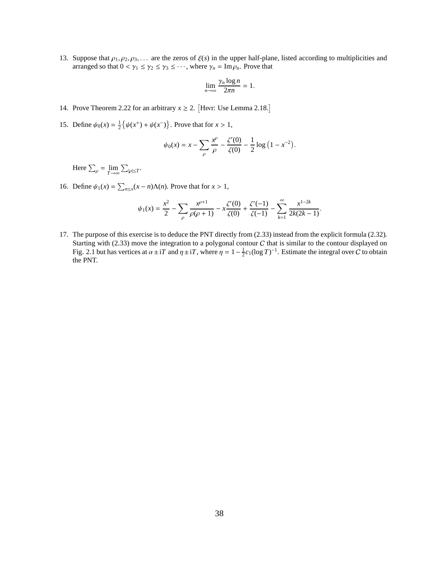13. Suppose that  $\rho_1, \rho_2, \rho_3, \ldots$  are the zeros of  $\xi(s)$  in the upper half-plane, listed according to multiplicities and arranged so that  $0 < \gamma_1 \leq \gamma_2 \leq \gamma_3 \leq \cdots$ , where  $\gamma_n = \text{Im} \rho_n$ . Prove that

$$
\lim_{n\to\infty}\frac{\gamma_n\log n}{2\pi n}=1.
$$

- 14. Prove Theorem 2.22 for an arbitrary  $x \ge 2$ . [HINT: Use Lemma 2.18.]
- 15. Define  $\psi_0(x) = \frac{1}{2} \{ \psi(x^+) + \psi(x^-) \}$ . Prove that for  $x > 1$ ,

$$
\psi_0(x) = x - \sum_{\rho} \frac{x^{\rho}}{\rho} - \frac{\zeta'(0)}{\zeta(0)} - \frac{1}{2} \log (1 - x^{-2}).
$$

Here  $\sum_{\rho} = \lim_{T \to \infty} \sum_{|\rho| \le T}$ .

16. Define  $\psi_1(x) = \sum_{n \le x} (x - n) \Lambda(n)$ . Prove that for  $x > 1$ ,

$$
\psi_1(x) = \frac{x^2}{2} - \sum_{\rho} \frac{x^{\rho+1}}{\rho(\rho+1)} - x \frac{\zeta'(0)}{\zeta(0)} + \frac{\zeta'(-1)}{\zeta(-1)} - \sum_{k=1}^{\infty} \frac{x^{1-2k}}{2k(2k-1)}.
$$

17. The purpose of this exercise is to deduce the PNT directly from (2.33) instead from the explicit formula (2.32). Starting with (2.33) move the integration to a polygonal contour  $C$  that is similar to the contour displayed on Fig. 2.1 but has vertices at  $\alpha \pm iT$  and  $\eta \pm iT$ , where  $\eta = 1 - \frac{1}{2}c_1(\log T)^{-1}$ . Estimate the integral over C to obtain the PNT.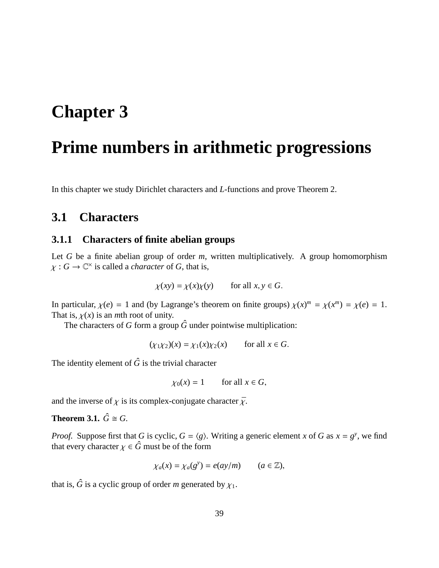# **Chapter 3**

# **Prime numbers in arithmetic progressions**

In this chapter we study Dirichlet characters and *L*-functions and prove Theorem 2.

## **3.1 Characters**

#### **3.1.1 Characters of finite abelian groups**

Let *G* be a finite abelian group of order *m*, written multiplicatively. A group homomorphism  $\chi: G \to \mathbb{C}^\times$  is called a *character* of *G*, that is,

$$
\chi(xy) = \chi(x)\chi(y) \qquad \text{for all } x, y \in G.
$$

In particular,  $\chi(e) = 1$  and (by Lagrange's theorem on finite groups)  $\chi(x)^m = \chi(x^m) = \chi(e) = 1$ . That is,  $\chi(x)$  is an *m*th root of unity.

The characters of *G* form a group  $\hat{G}$  under pointwise multiplication:

 $(\chi_1 \chi_2)(x) = \chi_1(x) \chi_2(x)$  for all  $x \in G$ .

The identity element of  $\hat{G}$  is the trivial character

 $\chi_0(x) = 1$  for all  $x \in G$ ,

and the inverse of  $\chi$  is its complex-conjugate character  $\bar{\chi}$ .

**Theorem 3.1.**  $\hat{G} \cong G$ .

*Proof.* Suppose first that *G* is cyclic,  $G = \langle g \rangle$ . Writing a generic element *x* of *G* as  $x = g^y$ , we find that every character  $\chi \in \hat{G}$  must be of the form

$$
\chi_a(x) = \chi_a(g^y) = e(ay/m) \qquad (a \in \mathbb{Z}),
$$

that is,  $\hat{G}$  is a cyclic group of order *m* generated by  $\chi_1$ .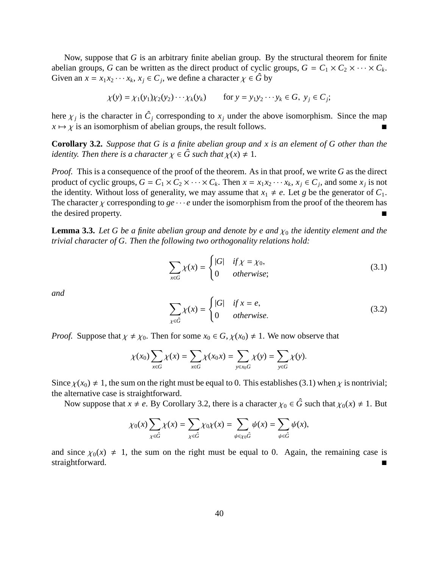Now, suppose that *G* is an arbitrary finite abelian group. By the structural theorem for finite abelian groups, *G* can be written as the direct product of cyclic groups,  $G = C_1 \times C_2 \times \cdots \times C_k$ . Given an  $x = x_1 x_2 \cdots x_k$ ,  $x_j \in C_j$ , we define a character  $\chi \in \hat{G}$  by

$$
\chi(y) = \chi_1(y_1)\chi_2(y_2)\cdots\chi_k(y_k) \qquad \text{for } y = y_1y_2\cdots y_k \in G, \ y_j \in C_j;
$$

here  $\chi_j$  is the character in  $\hat{C}_j$  corresponding to  $x_j$  under the above isomorphism. Since the map  $x \mapsto \chi$  is an isomorphism of abelian groups, the result follows.

**Corollary 3.2.** *Suppose that G is a finite abelian group and x is an element of G other than the identity. Then there is a character*  $\chi \in \hat{G}$  such that  $\chi(x) \neq 1$ .

*Proof.* This is a consequence of the proof of the theorem. As in that proof, we write *G* as the direct product of cyclic groups,  $G = C_1 \times C_2 \times \cdots \times C_k$ . Then  $x = x_1 x_2 \cdots x_k$ ,  $x_j \in C_j$ , and some  $x_j$  is not the identity. Without loss of generality, we may assume that  $x_1 \neq e$ . Let *g* be the generator of  $C_1$ . The character  $\chi$  corresponding to  $ge \cdots e$  under the isomorphism from the proof of the theorem has the desired property. the desired property.

**Lemma 3.3.** Let G be a finite abelian group and denote by e and  $\chi_0$  the identity element and the *trivial character of G. Then the following two orthogonality relations hold:*

$$
\sum_{x \in G} \chi(x) = \begin{cases} |G| & \text{if } x = x_0, \\ 0 & \text{otherwise}; \end{cases} \tag{3.1}
$$

*and*

$$
\sum_{\chi \in \hat{G}} \chi(x) = \begin{cases} |G| & \text{if } x = e, \\ 0 & \text{otherwise.} \end{cases}
$$
 (3.2)

*Proof.* Suppose that  $\chi \neq \chi_0$ . Then for some  $x_0 \in G$ ,  $\chi(x_0) \neq 1$ . We now observe that

$$
\chi(x_0)\sum_{x\in G}\chi(x)=\sum_{x\in G}\chi(x_0x)=\sum_{y\in x_0G}\chi(y)=\sum_{y\in G}\chi(y).
$$

Since  $\chi(x_0) \neq 1$ , the sum on the right must be equal to 0. This establishes (3.1) when  $\chi$  is nontrivial; the alternative case is straightforward.

Now suppose that  $x \neq e$ . By Corollary 3.2, there is a character  $\chi_0 \in \hat{G}$  such that  $\chi_0(x) \neq 1$ . But

$$
\chi_0(x)\sum_{\chi\in\hat{G}}\chi(x)=\sum_{\chi\in\hat{G}}\chi_0\chi(x)=\sum_{\psi\in\chi_0\hat{G}}\psi(x)=\sum_{\psi\in\hat{G}}\psi(x),
$$

and since  $\chi_0(x) \neq 1$ , the sum on the right must be equal to 0. Again, the remaining case is straightforward.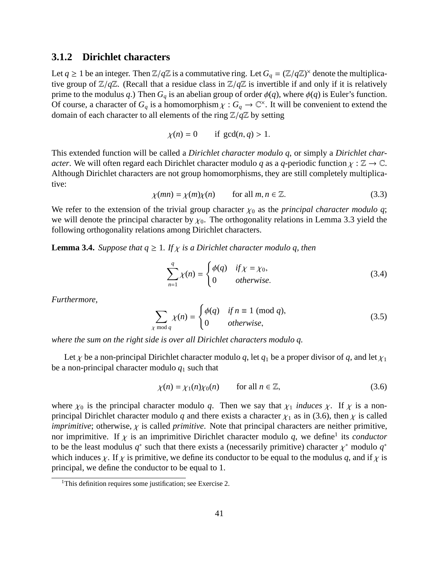#### **3.1.2 Dirichlet characters**

Let  $q \ge 1$  be an integer. Then  $\mathbb{Z}/q\mathbb{Z}$  is a commutative ring. Let  $G_q = (\mathbb{Z}/q\mathbb{Z})^{\times}$  denote the multiplicative group of  $\mathbb{Z}/q\mathbb{Z}$ . (Recall that a residue class in  $\mathbb{Z}/q\mathbb{Z}$  is invertible if and only if it is relatively prime to the modulus *q*.) Then  $G_q$  is an abelian group of order  $\phi(q)$ , where  $\phi(q)$  is Euler's function. Of course, a character of  $G_q$  is a homomorphism  $\chi : G_q \to \mathbb{C}^\times$ . It will be convenient to extend the domain of each character to all elements of the ring Z/*q*Z by setting

$$
\chi(n) = 0 \qquad \text{if } \gcd(n, q) > 1.
$$

This extended function will be called a *Dirichlet character modulo q*, or simply a *Dirichlet character*. We will often regard each Dirichlet character modulo *q* as a *q*-periodic function  $\chi : \mathbb{Z} \to \mathbb{C}$ . Although Dirichlet characters are not group homomorphisms, they are still completely multiplicative:

$$
\chi(mn) = \chi(m)\chi(n) \qquad \text{for all } m, n \in \mathbb{Z}.
$$
 (3.3)

We refer to the extension of the trivial group character  $\chi_0$  as the *principal character modulo q*; we will denote the principal character by  $\chi_0$ . The orthogonality relations in Lemma 3.3 yield the following orthogonality relations among Dirichlet characters.

**Lemma 3.4.** *Suppose that*  $q \geq 1$ *. If*  $\chi$  *is a Dirichlet character modulo q, then* 

$$
\sum_{n=1}^{q} \chi(n) = \begin{cases} \phi(q) & \text{if } \chi = \chi_0, \\ 0 & \text{otherwise.} \end{cases}
$$
 (3.4)

*Furthermore,*

$$
\sum_{\chi \bmod q} \chi(n) = \begin{cases} \phi(q) & \text{if } n \equiv 1 \pmod{q}, \\ 0 & \text{otherwise}, \end{cases}
$$
 (3.5)

*where the sum on the right side is over all Dirichlet characters modulo q.*

Let  $\chi$  be a non-principal Dirichlet character modulo *q*, let  $q_1$  be a proper divisor of *q*, and let  $\chi_1$ be a non-principal character modulo  $q_1$  such that

$$
\chi(n) = \chi_1(n)\chi_0(n) \qquad \text{for all } n \in \mathbb{Z}, \tag{3.6}
$$

where  $\chi_0$  is the principal character modulo q. Then we say that  $\chi_1$  *induces*  $\chi$ . If  $\chi$  is a nonprincipal Dirichlet character modulo *q* and there exists a character  $\chi_1$  as in (3.6), then  $\chi$  is called *imprimitive*; otherwise,  $\chi$  is called *primitive*. Note that principal characters are neither primitive, nor imprimitive. If  $\chi$  is an imprimitive Dirichlet character modulo q, we define<sup>1</sup> its *conductor* to be the least modulus  $q^*$  such that there exists a (necessarily primitive) character  $\chi^*$  modulo  $q^*$ which induces  $\chi$ . If  $\chi$  is primitive, we define its conductor to be equal to the modulus q, and if  $\chi$  is principal, we define the conductor to be equal to 1.

<sup>&</sup>lt;sup>1</sup>This definition requires some justification; see Exercise 2.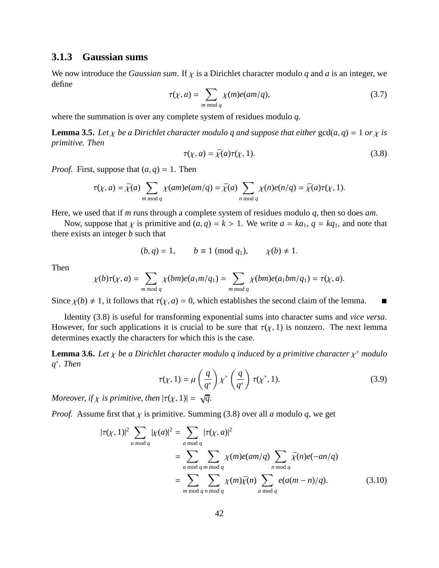#### **3.1.3 Gaussian sums**

We now introduce the *Gaussian sum*. If  $\chi$  is a Dirichlet character modulo q and a is an integer, we define

$$
\tau(\chi, a) = \sum_{m \bmod q} \chi(m)e(am/q),\tag{3.7}
$$

where the summation is over any complete system of residues modulo *q*.

**Lemma 3.5.** *Let*  $\chi$  *be a Dirichlet character modulo q and suppose that either*  $gcd(a, q) = 1$  *or*  $\chi$  *is primitive. Then*

$$
\tau(\chi, a) = \bar{\chi}(a)\tau(\chi, 1). \tag{3.8}
$$

*Proof.* First, suppose that  $(a, q) = 1$ . Then

$$
\tau(\chi, a) = \bar{\chi}(a) \sum_{m \bmod q} \chi(am)e(am/q) = \bar{\chi}(a) \sum_{n \bmod q} \chi(n)e(n/q) = \bar{\chi}(a)\tau(\chi, 1).
$$

Here, we used that if *m* runs through a complete system of residues modulo *q*, then so does *am*.

Now, suppose that  $\chi$  is primitive and  $(a, q) = k > 1$ . We write  $a = ka_1$ ,  $q = kq_1$ , and note that there exists an integer *b* such that

$$
(b,q) = 1, \qquad b \equiv 1 \pmod{q_1}, \qquad \chi(b) \neq 1.
$$

Then

$$
\chi(b)\tau(\chi,a) = \sum_{m \bmod q} \chi(bm)e(a_1m/q_1) = \sum_{m \bmod q} \chi(bm)e(a_1bm/q_1) = \tau(\chi,a).
$$

Since  $\chi(b) \neq 1$ , it follows that  $\tau(\chi, a) = 0$ , which establishes the second claim of the lemma.

Identity (3.8) is useful for transforming exponential sums into character sums and *vice versa*. However, for such applications it is crucial to be sure that  $\tau(\chi, 1)$  is nonzero. The next lemma determines exactly the characters for which this is the case.

**Lemma 3.6.** *Let* χ *be a Dirichlet character modulo q induced by a primitive character* χ <sup>∗</sup> *modulo q* ∗ *. Then*

$$
\tau(\chi, 1) = \mu\left(\frac{q}{q^*}\right) \chi^* \left(\frac{q}{q^*}\right) \tau(\chi^*, 1). \tag{3.9}
$$

*Moreover, if*  $\chi$  *is primitive, then*  $|\tau(\chi, 1)| = \sqrt{q}$ .

*Proof.* Assume first that  $\chi$  is primitive. Summing (3.8) over all *a* modulo *q*, we get

$$
|\tau(\chi, 1)|^2 \sum_{a \bmod q} |\chi(a)|^2 = \sum_{\substack{a \bmod q}} |\tau(\chi, a)|^2
$$
  
= 
$$
\sum_{\substack{a \bmod q \text{ } m \bmod q}} \sum_{\substack{m \bmod q}} \chi(m)e(am/q) \sum_{\substack{n \bmod q}} \overline{\chi}(n)e(-an/q)
$$
  
= 
$$
\sum_{\substack{m \bmod q \text{ } n \bmod q}} \sum_{\substack{n \bmod q}} \chi(m)\overline{\chi}(n) \sum_{\substack{a \bmod q}} e(a(m-n)/q).
$$
 (3.10)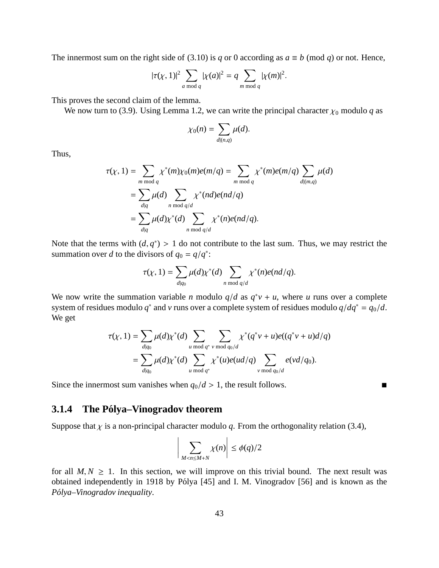The innermost sum on the right side of (3.10) is *q* or 0 according as  $a \equiv b \pmod{q}$  or not. Hence,

$$
|\tau(\chi,1)|^2 \sum_{a \bmod q} |\chi(a)|^2 = q \sum_{m \bmod q} |\chi(m)|^2.
$$

This proves the second claim of the lemma.

We now turn to (3.9). Using Lemma 1.2, we can write the principal character  $\chi_0$  modulo *q* as

$$
\chi_0(n)=\sum_{d|(n,q)}\mu(d).
$$

Thus,

$$
\tau(\chi, 1) = \sum_{m \bmod q} \chi^*(m) \chi_0(m) e(m/q) = \sum_{m \bmod q} \chi^*(m) e(m/q) \sum_{d | (m,q)} \mu(d)
$$
  
= 
$$
\sum_{d | q} \mu(d) \sum_{n \bmod q/d} \chi^*(nd) e(n d/q)
$$
  
= 
$$
\sum_{d | q} \mu(d) \chi^*(d) \sum_{n \bmod q/d} \chi^*(n) e(n d/q).
$$

Note that the terms with  $(d, q^*) > 1$  do not contribute to the last sum. Thus, we may restrict the summation over *d* to the divisors of  $q_0 = q/q^*$ :

$$
\tau(\chi,1)=\sum_{d|q_0}\mu(d)\chi^*(d)\sum_{n \bmod q/d}\chi^*(n)e(nd/q).
$$

We now write the summation variable *n* modulo  $q/d$  as  $q^*v + u$ , where *u* runs over a complete system of residues modulo  $q^*$  and  $\nu$  runs over a complete system of residues modulo  $q/dq^* = q_0/d$ . We get

$$
\tau(\chi, 1) = \sum_{d|q_0} \mu(d)\chi^*(d) \sum_{u \bmod q^*} \sum_{v \bmod q_0/d} \chi^*(q^*v + u)e((q^*v + u)d/q)
$$
  
= 
$$
\sum_{d|q_0} \mu(d)\chi^*(d) \sum_{u \bmod q^*} \chi^*(u)e(ud/q) \sum_{v \bmod q_0/d} e(vd/q_0).
$$

Since the innermost sum vanishes when  $q_0/d > 1$ , the result follows.

#### **3.1.4 The Polya–Vinogradov theorem ´**

Suppose that  $\chi$  is a non-principal character modulo  $q$ . From the orthogonality relation (3.4),

$$
\bigg|\sum_{M < n \le M+N} \chi(n)\bigg| \le \phi(q)/2
$$

for all  $M, N \geq 1$ . In this section, we will improve on this trivial bound. The next result was obtained independently in 1918 by Pólya [45] and I. M. Vinogradov [56] and is known as the *P´olya–Vinogradov inequality*.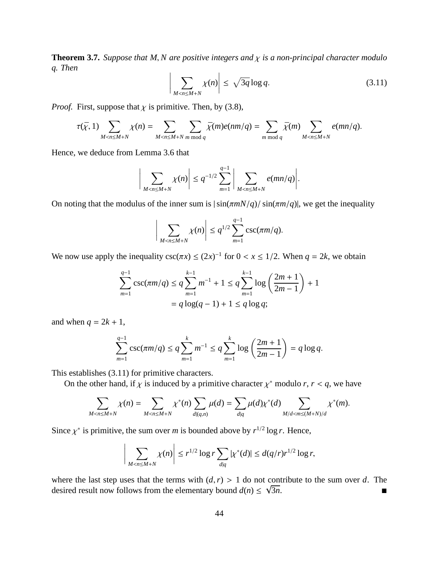**Theorem 3.7.** *Suppose that M, N are positive integers and*  $\chi$  *is a non-principal character modulo q. Then*

$$
\left| \sum_{M < n \le M+N} \chi(n) \right| \le \sqrt{3q} \log q. \tag{3.11}
$$

*Proof.* First, suppose that  $\chi$  is primitive. Then, by (3.8),

 $\mid$  $\overline{\phantom{a}}$  $\overline{\phantom{a}}$  $\overline{\phantom{a}}$ 

$$
\tau(\bar{\chi},1)\sum_{M
$$

Hence, we deduce from Lemma 3.6 that

$$
\sum_{M < n \le M+N} \chi(n) \bigg| \le q^{-1/2} \sum_{m=1}^{q-1} \bigg| \sum_{M < n \le M+N} e(mn/q) \bigg|.
$$

On noting that the modulus of the inner sum is  $|\sin(\pi m N/q)/\sin(\pi m/q)|$ , we get the inequality

$$
\bigg|\sum_{M < n \le M+N} \chi(n)\bigg| \le q^{1/2} \sum_{m=1}^{q-1} \csc(\pi m/q).
$$

We now use apply the inequality  $\csc(\pi x) \le (2x)^{-1}$  for  $0 < x \le 1/2$ . When  $q = 2k$ , we obtain

$$
\sum_{m=1}^{q-1} \csc(\pi m/q) \le q \sum_{m=1}^{k-1} m^{-1} + 1 \le q \sum_{m=1}^{k-1} \log\left(\frac{2m+1}{2m-1}\right) + 1
$$
  
=  $q \log(q-1) + 1 \le q \log q$ ;

and when  $q = 2k + 1$ ,

$$
\sum_{m=1}^{q-1} \csc(\pi m/q) \le q \sum_{m=1}^{k} m^{-1} \le q \sum_{m=1}^{k} \log\left(\frac{2m+1}{2m-1}\right) = q \log q.
$$

This establishes (3.11) for primitive characters.

On the other hand, if  $\chi$  is induced by a primitive character  $\chi^*$  modulo *r*,  $r < q$ , we have

$$
\sum_{M < n \le M+N} \chi(n) = \sum_{M < n \le M+N} \chi^*(n) \sum_{d | (q,n)} \mu(d) = \sum_{d | q} \mu(d) \chi^*(d) \sum_{M / d < m \le (M+N) / d} \chi^*(m).
$$

Since  $\chi^*$  is primitive, the sum over *m* is bounded above by  $r^{1/2} \log r$ . Hence,

$$
\bigg|\sum_{M < n \le M+N} \chi(n)\bigg| \le r^{1/2} \log r \sum_{d|q} |\chi^*(d)| \le d(q/r) r^{1/2} \log r,
$$

where the last step uses that the terms with  $(d, r) > 1$  do not contribute to the sum over *d*. The desired result now follows from the elementary bound  $d(n) \leq \sqrt{n}$  $\overline{3n}$ .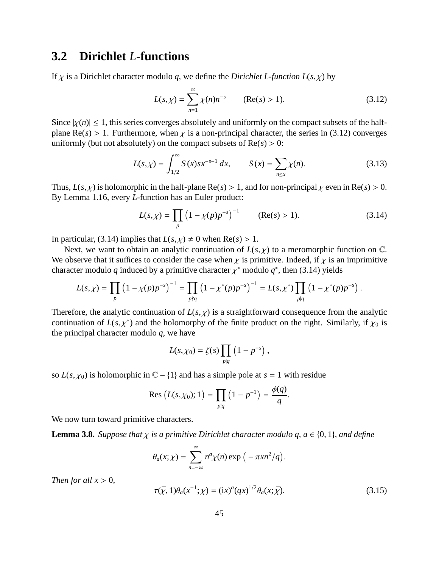### **3.2 Dirichlet** *L***-functions**

If  $\chi$  is a Dirichlet character modulo q, we define the *Dirichlet L-function L(s,*  $\chi$ *)* by

$$
L(s,\chi) = \sum_{n=1}^{\infty} \chi(n)n^{-s} \qquad (\text{Re}(s) > 1). \tag{3.12}
$$

Since  $|\chi(n)| \leq 1$ , this series converges absolutely and uniformly on the compact subsets of the halfplane Re( $s$ ) > 1. Furthermore, when  $\chi$  is a non-principal character, the series in (3.12) converges uniformly (but not absolutely) on the compact subsets of  $Re(s) > 0$ :

$$
L(s,\chi) = \int_{1/2}^{\infty} S(x)sx^{-s-1} dx, \qquad S(x) = \sum_{n \le x} \chi(n). \tag{3.13}
$$

Thus,  $L(s, \chi)$  is holomorphic in the half-plane  $\text{Re}(s) > 1$ , and for non-principal  $\chi$  even in  $\text{Re}(s) > 0$ . By Lemma 1.16, every *L*-function has an Euler product:

$$
L(s,\chi) = \prod_{p} \left(1 - \chi(p)p^{-s}\right)^{-1} \qquad (\text{Re}(s) > 1). \tag{3.14}
$$

In particular, (3.14) implies that  $L(s, \chi) \neq 0$  when  $Re(s) > 1$ .

Next, we want to obtain an analytic continuation of  $L(s, \chi)$  to a meromorphic function on  $\mathbb{C}$ . We observe that it suffices to consider the case when  $\chi$  is primitive. Indeed, if  $\chi$  is an imprimitive character modulo q induced by a primitive character  $\chi^*$  modulo  $q^*$ , then (3.14) yields

$$
L(s,\chi) = \prod_p \left(1 - \chi(p)p^{-s}\right)^{-1} = \prod_{p \nmid q} \left(1 - \chi^*(p)p^{-s}\right)^{-1} = L(s,\chi^*) \prod_{p \mid q} \left(1 - \chi^*(p)p^{-s}\right).
$$

Therefore, the analytic continuation of  $L(s, \chi)$  is a straightforward consequence from the analytic continuation of  $L(s, \chi^*)$  and the holomorphy of the finite product on the right. Similarly, if  $\chi_0$  is the principal character modulo *q*, we have

$$
L(s,\chi_0)=\zeta(s)\prod_{p|q}\left(1-p^{-s}\right),\,
$$

so  $L(s, \chi_0)$  is holomorphic in  $\mathbb{C} - \{1\}$  and has a simple pole at  $s = 1$  with residue

Res 
$$
(L(s, \chi_0); 1)
$$
 =  $\prod_{p|q} (1 - p^{-1}) = \frac{\phi(q)}{q}$ .

We now turn toward primitive characters.

**Lemma 3.8.** *Suppose that*  $\chi$  *is a primitive Dirichlet character modulo q, a*  $\in$  {0, 1}*, and define* 

$$
\theta_a(x;\chi)=\sum_{n=-\infty}^{\infty}n^a\chi(n)\exp\big(-\pi xn^2/q\big).
$$

*Then for all*  $x > 0$ *,* 

$$
\tau(\bar{\chi}, 1)\theta_a(x^{-1}; \chi) = (ix)^a (qx)^{1/2} \theta_a(x; \bar{\chi}).
$$
\n(3.15)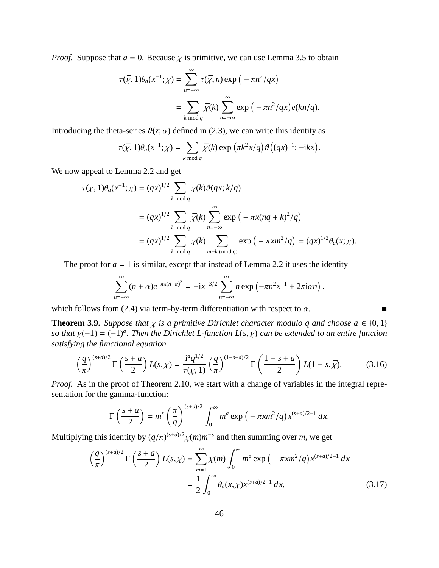*Proof.* Suppose that  $a = 0$ . Because  $\chi$  is primitive, we can use Lemma 3.5 to obtain

$$
\tau(\bar{\chi}, 1)\theta_a(x^{-1}; \chi) = \sum_{n=-\infty}^{\infty} \tau(\bar{\chi}, n) \exp\left(-\pi n^2/qx\right)
$$

$$
= \sum_{k \bmod q} \bar{\chi}(k) \sum_{n=-\infty}^{\infty} \exp\left(-\pi n^2/qx\right) e(kn/q).
$$

Introducing the theta-series  $\vartheta(z;\alpha)$  defined in (2.3), we can write this identity as

$$
\tau(\bar{\chi}, 1)\theta_a(x^{-1}; \chi) = \sum_{k \bmod q} \bar{\chi}(k) \exp\left(\pi k^2 x/q\right) \vartheta\left((qx)^{-1}; -\mathrm{i}kx\right).
$$

We now appeal to Lemma 2.2 and get

$$
\tau(\bar{\chi}, 1)\theta_a(x^{-1}; \chi) = (qx)^{1/2} \sum_{k \bmod q} \bar{\chi}(k)\vartheta(qx; k/q)
$$
  
=  $(qx)^{1/2} \sum_{k \bmod q} \bar{\chi}(k) \sum_{n=-\infty}^{\infty} \exp(-\pi x(nq + k)^2/q)$   
=  $(qx)^{1/2} \sum_{k \bmod q} \bar{\chi}(k) \sum_{m \equiv k \pmod{q}} \exp(-\pi x m^2/q) = (qx)^{1/2} \theta_a(x; \bar{\chi}).$ 

The proof for  $a = 1$  is similar, except that instead of Lemma 2.2 it uses the identity

$$
\sum_{n=-\infty}^{\infty} (n+\alpha)e^{-\pi x(n+\alpha)^2} = -ix^{-3/2} \sum_{n=-\infty}^{\infty} n \exp(-\pi n^2 x^{-1} + 2\pi i \alpha n),
$$

which follows from (2.4) via term-by-term differentiation with respect to  $\alpha$ .

**Theorem 3.9.** *Suppose that*  $\chi$  *is a primitive Dirichlet character modulo q and choose*  $a \in \{0, 1\}$ *so that* <sup>χ</sup>(−1) <sup>=</sup> (−1)*<sup>a</sup> . Then the Dirichlet L-function L*(*s*, χ) *can be extended to an entire function satisfying the functional equation*

$$
\left(\frac{q}{\pi}\right)^{(s+a)/2} \Gamma\left(\frac{s+a}{2}\right) L(s,\chi) = \frac{i^a q^{1/2}}{\tau(\chi,1)} \left(\frac{q}{\pi}\right)^{(1-s+a)/2} \Gamma\left(\frac{1-s+a}{2}\right) L(1-s,\bar{\chi}).\tag{3.16}
$$

*Proof.* As in the proof of Theorem 2.10, we start with a change of variables in the integral representation for the gamma-function:

$$
\Gamma\left(\frac{s+a}{2}\right) = m^s \left(\frac{\pi}{q}\right)^{(s+a)/2} \int_0^\infty m^a \exp\left(-\pi x m^2/q\right) x^{(s+a)/2-1} dx.
$$

Multiplying this identity by  $(q/\pi)^{(s+a)/2}\chi(m)m^{-s}$  and then summing over *m*, we get

$$
\left(\frac{q}{\pi}\right)^{(s+a)/2} \Gamma\left(\frac{s+a}{2}\right) L(s,\chi) = \sum_{m=1}^{\infty} \chi(m) \int_0^{\infty} m^a \exp\left(-\pi x m^2/q\right) x^{(s+a)/2-1} dx
$$

$$
= \frac{1}{2} \int_0^{\infty} \theta_a(x,\chi) x^{(s+a)/2-1} dx, \tag{3.17}
$$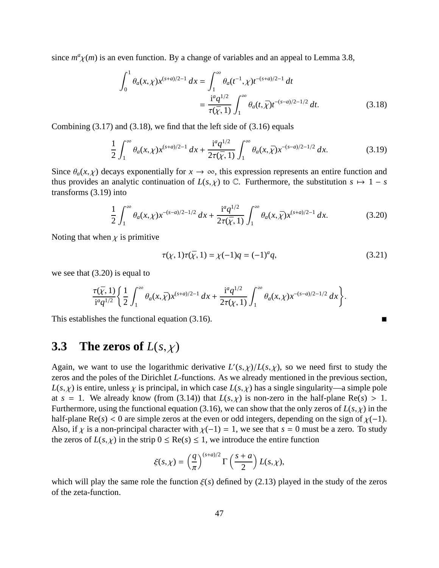since  $m^a \chi(m)$  is an even function. By a change of variables and an appeal to Lemma 3.8,

$$
\int_0^1 \theta_a(x,\chi) x^{(s+a)/2-1} dx = \int_1^\infty \theta_a(t^{-1},\chi) t^{-(s+a)/2-1} dt
$$
  
= 
$$
\frac{i^a q^{1/2}}{\tau(\bar{\chi}, 1)} \int_1^\infty \theta_a(t, \bar{\chi}) t^{-(s-a)/2-1/2} dt.
$$
 (3.18)

Combining  $(3.17)$  and  $(3.18)$ , we find that the left side of  $(3.16)$  equals

$$
\frac{1}{2} \int_{1}^{\infty} \theta_{a}(x,\chi) x^{(s+a)/2-1} dx + \frac{i^{a}q^{1/2}}{2\tau(\bar{\chi},1)} \int_{1}^{\infty} \theta_{a}(x,\bar{\chi}) x^{-(s-a)/2-1/2} dx.
$$
 (3.19)

Since  $\theta_a(x, \chi)$  decays exponentially for  $x \to \infty$ , this expression represents an entire function and thus provides an analytic continuation of  $L(s, \chi)$  to  $\mathbb{C}$ . Furthermore, the substitution  $s \mapsto 1 - s$ transforms (3.19) into

$$
\frac{1}{2} \int_{1}^{\infty} \theta_a(x,\chi) x^{-(s-a)/2 - 1/2} dx + \frac{i^a q^{1/2}}{2\tau(\bar{\chi}, 1)} \int_{1}^{\infty} \theta_a(x,\bar{\chi}) x^{(s+a)/2 - 1} dx.
$$
 (3.20)

Noting that when  $\chi$  is primitive

$$
\tau(\chi, 1)\tau(\bar{\chi}, 1) = \chi(-1)q = (-1)^{a}q,
$$
\n(3.21)

we see that (3.20) is equal to

$$
\frac{\tau(\bar{\chi},1)}{i^a q^{1/2}} \left\{ \frac{1}{2} \int_1^{\infty} \theta_a(x,\bar{\chi}) x^{(s+a)/2-1} dx + \frac{i^a q^{1/2}}{2\tau(\chi,1)} \int_1^{\infty} \theta_a(x,\chi) x^{-(s-a)/2-1/2} dx \right\}.
$$

This establishes the functional equation (3.16).

## **3.3** The zeros of  $L(s, \chi)$

Again, we want to use the logarithmic derivative  $L'(s, \chi)/L(s, \chi)$ , so we need first to study the zeros and the poles of the Dirichlet *L*-functions. As we already mentioned in the previous section,  $L(s, \chi)$  is entire, unless  $\chi$  is principal, in which case  $L(s, \chi)$  has a single singularity—a simple pole at  $s = 1$ . We already know (from (3.14)) that  $L(s, \chi)$  is non-zero in the half-plane Re(*s*) > 1. Furthermore, using the functional equation (3.16), we can show that the only zeros of  $L(s, \chi)$  in the half-plane Re( $s$ ) < 0 are simple zeros at the even or odd integers, depending on the sign of  $\chi$ (-1). Also, if  $\chi$  is a non-principal character with  $\chi(-1) = 1$ , we see that  $s = 0$  must be a zero. To study the zeros of  $L(s, \chi)$  in the strip  $0 \leq \text{Re}(s) \leq 1$ , we introduce the entire function

$$
\xi(s,\chi)=\left(\frac{q}{\pi}\right)^{(s+a)/2}\Gamma\left(\frac{s+a}{2}\right)L(s,\chi),
$$

which will play the same role the function  $\xi(s)$  defined by (2.13) played in the study of the zeros of the zeta-function.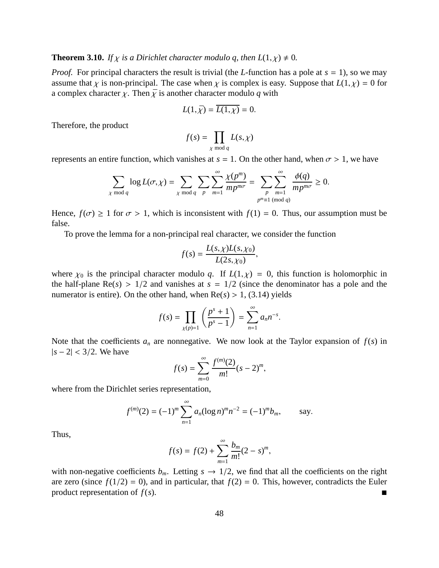**Theorem 3.10.** *If*  $\chi$  *is a Dirichlet character modulo q, then*  $L(1,\chi) \neq 0$ *.* 

*Proof.* For principal characters the result is trivial (the *L*-function has a pole at  $s = 1$ ), so we may assume that  $\chi$  is non-principal. The case when  $\chi$  is complex is easy. Suppose that  $L(1,\chi) = 0$  for a complex character  $\chi$ . Then  $\bar{\chi}$  is another character modulo q with

$$
L(1,\bar{\chi}) = \overline{L(1,\chi)} = 0.
$$

Therefore, the product

$$
f(s) = \prod_{\chi \bmod q} L(s, \chi)
$$

represents an entire function, which vanishes at  $s = 1$ . On the other hand, when  $\sigma > 1$ , we have

$$
\sum_{\chi \bmod q} \log L(\sigma, \chi) = \sum_{\chi \bmod q} \sum_{p} \sum_{m=1}^{\infty} \frac{\chi(p^m)}{mp^{m\sigma}} = \sum_{\substack{p \\ p^m \equiv 1 \pmod{q}}} \frac{\phi(q)}{mp^{m\sigma}} \ge 0.
$$

Hence,  $f(\sigma) \ge 1$  for  $\sigma > 1$ , which is inconsistent with  $f(1) = 0$ . Thus, our assumption must be false.

To prove the lemma for a non-principal real character, we consider the function

$$
f(s) = \frac{L(s, \chi)L(s, \chi_0)}{L(2s, \chi_0)},
$$

where  $\chi_0$  is the principal character modulo *q*. If  $L(1,\chi) = 0$ , this function is holomorphic in the half-plane  $Re(s) > 1/2$  and vanishes at  $s = 1/2$  (since the denominator has a pole and the numerator is entire). On the other hand, when  $Re(s) > 1$ , (3.14) yields

$$
f(s) = \prod_{\chi(p)=1} \left( \frac{p^s + 1}{p^s - 1} \right) = \sum_{n=1}^{\infty} a_n n^{-s}.
$$

Note that the coefficients  $a_n$  are nonnegative. We now look at the Taylor expansion of  $f(s)$  in |*s* − 2| < 3/2. We have

$$
f(s) = \sum_{m=0}^{\infty} \frac{f^{(m)}(2)}{m!} (s-2)^m,
$$

where from the Dirichlet series representation,

$$
f^{(m)}(2) = (-1)^m \sum_{n=1}^{\infty} a_n (\log n)^m n^{-2} = (-1)^m b_m, \quad \text{say.}
$$

Thus,

$$
f(s) = f(2) + \sum_{m=1}^{\infty} \frac{b_m}{m!} (2 - s)^m,
$$

with non-negative coefficients  $b_m$ . Letting  $s \to 1/2$ , we find that all the coefficients on the right are zero (since  $f(1/2) = 0$ ), and in particular, that  $f(2) = 0$ . This, however, contradicts the Euler product representation of  $f(s)$ .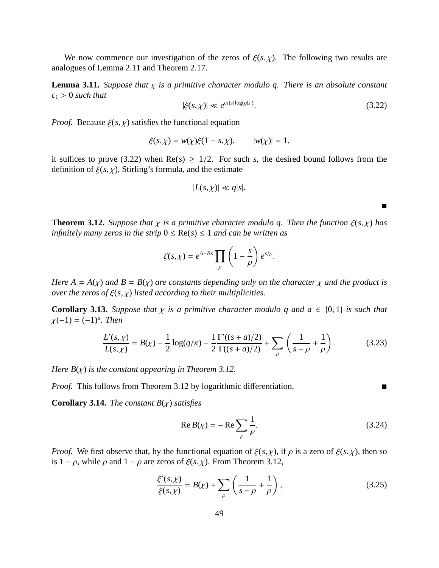We now commence our investigation of the zeros of  $\xi(s, \chi)$ . The following two results are analogues of Lemma 2.11 and Theorem 2.17.

**Lemma 3.11.** *Suppose that*  $\chi$  *is a primitive character modulo q. There is an absolute constant*  $c_1 > 0$  *such that* 

$$
|\xi(s,\chi)| \ll e^{c_1|s|\log(q|s|)}.\tag{3.22}
$$

 $\blacksquare$ 

*Proof.* Because  $\xi(s, \chi)$  satisfies the functional equation

$$
\xi(s,\chi) = w(\chi)\xi(1-s,\bar{\chi}), \qquad |w(\chi)| = 1,
$$

it suffices to prove (3.22) when  $Re(s) \ge 1/2$ . For such *s*, the desired bound follows from the definition of  $\xi(s, \chi)$ , Stirling's formula, and the estimate

$$
|L(s,\chi)| \ll q|s|.
$$

**Theorem 3.12.** *Suppose that*  $\chi$  *is a primitive character modulo q. Then the function*  $\xi(s,\chi)$  *has infinitely many zeros in the strip*  $0 \leq Re(s) \leq 1$  *and can be written as* 

$$
\xi(s,\chi)=e^{A+Bs}\prod_{\rho}\left(1-\frac{s}{\rho}\right)e^{s/\rho}.
$$

*Here*  $A = A(\chi)$  *and*  $B = B(\chi)$  *are constants depending only on the character*  $\chi$  *and the product is over the zeros of* ξ(*s*, χ) *listed according to their multiplicities.*

**Corollary 3.13.** *Suppose that*  $\chi$  *is a primitive character modulo q and*  $a \in \{0, 1\}$  *is such that* <sup>χ</sup>(−1) <sup>=</sup> (−1)*<sup>a</sup> . Then*

$$
\frac{L'(s,\chi)}{L(s,\chi)} = B(\chi) - \frac{1}{2}\log(q/\pi) - \frac{1}{2}\frac{\Gamma'(s+a)/2}{\Gamma((s+a)/2)} + \sum_{\rho} \left(\frac{1}{s-\rho} + \frac{1}{\rho}\right). \tag{3.23}
$$

*Here B*(χ) *is the constant appearing in Theorem 3.12.*

*Proof.* This follows from Theorem 3.12 by logarithmic differentiation. ■

**Corollary 3.14.** *The constant B*(χ) *satisfies*

$$
\operatorname{Re} B(\chi) = -\operatorname{Re} \sum_{\rho} \frac{1}{\rho}.\tag{3.24}
$$

*Proof.* We first observe that, by the functional equation of  $\xi(s, \chi)$ , if  $\rho$  is a zero of  $\xi(s, \chi)$ , then so is  $1 - \bar{\rho}$ , while  $\bar{\rho}$  and  $1 - \rho$  are zeros of  $\xi(s, \bar{\chi})$ . From Theorem 3.12,

$$
\frac{\xi'(s,\chi)}{\xi(s,\chi)} = B(\chi) + \sum_{\rho} \left( \frac{1}{s-\rho} + \frac{1}{\rho} \right),\tag{3.25}
$$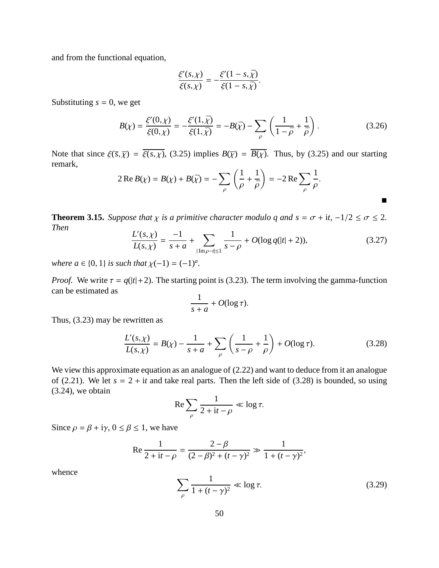and from the functional equation,

$$
\frac{\xi'(s,\chi)}{\xi(s,\chi)} = -\frac{\xi'(1-s,\bar{\chi})}{\xi(1-s,\bar{\chi})}.
$$

Substituting  $s = 0$ , we get

$$
B(\chi) = \frac{\xi'(0,\chi)}{\xi(0,\chi)} = -\frac{\xi'(1,\bar{\chi})}{\xi(1,\bar{\chi})} = -B(\bar{\chi}) - \sum_{\rho} \left( \frac{1}{1-\bar{\rho}} + \frac{1}{\bar{\rho}} \right). \tag{3.26}
$$

Note that since  $\xi(\overline{s}, \overline{\chi}) = \overline{\xi(s,\chi)}$ , (3.25) implies  $B(\overline{\chi}) = \overline{B(\chi)}$ . Thus, by (3.25) and our starting remark,

$$
2 \operatorname{Re} B(\chi) = B(\chi) + B(\bar{\chi}) = -\sum_{\rho} \left( \frac{1}{\rho} + \frac{1}{\bar{\rho}} \right) = -2 \operatorname{Re} \sum_{\rho} \frac{1}{\rho}.
$$

**Theorem 3.15.** *Suppose that*  $\chi$  *is a primitive character modulo q and*  $s = \sigma + it$ ,  $-1/2 \le \sigma \le 2$ *. Then*

$$
\frac{L'(s,\chi)}{L(s,\chi)} = \frac{-1}{s+a} + \sum_{|\text{Im}\,\rho - t| \le 1} \frac{1}{s-\rho} + O(\log q(|t|+2)),\tag{3.27}
$$

 $\blacksquare$ 

*where*  $a \in \{0, 1\}$  *is such that*  $\chi(-1) = (-1)^a$ .

*Proof.* We write  $\tau = q(|t|+2)$ . The starting point is (3.23). The term involving the gamma-function can be estimated as

$$
\frac{1}{s+a} + O(\log \tau).
$$

Thus, (3.23) may be rewritten as

$$
\frac{L'(s,\chi)}{L(s,\chi)} = B(\chi) - \frac{1}{s+a} + \sum_{\rho} \left( \frac{1}{s-\rho} + \frac{1}{\rho} \right) + O(\log \tau). \tag{3.28}
$$

We view this approximate equation as an analogue of  $(2.22)$  and want to deduce from it an analogue of (2.21). We let  $s = 2 + it$  and take real parts. Then the left side of (3.28) is bounded, so using (3.24), we obtain

$$
\operatorname{Re}\sum_{\rho}\frac{1}{2+{\rm i}t-\rho}\ll\log\tau.
$$

Since  $\rho = \beta + i\gamma$ ,  $0 \le \beta \le 1$ , we have

Re 
$$
\frac{1}{2 + it - \rho} = \frac{2 - \beta}{(2 - \beta)^2 + (t - \gamma)^2} \gg \frac{1}{1 + (t - \gamma)^2}
$$
,

whence

$$
\sum_{\rho} \frac{1}{1 + (t - \gamma)^2} \ll \log \tau. \tag{3.29}
$$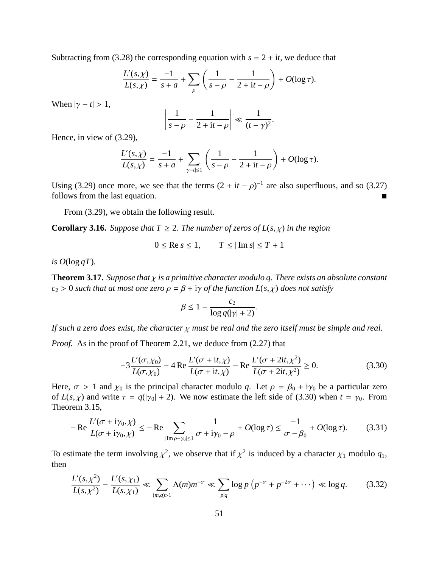Subtracting from (3.28) the corresponding equation with  $s = 2 + it$ , we deduce that

$$
\frac{L'(s,\chi)}{L(s,\chi)} = \frac{-1}{s+a} + \sum_{\rho} \left( \frac{1}{s-\rho} - \frac{1}{2+it-\rho} \right) + O(\log \tau).
$$

When  $|\gamma - t| > 1$ ,

$$
\left|\frac{1}{s-\rho}-\frac{1}{2+{\rm i}t-\rho}\right|\ll\frac{1}{(t-\gamma)^2}.
$$

Hence, in view of (3.29),

$$
\frac{L'(s,\chi)}{L(s,\chi)} = \frac{-1}{s+a} + \sum_{|\gamma - t| \leq 1} \left( \frac{1}{s-\rho} - \frac{1}{2+it-\rho} \right) + O(\log \tau).
$$

Using (3.29) once more, we see that the terms  $(2 + it - \rho)^{-1}$  are also superfluous, and so (3.27) follows from the last equation.

From (3.29), we obtain the following result.

**Corollary 3.16.** *Suppose that*  $T \geq 2$ *. The number of zeros of*  $L(s, \chi)$  *in the region* 

$$
0 \le \text{Re } s \le 1, \qquad T \le |\text{Im } s| \le T + 1
$$

*is*  $O(\log qT)$ *.* 

**Theorem 3.17.** *Suppose that* χ *is a primitive character modulo q. There exists an absolute constant*  $c_2 > 0$  *such that at most one zero*  $\rho = \beta + i\gamma$  *of the function L(s, x) does not satisfy* 

$$
\beta \le 1 - \frac{c_2}{\log q(|\gamma|+2)}.
$$

*If such a zero does exist, the character* χ *must be real and the zero itself must be simple and real.*

*Proof.* As in the proof of Theorem 2.21, we deduce from (2.27) that

$$
-3\frac{L'(\sigma,\chi_0)}{L(\sigma,\chi_0)} - 4\operatorname{Re}\frac{L'(\sigma + it,\chi)}{L(\sigma + it,\chi)} - \operatorname{Re}\frac{L'(\sigma + 2it,\chi^2)}{L(\sigma + 2it,\chi^2)} \ge 0.
$$
 (3.30)

Here,  $\sigma > 1$  and  $\chi_0$  is the principal character modulo q. Let  $\rho = \beta_0 + i\gamma_0$  be a particular zero of  $L(s, \chi)$  and write  $\tau = q(|\gamma_0| + 2)$ . We now estimate the left side of (3.30) when  $t = \gamma_0$ . From Theorem 3.15,

$$
-\operatorname{Re}\frac{L'(\sigma + i\gamma_0, \chi)}{L(\sigma + i\gamma_0, \chi)} \le -\operatorname{Re}\sum_{|\operatorname{Im}\rho - \gamma_0| \le 1} \frac{1}{\sigma + i\gamma_0 - \rho} + O(\log \tau) \le \frac{-1}{\sigma - \beta_0} + O(\log \tau). \tag{3.31}
$$

To estimate the term involving  $\chi^2$ , we observe that if  $\chi^2$  is induced by a character  $\chi_1$  modulo  $q_1$ , then

$$
\frac{L'(s,\chi^2)}{L(s,\chi^2)} - \frac{L'(s,\chi_1)}{L(s,\chi_1)} \ll \sum_{(m,q)>1} \Lambda(m)m^{-\sigma} \ll \sum_{p|q} \log p \left( p^{-\sigma} + p^{-2\sigma} + \cdots \right) \ll \log q. \tag{3.32}
$$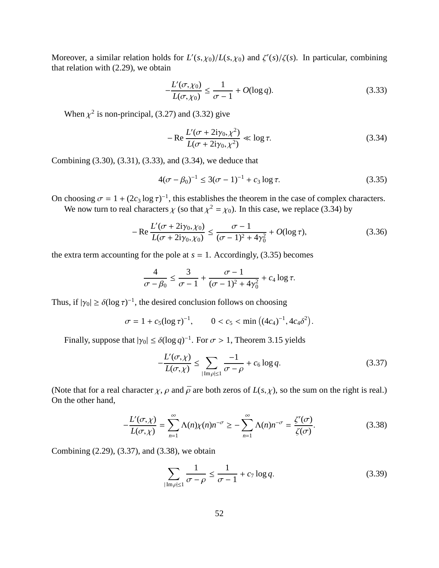Moreover, a similar relation holds for  $L'(s, \chi_0)/L(s, \chi_0)$  and  $\zeta'(s)/\zeta(s)$ . In particular, combining that relation with (2.29), we obtain

$$
-\frac{L'(\sigma,\chi_0)}{L(\sigma,\chi_0)} \le \frac{1}{\sigma-1} + O(\log q). \tag{3.33}
$$

When  $\chi^2$  is non-principal, (3.27) and (3.32) give

$$
-Re\frac{L'(\sigma + 2i\gamma_0, \chi^2)}{L(\sigma + 2i\gamma_0, \chi^2)} \ll \log \tau.
$$
 (3.34)

Combining (3.30), (3.31), (3.33), and (3.34), we deduce that

$$
4(\sigma - \beta_0)^{-1} \le 3(\sigma - 1)^{-1} + c_3 \log \tau.
$$
 (3.35)

On choosing  $\sigma = 1 + (2c_3 \log \tau)^{-1}$ , this establishes the theorem in the case of complex characters.

We now turn to real characters  $\chi$  (so that  $\chi^2 = \chi_0$ ). In this case, we replace (3.34) by

$$
-\operatorname{Re}\frac{L'(\sigma+2i\gamma_0,\chi_0)}{L(\sigma+2i\gamma_0,\chi_0)} \le \frac{\sigma-1}{(\sigma-1)^2+4\gamma_0^2} + O(\log \tau),\tag{3.36}
$$

the extra term accounting for the pole at  $s = 1$ . Accordingly, (3.35) becomes

$$
\frac{4}{\sigma - \beta_0} \le \frac{3}{\sigma - 1} + \frac{\sigma - 1}{(\sigma - 1)^2 + 4\gamma_0^2} + c_4 \log \tau.
$$

Thus, if  $|\gamma_0| \ge \delta (\log \tau)^{-1}$ , the desired conclusion follows on choosing

$$
\sigma = 1 + c_5(\log \tau)^{-1}, \qquad 0 < c_5 < \min\left((4c_4)^{-1}, 4c_4\delta^2\right).
$$

Finally, suppose that  $|\gamma_0| \le \delta(\log q)^{-1}$ . For  $\sigma > 1$ , Theorem 3.15 yields

$$
-\frac{L'(\sigma,\chi)}{L(\sigma,\chi)} \le \sum_{|\text{Im}\rho|\le 1} \frac{-1}{\sigma-\rho} + c_6 \log q. \tag{3.37}
$$

(Note that for a real character  $\chi$ ,  $\rho$  and  $\bar{\rho}$  are both zeros of  $L(s, \chi)$ , so the sum on the right is real.) On the other hand,

$$
-\frac{L'(\sigma,\chi)}{L(\sigma,\chi)} = \sum_{n=1}^{\infty} \Lambda(n)\chi(n)n^{-\sigma} \ge -\sum_{n=1}^{\infty} \Lambda(n)n^{-\sigma} = \frac{\zeta'(\sigma)}{\zeta(\sigma)}.
$$
 (3.38)

Combining (2.29), (3.37), and (3.38), we obtain

$$
\sum_{|\mathrm{Im}\,\rho|\leq 1} \frac{1}{\sigma - \rho} \leq \frac{1}{\sigma - 1} + c_7 \log q. \tag{3.39}
$$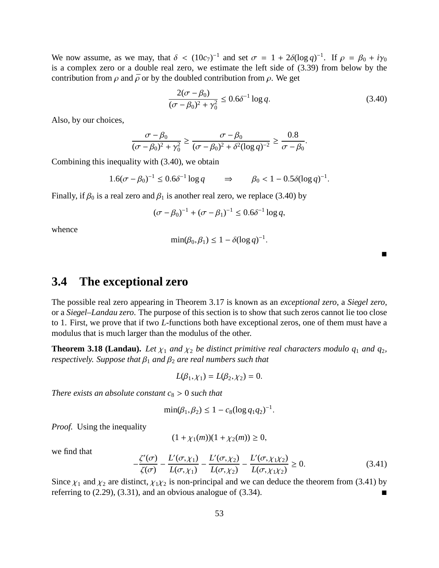We now assume, as we may, that  $\delta < (10c_7)^{-1}$  and set  $\sigma = 1 + 2\delta(\log q)^{-1}$ . If  $\rho = \beta_0 + i\gamma_0$ is a complex zero or a double real zero, we estimate the left side of (3.39) from below by the contribution from  $\rho$  and  $\bar{\rho}$  or by the doubled contribution from  $\rho$ . We get

$$
\frac{2(\sigma - \beta_0)}{(\sigma - \beta_0)^2 + \gamma_0^2} \le 0.6\delta^{-1} \log q.
$$
 (3.40)

Also, by our choices,

$$
\frac{\sigma - \beta_0}{(\sigma - \beta_0)^2 + \gamma_0^2} \ge \frac{\sigma - \beta_0}{(\sigma - \beta_0)^2 + \delta^2 (\log q)^{-2}} \ge \frac{0.8}{\sigma - \beta_0}.
$$

Combining this inequality with (3.40), we obtain

$$
1.6(\sigma - \beta_0)^{-1} \le 0.6\delta^{-1} \log q \implies \beta_0 < 1 - 0.5\delta(\log q)^{-1}.
$$

Finally, if  $\beta_0$  is a real zero and  $\beta_1$  is another real zero, we replace (3.40) by

$$
(\sigma - \beta_0)^{-1} + (\sigma - \beta_1)^{-1} \le 0.6\delta^{-1} \log q,
$$

whence

$$
\min(\beta_0, \beta_1) \leq 1 - \delta(\log q)^{-1}.
$$

 $\blacksquare$ 

### **3.4 The exceptional zero**

The possible real zero appearing in Theorem 3.17 is known as an *exceptional zero*, a *Siegel zero*, or a *Siegel–Landau zero*. The purpose of this section is to show that such zeros cannot lie too close to 1. First, we prove that if two *L*-functions both have exceptional zeros, one of them must have a modulus that is much larger than the modulus of the other.

**Theorem 3.18 (Landau).** Let  $\chi_1$  and  $\chi_2$  be distinct primitive real characters modulo  $q_1$  and  $q_2$ , *respectively. Suppose that*  $\beta_1$  *and*  $\beta_2$  *are real numbers such that* 

$$
L(\beta_1, \chi_1) = L(\beta_2, \chi_2) = 0.
$$

*There exists an absolute constant*  $c_8 > 0$  *such that* 

$$
\min(\beta_1, \beta_2) \le 1 - c_8 (\log q_1 q_2)^{-1}.
$$

*Proof.* Using the inequality

$$
(1 + \chi_1(m))(1 + \chi_2(m)) \ge 0,
$$

we find that

$$
-\frac{\zeta'(\sigma)}{\zeta(\sigma)} - \frac{L'(\sigma, \chi_1)}{L(\sigma, \chi_1)} - \frac{L'(\sigma, \chi_2)}{L(\sigma, \chi_2)} - \frac{L'(\sigma, \chi_1 \chi_2)}{L(\sigma, \chi_1 \chi_2)} \ge 0.
$$
\n(3.41)

Since  $\chi_1$  and  $\chi_2$  are distinct,  $\chi_1 \chi_2$  is non-principal and we can deduce the theorem from (3.41) by referring to  $(2.29)$ ,  $(3.31)$ , and an obvious analogue of  $(3.34)$ .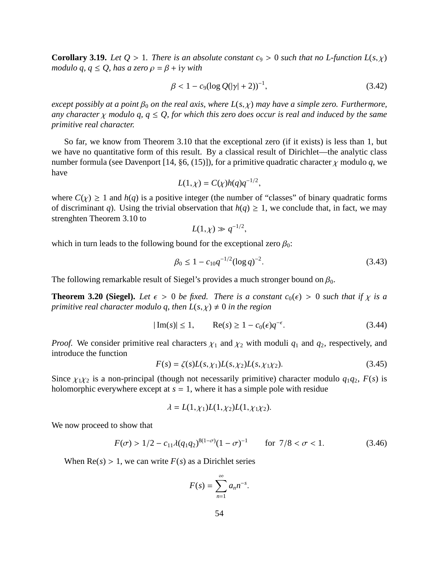**Corollary 3.19.** *Let*  $Q > 1$ *. There is an absolute constant c<sub>9</sub> > 0 <i>such that no L-function L(s, x) modulo q, q*  $\leq$  *Q, has a zero*  $\rho = \beta + i\gamma$  *with* 

$$
\beta < 1 - c_9 (\log Q(|\gamma| + 2))^{-1},\tag{3.42}
$$

*except possibly at a point*  $\beta_0$  *on the real axis, where*  $L(s, \chi)$  *may have a simple zero. Furthermore, any character*  $\chi$  *modulo q, q*  $\leq Q$ *, for which this zero does occur is real and induced by the same primitive real character.*

So far, we know from Theorem 3.10 that the exceptional zero (if it exists) is less than 1, but we have no quantitative form of this result. By a classical result of Dirichlet—the analytic class number formula (see Davenport [14, §6, (15)]), for a primitive quadratic character  $\chi$  modulo  $q$ , we have

$$
L(1,\chi) = C(\chi)h(q)q^{-1/2},
$$

where  $C(\chi) \ge 1$  and  $h(q)$  is a positive integer (the number of "classes" of binary quadratic forms of discriminant *q*). Using the trivial observation that  $h(q) \geq 1$ , we conclude that, in fact, we may strenghten Theorem 3.10 to

$$
L(1,\chi) \gg q^{-1/2},
$$

which in turn leads to the following bound for the exceptional zero  $\beta_0$ :

$$
\beta_0 \le 1 - c_{10} q^{-1/2} (\log q)^{-2}.
$$
\n(3.43)

The following remarkable result of Siegel's provides a much stronger bound on  $\beta_0$ .

**Theorem 3.20 (Siegel).** Let  $\epsilon > 0$  be fixed. There is a constant  $c_0(\epsilon) > 0$  such that if  $\chi$  is a *primitive real character modulo q, then*  $L(s, \chi) \neq 0$  *in the region* 

$$
|\operatorname{Im}(s)| \le 1, \qquad \operatorname{Re}(s) \ge 1 - c_0(\epsilon) q^{-\epsilon}.
$$
 (3.44)

*Proof.* We consider primitive real characters  $\chi_1$  and  $\chi_2$  with moduli  $q_1$  and  $q_2$ , respectively, and introduce the function

$$
F(s) = \zeta(s)L(s, \chi_1)L(s, \chi_2)L(s, \chi_1 \chi_2). \tag{3.45}
$$

Since  $\chi_1 \chi_2$  is a non-principal (though not necessarily primitive) character modulo  $q_1q_2$ ,  $F(s)$  is holomorphic everywhere except at  $s = 1$ , where it has a simple pole with residue

$$
\lambda = L(1, \chi_1)L(1, \chi_2)L(1, \chi_1 \chi_2).
$$

We now proceed to show that

$$
F(\sigma) > 1/2 - c_{11}\lambda (q_1 q_2)^{8(1-\sigma)}(1-\sigma)^{-1} \qquad \text{for } 7/8 < \sigma < 1.
$$
 (3.46)

When  $Re(s) > 1$ , we can write  $F(s)$  as a Dirichlet series

$$
F(s) = \sum_{n=1}^{\infty} a_n n^{-s}.
$$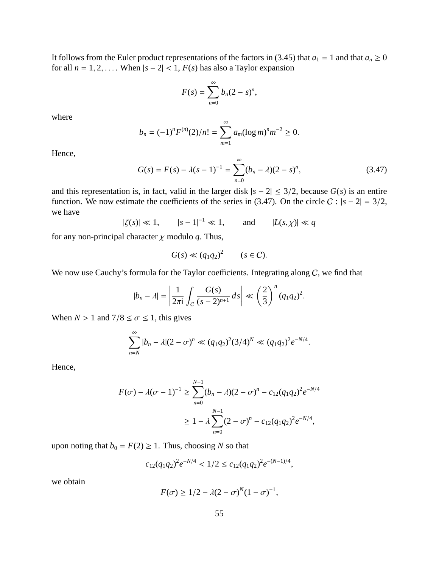It follows from the Euler product representations of the factors in (3.45) that  $a_1 = 1$  and that  $a_n \ge 0$ for all  $n = 1, 2, \ldots$  When  $|s - 2| < 1$ ,  $F(s)$  has also a Taylor expansion

$$
F(s)=\sum_{n=0}^{\infty}b_n(2-s)^n,
$$

where

$$
b_n = (-1)^n F^{(n)}(2)/n! = \sum_{m=1}^{\infty} a_m (\log m)^n m^{-2} \ge 0.
$$

Hence,

$$
G(s) = F(s) - \lambda(s-1)^{-1} = \sum_{n=0}^{\infty} (b_n - \lambda)(2 - s)^n,
$$
 (3.47)

and this representation is, in fact, valid in the larger disk  $|s - 2| \leq 3/2$ , because  $G(s)$  is an entire function. We now estimate the coefficients of the series in (3.47). On the circle  $C : |s - 2| = 3/2$ , we have

 $|\zeta(s)| \ll 1,$   $|s - 1|^{-1} \ll 1,$  and  $|L(s, \chi)| \ll q$ 

for any non-principal character  $\chi$  modulo  $q$ . Thus,

$$
G(s) \ll (q_1 q_2)^2 \qquad (s \in \mathcal{C}).
$$

We now use Cauchy's formula for the Taylor coefficients. Integrating along  $C$ , we find that

$$
|b_n - \lambda| = \left| \frac{1}{2\pi i} \int_C \frac{G(s)}{(s-2)^{n+1}} ds \right| \ll \left(\frac{2}{3}\right)^n (q_1 q_2)^2.
$$

When  $N > 1$  and  $7/8 \le \sigma \le 1$ , this gives

$$
\sum_{n=N}^{\infty} |b_n - \lambda (2 - \sigma)^n \ll (q_1 q_2)^2 (3/4)^N \ll (q_1 q_2)^2 e^{-N/4}.
$$

Hence,

$$
F(\sigma) - \lambda(\sigma - 1)^{-1} \ge \sum_{n=0}^{N-1} (b_n - \lambda)(2 - \sigma)^n - c_{12}(q_1 q_2)^2 e^{-N/4}
$$
  
 
$$
\ge 1 - \lambda \sum_{n=0}^{N-1} (2 - \sigma)^n - c_{12}(q_1 q_2)^2 e^{-N/4},
$$

upon noting that  $b_0 = F(2) \ge 1$ . Thus, choosing *N* so that

$$
c_{12}(q_1q_2)^2e^{-N/4} < 1/2 \le c_{12}(q_1q_2)^2e^{-(N-1)/4},
$$

we obtain

$$
F(\sigma) \ge 1/2 - \lambda(2 - \sigma)^N (1 - \sigma)^{-1},
$$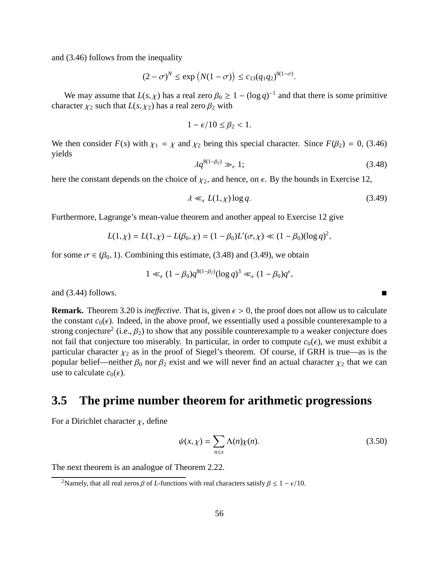and (3.46) follows from the inequality

$$
(2 - \sigma)^N \le \exp\left(N(1 - \sigma)\right) \le c_{13}(q_1 q_2)^{8(1 - \sigma)}.
$$

We may assume that  $L(s, \chi)$  has a real zero  $\beta_0 \geq 1 - (\log q)^{-1}$  and that there is some primitive character  $\chi_2$  such that  $L(s, \chi_2)$  has a real zero  $\beta_2$  with

$$
1-\epsilon/10\leq\beta_2<1.
$$

We then consider  $F(s)$  with  $\chi_1 = \chi$  and  $\chi_2$  being this special character. Since  $F(\beta_2) = 0$ , (3.46) yields

$$
\lambda q^{8(1-\beta_2)} \gg_{\epsilon} 1; \tag{3.48}
$$

here the constant depends on the choice of  $\chi_2$ , and hence, on  $\epsilon$ . By the bounds in Exercise 12,

$$
\lambda \ll_{\epsilon} L(1,\chi) \log q. \tag{3.49}
$$

Furthermore, Lagrange's mean-value theorem and another appeal to Exercise 12 give

$$
L(1,\chi) = L(1,\chi) - L(\beta_0,\chi) = (1 - \beta_0)L'(\sigma,\chi) \ll (1 - \beta_0)(\log q)^2,
$$

for some  $\sigma \in (\beta_0, 1)$ . Combining this estimate, (3.48) and (3.49), we obtain

$$
1 \ll_{\epsilon} (1 - \beta_0) q^{8(1 - \beta_2)} (\log q)^3 \ll_{\epsilon} (1 - \beta_0) q^{\epsilon},
$$

and (3.44) follows.

**Remark.** Theorem 3.20 is *ineffective*. That is, given  $\epsilon > 0$ , the proof does not allow us to calculate the constant  $c_0(\epsilon)$ . Indeed, in the above proof, we essentially used a possible counterexample to a strong conjecture<sup>2</sup> (i.e.,  $\beta_2$ ) to show that any possible counterexample to a weaker conjecture does not fail that conjecture too miserably. In particular, in order to compute  $c_0(\epsilon)$ , we must exhibit a particular character  $\chi_2$  as in the proof of Siegel's theorem. Of course, if GRH is true—as is the popular belief—neither  $\beta_0$  nor  $\beta_2$  exist and we will never find an actual character  $\chi_2$  that we can use to calculate  $c_0(\epsilon)$ .

# **3.5 The prime number theorem for arithmetic progressions**

For a Dirichlet character  $\chi$ , define

$$
\psi(x,\chi) = \sum_{n \le x} \Lambda(n)\chi(n). \tag{3.50}
$$

The next theorem is an analogue of Theorem 2.22.

<sup>&</sup>lt;sup>2</sup>Namely, that all real zeros  $\beta$  of *L*-functions with real characters satisfy  $\beta \leq 1 - \epsilon/10$ .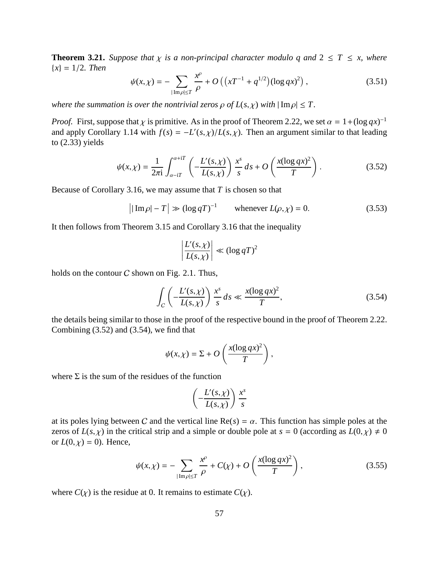**Theorem 3.21.** *Suppose that*  $\chi$  *is a non-principal character modulo q and*  $2 \leq T \leq x$ *, where* {*x*} = 1/2*. Then*

$$
\psi(x,\chi) = -\sum_{|\text{Im}\rho| \le T} \frac{x^{\rho}}{\rho} + O\left(\left(xT^{-1} + q^{1/2}\right) (\log qx)^2\right),\tag{3.51}
$$

*where the summation is over the nontrivial zeros*  $\rho$  *of*  $L(s, \chi)$  *with*  $|\operatorname{Im} \rho| \leq T$ .

*Proof.* First, suppose that  $\chi$  is primitive. As in the proof of Theorem 2.22, we set  $\alpha = 1 + (\log qx)^{-1}$ and apply Corollary 1.14 with  $f(s) = -L'(s, \chi)/L(s, \chi)$ . Then an argument similar to that leading to (2.33) yields

$$
\psi(x,\chi) = \frac{1}{2\pi i} \int_{\alpha-iT}^{\alpha+iT} \left( -\frac{L'(s,\chi)}{L(s,\chi)} \right) \frac{x^s}{s} ds + O\left(\frac{x(\log qx)^2}{T}\right).
$$
 (3.52)

Because of Corollary 3.16, we may assume that *T* is chosen so that

$$
\left| |\operatorname{Im} \rho| - T \right| \gg (\log q)^{-1} \qquad \text{whenever } L(\rho, \chi) = 0. \tag{3.53}
$$

It then follows from Theorem 3.15 and Corollary 3.16 that the inequality

$$
\left|\frac{L'(s,\chi)}{L(s,\chi)}\right| \ll (\log qT)^2
$$

holds on the contour  $C$  shown on Fig. 2.1. Thus,

$$
\int_C \left( -\frac{L'(s,\chi)}{L(s,\chi)} \right) \frac{x^s}{s} ds \ll \frac{x(\log qx)^2}{T},\tag{3.54}
$$

the details being similar to those in the proof of the respective bound in the proof of Theorem 2.22. Combining (3.52) and (3.54), we find that

$$
\psi(x,\chi)=\Sigma+O\left(\frac{x(\log qx)^2}{T}\right),\,
$$

where  $\Sigma$  is the sum of the residues of the function

$$
\left(-\frac{L'(s,\chi)}{L(s,\chi)}\right)\frac{x^s}{s}
$$

at its poles lying between C and the vertical line  $Re(s) = \alpha$ . This function has simple poles at the zeros of  $L(s, \chi)$  in the critical strip and a simple or double pole at  $s = 0$  (according as  $L(0, \chi) \neq 0$ or  $L(0, \chi) = 0$ ). Hence,

$$
\psi(x,\chi) = -\sum_{|\text{Im}\rho| \le T} \frac{x^{\rho}}{\rho} + C(\chi) + O\left(\frac{x(\log qx)^2}{T}\right),\tag{3.55}
$$

where  $C(\chi)$  is the residue at 0. It remains to estimate  $C(\chi)$ .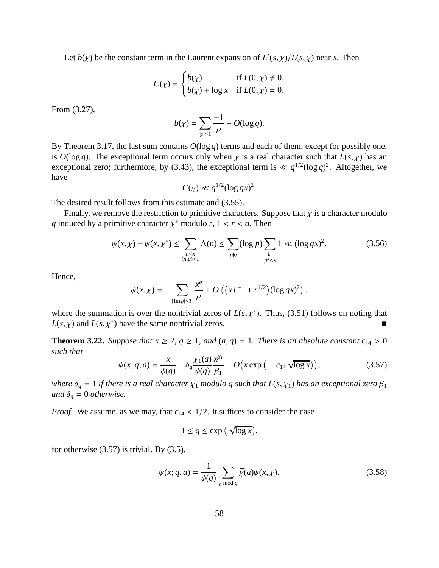Let  $b(\chi)$  be the constant term in the Laurent expansion of  $L'(s,\chi)/L(s,\chi)$  near *s*. Then

$$
C(\chi) = \begin{cases} b(\chi) & \text{if } L(0, \chi) \neq 0, \\ b(\chi) + \log \chi & \text{if } L(0, \chi) = 0. \end{cases}
$$

From (3.27),

$$
b(\chi) = \sum_{|\rho| \le 1} \frac{-1}{\rho} + O(\log q).
$$

By Theorem 3.17, the last sum contains *O*(log *q*) terms and each of them, except for possibly one, is  $O(\log q)$ . The exceptional term occurs only when  $\chi$  is a real character such that  $L(s, \chi)$  has an exceptional zero; furthermore, by (3.43), the exceptional term is  $\ll q^{1/2}(\log q)^2$ . Altogether, we have

$$
C(\chi) \ll q^{1/2} (\log qx)^2.
$$

The desired result follows from this estimate and (3.55).

Finally, we remove the restriction to primitive characters. Suppose that  $\chi$  is a character modulo *q* induced by a primitive character  $\chi^*$  modulo *r*,  $1 < r < q$ . Then

$$
\psi(x,\chi) - \psi(x,\chi^*) \le \sum_{\substack{n \le x \\ (n,q) > 1}} \Lambda(n) \le \sum_{p \mid q} (\log p) \sum_{\substack{k:\\p^k \le x}} 1 \ll (\log qx)^2. \tag{3.56}
$$

Hence,

$$
\psi(x,\chi) = -\sum_{|\text{Im}\rho| \leq T} \frac{x^{\rho}}{\rho} + O\left( \left( xT^{-1} + r^{1/2} \right) (\log qx)^2 \right),\,
$$

where the summation is over the nontrivial zeros of  $L(s, \chi^*)$ . Thus, (3.51) follows on noting that  $L(s, \chi)$  and  $L(s, \chi^*)$  have the same nontrivial zeros.

**Theorem 3.22.** *Suppose that*  $x \geq 2$ ,  $q \geq 1$ , and  $(a, q) = 1$ . *There is an absolute constant*  $c_{14} > 0$ *such that*

$$
\psi(x; q, a) = \frac{x}{\phi(q)} - \delta_q \frac{\chi_1(a)}{\phi(q)} \frac{x^{\beta_1}}{\beta_1} + O(x \exp(-c_{14} \sqrt{\log x})), \tag{3.57}
$$

*where*  $\delta_q = 1$  *if there is a real character*  $\chi_1$  *modulo q such that*  $L(s, \chi_1)$  *has an exceptional zero*  $\beta_1$ *and*  $\delta_q = 0$  *otherwise.* 

*Proof.* We assume, as we may, that  $c_{14} < 1/2$ . It suffices to consider the case

$$
1 \le q \le \exp\left(\sqrt{\log x}\right),\
$$

for otherwise  $(3.57)$  is trivial. By  $(3.5)$ ,

$$
\psi(x; q, a) = \frac{1}{\phi(q)} \sum_{\chi \bmod q} \bar{\chi}(a) \psi(x, \chi).
$$
\n(3.58)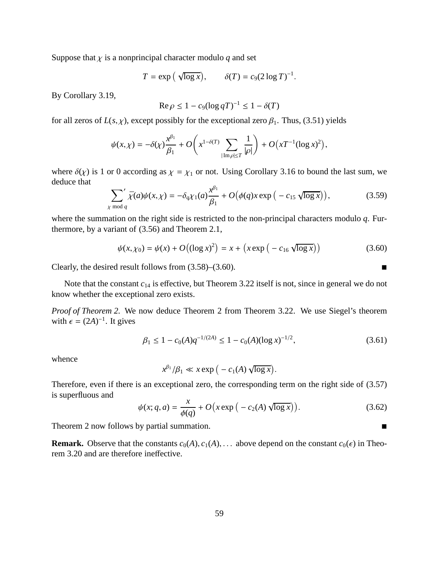Suppose that  $\chi$  is a nonprincipal character modulo  $q$  and set

$$
T = \exp\left(\sqrt{\log x}\right), \qquad \delta(T) = c_9 (2 \log T)^{-1}.
$$

By Corollary 3.19,

$$
\operatorname{Re}\rho \le 1 - c_9(\log qT)^{-1} \le 1 - \delta(T)
$$

for all zeros of  $L(s, \chi)$ , except possibly for the exceptional zero  $\beta_1$ . Thus, (3.51) yields

$$
\psi(x,\chi) = -\delta(\chi)\frac{x^{\beta_1}}{\beta_1} + O\left(x^{1-\delta(T)}\sum_{|\mathrm{Im}\,\rho|\leq T}\frac{1}{|\rho|}\right) + O\left(xT^{-1}(\log x)^2\right),
$$

where  $\delta(\chi)$  is 1 or 0 according as  $\chi = \chi_1$  or not. Using Corollary 3.16 to bound the last sum, we deduce that

$$
\sum_{\chi \bmod q'} \bar{\chi}(a)\psi(x,\chi) = -\delta_q \chi_1(a)\frac{\chi^{\beta_1}}{\beta_1} + O\big(\phi(q)x \exp\big(-c_{15}\sqrt{\log x}\big)\big),\tag{3.59}
$$

where the summation on the right side is restricted to the non-principal characters modulo *q*. Furthermore, by a variant of (3.56) and Theorem 2.1,

$$
\psi(x, \chi_0) = \psi(x) + O((\log x)^2) = x + (x \exp(-c_{16} \sqrt{\log x}))
$$
\n(3.60)

Clearly, the desired result follows from  $(3.58)$ – $(3.60)$ .

Note that the constant  $c_{14}$  is effective, but Theorem 3.22 itself is not, since in general we do not know whether the exceptional zero exists.

*Proof of Theorem 2.* We now deduce Theorem 2 from Theorem 3.22. We use Siegel's theorem with  $\epsilon = (2A)^{-1}$ . It gives

$$
\beta_1 \le 1 - c_0(A) q^{-1/(2A)} \le 1 - c_0(A) (\log x)^{-1/2},\tag{3.61}
$$

whence

$$
x^{\beta_1}/\beta_1 \ll x \exp\big(-c_1(A)\,\sqrt{\log x}\big).
$$

Therefore, even if there is an exceptional zero, the corresponding term on the right side of (3.57) is superfluous and

$$
\psi(x; q, a) = \frac{x}{\phi(q)} + O\left(x \exp\left(-c_2(A) \sqrt{\log x}\right)\right). \tag{3.62}
$$

Theorem 2 now follows by partial summation.

**Remark.** Observe that the constants  $c_0(A), c_1(A), \ldots$  above depend on the constant  $c_0(\epsilon)$  in Theorem 3.20 and are therefore ineffective.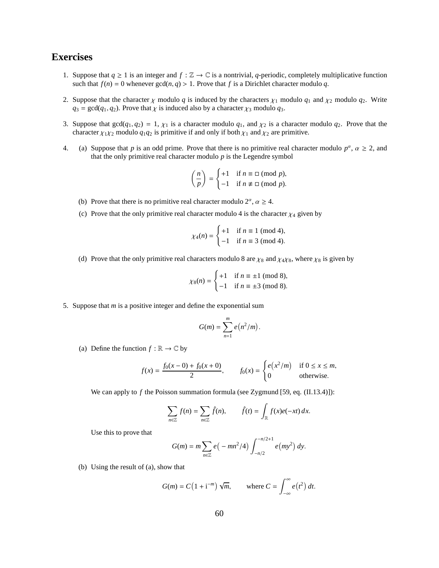#### **Exercises**

- 1. Suppose that  $q \ge 1$  is an integer and  $f : \mathbb{Z} \to \mathbb{C}$  is a nontrivial, q-periodic, completely multiplicative function such that  $f(n) = 0$  whenever  $gcd(n, q) > 1$ . Prove that *f* is a Dirichlet character modulo *q*.
- 2. Suppose that the character  $\chi$  modulo *q* is induced by the characters  $\chi_1$  modulo  $q_1$  and  $\chi_2$  modulo  $q_2$ . Write  $q_3 = \gcd(q_1, q_2)$ . Prove that  $\chi$  is induced also by a character  $\chi_3$  modulo  $q_3$ .
- 3. Suppose that  $gcd(q_1, q_2) = 1$ ,  $\chi_1$  is a character modulo  $q_1$ , and  $\chi_2$  is a character modulo  $q_2$ . Prove that the character  $\chi_1 \chi_2$  modulo  $q_1 q_2$  is primitive if and only if both  $\chi_1$  and  $\chi_2$  are primitive.
- 4. (a) Suppose that *p* is an odd prime. Prove that there is no primitive real character modulo  $p^{\alpha}$ ,  $\alpha \ge 2$ , and that the only primitive real character modulo *p* is the Legendre symbol

$$
\left(\frac{n}{p}\right) = \begin{cases} +1 & \text{if } n \equiv \square \pmod{p}, \\ -1 & \text{if } n \not\equiv \square \pmod{p}. \end{cases}
$$

- (b) Prove that there is no primitive real character modulo  $2^{\alpha}$ ,  $\alpha \ge 4$ .
- (c) Prove that the only primitive real character modulo 4 is the character  $\chi_4$  given by

$$
\chi_4(n) = \begin{cases} +1 & \text{if } n \equiv 1 \pmod{4}, \\ -1 & \text{if } n \equiv 3 \pmod{4}. \end{cases}
$$

(d) Prove that the only primitive real characters modulo 8 are  $\chi_8$  and  $\chi_4\chi_8$ , where  $\chi_8$  is given by

$$
\chi_8(n) = \begin{cases} +1 & \text{if } n \equiv \pm 1 \pmod{8}, \\ -1 & \text{if } n \equiv \pm 3 \pmod{8}. \end{cases}
$$

5. Suppose that *m* is a positive integer and define the exponential sum

$$
G(m) = \sum_{n=1}^{m} e(n^2/m).
$$

(a) Define the function  $f : \mathbb{R} \to \mathbb{C}$  by

$$
f(x) = \frac{f_0(x - 0) + f_0(x + 0)}{2}, \qquad f_0(x) = \begin{cases} e(x^2/m) & \text{if } 0 \le x \le m, \\ 0 & \text{otherwise.} \end{cases}
$$

We can apply to *f* the Poisson summation formula (see Zygmund [59, eq. (II.13.4)]):

$$
\sum_{n\in\mathbb{Z}} f(n) = \sum_{n\in\mathbb{Z}} \hat{f}(n), \qquad \hat{f}(t) = \int_{\mathbb{R}} f(x)e(-xt) dx.
$$

Use this to prove that

$$
G(m) = m \sum_{n \in \mathbb{Z}} e(-mn^2/4) \int_{-n/2}^{-n/2+1} e(my^2) dy.
$$

(b) Using the result of (a), show that

$$
G(m) = C\left(1 + i^{-m}\right)\sqrt{m}, \qquad \text{where } C = \int_{-\infty}^{\infty} e(t^2) \, dt.
$$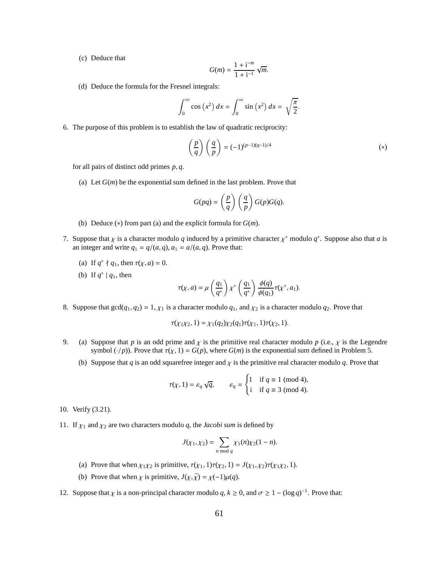(c) Deduce that

$$
G(m) = \frac{1 + i^{-m}}{1 + i^{-1}} \sqrt{m}.
$$

(d) Deduce the formula for the Fresnel integrals:

$$
\int_0^\infty \cos(x^2) \, dx = \int_0^\infty \sin(x^2) \, dx = \sqrt{\frac{\pi}{2}}.
$$

6. The purpose of this problem is to establish the law of quadratic reciprocity:

$$
\left(\frac{p}{q}\right)\left(\frac{q}{p}\right) = (-1)^{(p-1)(q-1)/4} \tag{*}
$$

for all pairs of distinct odd primes *p*, *q*.

(a) Let  $G(m)$  be the exponential sum defined in the last problem. Prove that

$$
G(pq) = \left(\frac{p}{q}\right) \left(\frac{q}{p}\right) G(p)G(q).
$$

- (b) Deduce (∗) from part (a) and the explicit formula for *G*(*m*).
- 7. Suppose that  $\chi$  is a character modulo  $q$  induced by a primitive character  $\chi^*$  modulo  $q^*$ . Suppose also that  $a$  is an integer and write  $q_1 = q/(a, q)$ ,  $a_1 = a/(a, q)$ . Prove that:
	- (a) If  $q^* \nmid q_1$ , then  $\tau(\chi, a) = 0$ .
	- (b) If  $q^* \mid q_1$ , then

$$
\tau(\chi, a) = \mu\left(\frac{q_1}{q^*}\right) \chi^*\left(\frac{q_1}{q^*}\right) \frac{\phi(q)}{\phi(q_1)} \tau(\chi^*, a_1).
$$

8. Suppose that  $gcd(q_1, q_2) = 1, \chi_1$  is a character modulo  $q_1$ , and  $\chi_2$  is a character modulo  $q_2$ . Prove that

$$
\tau(\chi_1\chi_2, 1) = \chi_1(q_2)\chi_2(q_1)\tau(\chi_1, 1)\tau(\chi_2, 1).
$$

- 9. (a) Suppose that *p* is an odd prime and  $\chi$  is the primitive real character modulo *p* (i.e.,  $\chi$  is the Legendre symbol  $(\cdot/p)$ ). Prove that  $\tau(\chi, 1) = G(p)$ , where  $G(m)$  is the exponential sum defined in Problem 5.
	- (b) Suppose that  $q$  is an odd squarefree integer and  $\chi$  is the primitive real character modulo  $q$ . Prove that

$$
\tau(\chi, 1) = \varepsilon_q \sqrt{q}, \qquad \varepsilon_q = \begin{cases} 1 & \text{if } q \equiv 1 \pmod{4}, \\ i & \text{if } q \equiv 3 \pmod{4}. \end{cases}
$$

- 10. Verify (3.21).
- 11. If  $\chi_1$  and  $\chi_2$  are two characters modulo *q*, the *Jacobi sum* is defined by

$$
J(\chi_1, \chi_2) = \sum_{n \bmod q} \chi_1(n) \chi_2(1 - n).
$$

- (a) Prove that when  $\chi_1 \chi_2$  is primitive,  $\tau(\chi_1, 1) \tau(\chi_2, 1) = J(\chi_1, \chi_2) \tau(\chi_1 \chi_2, 1)$ .
- (b) Prove that when  $\chi$  is primitive,  $J(\chi, \bar{\chi}) = \chi(-1)\mu(q)$ .
- 12. Suppose that  $\chi$  is a non-principal character modulo  $q, k \ge 0$ , and  $\sigma \ge 1 (\log q)^{-1}$ . Prove that: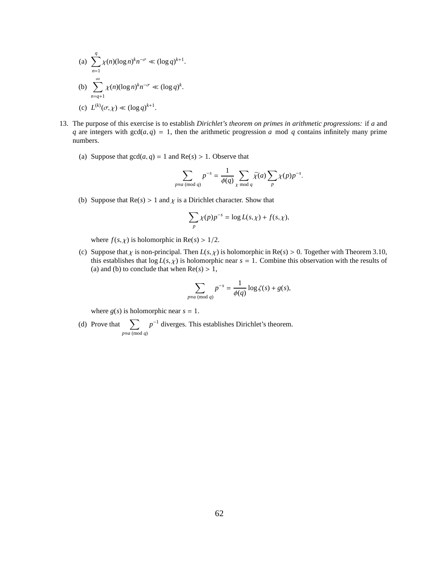(a) 
$$
\sum_{n=1}^{q} \chi(n) (\log n)^k n^{-\sigma} \ll (\log q)^{k+1}.
$$
  
\n(b) 
$$
\sum_{n=q+1}^{\infty} \chi(n) (\log n)^k n^{-\sigma} \ll (\log q)^k.
$$
  
\n(c) 
$$
L^{(k)}(\sigma, \chi) \ll (\log q)^{k+1}.
$$

- 13. The purpose of this exercise is to establish *Dirichlet's theorem on primes in arithmetic progressions:* if *a* and *q* are integers with  $gcd(a, q) = 1$ , then the arithmetic progression *a* mod *q* contains infinitely many prime numbers.
	- (a) Suppose that  $gcd(a, q) = 1$  and  $Re(s) > 1$ . Observe that

$$
\sum_{p \equiv a \pmod{q}} p^{-s} = \frac{1}{\phi(q)} \sum_{\chi \bmod{q}} \bar{\chi}(a) \sum_{p} \chi(p) p^{-s}.
$$

(b) Suppose that  $\text{Re}(s) > 1$  and  $\chi$  is a Dirichlet character. Show that

$$
\sum_{p} \chi(p)p^{-s} = \log L(s, \chi) + f(s, \chi),
$$

where  $f(s, \chi)$  is holomorphic in Re( $s$ ) > 1/2.

(c) Suppose that  $\chi$  is non-principal. Then  $L(s, \chi)$  is holomorphic in Re( $s$ ) > 0. Together with Theorem 3.10, this establishes that  $\log L(s, \chi)$  is holomorphic near  $s = 1$ . Combine this observation with the results of (a) and (b) to conclude that when  $Re(s) > 1$ ,

$$
\sum_{p \equiv a \pmod{q}} p^{-s} = \frac{1}{\phi(q)} \log \zeta(s) + g(s),
$$

where  $g(s)$  is holomorphic near  $s = 1$ .

(d) Prove that  $\sum$ *p*≡*a* (mod *q*)  $p$ <sup>-1</sup> diverges. This establishes Dirichlet's theorem.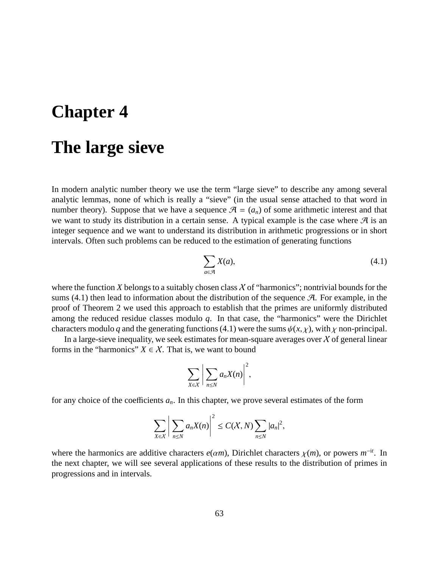# **Chapter 4**

# **The large sieve**

In modern analytic number theory we use the term "large sieve" to describe any among several analytic lemmas, none of which is really a "sieve" (in the usual sense attached to that word in number theory). Suppose that we have a sequence  $\mathcal{A} = (a_n)$  of some arithmetic interest and that we want to study its distribution in a certain sense. A typical example is the case where  $\mathcal{A}$  is an integer sequence and we want to understand its distribution in arithmetic progressions or in short intervals. Often such problems can be reduced to the estimation of generating functions

$$
\sum_{a \in \mathcal{A}} X(a),\tag{4.1}
$$

where the function  $X$  belongs to a suitably chosen class  $X$  of "harmonics"; nontrivial bounds for the sums  $(4.1)$  then lead to information about the distribution of the sequence  $\mathcal{A}$ . For example, in the proof of Theorem 2 we used this approach to establish that the primes are uniformly distributed among the reduced residue classes modulo *q*. In that case, the "harmonics" were the Dirichlet characters modulo *q* and the generating functions (4.1) were the sums  $\psi(x, \chi)$ , with  $\chi$  non-principal.

In a large-sieve inequality, we seek estimates for mean-square averages over  $\chi$  of general linear forms in the "harmonics"  $X \in \mathcal{X}$ . That is, we want to bound

$$
\sum_{X\in\mathcal{X}}\bigg|\sum_{n\leq N}a_nX(n)\bigg|^2,
$$

for any choice of the coefficients  $a_n$ . In this chapter, we prove several estimates of the form

$$
\sum_{X\in\mathcal{X}}\bigg|\sum_{n\leq N}a_nX(n)\bigg|^2\leq C(\mathcal{X},N)\sum_{n\leq N}|a_n|^2,
$$

where the harmonics are additive characters  $e(\alpha m)$ , Dirichlet characters  $\chi(m)$ , or powers  $m^{-it}$ . In the next chapter, we will see several applications of these results to the distribution of primes in progressions and in intervals.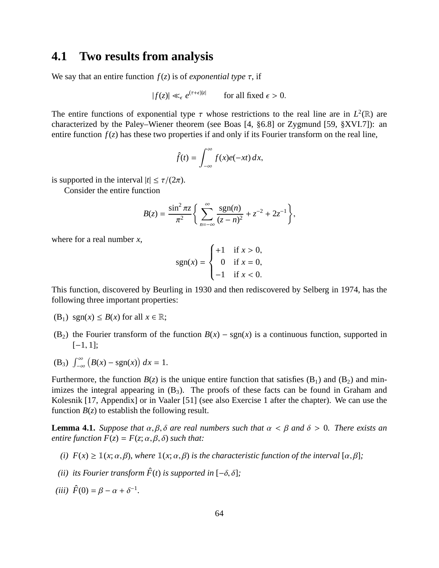### **4.1 Two results from analysis**

We say that an entire function  $f(z)$  is of *exponential type*  $\tau$ , if

$$
|f(z)| \ll_{\epsilon} e^{(\tau + \epsilon)|z|} \qquad \text{for all fixed } \epsilon > 0.
$$

The entire functions of exponential type  $\tau$  whose restrictions to the real line are in  $L^2(\mathbb{R})$  are characterized by the Paley–Wiener theorem (see Boas [4, §6.8] or Zygmund [59, §XVI.7]): an entire function  $f(z)$  has these two properties if and only if its Fourier transform on the real line,

$$
\hat{f}(t) = \int_{-\infty}^{\infty} f(x)e(-xt) dx,
$$

is supported in the interval  $|t| \le \tau/(2\pi)$ .

Consider the entire function

$$
B(z) = \frac{\sin^2 \pi z}{\pi^2} \left\{ \sum_{n=-\infty}^{\infty} \frac{\text{sgn}(n)}{(z-n)^2} + z^{-2} + 2z^{-1} \right\},\,
$$

where for a real number *x*,

$$
sgn(x) = \begin{cases} +1 & \text{if } x > 0, \\ 0 & \text{if } x = 0, \\ -1 & \text{if } x < 0. \end{cases}
$$

This function, discovered by Beurling in 1930 and then rediscovered by Selberg in 1974, has the following three important properties:

- (B<sub>1</sub>) sgn(*x*)  $\leq B(x)$  for all  $x \in \mathbb{R}$ ;
- (B<sub>2</sub>) the Fourier transform of the function  $B(x) \text{sgn}(x)$  is a continuous function, supported in  $[-1, 1]$ ;
- (B<sub>3</sub>)  $\int_{-\infty}^{\infty} (B(x) \text{sgn}(x)) dx = 1.$

Furthermore, the function  $B(z)$  is the unique entire function that satisfies  $(B_1)$  and  $(B_2)$  and minimizes the integral appearing in  $(B_3)$ . The proofs of these facts can be found in Graham and Kolesnik [17, Appendix] or in Vaaler [51] (see also Exercise 1 after the chapter). We can use the function  $B(z)$  to establish the following result.

**Lemma 4.1.** *Suppose that*  $\alpha, \beta, \delta$  *are real numbers such that*  $\alpha < \beta$  *and*  $\delta > 0$ *. There exists an entire function*  $F(z) = F(z; \alpha, \beta, \delta)$  *such that:* 

- (*i*)  $F(x) \geq \mathbb{1}(x; \alpha, \beta)$ , where  $\mathbb{1}(x; \alpha, \beta)$  is the characteristic function of the interval  $[\alpha, \beta]$ ;
- *(ii) its Fourier transform*  $\hat{F}(t)$  *is supported in*  $[-\delta, \delta]$ *;*

(*iii*)  $\hat{F}(0) = \beta - \alpha + \delta^{-1}$ .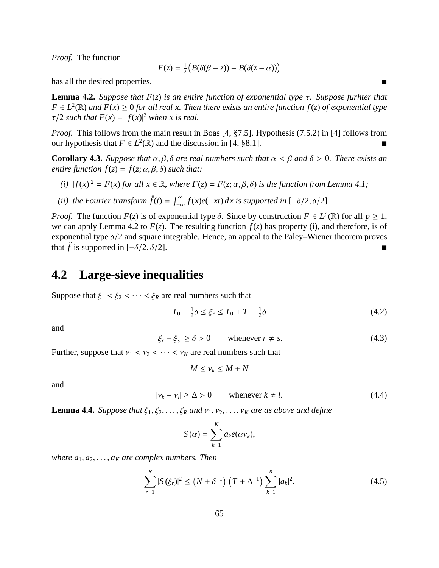*Proof.* The function

$$
F(z) = \frac{1}{2} \big( B(\delta(\beta - z)) + B(\delta(z - \alpha)) \big)
$$

has all the desired properties.

**Lemma 4.2.** *Suppose that F*(*z*) *is an entire function of exponential type* τ*. Suppose furhter that*  $F \in L^2(\mathbb{R})$  *and*  $F(x) \ge 0$  *for all real x. Then there exists an entire function*  $f(z)$  *of exponential type*  $\tau/2$  *such that*  $F(x) = |f(x)|^2$  *when x is real.* 

*Proof.* This follows from the main result in Boas [4, §7.5]. Hypothesis (7.5.2) in [4] follows from our hypothesis that  $F \in L^2(\mathbb{R})$  and the discussion in [4, §8.1].

**Corollary 4.3.** *Suppose that* α, β, δ *are real numbers such that* α < β *and* δ > 0*. There exists an entire function*  $f(z) = f(z; \alpha, \beta, \delta)$  *such that:* 

- (*i*)  $|f(x)|^2 = F(x)$  *for all*  $x \in \mathbb{R}$ *, where*  $F(z) = F(z; \alpha, \beta, \delta)$  *is the function from Lemma 4.1;*
- (*ii*) the Fourier transform  $\hat{f}(t) = \int_{-\infty}^{\infty} f(x)e(-xt) dx$  is supported in  $[-\delta/2, \delta/2]$ *.*

*Proof.* The function  $F(z)$  is of exponential type  $\delta$ . Since by construction  $F \in L^p(\mathbb{R})$  for all  $p \ge 1$ , we can apply Lemma 4.2 to  $F(z)$ . The resulting function  $f(z)$  has property (i), and therefore, is of exponential type  $\delta/2$  and square integrable. Hence, an appeal to the Paley–Wiener theorem proves that  $\hat{f}$  is supported in  $[-\delta/2, \delta/2]$ .

## **4.2 Large-sieve inequalities**

Suppose that  $\xi_1 < \xi_2 < \cdots < \xi_R$  are real numbers such that

$$
T_0 + \frac{1}{2}\delta \le \xi_r \le T_0 + T - \frac{1}{2}\delta
$$
\n(4.2)

and

$$
|\xi_r - \xi_s| \ge \delta > 0 \qquad \text{whenever } r \neq s. \tag{4.3}
$$

Further, suppose that  $v_1 < v_2 < \cdots < v_K$  are real numbers such that

$$
M\leq \nu_k\leq M+N
$$

and

$$
|\nu_k - \nu_l| \ge \Delta > 0 \qquad \text{whenever } k \neq l. \tag{4.4}
$$

**Lemma 4.4.** *Suppose that*  $\xi_1, \xi_2, \ldots, \xi_R$  *and*  $v_1, v_2, \ldots, v_K$  *are as above and define* 

$$
S(\alpha) = \sum_{k=1}^K a_k e(\alpha v_k),
$$

*where*  $a_1, a_2, \ldots, a_k$  *are complex numbers. Then* 

$$
\sum_{r=1}^{R} |S(\xi_r)|^2 \le (N + \delta^{-1}) \left( T + \Delta^{-1} \right) \sum_{k=1}^{K} |a_k|^2.
$$
 (4.5)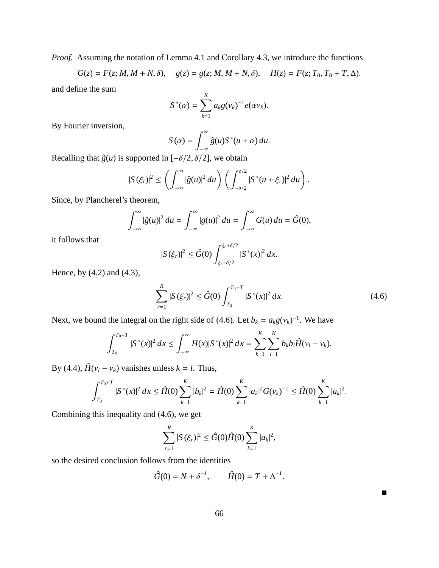*Proof.* Assuming the notation of Lemma 4.1 and Corollary 4.3, we introduce the functions

$$
G(z) = F(z; M, M + N, \delta), \quad g(z) = g(z; M, M + N, \delta), \quad H(z) = F(z; T_0, T_0 + T, \Delta).
$$

and define the sum

$$
S^*(\alpha) = \sum_{k=1}^K a_k g(\nu_k)^{-1} e(\alpha \nu_k).
$$

By Fourier inversion,

$$
S(\alpha) = \int_{-\infty}^{\infty} \hat{g}(u) S^*(u + \alpha) du.
$$

Recalling that  $\hat{g}(u)$  is supported in  $[-\delta/2, \delta/2]$ , we obtain

$$
|S(\xi_r)|^2 \leq \left(\int_{-\infty}^{\infty} |\hat{g}(u)|^2 du\right) \left(\int_{-\delta/2}^{\delta/2} |S^*(u+\xi_r)|^2 du\right).
$$

Since, by Plancherel's theorem,

$$
\int_{-\infty}^{\infty} |\hat{g}(u)|^2 du = \int_{-\infty}^{\infty} |g(u)|^2 du = \int_{-\infty}^{\infty} G(u) du = \hat{G}(0),
$$

it follows that

$$
|S(\xi_r)|^2 \leq \hat{G}(0) \int_{\xi_r - \delta/2}^{\xi_r + \delta/2} |S^*(x)|^2 dx.
$$

Hence, by (4.2) and (4.3),

$$
\sum_{r=1}^{R} |S(\xi_r)|^2 \le \hat{G}(0) \int_{T_0}^{T_0+T} |S^*(x)|^2 dx.
$$
 (4.6)

Next, we bound the integral on the right side of (4.6). Let  $b_k = a_k g(v_k)^{-1}$ . We have

$$
\int_{T_0}^{T_0+T} |S^*(x)|^2 dx \leq \int_{-\infty}^{\infty} H(x) |S^*(x)|^2 dx = \sum_{k=1}^K \sum_{l=1}^K b_k \overline{b}_l \hat{H}(v_l - v_k).
$$

By (4.4),  $\hat{H}(v_l - v_k)$  vanishes unless  $k = l$ . Thus,

$$
\int_{T_0}^{T_0+T} |S^*(x)|^2 dx \leq \hat{H}(0) \sum_{k=1}^K |b_k|^2 = \hat{H}(0) \sum_{k=1}^K |a_k|^2 G(\nu_k)^{-1} \leq \hat{H}(0) \sum_{k=1}^K |a_k|^2.
$$

Combining this inequality and (4.6), we get

$$
\sum_{r=1}^{R} |S(\xi_r)|^2 \leq \hat{G}(0)\hat{H}(0)\sum_{k=1}^{K} |a_k|^2,
$$

so the desired conclusion follows from the identities

$$
\hat{G}(0) = N + \delta^{-1}, \qquad \hat{H}(0) = T + \Delta^{-1}.
$$

 $\blacksquare$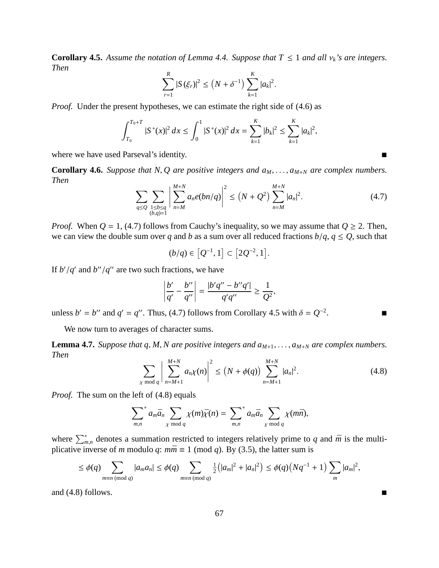**Corollary 4.5.** Assume the notation of Lemma 4.4. Suppose that  $T \leq 1$  and all  $v_k$ 's are integers. *Then*

$$
\sum_{r=1}^{R} |S(\xi_r)|^2 \le (N + \delta^{-1}) \sum_{k=1}^{K} |a_k|^2.
$$

*Proof.* Under the present hypotheses, we can estimate the right side of (4.6) as

$$
\int_{T_0}^{T_0+T} |S^*(x)|^2 dx \le \int_0^1 |S^*(x)|^2 dx = \sum_{k=1}^K |b_k|^2 \le \sum_{k=1}^K |a_k|^2,
$$

where we have used Parseval's identity.

**Corollary 4.6.** *Suppose that N, Q are positive integers and*  $a_M$ *, ...,*  $a_{M+N}$  *are complex numbers. Then*

$$
\sum_{q \le Q} \sum_{\substack{1 \le b \le q \\ (b,q)=1}} \left| \sum_{n=M}^{M+N} a_n e(bn/q) \right|^2 \le \left( N + Q^2 \right) \sum_{n=M}^{M+N} |a_n|^2. \tag{4.7}
$$

*K*

*Proof.* When  $Q = 1$ , (4.7) follows from Cauchy's inequality, so we may assume that  $Q \ge 2$ . Then, we can view the double sum over *q* and *b* as a sum over all reduced fractions  $b/q$ ,  $q \le Q$ , such that

$$
(b/q) \in [Q^{-1}, 1] \subset [2Q^{-2}, 1].
$$

If  $b'/q'$  and  $b''/q''$  are two such fractions, we have

$$
\left|\frac{b'}{q'}-\frac{b''}{q''}\right|=\frac{|b'q''-b''q'|}{q'q''}\geq \frac{1}{Q^2},
$$

unless  $b' = b''$  and  $q' = q''$ . Thus, (4.7) follows from Corollary 4.5 with  $\delta = Q^{-2}$ .

We now turn to averages of character sums.

**Lemma 4.7.** *Suppose that q, M, N are positive integers and*  $a_{M+1}, \ldots, a_{M+N}$  *are complex numbers. Then*

$$
\sum_{\chi \bmod q} \left| \sum_{n=M+1}^{M+N} a_n \chi(n) \right|^2 \le (N + \phi(q)) \sum_{n=M+1}^{M+N} |a_n|^2.
$$
 (4.8)

*Proof.* The sum on the left of (4.8) equals

$$
\sum_{m,n}^* a_m \bar{a}_n \sum_{\chi \bmod q} \chi(m) \bar{\chi}(n) = \sum_{m,n}^* a_m \bar{a}_n \sum_{\chi \bmod q} \chi(m \bar{n}),
$$

where  $\sum_{m,n}^*$  denotes a summation restricted to integers relatively prime to *q* and  $\bar{m}$  is the multiplicative inverse of *m* modulo *q*:  $m\bar{m} \equiv 1 \pmod{q}$ . By (3.5), the latter sum is

$$
\leq \phi(q) \sum_{m \equiv n \pmod{q}} |a_m a_n| \leq \phi(q) \sum_{m \equiv n \pmod{q}} \frac{1}{2} (|a_m|^2 + |a_n|^2) \leq \phi(q) (Nq^{-1} + 1) \sum_m |a_m|^2,
$$

and  $(4.8)$  follows.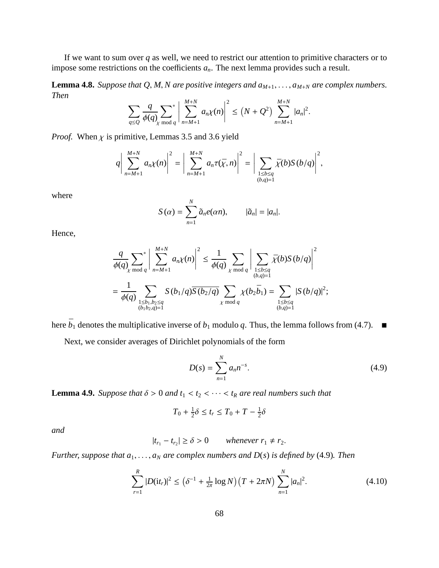If we want to sum over *q* as well, we need to restrict our attention to primitive characters or to impose some restrictions on the coefficients *an*. The next lemma provides such a result.

**Lemma 4.8.** *Suppose that Q, M, N are positive integers and*  $a_{M+1}, \ldots, a_{M+N}$  *are complex numbers. Then*

$$
\sum_{q\leq Q} \frac{q}{\phi(q)} \sum_{\chi \bmod q}^* \left| \sum_{n=M+1}^{M+N} a_n \chi(n) \right|^2 \leq (N+Q^2) \sum_{n=M+1}^{M+N} |a_n|^2.
$$

*Proof.* When  $\chi$  is primitive, Lemmas 3.5 and 3.6 yield

$$
q\bigg|\sum_{n=M+1}^{M+N}a_n\chi(n)\bigg|^2=\bigg|\sum_{n=M+1}^{M+N}a_n\tau(\bar{\chi},n)\bigg|^2=\bigg|\sum_{\substack{1\leq b\leq q\\(b,q)=1}}\bar{\chi}(b)S(b/q)\bigg|^2,
$$

where

$$
S(\alpha) = \sum_{n=1}^{N} \tilde{a}_n e(\alpha n), \qquad |\tilde{a}_n| = |a_n|.
$$

Hence,

$$
\frac{q}{\phi(q)} \sum_{\chi \bmod q}^* \left| \sum_{n=M+1}^{M+N} a_n \chi(n) \right|^2 \le \frac{1}{\phi(q)} \sum_{\chi \bmod q} \left| \sum_{\substack{1 \le b \le q \\ (b,q)=1}} \bar{\chi}(b) S(b/q) \right|^2
$$
  
= 
$$
\frac{1}{\phi(q)} \sum_{\substack{1 \le b_1, b_2 \le q \\ (b_1 b_2, q) = 1}} S(b_1/q) \overline{S(b_2/q)} \sum_{\chi \bmod q} \chi(b_2 \bar{b}_1) = \sum_{\substack{1 \le b \le q \\ (b,q)=1}} |S(b/q)|^2;
$$

here  $\bar{b}_1$  denotes the multiplicative inverse of  $b_1$  modulo  $q$ . Thus, the lemma follows from (4.7).  $\blacksquare$ 

Next, we consider averages of Dirichlet polynomials of the form

$$
D(s) = \sum_{n=1}^{N} a_n n^{-s}.
$$
 (4.9)

**Lemma 4.9.** *Suppose that*  $\delta > 0$  *and*  $t_1 < t_2 < \cdots < t_R$  *are real numbers such that* 

$$
T_0 + \frac{1}{2}\delta \le t_r \le T_0 + T - \frac{1}{2}\delta
$$

*and*

$$
|t_{r_1}-t_{r_2}|\geq \delta>0\qquad\text{whenever }r_1\neq r_2.
$$

*Further, suppose that a*1, . . . , *a<sup>N</sup> are complex numbers and D*(*s*) *is defined by* (4.9)*. Then*

$$
\sum_{r=1}^{R} |D(\mathrm{i}t_r)|^2 \le (\delta^{-1} + \frac{1}{2\pi} \log N) (T + 2\pi N) \sum_{n=1}^{N} |a_n|^2.
$$
 (4.10)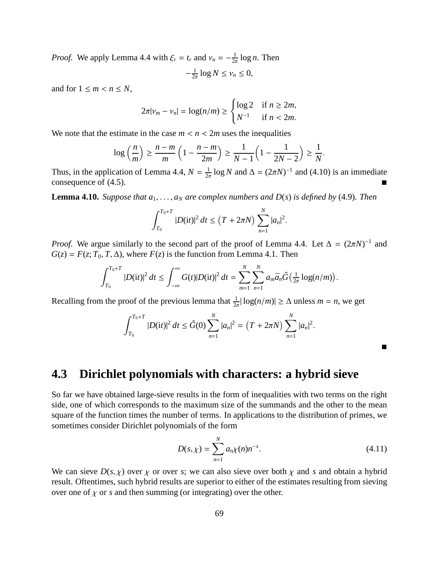*Proof.* We apply Lemma 4.4 with  $\xi_r = t_r$  and  $v_n = -\frac{1}{2r}$  $\frac{1}{2\pi} \log n$ . Then

$$
-\frac{1}{2\pi}\log N \leq \nu_n \leq 0,
$$

and for  $1 \leq m < n \leq N$ ,

$$
2\pi |\nu_m - \nu_n| = \log(n/m) \ge \begin{cases} \log 2 & \text{if } n \ge 2m, \\ N^{-1} & \text{if } n < 2m. \end{cases}
$$

We note that the estimate in the case  $m < n < 2m$  uses the inequalities

$$
\log\left(\frac{n}{m}\right) \ge \frac{n-m}{m}\left(1 - \frac{n-m}{2m}\right) \ge \frac{1}{N-1}\left(1 - \frac{1}{2N-2}\right) \ge \frac{1}{N}.
$$

Thus, in the application of Lemma 4.4,  $N = \frac{1}{2}$  $\frac{1}{2\pi}$  log *N* and  $\Delta = (2\pi N)^{-1}$  and (4.10) is an immediate consequence of  $(4.5)$ .

**Lemma 4.10.** *Suppose that*  $a_1, \ldots, a_N$  *are complex numbers and*  $D(s)$  *is defined by* (4.9)*. Then* 

$$
\int_{T_0}^{T_0+T} |D(\mathrm{i}t)|^2 dt \le (T+2\pi N) \sum_{n=1}^N |a_n|^2.
$$

*Proof.* We argue similarly to the second part of the proof of Lemma 4.4. Let  $\Delta = (2\pi N)^{-1}$  and  $G(z) = F(z; T_0, T, \Delta)$ , where  $F(z)$  is the function from Lemma 4.1. Then

$$
\int_{T_0}^{T_0+T} |D(\mathrm{i} t)|^2 \, dt \leq \int_{-\infty}^{\infty} G(t) |D(\mathrm{i} t)|^2 \, dt = \sum_{m=1}^N \sum_{n=1}^N a_m \bar{a}_n \hat{G}\left(\frac{1}{2\pi} \log(n/m)\right).
$$

Recalling from the proof of the previous lemma that  $\frac{1}{2\pi} |\log(n/m)| \ge \Delta$  unless  $m = n$ , we get

$$
\int_{T_0}^{T_0+T} |D(\mathrm{i}t)|^2 dt \leq \hat{G}(0) \sum_{n=1}^N |a_n|^2 = \left(T + 2\pi N\right) \sum_{n=1}^N |a_n|^2.
$$

**4.3 Dirichlet polynomials with characters: a hybrid sieve**

So far we have obtained large-sieve results in the form of inequalities with two terms on the right side, one of which corresponds to the maximum size of the summands and the other to the mean square of the function times the number of terms. In applications to the distribution of primes, we sometimes consider Dirichlet polynomials of the form

$$
D(s,\chi) = \sum_{n=1}^{N} a_n \chi(n) n^{-s}.
$$
\n(4.11)

 $\blacksquare$ 

We can sieve  $D(s, \chi)$  over  $\chi$  or over *s*; we can also sieve over both  $\chi$  and *s* and obtain a hybrid result. Oftentimes, such hybrid results are superior to either of the estimates resulting from sieving over one of  $\chi$  or *s* and then summing (or integrating) over the other.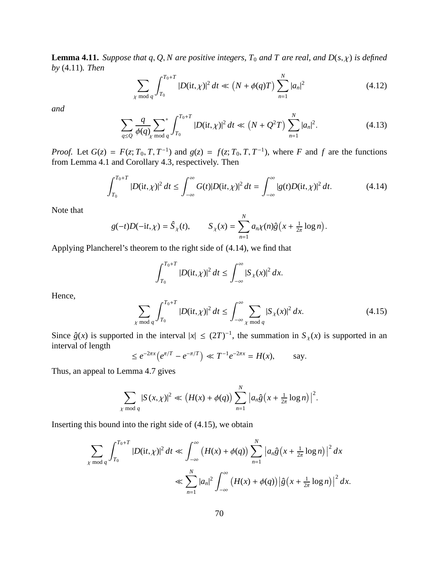**Lemma 4.11.** *Suppose that q, Q, N are positive integers, T<sub>0</sub> and T are real, and*  $D(s, \chi)$  *is defined by* (4.11)*. Then*

$$
\sum_{\chi \bmod q} \int_{T_0}^{T_0+T} |D(\mathrm{i}t, \chi)|^2 \, dt \ll \left(N + \phi(q)T\right) \sum_{n=1}^N |a_n|^2 \tag{4.12}
$$

*and*

$$
\sum_{q\leq Q} \frac{q}{\phi(q)} \sum_{\chi \bmod q} \int_{T_0}^{T_0+T} |D(\mathrm{i}t, \chi)|^2 \, dt \ll \left(N + Q^2 T\right) \sum_{n=1}^N |a_n|^2. \tag{4.13}
$$

*Proof.* Let  $G(z) = F(z; T_0, T, T^{-1})$  and  $g(z) = f(z; T_0, T, T^{-1})$ , where *F* and *f* are the functions from Lemma 4.1 and Corollary 4.3, respectively. Then

$$
\int_{T_0}^{T_0+T} |D(\mathrm{i}t,\chi)|^2 \, dt \le \int_{-\infty}^{\infty} G(t) |D(\mathrm{i}t,\chi)|^2 \, dt = \int_{-\infty}^{\infty} |g(t)D(\mathrm{i}t,\chi)|^2 \, dt. \tag{4.14}
$$

Note that

$$
g(-t)D(-it,\chi) = \hat{S}_{\chi}(t), \qquad S_{\chi}(x) = \sum_{n=1}^{N} a_n \chi(n)\hat{g}\left(x + \frac{1}{2\pi} \log n\right)
$$

Applying Plancherel's theorem to the right side of (4.14), we find that

$$
\int_{T_0}^{T_0+T} |D(\mathrm{i}t,\chi)|^2 dt \leq \int_{-\infty}^{\infty} |S_{\chi}(x)|^2 dx.
$$

Hence,

$$
\sum_{\chi \bmod q} \int_{T_0}^{T_0+T} |D(\mathrm{i}t, \chi)|^2 \, dt \le \int_{-\infty}^{\infty} \sum_{\chi \bmod q} |S_{\chi}(x)|^2 \, dx. \tag{4.15}
$$

.

Since  $\hat{g}(x)$  is supported in the interval  $|x| \leq (2T)^{-1}$ , the summation in  $S_{\chi}(x)$  is supported in an interval of length

$$
\leq e^{-2\pi x} \left( e^{\pi/T} - e^{-\pi/T} \right) \ll T^{-1} e^{-2\pi x} = H(x),
$$
 say.

Thus, an appeal to Lemma 4.7 gives

$$
\sum_{\chi \bmod q} |S(x,\chi)|^2 \ll \left(H(x) + \phi(q)\right) \sum_{n=1}^N \left| a_n \hat{g}\left(x + \frac{1}{2\pi} \log n\right) \right|^2.
$$

Inserting this bound into the right side of (4.15), we obtain

$$
\sum_{\chi \bmod q} \int_{T_0}^{T_0+T} |D(\mathrm{i}t,\chi)|^2 dt \ll \int_{-\infty}^{\infty} (H(x)+\phi(q)) \sum_{n=1}^N |a_n \hat{g}(x+\tfrac{1}{2\pi}\log n)|^2 dx
$$
  

$$
\ll \sum_{n=1}^N |a_n|^2 \int_{-\infty}^{\infty} (H(x)+\phi(q)) |\hat{g}(x+\tfrac{1}{2\pi}\log n)|^2 dx.
$$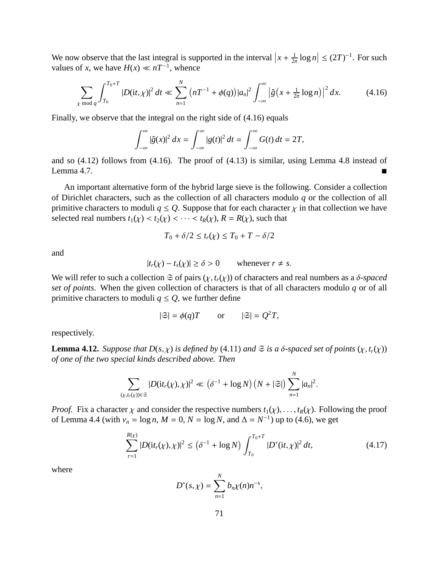We now observe that the last integral is supported in the interval  $x + \frac{1}{2}$  $\frac{1}{2\pi} \log n \leq (2T)^{-1}$ . For such values of *x*, we have  $H(x) \ll nT^{-1}$ , whence

$$
\sum_{\chi \bmod q} \int_{T_0}^{T_0+T} |D(\mathrm{i}t,\chi)|^2 \, dt \ll \sum_{n=1}^N \left( nT^{-1} + \phi(q) \right) |a_n|^2 \int_{-\infty}^{\infty} \left| \hat{g}\left(x + \frac{1}{2\pi} \log n\right) \right|^2 \, dx. \tag{4.16}
$$

Finally, we observe that the integral on the right side of (4.16) equals

$$
\int_{-\infty}^{\infty} |\hat{g}(x)|^2 dx = \int_{-\infty}^{\infty} |g(t)|^2 dt = \int_{-\infty}^{\infty} G(t) dt = 2T,
$$

and so (4.12) follows from (4.16). The proof of (4.13) is similar, using Lemma 4.8 instead of Lemma 4.7.

An important alternative form of the hybrid large sieve is the following. Consider a collection of Dirichlet characters, such as the collection of all characters modulo *q* or the collection of all primitive characters to moduli  $q \leq Q$ . Suppose that for each character  $\chi$  in that collection we have selected real numbers  $t_1(\chi) < t_2(\chi) < \cdots < t_R(\chi)$ ,  $R = R(\chi)$ , such that

$$
T_0 + \delta/2 \le t_r(\chi) \le T_0 + T - \delta/2
$$

and

$$
|t_r(\chi) - t_s(\chi)| \ge \delta > 0 \quad \text{whenever } r \neq s.
$$

We will refer to such a collection  $\mathfrak S$  of pairs  $(\chi, t_r(\chi))$  of characters and real numbers as a δ-spaced *set of points*. When the given collection of characters is that of all characters modulo *q* or of all primitive characters to moduli  $q \leq Q$ , we further define

$$
|\mathfrak{S}| = \phi(q)T
$$
 or  $|\mathfrak{S}| = Q^2T$ ,

respectively.

**Lemma 4.12.** *Suppose that*  $D(s, \chi)$  *is defined by* (4.11) *and*  $\mathfrak{S}$  *is a*  $\delta$ *-spaced set of points*  $(\chi, t_r(\chi))$ *of one of the two special kinds described above. Then*

$$
\sum_{(\chi,t_r(\chi))\in\mathfrak{S}}|D(\mathrm{i}t_r(\chi),\chi)|^2\ll (\delta^{-1}+\log N)(N+|\mathfrak{S}|)\sum_{n=1}^N|a_n|^2.
$$

*Proof.* Fix a character  $\chi$  and consider the respective numbers  $t_1(\chi), \ldots, t_R(\chi)$ . Following the proof of Lemma 4.4 (with  $v_n = \log n$ ,  $M = 0$ ,  $N = \log N$ , and  $\Delta = N^{-1}$ ) up to (4.6), we get

$$
\sum_{r=1}^{R(\chi)} |D(\mathrm{i}t_r(\chi), \chi)|^2 \le (\delta^{-1} + \log N) \int_{T_0}^{T_0 + T} |D^*(\mathrm{i}t, \chi)|^2 dt, \tag{4.17}
$$

*N*

where

$$
D^{*}(s,\chi) = \sum_{n=1}^{N} b_{n}\chi(n)n^{-s},
$$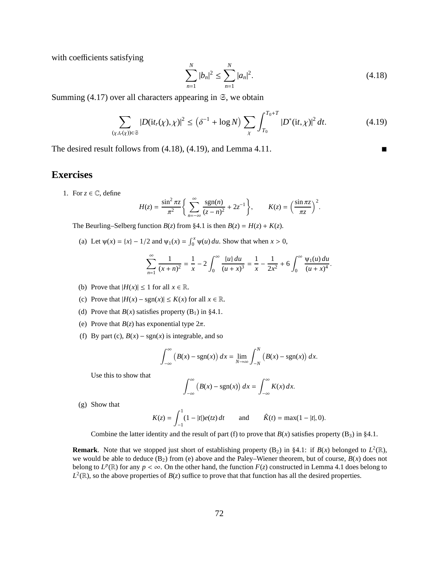with coefficients satisfying

$$
\sum_{n=1}^{N} |b_n|^2 \le \sum_{n=1}^{N} |a_n|^2.
$$
\n(4.18)

Summing  $(4.17)$  over all characters appearing in  $\Im$ , we obtain

$$
\sum_{(\chi, t_r(\chi)) \in \mathfrak{S}} |D(\mathrm{i} t_r(\chi), \chi)|^2 \le (\delta^{-1} + \log N) \sum_{\chi} \int_{T_0}^{T_0 + T} |D^*(\mathrm{i} t, \chi)|^2 \, dt. \tag{4.19}
$$

The desired result follows from  $(4.18)$ ,  $(4.19)$ , and Lemma 4.11.

#### **Exercises**

1. For  $z \in \mathbb{C}$ , define

$$
H(z) = \frac{\sin^2 \pi z}{\pi^2} \bigg\{ \sum_{n=-\infty}^{\infty} \frac{\text{sgn}(n)}{(z-n)^2} + 2z^{-1} \bigg\}, \qquad K(z) = \left(\frac{\sin \pi z}{\pi z}\right)^2.
$$

The Beurling–Selberg function *B*(*z*) from §4.1 is then *B*(*z*) = *H*(*z*) + *K*(*z*).

(a) Let  $\psi(x) = \{x\} - 1/2$  and  $\psi_1(x) = \int_0^x \psi(u) du$ . Show that when  $x > 0$ ,

$$
\sum_{n=1}^{\infty} \frac{1}{(x+n)^2} = \frac{1}{x} - 2 \int_0^{\infty} \frac{\{u\} du}{(u+x)^3} = \frac{1}{x} - \frac{1}{2x^2} + 6 \int_0^{\infty} \frac{\psi_1(u) du}{(u+x)^4}.
$$

- (b) Prove that  $|H(x)| \le 1$  for all  $x \in \mathbb{R}$ .
- (c) Prove that  $|H(x) \text{sgn}(x)| \le K(x)$  for all  $x \in \mathbb{R}$ .
- (d) Prove that  $B(x)$  satisfies property  $(B_1)$  in §4.1.
- (e) Prove that  $B(z)$  has exponential type  $2\pi$ .
- (f) By part (c),  $B(x) \text{sgn}(x)$  is integrable, and so

$$
\int_{-\infty}^{\infty} (B(x) - \operatorname{sgn}(x)) dx = \lim_{N \to \infty} \int_{-N}^{N} (B(x) - \operatorname{sgn}(x)) dx.
$$

Use this to show that

$$
\int_{-\infty}^{\infty} \left( B(x) - \text{sgn}(x) \right) dx = \int_{-\infty}^{\infty} K(x) dx.
$$

(g) Show that

$$
K(z) = \int_{-1}^{1} (1 - |t|) e(tz) dt \quad \text{and} \quad \hat{K}(t) = \max(1 - |t|, 0).
$$

Combine the latter identity and the result of part (f) to prove that  $B(x)$  satisfies property (B<sub>3</sub>) in §4.1.

**Remark**. Note that we stopped just short of establishing property (B<sub>2</sub>) in §4.1: if  $B(x)$  belonged to  $L^2(\mathbb{R})$ , we would be able to deduce  $(B_2)$  from (e) above and the Paley–Wiener theorem, but of course,  $B(x)$  does not belong to  $L^p(\mathbb{R})$  for any  $p < \infty$ . On the other hand, the function  $F(z)$  constructed in Lemma 4.1 does belong to  $L^2(\mathbb{R})$ , so the above properties of  $B(z)$  suffice to prove that that function has all the desired properties.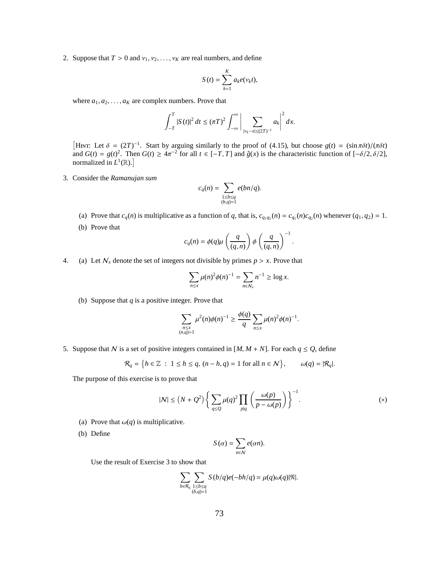2. Suppose that  $T > 0$  and  $v_1, v_2, \ldots, v_K$  are real numbers, and define

$$
S(t) = \sum_{k=1}^{K} a_k e(\nu_k t),
$$

where  $a_1, a_2, \ldots, a_k$  are complex numbers. Prove that

$$
\int_{-T}^{T} |S(t)|^2 dt \le (\pi T)^2 \int_{-\infty}^{\infty} \left| \sum_{|v_k - x| \le (2T)^{-1}} a_k \right|^2 dx.
$$

<sup>[HINT: Let δ =  $(2T)^{-1}$ . Start by arguing similarly to the proof of (4.15), but choose  $g(t) = (\sin \pi \delta t)/(\pi \delta t)$ </sup> and  $G(t) = g(t)^2$ . Then  $G(t) \ge 4\pi^{-2}$  for all  $t \in [-T, T]$  and  $\hat{g}(x)$  is the characteristic function of  $[-\delta/2, \delta/2]$ , normalized in  $L^1(\mathbb{R})$ .

3. Consider the *Ramanujan sum*

$$
c_q(n) = \sum_{\substack{1 \le b \le q \\ (b,q)=1}} e(bn/q).
$$

- (a) Prove that  $c_q(n)$  is multiplicative as a function of q, that is,  $c_{q_1q_2}(n) = c_{q_1}(n)c_{q_2}(n)$  whenever  $(q_1, q_2) = 1$ .
- (b) Prove that

$$
c_q(n) = \phi(q) \mu\left(\frac{q}{(q,n)}\right) \phi\left(\frac{q}{(q,n)}\right)^{-1}.
$$

4. (a) Let  $N_x$  denote the set of integers not divisible by primes  $p > x$ . Prove that

$$
\sum_{n \le x} \mu(n)^2 \phi(n)^{-1} = \sum_{n \in N_x} n^{-1} \ge \log x.
$$

(b) Suppose that *q* is a positive integer. Prove that

$$
\sum_{\substack{n \leq x \\ (n,q)=1}} \mu^{2}(n)\phi(n)^{-1} \geq \frac{\phi(q)}{q} \sum_{n \leq x} \mu(n)^{2} \phi(n)^{-1}.
$$

5. Suppose that N is a set of positive integers contained in  $[M, M + N]$ . For each  $q \le Q$ , define

$$
\mathcal{R}_q = \left\{ h \in \mathbb{Z} \ : \ 1 \le h \le q, \ (n - h, q) = 1 \text{ for all } n \in \mathcal{N} \right\}, \qquad \omega(q) = |\mathcal{R}_q|.
$$

The purpose of this exercise is to prove that

$$
|N| \le (N+Q^2) \left\{ \sum_{q \le Q} \mu(q)^2 \prod_{p|q} \left( \frac{\omega(p)}{p - \omega(p)} \right) \right\}^{-1}.
$$
 (\*)

- (a) Prove that  $\omega(q)$  is multiplicative.
- (b) Define

$$
S(\alpha) = \sum_{n \in \mathcal{N}} e(\alpha n).
$$

Use the result of Exercise 3 to show that

$$
\sum_{h \in \mathcal{R}_q} \sum_{\substack{1 \le b \le q \\ (b,q)=1}} S(b/q) e(-bh/q) = \mu(q) \omega(q) |\mathfrak{N}|.
$$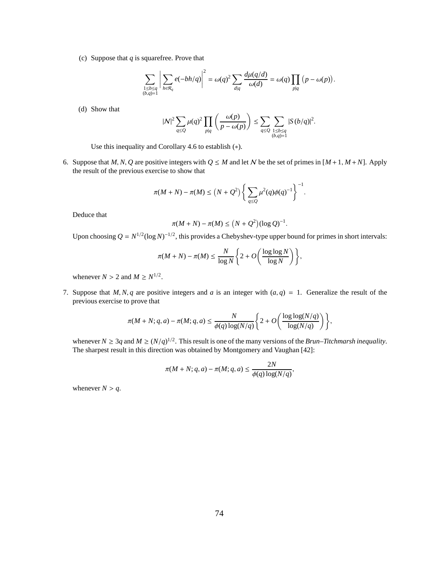(c) Suppose that *q* is squarefree. Prove that

$$
\sum_{\substack{1 \le b \le q \\ (b,q)=1}} \left| \sum_{h \in \mathcal{R}_q} e(-bh/q) \right|^2 = \omega(q)^2 \sum_{d|q} \frac{d\mu(q/d)}{\omega(d)} = \omega(q) \prod_{p|q} (p - \omega(p)).
$$

(d) Show that

$$
|N|^2 \sum_{q \le Q} \mu(q)^2 \prod_{p|q} \left( \frac{\omega(p)}{p - \omega(p)} \right) \le \sum_{q \le Q} \sum_{\substack{1 \le b \le q \\ (b,q)=1}} |S(b/q)|^2.
$$

Use this inequality and Corollary 4.6 to establish (∗).

6. Suppose that *M*, *N*, *Q* are positive integers with  $Q \leq M$  and let *N* be the set of primes in  $[M+1, M+N]$ . Apply the result of the previous exercise to show that

$$
\pi(M+N) - \pi(M) \le (N+Q^2) \left\{ \sum_{q \le Q} \mu^2(q) \phi(q)^{-1} \right\}^{-1}.
$$

Deduce that

$$
\pi(M+N) - \pi(M) \le (N+Q^2)(\log Q)^{-1}.
$$

Upon choosing  $Q = N^{1/2} (\log N)^{-1/2}$ , this provides a Chebyshev-type upper bound for primes in short intervals:

$$
\pi(M+N)-\pi(M)\leq \frac{N}{\log N}\left\{2+O\left(\frac{\log\log N}{\log N}\right)\right\},\,
$$

whenever  $N > 2$  and  $M \ge N^{1/2}$ .

7. Suppose that *M*, *N*, *q* are positive integers and *a* is an integer with  $(a, q) = 1$ . Generalize the result of the previous exercise to prove that

$$
\pi(M+N;q,a)-\pi(M;q,a)\leq \frac{N}{\phi(q)\log(N/q)}\Bigg\{2+O\Bigg(\frac{\log\log(N/q)}{\log(N/q)}\Bigg)\Bigg\},
$$

whenever  $N \ge 3q$  and  $M \ge (N/q)^{1/2}$ . This result is one of the many versions of the *Brun–Titchmarsh inequality*. The sharpest result in this direction was obtained by Montgomery and Vaughan [42]:

$$
\pi(M+N;q,a)-\pi(M;q,a) \le \frac{2N}{\phi(q)\log(N/q)},
$$

whenever  $N > q$ .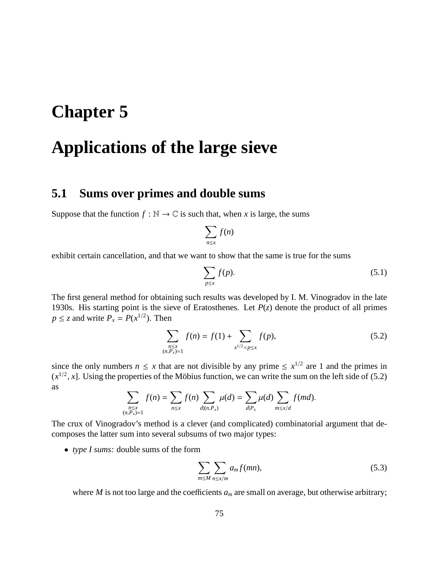# **Chapter 5**

# **Applications of the large sieve**

# **5.1 Sums over primes and double sums**

Suppose that the function  $f : \mathbb{N} \to \mathbb{C}$  is such that, when *x* is large, the sums

$$
\sum_{n\leq x}f(n)
$$

exhibit certain cancellation, and that we want to show that the same is true for the sums

$$
\sum_{p \le x} f(p). \tag{5.1}
$$

The first general method for obtaining such results was developed by I. M. Vinogradov in the late 1930s. His starting point is the sieve of Eratosthenes. Let *P*(*z*) denote the product of all primes  $p \le z$  and write  $P_x = P(x^{1/2})$ . Then

$$
\sum_{\substack{n \le x \\ (n, P_x) = 1}} f(n) = f(1) + \sum_{x^{1/2} < p \le x} f(p),\tag{5.2}
$$

since the only numbers  $n \leq x$  that are not divisible by any prime  $\leq x^{1/2}$  are 1 and the primes in  $(x^{1/2}, x]$ . Using the properties of the Möbius function, we can write the sum on the left side of (5.2) as

$$
\sum_{\substack{n \leq x \\ (n, P_x) = 1}} f(n) = \sum_{n \leq x} f(n) \sum_{d | (n, P_x)} \mu(d) = \sum_{d | P_x} \mu(d) \sum_{m \leq x/d} f(md).
$$

The crux of Vinogradov's method is a clever (and complicated) combinatorial argument that decomposes the latter sum into several subsums of two major types:

• *type I sums:* double sums of the form

$$
\sum_{m \le M} \sum_{n \le x/m} a_m f(mn), \tag{5.3}
$$

where  $M$  is not too large and the coefficients  $a_m$  are small on average, but otherwise arbitrary;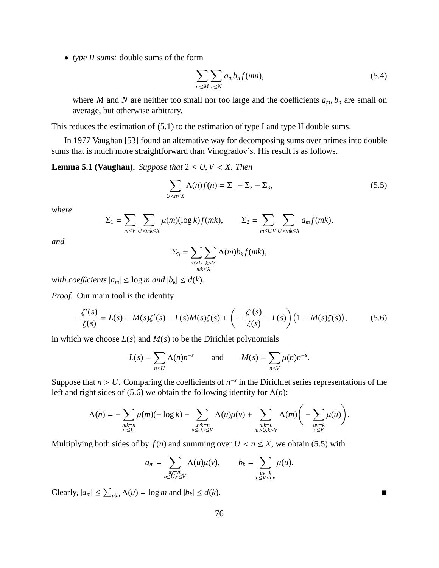• *type II sums:* double sums of the form

$$
\sum_{m \le M} \sum_{n \le N} a_m b_n f(mn), \tag{5.4}
$$

where *M* and *N* are neither too small nor too large and the coefficients  $a_m$ ,  $b_n$  are small on average, but otherwise arbitrary.

This reduces the estimation of (5.1) to the estimation of type I and type II double sums.

In 1977 Vaughan [53] found an alternative way for decomposing sums over primes into double sums that is much more straightforward than Vinogradov's. His result is as follows.

**Lemma 5.1 (Vaughan).** *Suppose that*  $2 \le U, V \le X$ . *Then* 

$$
\sum_{U < n \le X} \Lambda(n)f(n) = \Sigma_1 - \Sigma_2 - \Sigma_3,\tag{5.5}
$$

*where*

$$
\Sigma_1 = \sum_{m \leq V} \sum_{U < m \leq X} \mu(m) (\log k) f(mk), \qquad \Sigma_2 = \sum_{m \leq UV} \sum_{U < m \leq X} a_m f(mk),
$$

*and*

$$
\Sigma_3 = \sum_{\substack{m > U \\ m \leq X}} \sum_{k > V} \Lambda(m) b_k f(mk),
$$

*with coefficients*  $|a_m| \leq \log m$  *and*  $|b_k| \leq d(k)$ *.* 

*Proof.* Our main tool is the identity

$$
-\frac{\zeta'(s)}{\zeta(s)} = L(s) - M(s)\zeta'(s) - L(s)M(s)\zeta(s) + \left(-\frac{\zeta'(s)}{\zeta(s)} - L(s)\right)\left(1 - M(s)\zeta(s)\right),\tag{5.6}
$$

in which we choose  $L(s)$  and  $M(s)$  to be the Dirichlet polynomials

$$
L(s) = \sum_{n \leq U} \Lambda(n) n^{-s} \quad \text{and} \quad M(s) = \sum_{n \leq V} \mu(n) n^{-s}.
$$

Suppose that  $n > U$ . Comparing the coefficients of  $n^{-s}$  in the Dirichlet series representations of the left and right sides of (5.6) we obtain the following identity for  $\Lambda(n)$ :

$$
\Lambda(n) = -\sum_{\substack{mk=n\\ m \leq U}} \mu(m)(-\log k) - \sum_{\substack{uvk=n\\ u \leq U, v \leq V}} \Lambda(u)\mu(v) + \sum_{\substack{mk=n\\ m > U, k > V}} \Lambda(m)\bigg(-\sum_{\substack{uv=k\\ u \leq V}} \mu(u)\bigg).
$$

Multiplying both sides of by  $f(n)$  and summing over  $U < n \le X$ , we obtain (5.5) with

$$
a_m = \sum_{\substack{uv=m\\u \leq U, v \leq V}} \Lambda(u)\mu(v), \qquad b_k = \sum_{\substack{uv=k\\u \leq V < uv}} \mu(u).
$$

 $\text{Clearly, } |a_m| \leq \sum_{u|m} \Lambda(u) = \log m \text{ and } |b_k| \leq d(k).$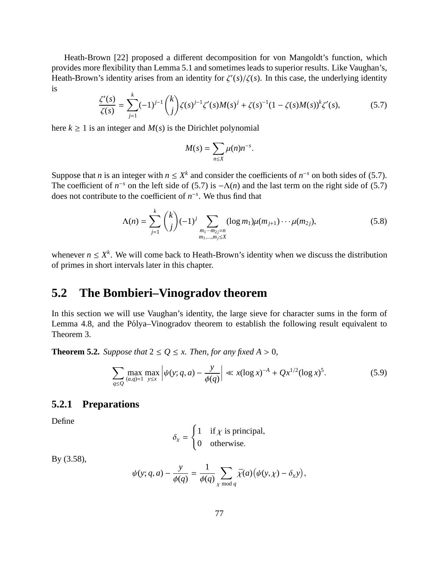Heath-Brown [22] proposed a different decomposition for von Mangoldt's function, which provides more flexibility than Lemma 5.1 and sometimes leads to superior results. Like Vaughan's, Heath-Brown's identity arises from an identity for  $\zeta'(s)/\zeta(s)$ . In this case, the underlying identity is

$$
\frac{\zeta'(s)}{\zeta(s)} = \sum_{j=1}^{k} (-1)^{j-1} {k \choose j} \zeta(s)^{j-1} \zeta'(s) M(s)^{j} + \zeta(s)^{-1} (1 - \zeta(s) M(s))^{k} \zeta'(s),
$$
(5.7)

here  $k \ge 1$  is an integer and  $M(s)$  is the Dirichlet polynomial

$$
M(s) = \sum_{n \leq X} \mu(n) n^{-s}.
$$

Suppose that *n* is an integer with  $n \le X^k$  and consider the coefficients of  $n^{-s}$  on both sides of (5.7). The coefficient of  $n^{-s}$  on the left side of (5.7) is  $-\Lambda(n)$  and the last term on the right side of (5.7) does not contribute to the coefficient of *n* −*s* . We thus find that

$$
\Lambda(n) = \sum_{j=1}^{k} {k \choose j} (-1)^j \sum_{\substack{m_1 \cdots m_{2j} = n \\ m_1, \ldots, m_j \le X}} (\log m_1) \mu(m_{j+1}) \cdots \mu(m_{2j}),
$$
\n(5.8)

whenever  $n \le X^k$ . We will come back to Heath-Brown's identity when we discuss the distribution of primes in short intervals later in this chapter.

# **5.2 The Bombieri–Vinogradov theorem**

In this section we will use Vaughan's identity, the large sieve for character sums in the form of Lemma 4.8, and the Pólya–Vinogradov theorem to establish the following result equivalent to Theorem 3.

**Theorem 5.2.** *Suppose that*  $2 \leq Q \leq x$ *. Then, for any fixed*  $A > 0$ *,* 

$$
\sum_{q \le Q} \max_{(a,q)=1} \max_{y \le x} \left| \psi(y;q,a) - \frac{y}{\phi(q)} \right| \ll x(\log x)^{-A} + Qx^{1/2}(\log x)^{5}.
$$
 (5.9)

#### **5.2.1 Preparations**

Define

$$
\delta_{\chi} = \begin{cases} 1 & \text{if } \chi \text{ is principal,} \\ 0 & \text{otherwise.} \end{cases}
$$

By (3.58),

$$
\psi(y; q, a) - \frac{y}{\phi(q)} = \frac{1}{\phi(q)} \sum_{\chi \bmod q} \bar{\chi}(a) (\psi(y, \chi) - \delta_{\chi} y),
$$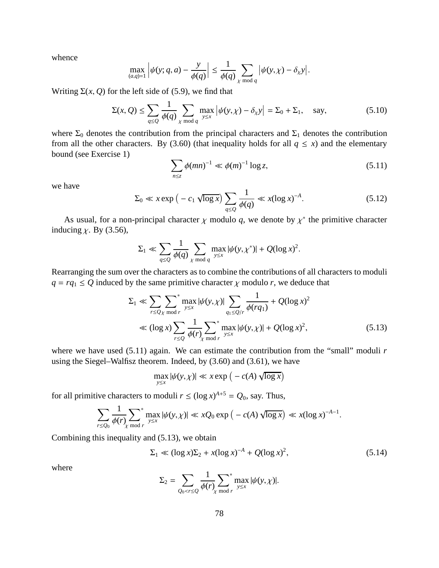whence

$$
\max_{(a,q)=1} \left| \psi(y;q,a) - \frac{y}{\phi(q)} \right| \leq \frac{1}{\phi(q)} \sum_{\chi \bmod q} \left| \psi(y,\chi) - \delta_{\chi} y \right|.
$$

Writing  $\Sigma(x, Q)$  for the left side of (5.9), we find that

$$
\Sigma(x, Q) \le \sum_{q \le Q} \frac{1}{\phi(q)} \sum_{\chi \bmod q} \max_{y \le x} |\psi(y, \chi) - \delta_{\chi} y| = \Sigma_0 + \Sigma_1, \text{ say,}
$$
\n(5.10)

where  $\Sigma_0$  denotes the contribution from the principal characters and  $\Sigma_1$  denotes the contribution from all the other characters. By (3.60) (that inequality holds for all  $q \le x$ ) and the elementary bound (see Exercise 1)

$$
\sum_{n \le z} \phi(mn)^{-1} \ll \phi(m)^{-1} \log z,
$$
\n(5.11)

we have

$$
\Sigma_0 \ll x \exp\left(-c_1 \sqrt{\log x}\right) \sum_{q \le Q} \frac{1}{\phi(q)} \ll x(\log x)^{-A}.\tag{5.12}
$$

As usual, for a non-principal character  $\chi$  modulo q, we denote by  $\chi^*$  the primitive character inducing  $\chi$ . By (3.56),

$$
\Sigma_1 \ll \sum_{q \le Q} \frac{1}{\phi(q)} \sum_{\chi \bmod q} \max_{y \le x} |\psi(y, \chi^*)| + Q(\log x)^2.
$$

Rearranging the sum over the characters as to combine the contributions of all characters to moduli  $q = rq_1 \le Q$  induced by the same primitive character  $\chi$  modulo *r*, we deduce that

$$
\Sigma_1 \ll \sum_{r \le Q_X \bmod r} \sum_{y \le x}^* \max_{y \le x} |\psi(y, \chi)| \sum_{q_1 \le Q/r} \frac{1}{\phi(rq_1)} + Q(\log x)^2
$$
  

$$
\ll (\log x) \sum_{r \le Q} \frac{1}{\phi(r)} \sum_{y \le x}^* \max_{y \le x} |\psi(y, \chi)| + Q(\log x)^2,
$$
 (5.13)

where we have used (5.11) again. We can estimate the contribution from the "small" moduli *r* using the Siegel–Walfisz theorem. Indeed, by (3.60) and (3.61), we have

$$
\max_{y \le x} |\psi(y, \chi)| \ll x \exp\left(-c(A) \sqrt{\log x}\right)
$$

for all primitive characters to moduli  $r \leq (\log x)^{A+5} = Q_0$ , say. Thus,

$$
\sum_{r\leq Q_0}\frac{1}{\phi(r)}\sum_{\chi \bmod r}^* \max_{y\leq x} |\psi(y,\chi)| \ll xQ_0 \exp\left(-c(A)\sqrt{\log x}\right) \ll x(\log x)^{-A-1}.
$$

Combining this inequality and (5.13), we obtain

$$
\Sigma_1 \ll (\log x) \Sigma_2 + x(\log x)^{-A} + Q(\log x)^2,
$$
\n(5.14)

where

$$
\Sigma_2 = \sum_{Q_0 < r \le Q} \frac{1}{\phi(r)} \sum_{\chi \bmod r}^* \max_{y \le x} |\psi(y, \chi)|.
$$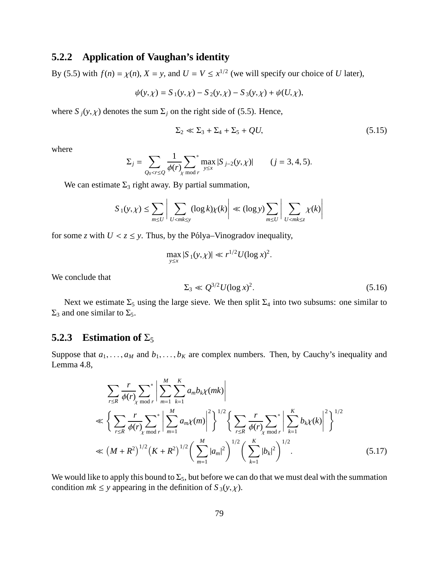### **5.2.2 Application of Vaughan's identity**

By (5.5) with  $f(n) = \chi(n)$ ,  $X = y$ , and  $U = V \le x^{1/2}$  (we will specify our choice of *U* later),

$$
\psi(y,\chi) = S_1(y,\chi) - S_2(y,\chi) - S_3(y,\chi) + \psi(U,\chi),
$$

where  $S_j(y, \chi)$  denotes the sum  $\Sigma_j$  on the right side of (5.5). Hence,

$$
\Sigma_2 \ll \Sigma_3 + \Sigma_4 + \Sigma_5 + QU,\tag{5.15}
$$

where

$$
\Sigma_j = \sum_{Q_0 < r \le Q} \frac{1}{\phi(r)} \sum_{\chi \bmod r} \max_{y \le x} |S_{j-2}(y, \chi)| \qquad (j = 3, 4, 5).
$$

We can estimate  $\Sigma_3$  right away. By partial summation,

$$
S_1(y,\chi) \leq \sum_{m \leq U} \left| \sum_{U < mk \leq y} (\log k) \chi(k) \right| \ll (\log y) \sum_{m \leq U} \left| \sum_{U < mk \leq z} \chi(k) \right|
$$

for some *z* with  $U < z \le y$ . Thus, by the Pólya–Vinogradov inequality,

$$
\max_{y \le x} |S_1(y, \chi)| \ll r^{1/2} U(\log x)^2.
$$

We conclude that

$$
\Sigma_3 \ll Q^{3/2} U (\log x)^2. \tag{5.16}
$$

Next we estimate  $\Sigma_5$  using the large sieve. We then split  $\Sigma_4$  into two subsums: one similar to  $\Sigma_3$  and one similar to  $\Sigma_5$ .

#### **5.2.3** Estimation of  $\Sigma_5$

Suppose that  $a_1, \ldots, a_M$  and  $b_1, \ldots, b_K$  are complex numbers. Then, by Cauchy's inequality and Lemma 4.8,

$$
\sum_{r \le R} \frac{r}{\phi(r)} \sum_{\chi \bmod r}^* \left| \sum_{m=1}^M \sum_{k=1}^K a_m b_k \chi(mk) \right|
$$
  
\n
$$
\ll \left\{ \sum_{r \le R} \frac{r}{\phi(r)} \sum_{\chi \bmod r}^* \left| \sum_{m=1}^M a_m \chi(m) \right|^2 \right\}^{1/2} \left\{ \sum_{r \le R} \frac{r}{\phi(r)} \sum_{\chi \bmod r}^* \left| \sum_{k=1}^K b_k \chi(k) \right|^2 \right\}^{1/2}
$$
  
\n
$$
\ll \left( M + R^2 \right)^{1/2} \left( K + R^2 \right)^{1/2} \left( \sum_{m=1}^M |a_m|^2 \right)^{1/2} \left( \sum_{k=1}^K |b_k|^2 \right)^{1/2}.
$$
 (5.17)

We would like to apply this bound to  $\Sigma_5$ , but before we can do that we must deal with the summation condition  $mk \leq y$  appearing in the definition of  $S_3(y, \chi)$ .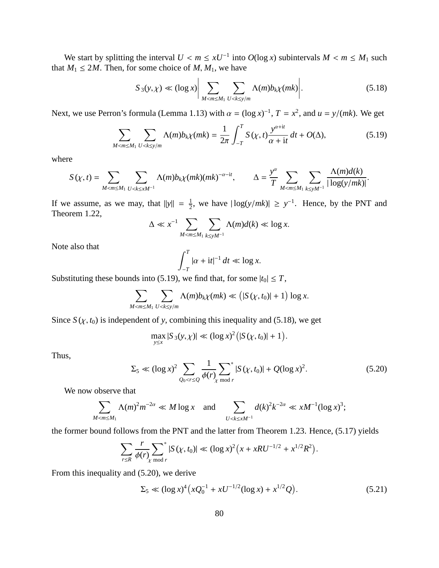We start by splitting the interval  $U \le m \le xU^{-1}$  into  $O(\log x)$  subintervals  $M \le m \le M_1$  such that  $M_1 \leq 2M$ . Then, for some choice of  $M, M_1$ , we have

$$
S_3(y,\chi) \ll (\log x) \bigg| \sum_{M < m \le M_1} \sum_{U < k \le y/m} \Lambda(m) b_k \chi(mk) \bigg| \tag{5.18}
$$

Next, we use Perron's formula (Lemma 1.13) with  $\alpha = (\log x)^{-1}$ ,  $T = x^2$ , and  $u = y/(mk)$ . We get

$$
\sum_{M < m \le M_1} \sum_{U < k \le y/m} \Lambda(m) b_k \chi(mk) = \frac{1}{2\pi} \int_{-T}^{T} S(\chi, t) \frac{y^{\alpha+it}}{\alpha+it} dt + O(\Delta),\tag{5.19}
$$

where

$$
S(\chi,t)=\sum_{M
$$

If we assume, as we may, that  $||y|| = \frac{1}{2}$  $\frac{1}{2}$ , we have  $|\log(y/mk)| \ge y^{-1}$ . Hence, by the PNT and Theorem 1.22,

$$
\Delta \ll x^{-1} \sum_{M < m \le M_1} \sum_{k \le yM^{-1}} \Lambda(m) d(k) \ll \log x.
$$

Note also that

$$
\int_{-T}^{T} |\alpha + it|^{-1} dt \ll \log x.
$$

Substituting these bounds into (5.19), we find that, for some  $|t_0| \leq T$ ,

$$
\sum_{M < m \le M_1} \sum_{U < k \le y/m} \Lambda(m) b_k \chi(mk) \ll \left( |S(\chi, t_0)| + 1 \right) \log x.
$$

Since  $S(\chi, t_0)$  is independent of y, combining this inequality and (5.18), we get

$$
\max_{y \le x} |S_3(y, \chi)| \ll (\log x)^2 (|S(\chi, t_0)| + 1).
$$

Thus,

$$
\Sigma_5 \ll (\log x)^2 \sum_{Q_0 < r \le Q} \frac{1}{\phi(r)} \sum_{\chi \bmod r}^* |S(\chi, t_0)| + Q(\log x)^2. \tag{5.20}
$$

We now observe that

$$
\sum_{M < m \le M_1} \Lambda(m)^2 m^{-2\alpha} \ll M \log x \quad \text{and} \quad \sum_{U < k \le x M^{-1}} d(k)^2 k^{-2\alpha} \ll x M^{-1} (\log x)^3;
$$

the former bound follows from the PNT and the latter from Theorem 1.23. Hence, (5.17) yields

$$
\sum_{r \leq R} \frac{r}{\phi(r)} \sum_{\chi \bmod r}^* |S(\chi, t_0)| \ll (\log x)^2 \Big( x + x R U^{-1/2} + x^{1/2} R^2 \Big).
$$

From this inequality and (5.20), we derive

$$
\Sigma_5 \ll (\log x)^4 \left( x Q_0^{-1} + x U^{-1/2} (\log x) + x^{1/2} Q \right). \tag{5.21}
$$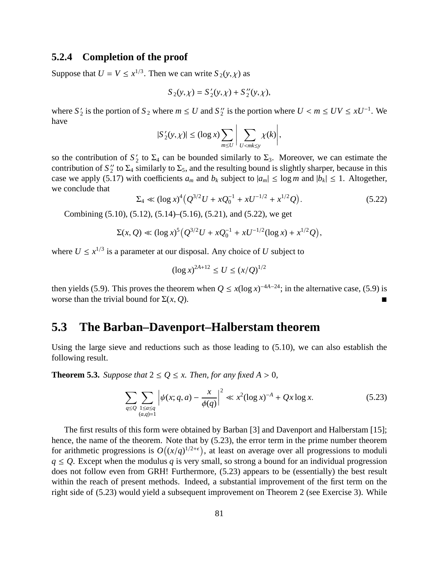#### **5.2.4 Completion of the proof**

Suppose that  $U = V \le x^{1/3}$ . Then we can write  $S_2(y, \chi)$  as

$$
S_2(y, \chi) = S_2'(y, \chi) + S_2''(y, \chi),
$$

where  $S'_2$  is the portion of  $S_2$  where  $m \le U$  and  $S''_2$  is the portion where  $U < m \le UV \le xU^{-1}$ . We have

$$
|S'_{2}(y,\chi)| \leq (\log x) \sum_{m \leq U} \bigg| \sum_{U < mk \leq y} \chi(k) \bigg|,
$$

so the contribution of  $S'_2$  to  $\Sigma_4$  can be bounded similarly to  $\Sigma_3$ . Moreover, we can estimate the contribution of  $S_2''$  to  $\Sigma_4$  similarly to  $\Sigma_5$ , and the resulting bound is slightly sharper, because in this case we apply (5.17) with coefficients  $a_m$  and  $b_k$  subject to  $|a_m| \leq \log m$  and  $|b_k| \leq 1$ . Altogether, we conclude that

$$
\Sigma_4 \ll (\log x)^4 \left( Q^{3/2} U + x Q_0^{-1} + x U^{-1/2} + x^{1/2} Q \right). \tag{5.22}
$$

Combining (5.10), (5.12), (5.14)–(5.16), (5.21), and (5.22), we get

$$
\Sigma(x, Q) \ll (\log x)^5 \left( Q^{3/2} U + x Q_0^{-1} + x U^{-1/2} (\log x) + x^{1/2} Q \right),
$$

where  $U \leq x^{1/3}$  is a parameter at our disposal. Any choice of *U* subject to

$$
(\log x)^{2A+12} \le U \le (x/Q)^{1/2}
$$

then yields (5.9). This proves the theorem when  $Q \le x(\log x)^{-4A-24}$ ; in the alternative case, (5.9) is worse than the trivial bound for  $\Sigma(x, Q)$ .

### **5.3 The Barban–Davenport–Halberstam theorem**

Using the large sieve and reductions such as those leading to  $(5.10)$ , we can also establish the following result.

**Theorem 5.3.** *Suppose that*  $2 \le Q \le x$ *. Then, for any fixed*  $A > 0$ *,* 

$$
\sum_{q \le Q} \sum_{\substack{1 \le a \le q \\ (a,q)=1}} \left| \psi(x; q, a) - \frac{x}{\phi(q)} \right|^2 \ll x^2 (\log x)^{-A} + Qx \log x. \tag{5.23}
$$

The first results of this form were obtained by Barban [3] and Davenport and Halberstam [15]; hence, the name of the theorem. Note that by (5.23), the error term in the prime number theorem for arithmetic progressions is  $O((x/q)^{1/2+\epsilon})$ , at least on average over all progressions to moduli  $q \leq Q$ . Except when the modulus *q* is very small, so strong a bound for an individual progression does not follow even from GRH! Furthermore, (5.23) appears to be (essentially) the best result within the reach of present methods. Indeed, a substantial improvement of the first term on the right side of (5.23) would yield a subsequent improvement on Theorem 2 (see Exercise 3). While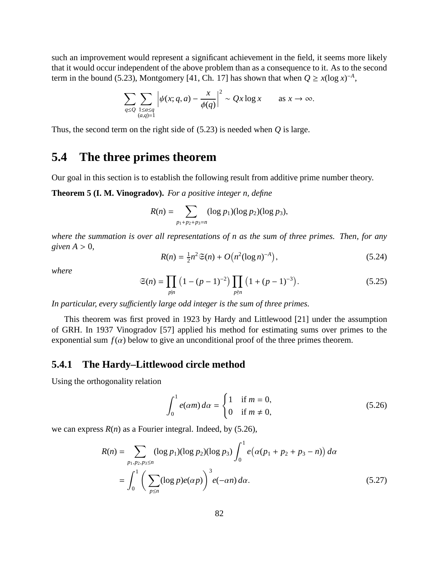such an improvement would represent a significant achievement in the field, it seems more likely that it would occur independent of the above problem than as a consequence to it. As to the second term in the bound (5.23), Montgomery [41, Ch. 17] has shown that when  $Q \ge x(\log x)^{-A}$ ,

$$
\sum_{q \le Q} \sum_{\substack{1 \le a \le q \\ (a,q)=1}} \left| \psi(x; q, a) - \frac{x}{\phi(q)} \right|^2 \sim Qx \log x \quad \text{as } x \to \infty.
$$

Thus, the second term on the right side of (5.23) is needed when *Q* is large.

# **5.4 The three primes theorem**

Our goal in this section is to establish the following result from additive prime number theory.

**Theorem 5 (I. M. Vinogradov).** *For a positive integer n, define*

$$
R(n) = \sum_{p_1+p_2+p_3=n} (\log p_1)(\log p_2)(\log p_3),
$$

*where the summation is over all representations of n as the sum of three primes. Then, for any*  $given A > 0$ ,

$$
R(n) = \frac{1}{2}n^2 \mathfrak{S}(n) + O\big(n^2 (\log n)^{-A}\big),\tag{5.24}
$$

*where*

$$
\mathfrak{S}(n) = \prod_{p|n} \left(1 - (p-1)^{-2}\right) \prod_{p\nmid n} \left(1 + (p-1)^{-3}\right). \tag{5.25}
$$

*In particular, every su*ffi*ciently large odd integer is the sum of three primes.*

This theorem was first proved in 1923 by Hardy and Littlewood [21] under the assumption of GRH. In 1937 Vinogradov [57] applied his method for estimating sums over primes to the exponential sum  $f(\alpha)$  below to give an unconditional proof of the three primes theorem.

#### **5.4.1 The Hardy–Littlewood circle method**

Using the orthogonality relation

$$
\int_0^1 e(\alpha m) d\alpha = \begin{cases} 1 & \text{if } m = 0, \\ 0 & \text{if } m \neq 0, \end{cases}
$$
 (5.26)

we can express *R*(*n*) as a Fourier integral. Indeed, by (5.26),

$$
R(n) = \sum_{p_1, p_2, p_3 \le n} (\log p_1)(\log p_2)(\log p_3) \int_0^1 e(\alpha(p_1 + p_2 + p_3 - n)) d\alpha
$$
  
= 
$$
\int_0^1 \left( \sum_{p \le n} (\log p) e(\alpha p) \right)^3 e(-\alpha n) d\alpha.
$$
 (5.27)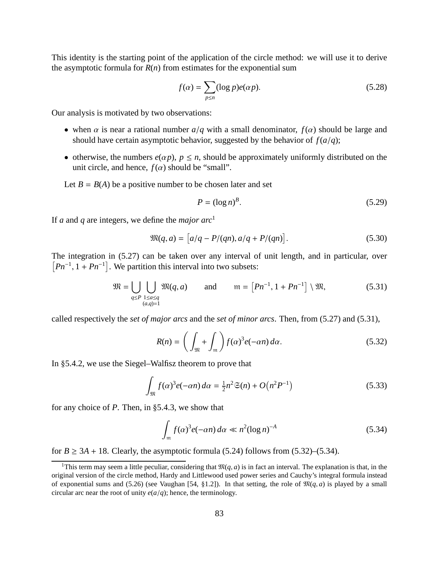This identity is the starting point of the application of the circle method: we will use it to derive the asymptotic formula for  $R(n)$  from estimates for the exponential sum

$$
f(\alpha) = \sum_{p \le n} (\log p) e(\alpha p). \tag{5.28}
$$

Our analysis is motivated by two observations:

- when  $\alpha$  is near a rational number  $a/q$  with a small denominator,  $f(\alpha)$  should be large and should have certain asymptotic behavior, suggested by the behavior of  $f(a/q)$ ;
- otherwise, the numbers  $e(\alpha p)$ ,  $p \leq n$ , should be approximately uniformly distributed on the unit circle, and hence,  $f(\alpha)$  should be "small".

Let  $B = B(A)$  be a positive number to be chosen later and set

$$
P = (\log n)^B. \tag{5.29}
$$

If *a* and *q* are integers, we define the *major arc*<sup>1</sup>

$$
\mathfrak{M}(q, a) = [a/q - P/(qn), a/q + P/(qn)].
$$
\n(5.30)

The integration in (5.27) can be taken over any interval of unit length, and in particular, over  $[Ph^{-1}, 1 + Pn^{-1}]$ . We partition this interval into two subsets:

$$
\mathfrak{M} = \bigcup_{q \leq P} \bigcup_{\substack{1 \leq a \leq q \\ (a,q)=1}} \mathfrak{M}(q, a) \qquad \text{and} \qquad \mathfrak{m} = \left[ Pn^{-1}, 1 + Pn^{-1} \right] \setminus \mathfrak{M}, \tag{5.31}
$$

called respectively the *set of major arcs* and the *set of minor arcs*. Then, from (5.27) and (5.31),

$$
R(n) = \left(\int_{\mathfrak{M}} + \int_{\mathfrak{m}}\right) f(\alpha)^3 e(-\alpha n) d\alpha. \tag{5.32}
$$

In §5.4.2, we use the Siegel–Walfisz theorem to prove that

$$
\int_{\mathfrak{M}} f(\alpha)^3 e(-\alpha n) d\alpha = \frac{1}{2}n^2 \mathfrak{S}(n) + O\big(n^2 P^{-1}\big)
$$
\n(5.33)

for any choice of *P*. Then, in §5.4.3, we show that

$$
\int_{\mathfrak{m}} f(\alpha)^3 e(-\alpha n) d\alpha \ll n^2 (\log n)^{-A} \tag{5.34}
$$

for  $B \ge 3A + 18$ . Clearly, the asymptotic formula (5.24) follows from (5.32)–(5.34).

<sup>&</sup>lt;sup>1</sup>This term may seem a little peculiar, considering that  $\mathfrak{M}(q, a)$  is in fact an interval. The explanation is that, in the original version of the circle method, Hardy and Littlewood used power series and Cauchy's integral formula instead of exponential sums and (5.26) (see Vaughan [54, §1.2]). In that setting, the role of  $\mathfrak{M}(q, a)$  is played by a small circular arc near the root of unity  $e(a/q)$ ; hence, the terminology.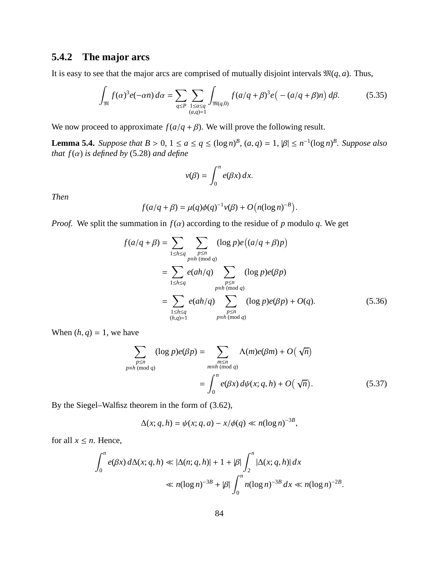### **5.4.2 The major arcs**

It is easy to see that the major arcs are comprised of mutually disjoint intervals  $\mathfrak{M}(q, a)$ . Thus,

$$
\int_{\mathfrak{M}} f(\alpha)^{3} e(-\alpha n) d\alpha = \sum_{q \le P} \sum_{\substack{1 \le a \le q \\ (a,q)=1}} \int_{\mathfrak{M}(q,0)} f(a/q+\beta)^{3} e(- (a/q+\beta)n) d\beta.
$$
 (5.35)

We now proceed to approximate  $f(a/q + \beta)$ . We will prove the following result.

**Lemma 5.4.** *Suppose that*  $B > 0$ ,  $1 \le a \le q \le (\log n)^B$ ,  $(a, q) = 1$ ,  $|\beta| \le n^{-1}(\log n)^B$ . *Suppose also that*  $f(\alpha)$  *is defined by* (5.28) *and define* 

$$
v(\beta) = \int_0^n e(\beta x) \, dx.
$$

*Then*

$$
f(a/q + \beta) = \mu(q)\phi(q)^{-1}v(\beta) + O(n(\log n)^{-B}).
$$

*Proof.* We split the summation in  $f(\alpha)$  according to the residue of *p* modulo *q*. We get

$$
f(a/q + \beta) = \sum_{1 \le h \le q} \sum_{\substack{p \le n \\ p \equiv h \pmod{q}}} (\log p)e((a/q + \beta)p)
$$
  
= 
$$
\sum_{1 \le h \le q} e(ah/q) \sum_{\substack{p \le n \\ p \equiv h \pmod{q}}} (\log p)e(\beta p)
$$
  
= 
$$
\sum_{\substack{1 \le h \le q \\ (h,q)=1}} e(ah/q) \sum_{\substack{p \le n \\ p \equiv h \pmod{q}}} (\log p)e(\beta p) + O(q).
$$
 (5.36)

When  $(h, q) = 1$ , we have

$$
\sum_{\substack{p \le n \\ p \equiv h \pmod{q}}} (\log p) e(\beta p) = \sum_{\substack{m \le n \\ m \equiv h \pmod{q}}} \Lambda(m) e(\beta m) + O(\sqrt{n})
$$

$$
= \int_0^n e(\beta x) d\psi(x; q, h) + O(\sqrt{n}). \tag{5.37}
$$

.

By the Siegel–Walfisz theorem in the form of (3.62),

$$
\Delta(x;q,h) = \psi(x;q,a) - x/\phi(q) \ll n(\log n)^{-3B},
$$

for all  $x \leq n$ . Hence,

$$
\int_0^n e(\beta x) d\Delta(x; q, h) \ll |\Delta(n; q, h)| + 1 + |\beta| \int_2^n |\Delta(x; q, h)| dx
$$
  

$$
\ll n(\log n)^{-3B} + |\beta| \int_0^n n(\log n)^{-3B} dx \ll n(\log n)^{-2B}
$$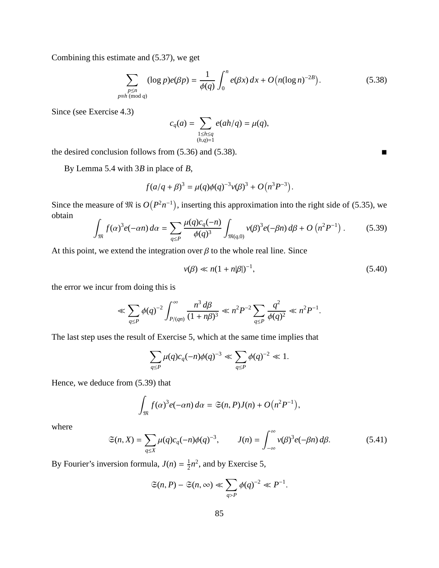Combining this estimate and (5.37), we get

 $p$ ≡

$$
\sum_{\substack{p \le n \\ h \pmod{q}}} (\log p) e(\beta p) = \frac{1}{\phi(q)} \int_0^n e(\beta x) \, dx + O\big(n (\log n)^{-2B}\big). \tag{5.38}
$$

Since (see Exercise 4.3)

$$
c_q(a) = \sum_{\substack{1 \leq h \leq q \\ (h,q)=1}} e(ah/q) = \mu(q),
$$

the desired conclusion follows from  $(5.36)$  and  $(5.38)$ .

By Lemma 5.4 with 3*B* in place of *B*,

$$
f(a/q+\beta)^3 = \mu(q)\phi(q)^{-3}\nu(\beta)^3 + O(n^3P^{-3}).
$$

Since the measure of  $\mathfrak{M}$  is  $O(P^2n^{-1})$ , inserting this approximation into the right side of (5.35), we obtain

$$
\int_{\mathfrak{M}} f(\alpha)^{3} e(-\alpha n) d\alpha = \sum_{q \le P} \frac{\mu(q) c_q(-n)}{\phi(q)^{3}} \int_{\mathfrak{M}(q,0)} v(\beta)^{3} e(-\beta n) d\beta + O\left(n^{2} P^{-1}\right).
$$
 (5.39)

At this point, we extend the integration over  $\beta$  to the whole real line. Since

$$
v(\beta) \ll n(1 + n|\beta|)^{-1},\tag{5.40}
$$

the error we incur from doing this is

$$
\ll \sum_{q \leq P} \phi(q)^{-2} \int_{P/(qn)}^{\infty} \frac{n^3 d\beta}{(1+n\beta)^3} \ll n^2 P^{-2} \sum_{q \leq P} \frac{q^2}{\phi(q)^2} \ll n^2 P^{-1}.
$$

The last step uses the result of Exercise 5, which at the same time implies that

$$
\sum_{q \leq P} \mu(q) c_q(-n) \phi(q)^{-3} \ll \sum_{q \leq P} \phi(q)^{-2} \ll 1.
$$

Hence, we deduce from (5.39) that

$$
\int_{\mathfrak{M}} f(\alpha)^3 e(-\alpha n) d\alpha = \mathfrak{S}(n, P)J(n) + O\big(n^2 P^{-1}\big),
$$

where

$$
\mathfrak{S}(n,X) = \sum_{q \le X} \mu(q) c_q(-n) \phi(q)^{-3}, \qquad J(n) = \int_{-\infty}^{\infty} \nu(\beta)^3 e(-\beta n) d\beta. \tag{5.41}
$$

By Fourier's inversion formula,  $J(n) = \frac{1}{2}$  $\frac{1}{2}n^2$ , and by Exercise 5,

$$
\mathfrak{S}(n,P) - \mathfrak{S}(n,\infty) \ll \sum_{q>P} \phi(q)^{-2} \ll P^{-1}.
$$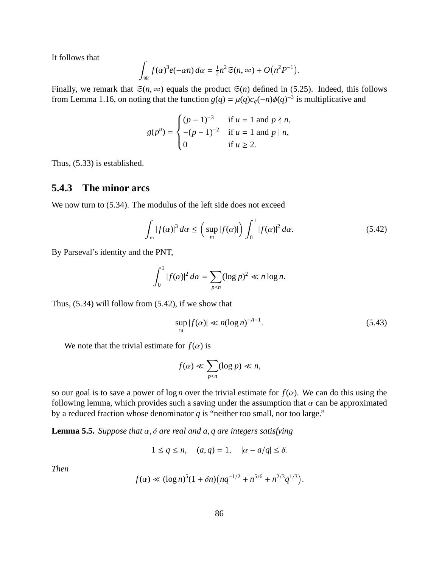It follows that

$$
\int_{\mathfrak{M}} f(\alpha)^3 e(-\alpha n) d\alpha = \frac{1}{2}n^2 \mathfrak{S}(n, \infty) + O\big(n^2 P^{-1}\big).
$$

Finally, we remark that  $\mathfrak{S}(n, \infty)$  equals the product  $\mathfrak{S}(n)$  defined in (5.25). Indeed, this follows from Lemma 1.16, on noting that the function  $g(q) = \mu(q)c_q(-n)\phi(q)^{-3}$  is multiplicative and

$$
g(p^{u}) = \begin{cases} (p-1)^{-3} & \text{if } u = 1 \text{ and } p \nmid n, \\ -(p-1)^{-2} & \text{if } u = 1 \text{ and } p \mid n, \\ 0 & \text{if } u \ge 2. \end{cases}
$$

Thus, (5.33) is established.

#### **5.4.3 The minor arcs**

We now turn to  $(5.34)$ . The modulus of the left side does not exceed

$$
\int_{\mathfrak{m}} |f(\alpha)|^3 \, d\alpha \le \left( \sup_{\mathfrak{m}} |f(\alpha)| \right) \int_0^1 |f(\alpha)|^2 \, d\alpha. \tag{5.42}
$$

By Parseval's identity and the PNT,

$$
\int_0^1 |f(\alpha)|^2 \, d\alpha = \sum_{p \le n} (\log p)^2 \ll n \log n.
$$

Thus, (5.34) will follow from (5.42), if we show that

$$
\sup_{m} |f(\alpha)| \ll n(\log n)^{-A-1}.
$$
\n(5.43)

We note that the trivial estimate for  $f(\alpha)$  is

$$
f(\alpha) \ll \sum_{p \le n} (\log p) \ll n,
$$

so our goal is to save a power of  $\log n$  over the trivial estimate for  $f(\alpha)$ . We can do this using the following lemma, which provides such a saving under the assumption that  $\alpha$  can be approximated by a reduced fraction whose denominator *q* is "neither too small, nor too large."

**Lemma 5.5.** *Suppose that* α, δ *are real and a*, *q are integers satisfying*

$$
1 \le q \le n, \quad (a,q) = 1, \quad |\alpha - a/q| \le \delta.
$$

*Then*

$$
f(\alpha) \ll (\log n)^5 (1 + \delta n) (nq^{-1/2} + n^{5/6} + n^{2/3}q^{1/3}).
$$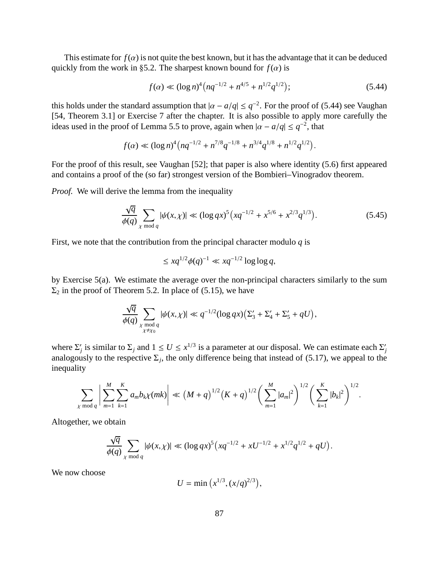This estimate for  $f(\alpha)$  is not quite the best known, but it has the advantage that it can be deduced quickly from the work in §5.2. The sharpest known bound for  $f(\alpha)$  is

$$
f(\alpha) \ll (\log n)^4 \left( nq^{-1/2} + n^{4/5} + n^{1/2} q^{1/2} \right);
$$
\n(5.44)

this holds under the standard assumption that  $|\alpha - a/q| \leq q^{-2}$ . For the proof of (5.44) see Vaughan [54, Theorem 3.1] or Exercise 7 after the chapter. It is also possible to apply more carefully the ideas used in the proof of Lemma 5.5 to prove, again when  $|\alpha - a/q| \leq q^{-2}$ , that

$$
f(\alpha) \ll (\log n)^4 (nq^{-1/2} + n^{7/8}q^{-1/8} + n^{3/4}q^{1/8} + n^{1/2}q^{1/2}).
$$

For the proof of this result, see Vaughan [52]; that paper is also where identity (5.6) first appeared and contains a proof of the (so far) strongest version of the Bombieri–Vinogradov theorem.

*Proof.* We will derive the lemma from the inequality

$$
\frac{\sqrt{q}}{\phi(q)} \sum_{\chi \bmod q} |\psi(x,\chi)| \ll (\log qx)^5 \left( xq^{-1/2} + x^{5/6} + x^{2/3} q^{1/3} \right). \tag{5.45}
$$

First, we note that the contribution from the principal character modulo *q* is

$$
\leq xq^{1/2}\phi(q)^{-1} \ll xq^{-1/2}\log\log q,
$$

by Exercise 5(a). We estimate the average over the non-principal characters similarly to the sum  $\Sigma_2$  in the proof of Theorem 5.2. In place of (5.15), we have

$$
\frac{\sqrt{q}}{\phi(q)}\sum_{\substack{\chi \bmod q \\ \chi \neq \chi_0}} |\psi(x,\chi)| \ll q^{-1/2} (\log qx) \Big( \Sigma_3' + \Sigma_4' + \Sigma_5' + qU \Big),
$$

where  $\Sigma'_j$  is similar to  $\Sigma_j$  and  $1 \le U \le x^{1/3}$  is a parameter at our disposal. We can estimate each  $\Sigma'_j$ analogously to the respective  $\Sigma_j$ , the only difference being that instead of (5.17), we appeal to the inequality

$$
\sum_{\chi \bmod q} \left| \sum_{m=1}^{M} \sum_{k=1}^{K} a_m b_k \chi(mk) \right| \ll \left( M + q \right)^{1/2} \left( K + q \right)^{1/2} \left( \sum_{m=1}^{M} |a_m|^2 \right)^{1/2} \left( \sum_{k=1}^{K} |b_k|^2 \right)^{1/2}.
$$

Altogether, we obtain

$$
\frac{\sqrt{q}}{\phi(q)} \sum_{\chi \bmod q} |\psi(x,\chi)| \ll (\log qx)^5 \left( xq^{-1/2} + xU^{-1/2} + x^{1/2}q^{1/2} + qU \right).
$$

We now choose

$$
U = \min\left(x^{1/3}, (x/q)^{2/3}\right),
$$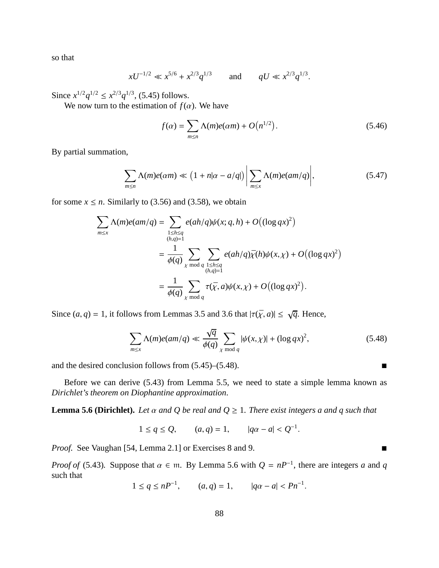so that

$$
xU^{-1/2} \ll x^{5/6} + x^{2/3}q^{1/3}
$$
 and  $qU \ll x^{2/3}q^{1/3}$ .

Since  $x^{1/2}q^{1/2} \leq x^{2/3}q^{1/3}$ , (5.45) follows.

We now turn to the estimation of  $f(\alpha)$ . We have

$$
f(\alpha) = \sum_{m \le n} \Lambda(m)e(\alpha m) + O\big(n^{1/2}\big). \tag{5.46}
$$

By partial summation,

$$
\sum_{m \le n} \Lambda(m)e(\alpha m) \ll \left(1 + n|\alpha - a/q|\right) \left| \sum_{m \le x} \Lambda(m)e(\alpha m/q) \right|, \tag{5.47}
$$

for some  $x \le n$ . Similarly to (3.56) and (3.58), we obtain

$$
\sum_{m \le x} \Lambda(m)e(am/q) = \sum_{\substack{1 \le h \le q \\ (h,q)=1}} e(ah/q)\psi(x;q,h) + O\big((\log qx)^2\big)
$$

$$
= \frac{1}{\phi(q)} \sum_{\chi \bmod q} \sum_{\substack{1 \le h \le q \\ (h,q)=1}} e(ah/q)\bar{\chi}(h)\psi(x,\chi) + O\big((\log qx)^2\big)
$$

$$
= \frac{1}{\phi(q)} \sum_{\chi \bmod q} \tau(\bar{\chi}, a)\psi(x,\chi) + O\big((\log qx)^2\big).
$$

Since  $(a, q) = 1$ , it follows from Lemmas 3.5 and 3.6 that  $|\tau(\bar{\chi}, a)| \le \sqrt{q}$ . Hence,

$$
\sum_{m \le x} \Lambda(m)e(am/q) \ll \frac{\sqrt{q}}{\phi(q)} \sum_{\chi \bmod q} |\psi(x,\chi)| + (\log qx)^2,
$$
\n(5.48)

and the desired conclusion follows from  $(5.45)$ – $(5.48)$ .

Before we can derive (5.43) from Lemma 5.5, we need to state a simple lemma known as *Dirichlet's theorem on Diophantine approximation*.

**Lemma 5.6 (Dirichlet).** *Let*  $\alpha$  *and*  $Q$  *be real and*  $Q \geq 1$ *. There exist integers a and q such that* 

$$
1 \le q \le Q
$$
,  $(a, q) = 1$ ,  $|q\alpha - a| < Q^{-1}$ .

*Proof.* See Vaughan [54, Lemma 2.1] or Exercises 8 and 9. ■

*Proof of* (5.43). Suppose that  $\alpha \in \mathfrak{m}$ . By Lemma 5.6 with  $Q = nP^{-1}$ , there are integers *a* and *q* such that

$$
1 \le q \le nP^{-1}
$$
,  $(a,q) = 1$ ,  $|q\alpha - a| < Pn^{-1}$ .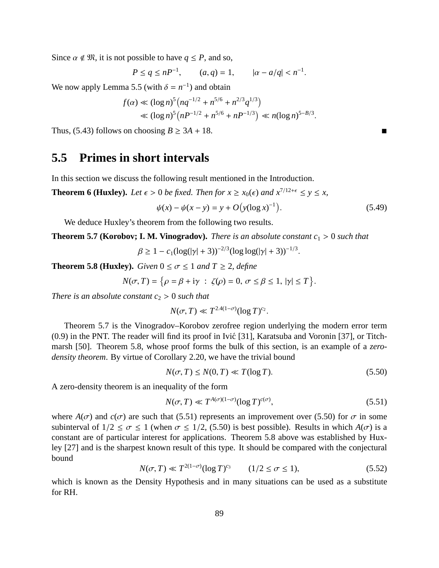Since  $\alpha \notin \mathfrak{M}$ , it is not possible to have  $q \leq P$ , and so,

$$
P \le q \le nP^{-1}
$$
,  $(a, q) = 1$ ,  $|\alpha - a/q| < n^{-1}$ .

We now apply Lemma 5.5 (with  $\delta = n^{-1}$ ) and obtain

$$
f(\alpha) \ll (\log n)^5 \left( nq^{-1/2} + n^{5/6} + n^{2/3} q^{1/3} \right) \ll (\log n)^5 \left( n^{5/6} + n^{5/6} + n^{5/6} + n^{5/3} \right) \ll n (\log n)^{5 - B/3}.
$$

Thus, (5.43) follows on choosing  $B \ge 3A + 18$ .

# **5.5 Primes in short intervals**

In this section we discuss the following result mentioned in the Introduction.

**Theorem 6 (Huxley).** *Let*  $\epsilon > 0$  *be fixed. Then for*  $x \ge x_0(\epsilon)$  *and*  $x^{7/12+\epsilon} \le y \le x$ ,

$$
\psi(x) - \psi(x - y) = y + O(y(\log x)^{-1}).
$$
\n(5.49)

We deduce Huxley's theorem from the following two results.

**Theorem 5.7 (Korobov; I. M. Vinogradov).** *There is an absolute constant*  $c_1 > 0$  *such that* 

 $\beta \ge 1 - c_1(\log(|\gamma| + 3))^{-2/3}(\log \log(|\gamma| + 3))^{-1/3}.$ 

**Theorem 5.8 (Huxley).** *Given*  $0 \le \sigma \le 1$  *and*  $T \ge 2$ *, define* 

$$
N(\sigma, T) = \{ \rho = \beta + i\gamma \; : \; \zeta(\rho) = 0, \; \sigma \leq \beta \leq 1, \; |\gamma| \leq T \}.
$$

*There is an absolute constant*  $c_2 > 0$  *such that* 

$$
N(\sigma, T) \ll T^{2.4(1-\sigma)} (\log T)^{c_2}.
$$

Theorem 5.7 is the Vinogradov–Korobov zerofree region underlying the modern error term  $(0.9)$  in the PNT. The reader will find its proof in Ivić [31], Karatsuba and Voronin [37], or Titchmarsh [50]. Theorem 5.8, whose proof forms the bulk of this section, is an example of a *zerodensity theorem*. By virtue of Corollary 2.20, we have the trivial bound

$$
N(\sigma, T) \le N(0, T) \ll T(\log T). \tag{5.50}
$$

A zero-density theorem is an inequality of the form

$$
N(\sigma, T) \ll T^{A(\sigma)(1-\sigma)} (\log T)^{c(\sigma)},\tag{5.51}
$$

where  $A(\sigma)$  and  $c(\sigma)$  are such that (5.51) represents an improvement over (5.50) for  $\sigma$  in some subinterval of  $1/2 \le \sigma \le 1$  (when  $\sigma \le 1/2$ , (5.50) is best possible). Results in which  $A(\sigma)$  is a constant are of particular interest for applications. Theorem 5.8 above was established by Huxley [27] and is the sharpest known result of this type. It should be compared with the conjectural bound

$$
N(\sigma, T) \ll T^{2(1-\sigma)} (\log T)^{c_3} \qquad (1/2 \le \sigma \le 1), \tag{5.52}
$$

which is known as the Density Hypothesis and in many situations can be used as a substitute for RH.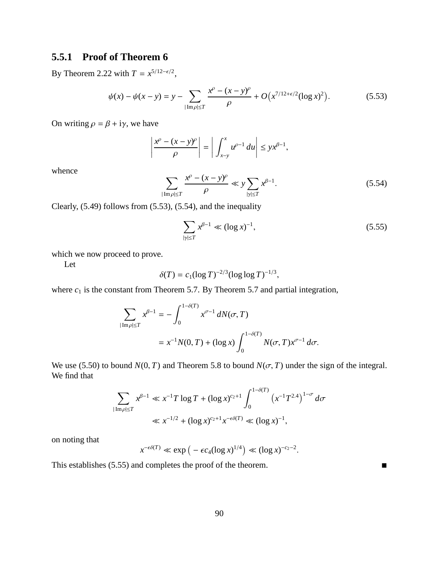# **5.5.1 Proof of Theorem 6**

By Theorem 2.22 with  $T = x^{5/12-\epsilon/2}$ ,

$$
\psi(x) - \psi(x - y) = y - \sum_{|\text{Im}\rho| \le T} \frac{x^{\rho} - (x - y)^{\rho}}{\rho} + O\left(x^{7/12 + \epsilon/2} (\log x)^2\right). \tag{5.53}
$$

On writing  $\rho = \beta + i\gamma$ , we have

$$
\left|\frac{x^{\rho}-(x-y)^{\rho}}{\rho}\right|=\left|\int_{x-y}^{x}u^{\rho-1} du\right|\leq yx^{\beta-1},
$$

whence

$$
\sum_{|\operatorname{Im}\rho|\leq T} \frac{x^{\rho} - (x - y)^{\rho}}{\rho} \ll y \sum_{|\gamma| \leq T} x^{\beta - 1}.
$$
\n(5.54)

Clearly, (5.49) follows from (5.53), (5.54), and the inequality

$$
\sum_{|\gamma| \le T} x^{\beta - 1} \ll (\log x)^{-1},\tag{5.55}
$$

which we now proceed to prove.

Let

$$
\delta(T) = c_1 (\log T)^{-2/3} (\log \log T)^{-1/3},
$$

where  $c_1$  is the constant from Theorem 5.7. By Theorem 5.7 and partial integration,

$$
\sum_{|\text{Im}\,\rho|\leq T} x^{\beta-1} = -\int_0^{1-\delta(T)} x^{\sigma-1} \, dN(\sigma, T)
$$
  
=  $x^{-1}N(0, T) + (\log x) \int_0^{1-\delta(T)} N(\sigma, T) x^{\sigma-1} \, d\sigma.$ 

We use (5.50) to bound  $N(0, T)$  and Theorem 5.8 to bound  $N(\sigma, T)$  under the sign of the integral. We find that

$$
\sum_{|\operatorname{Im}\rho| \le T} x^{\beta - 1} \ll x^{-1} T \log T + (\log x)^{c_2 + 1} \int_0^{1 - \delta(T)} \left( x^{-1} T^{2.4} \right)^{1 - \sigma} d\sigma
$$
  

$$
\ll x^{-1/2} + (\log x)^{c_2 + 1} x^{-\epsilon \delta(T)} \ll (\log x)^{-1},
$$

on noting that

$$
x^{-\epsilon\delta(T)} \ll \exp\left(-\epsilon c_4(\log x)^{1/4}\right) \ll (\log x)^{-c_2-2}.
$$

This establishes (5.55) and completes the proof of the theorem.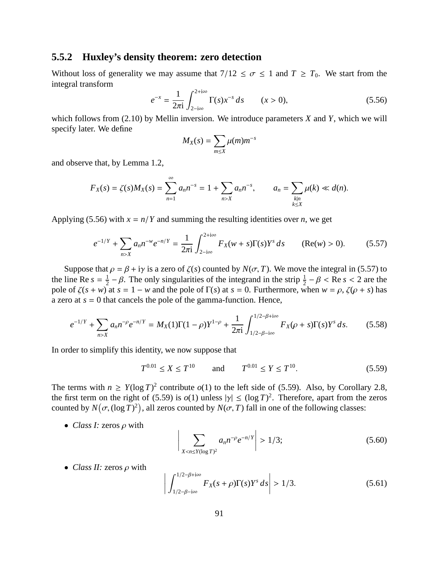#### **5.5.2 Huxley's density theorem: zero detection**

Without loss of generality we may assume that  $7/12 \le \sigma \le 1$  and  $T \ge T_0$ . We start from the integral transform

$$
e^{-x} = \frac{1}{2\pi i} \int_{2-i\infty}^{2+i\infty} \Gamma(s) x^{-s} ds \qquad (x > 0),
$$
 (5.56)

which follows from (2.10) by Mellin inversion. We introduce parameters *X* and *Y*, which we will specify later. We define

$$
M_X(s) = \sum_{m \leq X} \mu(m) m^{-s}
$$

and observe that, by Lemma 1.2,

$$
F_X(s) = \zeta(s)M_X(s) = \sum_{n=1}^{\infty} a_n n^{-s} = 1 + \sum_{n>X} a_n n^{-s}, \qquad a_n = \sum_{\substack{k|n\\k\leq X}} \mu(k) \ll d(n).
$$

Applying (5.56) with  $x = n/Y$  and summing the resulting identities over *n*, we get

$$
e^{-1/Y} + \sum_{n>X} a_n n^{-w} e^{-n/Y} = \frac{1}{2\pi i} \int_{2-i\infty}^{2+i\infty} F_X(w+s) \Gamma(s) Y^s \, ds \qquad (\text{Re}(w) > 0). \tag{5.57}
$$

Suppose that  $\rho = \beta + i\gamma$  is a zero of  $\zeta(s)$  counted by  $N(\sigma, T)$ . We move the integral in (5.57) to the line Re  $s = \frac{1}{2}$  $\frac{1}{2} - \beta$ . The only singularities of the integrand in the strip  $\frac{1}{2} - \beta <$  Re *s* < 2 are the pole of  $\zeta(s + w)$  at  $s = 1 - w$  and the pole of  $\Gamma(s)$  at  $s = 0$ . Furthermore, when  $w = \rho$ ,  $\zeta(\rho + s)$  has a zero at  $s = 0$  that cancels the pole of the gamma-function. Hence,

$$
e^{-1/Y} + \sum_{n>X} a_n n^{-\rho} e^{-n/Y} = M_X(1)\Gamma(1-\rho)Y^{1-\rho} + \frac{1}{2\pi i} \int_{1/2-\beta-i\infty}^{1/2-\beta+i\infty} F_X(\rho+s)\Gamma(s)Y^s ds.
$$
 (5.58)

In order to simplify this identity, we now suppose that

$$
T^{0.01} \le X \le T^{10} \qquad \text{and} \qquad T^{0.01} \le Y \le T^{10}.\tag{5.59}
$$

The terms with  $n \geq Y(\log T)^2$  contribute  $o(1)$  to the left side of (5.59). Also, by Corollary 2.8, the first term on the right of (5.59) is  $o(1)$  unless  $|\gamma| \leq (\log T)^2$ . Therefore, apart from the zeros counted by  $N(\sigma, (\log T)^2)$ , all zeros counted by  $N(\sigma, T)$  fall in one of the following classes:

• *Class I:* zeros ρ with

$$
\left| \sum_{X < n \le Y(\log T)^2} a_n n^{-\rho} e^{-n/Y} \right| > 1/3; \tag{5.60}
$$

• *Class II:* zeros ρ with

$$
\left| \int_{1/2-\beta-\mathrm{i}\infty}^{1/2-\beta+\mathrm{i}\infty} F_X(s+\rho) \Gamma(s) Y^s \, ds \right| > 1/3. \tag{5.61}
$$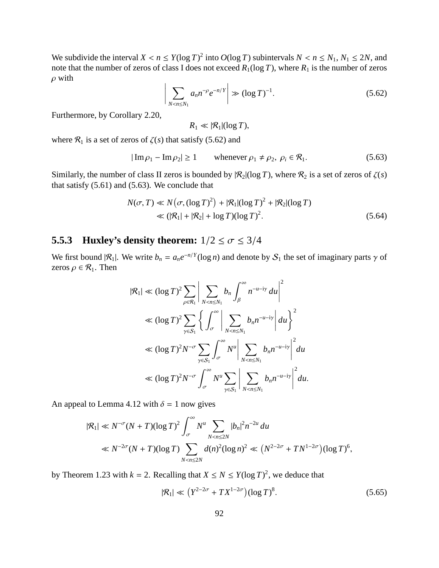We subdivide the interval  $X < n \le Y(\log T)^2$  into  $O(\log T)$  subintervals  $N < n \le N_1, N_1 \le 2N$ , and note that the number of zeros of class I does not exceed  $R_1(\log T)$ , where  $R_1$  is the number of zeros  $\rho$  with

$$
\left| \sum_{N < n \le N_1} a_n n^{-\rho} e^{-n/Y} \right| \gg (\log T)^{-1}.\tag{5.62}
$$

Furthermore, by Corollary 2.20,

 $R_1 \ll |\mathcal{R}_1|(\log T)$ ,

where  $\mathcal{R}_1$  is a set of zeros of  $\zeta(s)$  that satisfy (5.62) and

$$
|\operatorname{Im}\rho_1 - \operatorname{Im}\rho_2| \ge 1 \qquad \text{whenever } \rho_1 \ne \rho_2, \ \rho_i \in \mathcal{R}_1. \tag{5.63}
$$

Similarly, the number of class II zeros is bounded by  $|\mathcal{R}_2|(\log T)$ , where  $\mathcal{R}_2$  is a set of zeros of  $\zeta(s)$ that satisfy (5.61) and (5.63). We conclude that

$$
N(\sigma, T) \ll N(\sigma, (\log T)^2) + |\mathcal{R}_1|(\log T)^2 + |\mathcal{R}_2|(\log T)
$$
  
\n
$$
\ll (|\mathcal{R}_1| + |\mathcal{R}_2| + \log T)(\log T)^2.
$$
\n(5.64)

### **5.5.3** Huxley's density theorem:  $1/2 \le \sigma \le 3/4$

We first bound  $|R_1|$ . We write  $b_n = a_n e^{-n/Y} (\log n)$  and denote by  $S_1$  the set of imaginary parts  $\gamma$  of zeros  $\rho \in \mathcal{R}_1$ . Then

$$
|\mathcal{R}_1| \ll (\log T)^2 \sum_{\rho \in \mathcal{R}_1} \left| \sum_{N < n \le N_1} b_n \int_{\beta}^{\infty} n^{-u - \mathrm{i} \gamma} du \right|^2
$$
  
\n
$$
\ll (\log T)^2 \sum_{\gamma \in S_1} \left\{ \int_{\sigma}^{\infty} \left| \sum_{N < n \le N_1} b_n n^{-u - \mathrm{i} \gamma} \right| du \right\}^2
$$
  
\n
$$
\ll (\log T)^2 N^{-\sigma} \sum_{\gamma \in S_1} \int_{\sigma}^{\infty} N^u \left| \sum_{N < n \le N_1} b_n n^{-u - \mathrm{i} \gamma} \right|^2 du
$$
  
\n
$$
\ll (\log T)^2 N^{-\sigma} \int_{\sigma}^{\infty} N^u \sum_{\gamma \in S_1} \left| \sum_{N < n \le N_1} b_n n^{-u - \mathrm{i} \gamma} \right|^2 du.
$$

An appeal to Lemma 4.12 with  $\delta = 1$  now gives

$$
|\mathcal{R}_1| \ll N^{-\sigma} (N+T) (\log T)^2 \int_{\sigma}^{\infty} N^u \sum_{N < n \le 2N} |b_n|^2 n^{-2u} \, du
$$
\n
$$
\ll N^{-2\sigma} (N+T) (\log T) \sum_{N < n \le 2N} d(n)^2 (\log n)^2 \ll \left( N^{2-2\sigma} + TN^{1-2\sigma} \right) (\log T)^6,
$$

by Theorem 1.23 with  $k = 2$ . Recalling that  $X \le N \le Y(\log T)^2$ , we deduce that

$$
|\mathcal{R}_1| \ll \left(Y^{2-2\sigma} + TX^{1-2\sigma}\right) (\log T)^8. \tag{5.65}
$$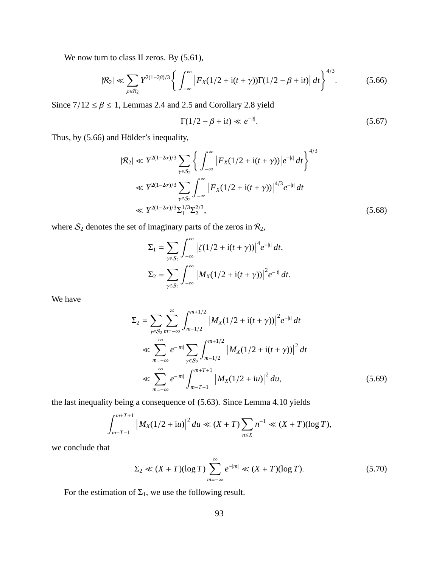We now turn to class II zeros. By  $(5.61)$ ,

$$
|\mathcal{R}_2| \ll \sum_{\rho \in \mathcal{R}_2} Y^{2(1-2\beta)/3} \left\{ \int_{-\infty}^{\infty} \left| F_X(1/2 + i(t+\gamma)) \Gamma(1/2 - \beta + it) \right| dt \right\}^{4/3}.
$$
 (5.66)

Since  $7/12 \le \beta \le 1$ , Lemmas 2.4 and 2.5 and Corollary 2.8 yield

$$
\Gamma(1/2 - \beta + \mathrm{i}t) \ll e^{-|t|}.\tag{5.67}
$$

Thus, by (5.66) and Hölder's inequality,

$$
|\mathcal{R}_2| \ll Y^{2(1-2\sigma)/3} \sum_{\gamma \in S_2} \left\{ \int_{-\infty}^{\infty} \left| F_X(1/2 + i(t + \gamma)) \right| e^{-|t|} dt \right\}^{4/3}
$$
  

$$
\ll Y^{2(1-2\sigma)/3} \sum_{\gamma \in S_2} \int_{-\infty}^{\infty} \left| F_X(1/2 + i(t + \gamma)) \right|^{4/3} e^{-|t|} dt
$$
  

$$
\ll Y^{2(1-2\sigma)/3} \sum_{1}^{1/3} \sum_{2}^{2/3},
$$
 (5.68)

where  $S_2$  denotes the set of imaginary parts of the zeros in  $\mathcal{R}_2$ ,

$$
\Sigma_1 = \sum_{\gamma \in S_2} \int_{-\infty}^{\infty} \left| \zeta(1/2 + i(t + \gamma)) \right|^4 e^{-|t|} dt,
$$
  

$$
\Sigma_2 = \sum_{\gamma \in S_2} \int_{-\infty}^{\infty} \left| M_X(1/2 + i(t + \gamma)) \right|^2 e^{-|t|} dt.
$$

We have

$$
\Sigma_2 = \sum_{\gamma \in S_2} \sum_{m=-\infty}^{\infty} \int_{m-1/2}^{m+1/2} \left| M_X(1/2 + i(t + \gamma)) \right|^2 e^{-|t|} dt
$$
  
\n
$$
\ll \sum_{m=-\infty}^{\infty} e^{-|m|} \sum_{\gamma \in S_2} \int_{m-1/2}^{m+1/2} \left| M_X(1/2 + i(t + \gamma)) \right|^2 dt
$$
  
\n
$$
\ll \sum_{m=-\infty}^{\infty} e^{-|m|} \int_{m-T-1}^{m+T+1} \left| M_X(1/2 + iu) \right|^2 du,
$$
 (5.69)

the last inequality being a consequence of (5.63). Since Lemma 4.10 yields

$$
\int_{m-T-1}^{m+T+1} |M_X(1/2+iu)|^2 du \ll (X+T) \sum_{n\leq X} n^{-1} \ll (X+T)(\log T),
$$

we conclude that

$$
\Sigma_2 \ll (X+T)(\log T) \sum_{m=-\infty}^{\infty} e^{-|m|} \ll (X+T)(\log T). \tag{5.70}
$$

For the estimation of  $\Sigma_1$ , we use the following result.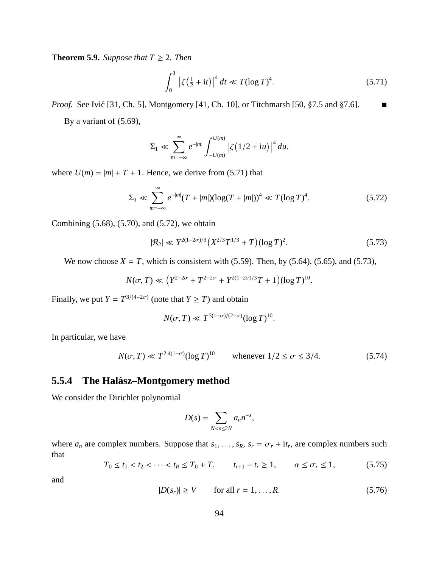**Theorem 5.9.** *Suppose that*  $T \geq 2$ *. Then* 

$$
\int_0^T \left| \zeta \left( \frac{1}{2} + it \right) \right|^4 dt \ll T (\log T)^4. \tag{5.71}
$$

*Proof.* See Ivić [31, Ch. 5], Montgomery [41, Ch. 10], or Titchmarsh [50,  $\S 7.5$  and  $\S 7.6$ ].

By a variant of (5.69),

$$
\Sigma_1 \ll \sum_{m=-\infty}^{\infty} e^{-|m|} \int_{-U(m)}^{U(m)} \left| \zeta(1/2 + iu) \right|^4 du,
$$

where  $U(m) = |m| + T + 1$ . Hence, we derive from (5.71) that

$$
\Sigma_1 \ll \sum_{m=-\infty}^{\infty} e^{-|m|} (T + |m|) (\log(T + |m|))^4 \ll T (\log T)^4.
$$
 (5.72)

Combining (5.68), (5.70), and (5.72), we obtain

$$
|\mathcal{R}_2| \ll Y^{2(1-2\sigma)/3} \left( X^{2/3} T^{1/3} + T \right) (\log T)^2. \tag{5.73}
$$

We now choose  $X = T$ , which is consistent with (5.59). Then, by (5.64), (5.65), and (5.73),

$$
N(\sigma, T) \ll (Y^{2-2\sigma} + T^{2-2\sigma} + Y^{2(1-2\sigma)/3}T + 1)(\log T)^{10}.
$$

Finally, we put  $Y = T^{3/(4-2\sigma)}$  (note that  $Y \geq T$ ) and obtain

$$
N(\sigma, T) \ll T^{3(1-\sigma)/(2-\sigma)} (\log T)^{10}.
$$

In particular, we have

$$
N(\sigma, T) \ll T^{2.4(1-\sigma)} (\log T)^{10}
$$
 whenever  $1/2 \le \sigma \le 3/4$ . (5.74)

### **5.5.4 The Halasz–Montgomery method ´**

We consider the Dirichlet polynomial

$$
D(s) = \sum_{N < n \leq 2N} a_n n^{-s},
$$

where  $a_n$  are complex numbers. Suppose that  $s_1, \ldots, s_R$ ,  $s_r = \sigma_r + i t_r$ , are complex numbers such that

$$
T_0 \le t_1 < t_2 < \dots < t_R \le T_0 + T, \qquad t_{r+1} - t_r \ge 1, \qquad \alpha \le \sigma_r \le 1,\tag{5.75}
$$

and

$$
|D(s_r)| \ge V \qquad \text{for all } r = 1, \dots, R. \tag{5.76}
$$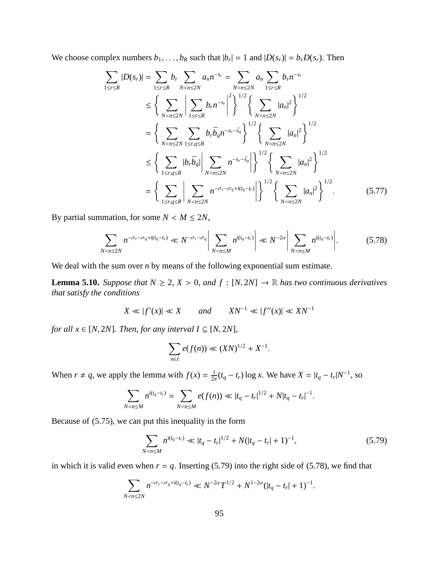We choose complex numbers  $b_1, \ldots, b_R$  such that  $|b_r| = 1$  and  $|D(s_r)| = b_r D(s_r)$ . Then

$$
\sum_{1 \leq r \leq R} |D(s_r)| = \sum_{1 \leq r \leq R} b_r \sum_{N < n \leq 2N} a_n n^{-s_r} = \sum_{N < n \leq 2N} a_n \sum_{1 \leq r \leq R} b_r n^{-s_r}
$$
\n
$$
\leq \left\{ \sum_{N < n \leq 2N} \left| \sum_{1 \leq r \leq R} b_r n^{-s_r} \right|^2 \right\}^{1/2} \left\{ \sum_{N < n \leq 2N} |a_n|^2 \right\}^{1/2}
$$
\n
$$
= \left\{ \sum_{N < n \leq 2N} \sum_{1 \leq r, q \leq R} b_r \bar{b}_q n^{-s_r - \bar{s}_q} \right\}^{1/2} \left\{ \sum_{N < n \leq 2N} |a_n|^2 \right\}^{1/2}
$$
\n
$$
\leq \left\{ \sum_{1 \leq r, q \leq R} |b_r \bar{b}_q| \sum_{N < n \leq 2N} n^{-s_r - \bar{s}_q} \right\}^{1/2} \left\{ \sum_{N < n \leq 2N} |a_n|^2 \right\}^{1/2}
$$
\n
$$
= \left\{ \sum_{1 \leq r, q \leq R} \left| \sum_{N < n \leq 2N} n^{-\sigma_r - \sigma_q + \mathrm{i} (t_q - t_r)} \right| \right\}^{1/2} \left\{ \sum_{N < n \leq 2N} |a_n|^2 \right\}^{1/2} . \tag{5.77}
$$

By partial summation, for some  $N < M \leq 2N$ ,

$$
\sum_{N < n \le 2N} n^{-\sigma_r - \sigma_q + \mathrm{i}(t_q - t_r)} \ll N^{-\sigma_r - \sigma_q} \left| \sum_{N < n \le M} n^{\mathrm{i}(t_q - t_r)} \right| \ll N^{-2\alpha} \left| \sum_{N < n \le M} n^{\mathrm{i}(t_q - t_r)} \right|. \tag{5.78}
$$

We deal with the sum over *n* by means of the following exponential sum estimate.

**Lemma 5.10.** *Suppose that*  $N \ge 2$ ,  $X > 0$ , and  $f : [N, 2N] \rightarrow \mathbb{R}$  *has two continuous derivatives that satisfy the conditions*

$$
X \ll |f'(x)| \ll X \qquad and \qquad XN^{-1} \ll |f''(x)| \ll XN^{-1}
$$

*for all*  $x \in [N, 2N]$ *. Then, for any interval*  $I \subseteq [N, 2N]$ *,* 

$$
\sum_{n \in I} e(f(n)) \ll (XN)^{1/2} + X^{-1}.
$$

When  $r \neq q$ , we apply the lemma with  $f(x) = \frac{1}{2q}$  $\frac{1}{2\pi}(t_q - t_r) \log x$ . We have  $X = |t_q - t_r| N^{-1}$ , so

$$
\sum_{N < n \le M} n^{\mathrm{i}(t_q - t_r)} = \sum_{N < n \le M} e(f(n)) \ll |t_q - t_r|^{1/2} + N|t_q - t_r|^{-1}.
$$

Because of (5.75), we can put this inequality in the form

$$
\sum_{N < n \le M} n^{\mathrm{i}(t_q - t_r)} \ll |t_q - t_r|^{1/2} + N(|t_q - t_r| + 1)^{-1},\tag{5.79}
$$

in which it is valid even when  $r = q$ . Inserting (5.79) into the right side of (5.78), we find that

$$
\sum_{N < n \le 2N} n^{-\sigma_r - \sigma_q + \mathrm{i}(t_q - t_r)} \ll N^{-2\alpha} T^{1/2} + N^{1-2\alpha} (|t_q - t_r| + 1)^{-1}.
$$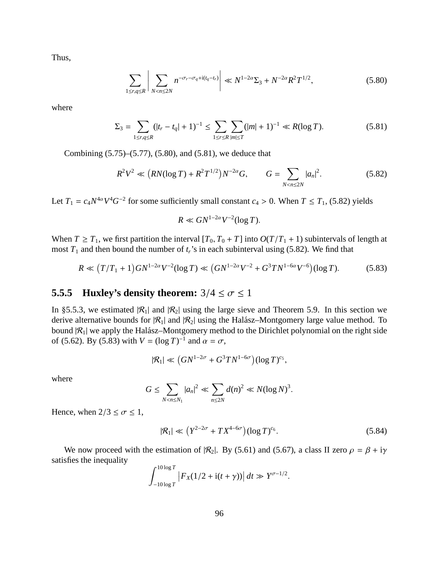Thus,

$$
\sum_{1 \le r, q \le R} \left| \sum_{N < n \le 2N} n^{-\sigma_r - \sigma_q + \mathrm{i}(t_q - t_r)} \right| \ll N^{1 - 2\alpha} \Sigma_3 + N^{-2\alpha} R^2 T^{1/2},\tag{5.80}
$$

where

$$
\Sigma_3 = \sum_{1 \le r, q \le R} (|t_r - t_q| + 1)^{-1} \le \sum_{1 \le r \le R} \sum_{|m| \le T} (|m| + 1)^{-1} \ll R(\log T). \tag{5.81}
$$

Combining (5.75)–(5.77), (5.80), and (5.81), we deduce that

$$
R^{2}V^{2} \ll \left(RN(\log T) + R^{2}T^{1/2}\right)N^{-2\alpha}G, \qquad G = \sum_{N < n \le 2N} |a_{n}|^{2}.\tag{5.82}
$$

Let  $T_1 = c_4 N^{4\alpha} V^4 G^{-2}$  for some sufficiently small constant  $c_4 > 0$ . When  $T \le T_1$ , (5.82) yields

$$
R \ll GN^{1-2\alpha}V^{-2}(\log T).
$$

When  $T \geq T_1$ , we first partition the interval  $[T_0, T_0 + T]$  into  $O(T/T_1 + 1)$  subintervals of length at most  $T_1$  and then bound the number of  $t_r$ 's in each subinterval using (5.82). We find that

$$
R \ll (T/T_1 + 1)GN^{1-2\alpha}V^{-2}(\log T) \ll (GN^{1-2\alpha}V^{-2} + G^3TN^{1-6\alpha}V^{-6})(\log T). \tag{5.83}
$$

# **5.5.5 Huxley's density theorem:**  $3/4 \le \sigma \le 1$

In §5.5.3, we estimated  $|R_1|$  and  $|R_2|$  using the large sieve and Theorem 5.9. In this section we derive alternative bounds for  $|R_1|$  and  $|R_2|$  using the Halász–Montgomery large value method. To bound  $|R_1|$  we apply the Halász–Montgomery method to the Dirichlet polynomial on the right side of (5.62). By (5.83) with  $V = (\log T)^{-1}$  and  $\alpha = \sigma$ ,

$$
|\mathcal{R}_1| \ll \left(GN^{1-2\sigma} + G^3TN^{1-6\sigma}\right)(\log T)^{c_5},
$$

where

$$
G \leq \sum_{N < n \leq N_1} |a_n|^2 \ll \sum_{n \leq 2N} d(n)^2 \ll N(\log N)^3.
$$

Hence, when  $2/3 \le \sigma \le 1$ ,

$$
|\mathcal{R}_1| \ll \left(Y^{2-2\sigma} + TX^{4-6\sigma}\right) (\log T)^{c_6}.\tag{5.84}
$$

We now proceed with the estimation of  $|\mathcal{R}_2|$ . By (5.61) and (5.67), a class II zero  $\rho = \beta + i\gamma$ satisfies the inequality

$$
\int_{-10\log T}^{10\log T} |F_X(1/2 + i(t + \gamma))| dt \gg Y^{\sigma - 1/2}.
$$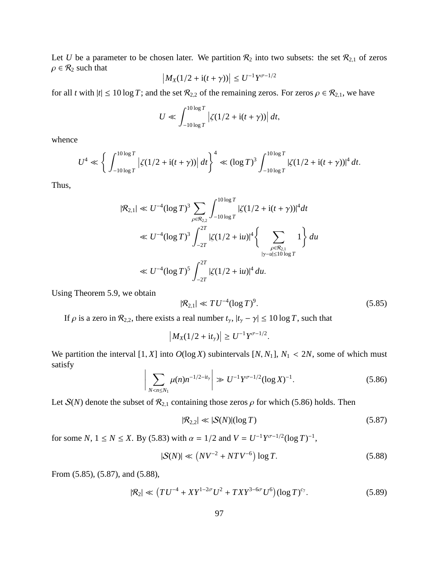Let *U* be a parameter to be chosen later. We partition  $\mathcal{R}_2$  into two subsets: the set  $\mathcal{R}_{2,1}$  of zeros  $\rho \in \mathcal{R}_2$  such that

$$
\left| M_X(1/2 + i(t + \gamma)) \right| \le U^{-1} Y^{\sigma - 1/2}
$$

for all *t* with  $|t| \le 10 \log T$ ; and the set  $\mathcal{R}_{2,2}$  of the remaining zeros. For zeros  $\rho \in \mathcal{R}_{2,1}$ , we have

$$
U \ll \int_{-10\log T}^{10\log T} \left| \zeta(1/2 + i(t + \gamma)) \right| dt,
$$

whence

$$
U^4 \ll \left\{ \int_{-10\log T}^{10\log T} \left| \zeta(1/2 + i(t + \gamma)) \right| dt \right\}^4 \ll (\log T)^3 \int_{-10\log T}^{10\log T} \left| \zeta(1/2 + i(t + \gamma)) \right|^4 dt.
$$

Thus,

$$
|\mathcal{R}_{2,1}| \ll U^{-4} (\log T)^3 \sum_{\rho \in \mathcal{R}_{2,2}} \int_{-10 \log T}^{10 \log T} |\zeta(1/2 + i(t + \gamma))|^4 dt
$$
  

$$
\ll U^{-4} (\log T)^3 \int_{-2T}^{2T} |\zeta(1/2 + iu)|^4 \left\{ \sum_{\substack{\rho \in \mathcal{R}_{2,1} \\ |\gamma - u| \le 10 \log T}} 1 \right\} du
$$
  

$$
\ll U^{-4} (\log T)^5 \int_{-2T}^{2T} |\zeta(1/2 + iu)|^4 du.
$$

Using Theorem 5.9, we obtain

$$
|\mathcal{R}_{2,1}| \ll TU^{-4} (\log T)^9. \tag{5.85}
$$

If  $\rho$  is a zero in  $\mathcal{R}_{2,2}$ , there exists a real number  $t_{\gamma}$ ,  $|t_{\gamma} - \gamma| \le 10 \log T$ , such that

$$
\left| M_X(1/2 + it_\gamma) \right| \ge U^{-1} Y^{\sigma - 1/2}.
$$

We partition the interval [1, *X*] into  $O(\log X)$  subintervals [*N*, *N*<sub>1</sub>],  $N_1 < 2N$ , some of which must satisfy

$$
\left| \sum_{N < n \le N_1} \mu(n) n^{-1/2 - it_\gamma} \right| \gg U^{-1} Y^{\sigma - 1/2} (\log X)^{-1} . \tag{5.86}
$$

Let  $S(N)$  denote the subset of  $\mathcal{R}_{2,1}$  containing those zeros  $\rho$  for which (5.86) holds. Then

$$
|\mathcal{R}_{2,2}| \ll |\mathcal{S}(N)|(\log T) \tag{5.87}
$$

for some *N*,  $1 \le N \le X$ . By (5.83) with  $\alpha = 1/2$  and  $V = U^{-1}Y^{\sigma-1/2}(\log T)^{-1}$ ,

$$
|S(N)| \ll \left( NV^{-2} + NTV^{-6} \right) \log T. \tag{5.88}
$$

From (5.85), (5.87), and (5.88),

$$
|\mathcal{R}_2| \ll (TU^{-4} + XY^{1-2\sigma}U^2 + TXY^{3-6\sigma}U^6)(\log T)^{c_7}.
$$
 (5.89)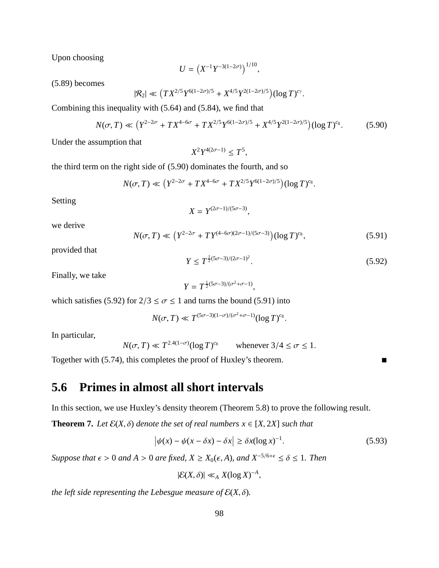Upon choosing

$$
U = \left( X^{-1} Y^{-3(1-2\sigma)} \right)^{1/10},
$$

(5.89) becomes

$$
|\mathcal{R}_2| \ll (TX^{2/5}Y^{6(1-2\sigma)/5} + X^{4/5}Y^{2(1-2\sigma)/5})(\log T)^{c_7}
$$

Combining this inequality with (5.64) and (5.84), we find that

$$
N(\sigma, T) \ll \left(Y^{2-2\sigma} + TX^{4-6\sigma} + TX^{2/5}Y^{6(1-2\sigma)/5} + X^{4/5}Y^{2(1-2\sigma)/5}\right) (\log T)^{c_8}.
$$
 (5.90)

,

Under the assumption that

$$
X^2 Y^{4(2\sigma-1)} \leq T^5
$$

the third term on the right side of (5.90) dominates the fourth, and so

$$
N(\sigma, T) \ll (Y^{2-2\sigma} + TX^{4-6\sigma} + TX^{2/5}Y^{6(1-2\sigma)/5})(\log T)^{c_8}.
$$

Setting

$$
X = Y^{(2\sigma - 1)/(5\sigma - 3)},
$$

we derive

$$
N(\sigma, T) \ll \left(Y^{2-2\sigma} + TY^{(4-6\sigma)(2\sigma-1)/(5\sigma-3)}\right) (\log T)^{c_8},\tag{5.91}
$$

provided that

$$
Y \le T^{\frac{1}{2}(5\sigma - 3)/(2\sigma - 1)^2}.
$$
\n(5.92)

.

Finally, we take

$$
Y = T^{\frac{1}{2}(5\sigma - 3)/(\sigma^2 + \sigma - 1)},
$$

which satisfies (5.92) for  $2/3 \le \sigma \le 1$  and turns the bound (5.91) into

$$
N(\sigma, T) \ll T^{(5\sigma - 3)(1-\sigma)/(\sigma^2 + \sigma - 1)} (\log T)^{c_8}.
$$

In particular,

$$
N(\sigma, T) \ll T^{2.4(1-\sigma)} (\log T)^{c_8} \qquad \text{whenever } 3/4 \le \sigma \le 1.
$$

Together with  $(5.74)$ , this completes the proof of Huxley's theorem.

# **5.6 Primes in almost all short intervals**

In this section, we use Huxley's density theorem (Theorem 5.8) to prove the following result.

**Theorem 7.** *Let*  $\mathcal{E}(X, \delta)$  *denote the set of real numbers*  $x \in [X, 2X]$  *such that* 

$$
\left|\psi(x) - \psi(x - \delta x) - \delta x\right| \ge \delta x (\log x)^{-1}.\tag{5.93}
$$

*Suppose that*  $\epsilon > 0$  *and*  $A > 0$  *are fixed,*  $X \ge X_0(\epsilon, A)$ *, and*  $X^{-5/6+\epsilon} \le \delta \le 1$ *. Then* 

 $|\mathcal{E}(X,\delta)| \ll_A X(\log X)^{-A},$ 

*the left side representing the Lebesgue measure of*  $\mathcal{E}(X, \delta)$ *.*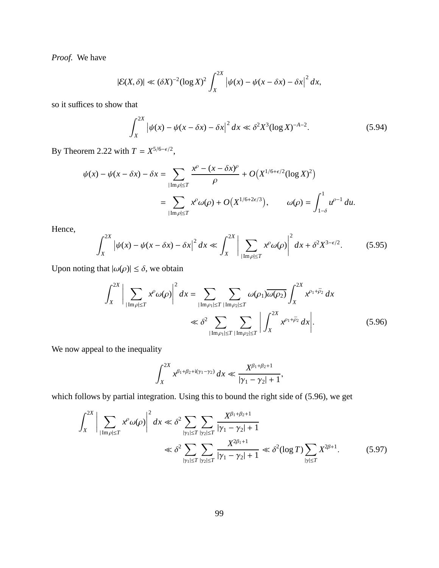*Proof.* We have

$$
|\mathcal{E}(X,\delta)| \ll (\delta X)^{-2} (\log X)^2 \int_X^{2X} \left| \psi(x) - \psi(x - \delta x) - \delta x \right|^2 dx,
$$

so it suffices to show that

$$
\int_{X}^{2X} |\psi(x) - \psi(x - \delta x) - \delta x|^2 dx \ll \delta^2 X^3 (\log X)^{-A-2}.
$$
 (5.94)

By Theorem 2.22 with  $T = X^{5/6 - \epsilon/2}$ ,

$$
\psi(x) - \psi(x - \delta x) - \delta x = \sum_{|\text{Im}\,\rho| \le T} \frac{x^{\rho} - (x - \delta x)^{\rho}}{\rho} + O\big(X^{1/6 + \epsilon/2}(\log X)^2\big)
$$

$$
= \sum_{|\text{Im}\,\rho| \le T} x^{\rho} \omega(\rho) + O\big(X^{1/6 + 2\epsilon/3}\big), \qquad \omega(\rho) = \int_{1-\delta}^{1} u^{\rho-1} du.
$$

Hence,

$$
\int_{X}^{2X} \left| \psi(x) - \psi(x - \delta x) - \delta x \right|^2 dx \ll \int_{X}^{2X} \left| \sum_{|\text{Im}\rho| \le T} x^{\rho} \omega(\rho) \right|^2 dx + \delta^2 X^{3 - \epsilon/2}.
$$
 (5.95)

Upon noting that  $|\omega(\rho)| \le \delta$ , we obtain

$$
\int_{X}^{2X} \bigg| \sum_{|\text{Im}\rho| \le T} x^{\rho} \omega(\rho) \bigg|^{2} dx = \sum_{|\text{Im}\rho_{1}| \le T} \sum_{|\text{Im}\rho_{2}| \le T} \omega(\rho_{1}) \overline{\omega(\rho_{2})} \int_{X}^{2X} x^{\rho_{1} + \bar{\rho}_{2}} dx
$$
  

$$
\ll \delta^{2} \sum_{|\text{Im}\rho_{1}| \le T} \sum_{|\text{Im}\rho_{2}| \le T} \bigg| \int_{X}^{2X} x^{\rho_{1} + \bar{\rho}_{2}} dx \bigg|.
$$
 (5.96)

We now appeal to the inequality

$$
\int_{X}^{2X} x^{\beta_1+\beta_2+i(\gamma_1-\gamma_2)} dx \ll \frac{X^{\beta_1+\beta_2+1}}{|\gamma_1-\gamma_2|+1},
$$

which follows by partial integration. Using this to bound the right side of (5.96), we get

$$
\int_{X}^{2X} \left| \sum_{|\text{Im}\rho| \le T} x^{\rho} \omega(\rho) \right|^{2} dx \ll \delta^{2} \sum_{|\gamma_{1}| \le T} \sum_{|\gamma_{2}| \le T} \frac{X^{\beta_{1} + \beta_{2} + 1}}{|\gamma_{1} - \gamma_{2}| + 1}
$$
  

$$
\ll \delta^{2} \sum_{|\gamma_{1}| \le T} \sum_{|\gamma_{2}| \le T} \frac{X^{2\beta_{1} + 1}}{|\gamma_{1} - \gamma_{2}| + 1} \ll \delta^{2} (\log T) \sum_{|\gamma| \le T} X^{2\beta + 1}.
$$
 (5.97)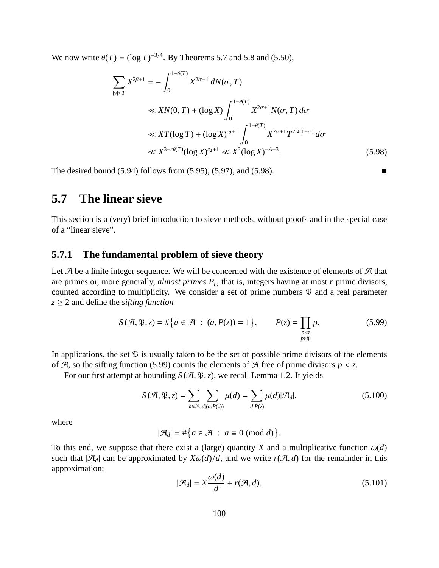We now write  $\theta(T) = (\log T)^{-3/4}$ . By Theorems 5.7 and 5.8 and (5.50),

$$
\sum_{|\gamma| \le T} X^{2\beta+1} = -\int_0^{1-\theta(T)} X^{2\sigma+1} dN(\sigma, T)
$$
  
\n
$$
\ll XN(0, T) + (\log X) \int_0^{1-\theta(T)} X^{2\sigma+1} N(\sigma, T) d\sigma
$$
  
\n
$$
\ll XT(\log T) + (\log X)^{c_2+1} \int_0^{1-\theta(T)} X^{2\sigma+1} T^{2.4(1-\sigma)} d\sigma
$$
  
\n
$$
\ll X^{3-\epsilon\theta(T)}(\log X)^{c_2+1} \ll X^3(\log X)^{-A-3}.
$$
 (5.98)

The desired bound  $(5.94)$  follows from  $(5.95)$ ,  $(5.97)$ , and  $(5.98)$ .

# **5.7 The linear sieve**

This section is a (very) brief introduction to sieve methods, without proofs and in the special case of a "linear sieve".

#### **5.7.1 The fundamental problem of sieve theory**

Let  $\mathcal A$  be a finite integer sequence. We will be concerned with the existence of elements of  $\mathcal A$  that are primes or, more generally, *almost primes P<sup>r</sup>* , that is, integers having at most *r* prime divisors, counted according to multiplicity. We consider a set of prime numbers  $\mathcal{P}$  and a real parameter  $z \geq 2$  and define the *sifting function* 

$$
S(\mathcal{A}, \mathfrak{P}, z) = #\Big\{a \in \mathcal{A} \ : \ (a, P(z)) = 1\Big\}, \qquad P(z) = \prod_{\substack{p < z \\ p \in \mathfrak{P}}} p. \tag{5.99}
$$

In applications, the set  $\mathfrak P$  is usually taken to be the set of possible prime divisors of the elements of  $\mathcal{A}$ , so the sifting function (5.99) counts the elements of  $\mathcal{A}$  free of prime divisors  $p < z$ .

For our first attempt at bounding  $S(\mathcal{A}, \mathcal{B}, z)$ , we recall Lemma 1.2. It yields

$$
S(\mathcal{A}, \mathfrak{P}, z) = \sum_{a \in \mathcal{A}} \sum_{d|(a, P(z))} \mu(d) = \sum_{d|P(z)} \mu(d)|\mathcal{A}_d|,
$$
(5.100)

where

$$
|\mathcal{A}_d| = #\big\{a \in \mathcal{A} \; : \; a \equiv 0 \; (\text{mod } d)\big\}.
$$

To this end, we suppose that there exist a (large) quantity *X* and a multiplicative function  $\omega(d)$ such that  $|\mathcal{A}_d|$  can be approximated by  $X\omega(d)/d$ , and we write  $r(\mathcal{A}, d)$  for the remainder in this approximation:

$$
|\mathcal{A}_d| = X \frac{\omega(d)}{d} + r(\mathcal{A}, d). \tag{5.101}
$$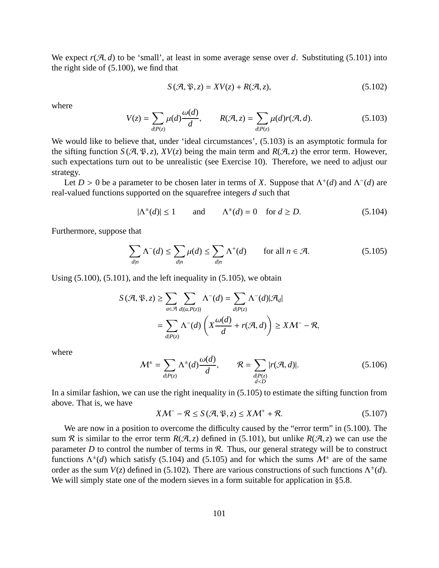We expect  $r(\mathcal{A}, d)$  to be 'small', at least in some average sense over *d*. Substituting (5.101) into the right side of (5.100), we find that

ω(*d*)

$$
S(\mathcal{A}, \mathfrak{P}, z) = XV(z) + R(\mathcal{A}, z), \qquad (5.102)
$$

where

$$
V(z) = \sum_{d|P(z)} \mu(d) \frac{\omega(d)}{d}, \qquad R(\mathcal{A}, z) = \sum_{d|P(z)} \mu(d)r(\mathcal{A}, d). \tag{5.103}
$$

We would like to believe that, under 'ideal circumstances',  $(5.103)$  is an asymptotic formula for the sifting function  $S(\mathcal{A}, \mathcal{B}, z)$ ,  $XV(z)$  being the main term and  $R(\mathcal{A}, z)$  the error term. However, such expectations turn out to be unrealistic (see Exercise 10). Therefore, we need to adjust our strategy.

Let  $D > 0$  be a parameter to be chosen later in terms of *X*. Suppose that  $\Lambda^+(d)$  and  $\Lambda^-(d)$  are real-valued functions supported on the squarefree integers *d* such that

$$
|\Lambda^{\pm}(d)| \le 1 \qquad \text{and} \qquad \Lambda^{\pm}(d) = 0 \quad \text{for } d \ge D. \tag{5.104}
$$

Furthermore, suppose that

$$
\sum_{d|n} \Lambda^{-}(d) \le \sum_{d|n} \mu(d) \le \sum_{d|n} \Lambda^{+}(d) \qquad \text{for all } n \in \mathcal{A}.
$$
 (5.105)

Using  $(5.100)$ ,  $(5.101)$ , and the left inequality in  $(5.105)$ , we obtain

$$
S(\mathcal{A}, \mathfrak{P}, z) \ge \sum_{a \in \mathcal{A}} \sum_{d | (a, P(z))} \Lambda^{-}(d) = \sum_{d | P(z)} \Lambda^{-}(d) | \mathcal{A}_d |
$$
  
= 
$$
\sum_{d | P(z)} \Lambda^{-}(d) \left( X \frac{\omega(d)}{d} + r(\mathcal{A}, d) \right) \ge X \mathcal{M}^{-} - \mathcal{R},
$$

where

$$
\mathcal{M}^{\pm} = \sum_{d|P(z)} \Lambda^{\pm}(d) \frac{\omega(d)}{d}, \qquad \mathcal{R} = \sum_{\substack{d|P(z) \\ d < D}} |r(\mathcal{A}, d)|. \tag{5.106}
$$

In a similar fashion, we can use the right inequality in (5.105) to estimate the sifting function from above. That is, we have

$$
XM^{-} - \mathcal{R} \le S(\mathcal{A}, \mathfrak{P}, z) \le KM^{+} + \mathcal{R}.
$$
 (5.107)

We are now in a position to overcome the difficulty caused by the "error term" in  $(5.100)$ . The sum R is similar to the error term  $R(\mathcal{A}, z)$  defined in (5.101), but unlike  $R(\mathcal{A}, z)$  we can use the parameter  $D$  to control the number of terms in  $R$ . Thus, our general strategy will be to construct functions  $\Lambda^{\pm}(d)$  which satisfy (5.104) and (5.105) and for which the sums  $\mathcal{M}^{\pm}$  are of the same order as the sum  $V(z)$  defined in (5.102). There are various constructions of such functions  $\Lambda^{\pm}(d)$ . We will simply state one of the modern sieves in a form suitable for application in §5.8.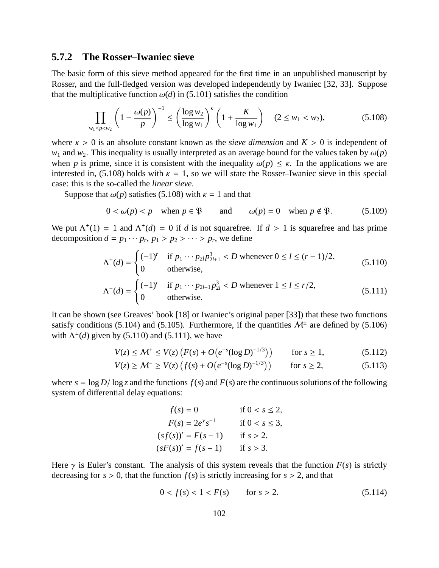#### **5.7.2 The Rosser–Iwaniec sieve**

The basic form of this sieve method appeared for the first time in an unpublished manuscript by Rosser, and the full-fledged version was developed independently by Iwaniec [32, 33]. Suppose that the multiplicative function  $\omega(d)$  in (5.101) satisfies the condition

$$
\prod_{w_1 \le p < w_2} \left( 1 - \frac{\omega(p)}{p} \right)^{-1} \le \left( \frac{\log w_2}{\log w_1} \right)^k \left( 1 + \frac{K}{\log w_1} \right) \quad (2 \le w_1 < w_2), \tag{5.108}
$$

where  $\kappa > 0$  is an absolute constant known as the *sieve dimension* and  $K > 0$  is independent of *w*<sub>1</sub> and *w*<sub>2</sub>. This inequality is usually interpreted as an average bound for the values taken by  $\omega(p)$ when *p* is prime, since it is consistent with the inequality  $\omega(p) \leq \kappa$ . In the applications we are interested in, (5.108) holds with  $\kappa = 1$ , so we will state the Rosser–Iwaniec sieve in this special case: this is the so-called the *linear sieve*.

Suppose that  $\omega(p)$  satisfies (5.108) with  $\kappa = 1$  and that

$$
0 < \omega(p) < p \quad \text{when } p \in \mathfrak{P} \qquad \text{and} \qquad \omega(p) = 0 \quad \text{when } p \notin \mathfrak{P}. \tag{5.109}
$$

We put  $\Lambda^{\pm}(1) = 1$  and  $\Lambda^{\pm}(d) = 0$  if *d* is not squarefree. If  $d > 1$  is squarefree and has prime decomposition  $d = p_1 \cdots p_r, p_1 > p_2 > \cdots > p_r$ , we define

$$
\Lambda^{+}(d) = \begin{cases}\n(-1)^{r} & \text{if } p_1 \cdots p_{2l} p_{2l+1}^3 < D \text{ whenever } 0 \le l \le (r-1)/2, \\
0 & \text{otherwise,} \n\end{cases} \tag{5.110}
$$

$$
\Lambda^{-}(d) = \begin{cases}\n(-1)^{r} & \text{if } p_1 \cdots p_{2l-1} p_{2l}^3 < D \text{ whenever } 1 \le l \le r/2, \\
0 & \text{otherwise.}\n\end{cases} \tag{5.111}
$$

It can be shown (see Greaves' book [18] or Iwaniec's original paper [33]) that these two functions satisfy conditions (5.104) and (5.105). Furthermore, if the quantities  $\mathcal{M}^{\pm}$  are defined by (5.106) with  $\Lambda^{\pm}(d)$  given by (5.110) and (5.111), we have

$$
V(z) \le M^+ \le V(z) \left( F(s) + O\big(e^{-s} (\log D)^{-1/3}\big) \right) \qquad \text{for } s \ge 1,
$$
 (5.112)

$$
V(z) \ge M^{-} \ge V(z) \left( f(s) + O\big(e^{-s} (\log D)^{-1/3}\big) \right) \qquad \text{for } s \ge 2,
$$
 (5.113)

where  $s = \log D / \log z$  and the functions  $f(s)$  and  $F(s)$  are the continuous solutions of the following system of differential delay equations:

*f*(*s*) = 0 if 0 < *s* ≤ 2, *F*(*s*) = 2*e* γ *s* −1 if 0 < *s* ≤ 3, (*s f*(*s*))<sup>0</sup> = *F*(*s* − 1) if *s* > 2, (*sF*(*s*))<sup>0</sup> = *f*(*s* − 1) if *s* > 3.

Here  $\gamma$  is Euler's constant. The analysis of this system reveals that the function  $F(s)$  is strictly decreasing for  $s > 0$ , that the function  $f(s)$  is strictly increasing for  $s > 2$ , and that

$$
0 < f(s) < 1 < F(s) \qquad \text{for } s > 2. \tag{5.114}
$$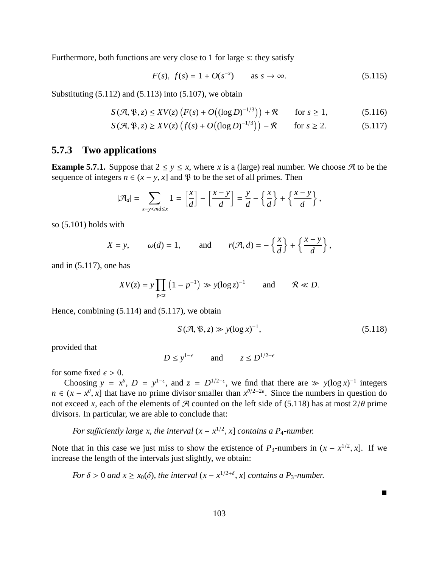Furthermore, both functions are very close to 1 for large *s*: they satisfy

$$
F(s), f(s) = 1 + O(s^{-s})
$$
 as  $s \to \infty$ . (5.115)

Substituting  $(5.112)$  and  $(5.113)$  into  $(5.107)$ , we obtain

$$
S(\mathcal{A}, \mathfrak{P}, z) \leq XV(z) \left( F(s) + O\big( (\log D)^{-1/3} \big) \right) + \mathcal{R} \qquad \text{for } s \geq 1,
$$
 (5.116)

$$
S(\mathcal{A}, \mathfrak{P}, z) \geq XV(z) \left( f(s) + O\big((\log D)^{-1/3}\big) \right) - \mathcal{R} \qquad \text{for } s \geq 2. \tag{5.117}
$$

#### **5.7.3 Two applications**

**Example 5.7.1.** Suppose that  $2 \le y \le x$ , where *x* is a (large) real number. We choose  $\mathcal{A}$  to be the sequence of integers  $n \in (x - y, x]$  and  $\mathfrak{P}$  to be the set of all primes. Then

$$
|\mathcal{A}_d| = \sum_{x-y < md \leq x} 1 = \left[\frac{x}{d}\right] - \left[\frac{x-y}{d}\right] = \frac{y}{d} - \left\{\frac{x}{d}\right\} + \left\{\frac{x-y}{d}\right\},
$$

so (5.101) holds with

$$
X = y
$$
,  $\omega(d) = 1$ , and  $r(\mathcal{A}, d) = -\left\{\frac{x}{d}\right\} + \left\{\frac{x - y}{d}\right\}$ ,

and in (5.117), one has

$$
XV(z) = y \prod_{p < z} \left(1 - p^{-1}\right) \gg y(\log z)^{-1} \qquad \text{and} \qquad \mathcal{R} \ll D.
$$

Hence, combining (5.114) and (5.117), we obtain

$$
S(\mathcal{A}, \mathfrak{P}, z) \gg y(\log x)^{-1},\tag{5.118}
$$

provided that

 $D \le y^{1-\epsilon}$  and  $z \le D^{1/2-\epsilon}$ 

for some fixed  $\epsilon > 0$ .

Choosing  $y = x^{\theta}$ ,  $D = y^{1-\epsilon}$ , and  $z = D^{1/2-\epsilon}$ , we find that there are  $\gg y(\log x)^{-1}$  integers  $n \in (x - x^{\theta}, x]$  that have no prime divisor smaller than  $x^{\theta/2-2\epsilon}$ . Since the numbers in question do not exceed *x*, each of the elements of A counted on the left side of (5.118) has at most  $2/\theta$  prime divisors. In particular, we are able to conclude that:

*For sufficiently large x, the interval*  $(x - x^{1/2}, x]$  *contains a P<sub>4</sub>-number.* 

Note that in this case we just miss to show the existence of  $P_3$ -numbers in  $(x - x^{1/2}, x]$ . If we increase the length of the intervals just slightly, we obtain:

*For*  $\delta > 0$  *and*  $x \ge x_0(\delta)$ *, the interval*  $(x - x^{1/2+\delta}, x]$  *contains a P<sub>3</sub>-number.* 

 $\blacksquare$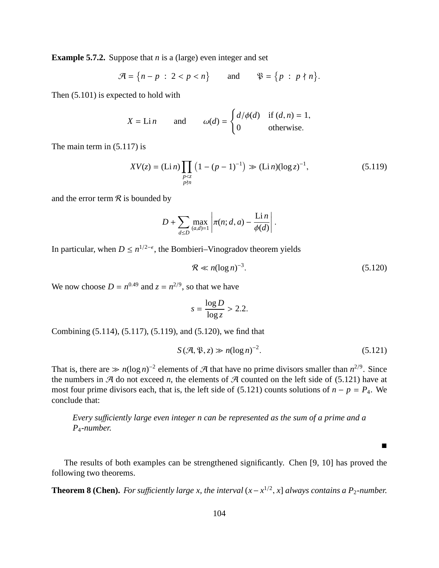**Example 5.7.2.** Suppose that *n* is a (large) even integer and set

$$
\mathcal{A} = \{n-p \; : \; 2 < p < n\} \qquad \text{and} \qquad \mathfrak{P} = \{p \; : \; p \nmid n\}.
$$

Then (5.101) is expected to hold with

$$
X = \text{Li } n
$$
 and  $\omega(d) = \begin{cases} d/\phi(d) & \text{if } (d, n) = 1, \\ 0 & \text{otherwise.} \end{cases}$ 

The main term in (5.117) is

$$
XV(z) = (\text{Li } n) \prod_{\substack{p < z \\ p \nmid n}} \left( 1 - (p - 1)^{-1} \right) \gg (\text{Li } n)(\log z)^{-1},\tag{5.119}
$$

and the error term  $\mathcal R$  is bounded by

$$
D+\sum_{d\leq D}\max_{(a,d)=1}\left|\pi(n;d,a)-\frac{\text{Li}\,n}{\phi(d)}\right|.
$$

In particular, when  $D \leq n^{1/2-\epsilon}$ , the Bombieri–Vinogradov theorem yields

$$
\mathcal{R} \ll n(\log n)^{-3}.\tag{5.120}
$$

We now choose  $D = n^{0.49}$  and  $z = n^{2/9}$ , so that we have

$$
s = \frac{\log D}{\log z} > 2.2.
$$

Combining (5.114), (5.117), (5.119), and (5.120), we find that

$$
S(\mathcal{A}, \mathfrak{P}, z) \gg n(\log n)^{-2}.
$$
 (5.121)

 $\blacksquare$ 

That is, there are  $\gg n(\log n)^{-2}$  elements of A that have no prime divisors smaller than  $n^{2/9}$ . Since the numbers in  $\mathcal A$  do not exceed *n*, the elements of  $\mathcal A$  counted on the left side of (5.121) have at most four prime divisors each, that is, the left side of (5.121) counts solutions of  $n - p = P_4$ . We conclude that:

*Every su*ffi*ciently large even integer n can be represented as the sum of a prime and a P*4*-number.*

The results of both examples can be strengthened significantly. Chen [9, 10] has proved the following two theorems.

**Theorem 8 (Chen).** *For sufficiently large x, the interval*  $(x - x^{1/2}, x]$  *always contains a P*<sub>2</sub>*-number.*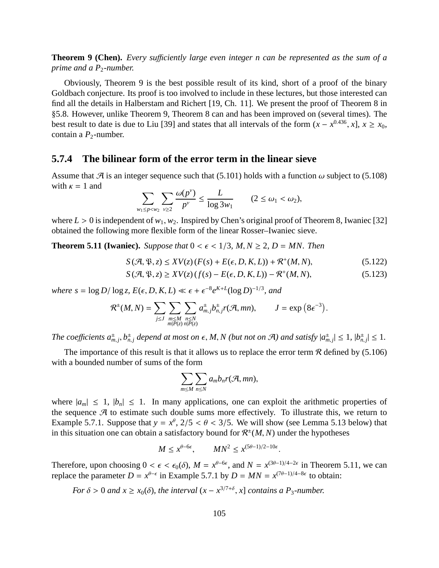**Theorem 9 (Chen).** *Every sufficiently large even integer n can be represented as the sum of a prime and a P*<sub>2</sub>-number.

Obviously, Theorem 9 is the best possible result of its kind, short of a proof of the binary Goldbach conjecture. Its proof is too involved to include in these lectures, but those interested can find all the details in Halberstam and Richert [19, Ch. 11]. We present the proof of Theorem 8 in §5.8. However, unlike Theorem 9, Theorem 8 can and has been improved on (several times). The best result to date is due to Liu [39] and states that all intervals of the form  $(x - x^{0.436}, x]$ ,  $x \ge x_0$ , contain a  $P_2$ -number.

#### **5.7.4 The bilinear form of the error term in the linear sieve**

Assume that  $\mathcal A$  is an integer sequence such that (5.101) holds with a function  $\omega$  subject to (5.108) with  $\kappa = 1$  and

$$
\sum_{w_1\leq p
$$

where  $L > 0$  is independent of  $w_1, w_2$ . Inspired by Chen's original proof of Theorem 8, Iwaniec [32] obtained the following more flexible form of the linear Rosser–Iwaniec sieve.

**Theorem 5.11 (Iwaniec).** Suppose that  $0 \lt \epsilon \lt 1/3$ ,  $M, N \ge 2$ ,  $D = MN$ . Then

$$
S(\mathcal{A}, \mathfrak{P}, z) \leq XV(z) \left( F(s) + E(\epsilon, D, K, L) \right) + \mathcal{R}^+(M, N),\tag{5.122}
$$

$$
S(\mathcal{A}, \mathfrak{P}, z) \geq XV(z) \left( f(s) - E(\epsilon, D, K, L) \right) - \mathcal{R}^+(M, N),\tag{5.123}
$$

*where*  $s = \log D / \log z$ ,  $E(\epsilon, D, K, L) \ll \epsilon + \epsilon^{-8} e^{K+L} (\log D)^{-1/3}$ , and

$$
\mathcal{R}^{\pm}(M,N) = \sum_{j\leq J} \sum_{\substack{m\leq M \\ m|P(z)}} \sum_{\substack{n\leq N \\ n|P(z)}} a^{\pm}_{m,j} b^{\pm}_{n,j} r(\mathcal{A}, mn), \qquad J = \exp\left(8\epsilon^{-3}\right).
$$

The coefficients  $a^{\pm}_{m,j}$ ,  $b^{\pm}_{n,j}$  depend at most on  $\epsilon$ , M, N (but not on A) and satisfy  $|a^{\pm}_{m,j}| \leq 1$ ,  $|b^{\pm}_{n,j}| \leq 1$ .

The importance of this result is that it allows us to replace the error term  $\mathcal R$  defined by (5.106) with a bounded number of sums of the form

$$
\sum_{m\leq M}\sum_{n\leq N}a_mb_nr(\mathcal{A},mn),
$$

where  $|a_m| \leq 1$ ,  $|b_n| \leq 1$ . In many applications, one can exploit the arithmetic properties of the sequence  $A$  to estimate such double sums more effectively. To illustrate this, we return to Example 5.7.1. Suppose that  $y = x^{\theta}$ ,  $2/5 < \theta < 3/5$ . We will show (see Lemma 5.13 below) that in this situation one can obtain a satisfactory bound for  $\mathcal{R}^{\pm}(M, N)$  under the hypotheses

$$
M \le x^{\theta - 6\epsilon}, \qquad MN^2 \le x^{(5\theta - 1)/2 - 10\epsilon}.
$$

Therefore, upon choosing  $0 < \epsilon < \epsilon_0(\delta)$ ,  $M = x^{\theta-6\epsilon}$ , and  $N = x^{(3\theta-1)/4-2\epsilon}$  in Theorem 5.11, we can replace the parameter  $D = x^{\theta-\epsilon}$  in Example 5.7.1 by  $D = MN = x^{(7\theta-1)/4-8\epsilon}$  to obtain:

For 
$$
\delta > 0
$$
 and  $x \ge x_0(\delta)$ , the interval  $(x - x^{3/7+\delta}, x]$  contains a  $P_3$ -number.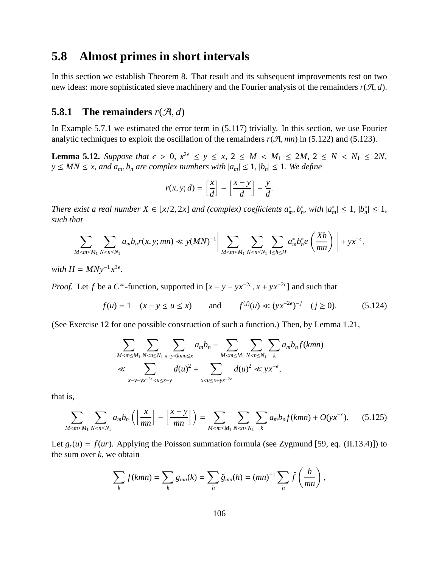## **5.8 Almost primes in short intervals**

In this section we establish Theorem 8. That result and its subsequent improvements rest on two new ideas: more sophisticated sieve machinery and the Fourier analysis of the remainders  $r(\mathcal{A}, d)$ .

### **5.8.1** The remainders  $r(\mathcal{A}, d)$

In Example 5.7.1 we estimated the error term in (5.117) trivially. In this section, we use Fourier analytic techniques to exploit the oscillation of the remainders  $r(\mathcal{A}, mn)$  in (5.122) and (5.123).

**Lemma 5.12.** Suppose that  $\epsilon > 0$ ,  $x^{2\epsilon} \le y \le x$ ,  $2 \le M \le M_1 \le 2M$ ,  $2 \le N \le N_1 \le 2N$ , *y* ≤ *MN* ≤ *x, and*  $a_m$ ,  $b_n$  *are complex numbers with*  $|a_m|$  ≤ 1*,*  $|b_n|$  ≤ 1*. We define* 

$$
r(x, y; d) = \left[\frac{x}{d}\right] - \left[\frac{x-y}{d}\right] - \frac{y}{d}.
$$

*There exist a real number*  $X \in [x/2, 2x]$  *and (complex) coefficients*  $a_m^*, b_n^*$ , *with*  $|a_m^*| \leq 1$ ,  $|b_n^*| \leq 1$ , *such that*

$$
\sum_{M < m \le M_1} \sum_{N < n \le N_1} a_m b_n r(x, y; mn) \ll y(MN)^{-1} \bigg| \sum_{M < m \le M_1} \sum_{N < n \le N_1} \sum_{1 \le h \le H} a_m^* b_n^* e\left(\frac{Xh}{mn}\right) \bigg| + yx^{-\epsilon},
$$

*with*  $H = M N y^{-1} x^{3\epsilon}$ .

*Proof.* Let *f* be a  $C^{\infty}$ -function, supported in  $[x - y - yx^{-2\epsilon}, x + yx^{-2\epsilon}]$  and such that

$$
f(u) = 1
$$
  $(x - y \le u \le x)$  and  $f^{(j)}(u) \ll (yx^{-2\epsilon})^{-j}$   $(j \ge 0)$ . (5.124)

(See Exercise 12 for one possible construction of such a function.) Then, by Lemma 1.21,

$$
\sum_{M < m \le M_1} \sum_{N < n \le N_1} \sum_{x-y < kmn \le x} a_m b_n - \sum_{M < m \le M_1} \sum_{N < n \le N_1} \sum_k a_m b_n f(kmn)
$$
\n
$$
\ll \sum_{x-y-yx^{-2\epsilon} < u \le x-y} d(u)^2 + \sum_{x < u \le x+yx^{-2\epsilon}} d(u)^2 \ll yx^{-\epsilon},
$$

that is,

$$
\sum_{M < m \le M_1} \sum_{N < n \le N_1} a_m b_n \left( \left[ \frac{x}{mn} \right] - \left[ \frac{x - y}{mn} \right] \right) = \sum_{M < m \le M_1} \sum_{N < n \le N_1} \sum_k a_m b_n f(kmn) + O(\mathbf{y} x^{-\epsilon}).\tag{5.125}
$$

Let  $g_r(u) = f(ur)$ . Applying the Poisson summation formula (see Zygmund [59, eq. (II.13.4)]) to the sum over  $k$ , we obtain

$$
\sum_{k} f(kmn) = \sum_{k} g_{mn}(k) = \sum_{h} \hat{g}_{mn}(h) = (mn)^{-1} \sum_{h} \hat{f}\left(\frac{h}{mn}\right),
$$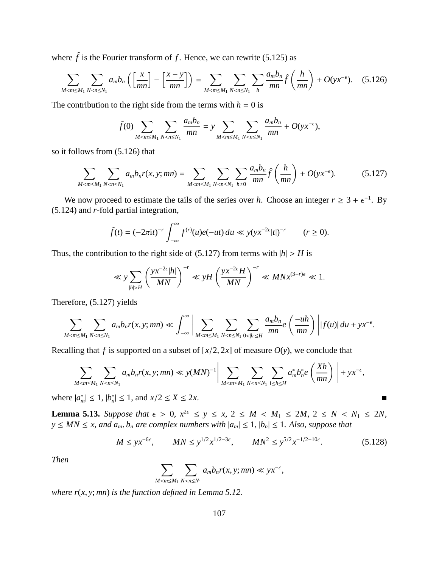where  $\hat{f}$  is the Fourier transform of  $f$ . Hence, we can rewrite (5.125) as

$$
\sum_{M < m \le M_1} \sum_{N < n \le N_1} a_m b_n \left( \left[ \frac{x}{mn} \right] - \left[ \frac{x - y}{mn} \right] \right) = \sum_{M < m \le M_1} \sum_{N < n \le N_1} \sum_{h} \frac{a_m b_n}{mn} \hat{f} \left( \frac{h}{mn} \right) + O(yx^{-\epsilon}). \tag{5.126}
$$

The contribution to the right side from the terms with  $h = 0$  is

$$
\hat{f}(0) \sum_{M < m \le M_1} \sum_{N < n \le N_1} \frac{a_m b_n}{mn} = y \sum_{M < m \le M_1} \sum_{N < n \le N_1} \frac{a_m b_n}{mn} + O(yx^{-\epsilon}),
$$

so it follows from (5.126) that

$$
\sum_{M < m \le M_1} \sum_{N < n \le N_1} a_m b_n r(x, y; mn) = \sum_{M < m \le M_1} \sum_{N < n \le N_1} \sum_{h \ne 0} \frac{a_m b_n}{mn} \hat{f}\left(\frac{h}{mn}\right) + O(yx^{-\epsilon}).\tag{5.127}
$$

We now proceed to estimate the tails of the series over *h*. Choose an integer  $r \geq 3 + \epsilon^{-1}$ . By (5.124) and *r*-fold partial integration,

$$
\hat{f}(t) = (-2\pi i t)^{-r} \int_{-\infty}^{\infty} f^{(r)}(u)e(-ut) du \ll y(yx^{-2\epsilon}|t|)^{-r} \qquad (r \ge 0).
$$

Thus, the contribution to the right side of (5.127) from terms with  $|h| > H$  is

$$
\ll y \sum_{|h|>H} \left(\frac{yx^{-2\epsilon}|h|}{MN}\right)^{-r} \ll yH \left(\frac{yx^{-2\epsilon}H}{MN}\right)^{-r} \ll MNx^{(3-r)\epsilon} \ll 1.
$$

Therefore, (5.127) yields

$$
\sum_{M < m \le M_1} \sum_{N < n \le N_1} a_m b_n r(x, y; mn) \ll \int_{-\infty}^{\infty} \left| \sum_{M < m \le M_1} \sum_{N < n \le N_1} \sum_{0 < |h| \le H} \frac{a_m b_n}{mn} e\left(\frac{-uh}{mn}\right) \right| |f(u)| du + yx^{-\epsilon}.
$$

Recalling that *f* is supported on a subset of  $[x/2, 2x]$  of measure  $O(y)$ , we conclude that

$$
\sum_{M < m \le M_1} \sum_{N < n \le N_1} a_m b_n r(x, y; mn) \ll y(MN)^{-1} \bigg| \sum_{M < m \le M_1} \sum_{N < n \le N_1} \sum_{1 \le h \le H} a_m^* b_n^* e\left(\frac{Xh}{mn}\right) \bigg| + yx^{-\epsilon},
$$

where  $|a_m^*| \le 1$ ,  $|b_n^*| \le 1$ , and  $x/2 \le X \le 2x$ .

**Lemma 5.13.** Suppose that  $\epsilon > 0$ ,  $x^{2\epsilon} \le y \le x$ ,  $2 \le M \le M_1 \le 2M$ ,  $2 \le N \le N_1 \le 2N$ ,  $y \le MN \le x$ , and  $a_m$ ,  $b_n$  are complex numbers with  $|a_m| \le 1$ ,  $|b_n| \le 1$ . Also, suppose that

$$
M \le yx^{-6\epsilon}, \qquad MN \le y^{1/2}x^{1/2-3\epsilon}, \qquad MN^2 \le y^{5/2}x^{-1/2-10\epsilon}.\tag{5.128}
$$

*Then*

$$
\sum_{M < m \le M_1} \sum_{N < n \le N_1} a_m b_n r(x, y; mn) \ll yx^{-\epsilon},
$$

*where r*(*x*, *y*; *mn*) *is the function defined in Lemma 5.12.*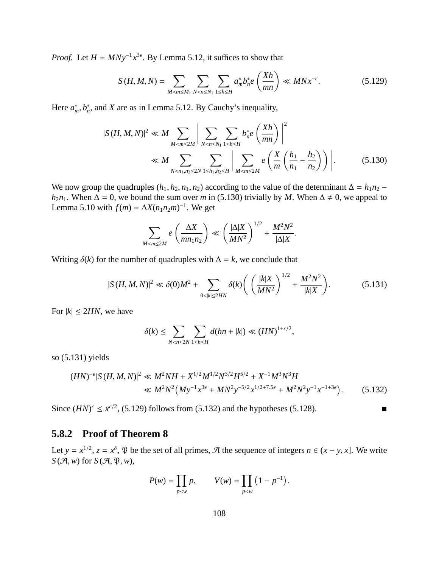*Proof.* Let  $H = MNy^{-1}x^{3\epsilon}$ . By Lemma 5.12, it suffices to show that

$$
S(H, M, N) = \sum_{M < m \le M_1} \sum_{N < n \le N_1} \sum_{1 \le h \le H} a_m^* b_n^* e\left(\frac{Xh}{mn}\right) \ll MNx^{-\epsilon}.\tag{5.129}
$$

Here  $a_m^*, b_n^*$ , and *X* are as in Lemma 5.12. By Cauchy's inequality,

$$
|S(H, M, N)|^{2} \ll M \sum_{M < m \le 2M} \left| \sum_{N < n \le N_{1}} \sum_{1 \le h \le H} b_{n}^{*} e\left(\frac{Xh}{mn}\right) \right|^{2} \ll M \sum_{N < n_{1}, n_{2} \le 2N} \sum_{1 \le h_{1}, h_{2} \le H} \left| \sum_{M < m \le 2M} e\left(\frac{X}{m} \left(\frac{h_{1}}{n_{1}} - \frac{h_{2}}{n_{2}}\right)\right) \right|.
$$
 (5.130)

We now group the quadruples  $(h_1, h_2, n_1, n_2)$  according to the value of the determinant  $\Delta = h_1 n_2$  $h_2n_1$ . When  $\Delta = 0$ , we bound the sum over *m* in (5.130) trivially by *M*. When  $\Delta \neq 0$ , we appeal to Lemma 5.10 with  $f(m) = \Delta X(n_1 n_2 m)^{-1}$ . We get

$$
\sum_{M < m \le 2M} e\left(\frac{\Delta X}{mn_1 n_2}\right) \ll \left(\frac{|\Delta|X}{MN^2}\right)^{1/2} + \frac{M^2 N^2}{|\Delta|X}.
$$

Writing  $\delta(k)$  for the number of quadruples with  $\Delta = k$ , we conclude that

$$
|S(H, M, N)|^2 \ll \delta(0)M^2 + \sum_{0 < |k| \le 2HN} \delta(k) \left( \left( \frac{|k|X}{MN^2} \right)^{1/2} + \frac{M^2 N^2}{|k|X} \right). \tag{5.131}
$$

For  $|k| \leq 2HN$ , we have

$$
\delta(k) \leq \sum_{N < n \leq 2N} \sum_{1 \leq h \leq H} d(hn + |k|) \ll (HN)^{1 + \epsilon/2},
$$

so (5.131) yields

$$
(HN)^{-\epsilon}|S(H, M, N)|^2 \ll M^2NH + X^{1/2}M^{1/2}N^{3/2}H^{5/2} + X^{-1}M^3N^3H
$$
  

$$
\ll M^2N^2\left(My^{-1}x^{3\epsilon} + MN^2y^{-5/2}x^{1/2+7.5\epsilon} + M^2N^2y^{-1}x^{-1+3\epsilon}\right).
$$
 (5.132)

Since  $(HN)^{\epsilon} \leq x^{\epsilon/2}$ , (5.129) follows from (5.132) and the hypotheses (5.128).

### **5.8.2 Proof of Theorem 8**

Let  $y = x^{1/2}$ ,  $z = x^{\delta}$ ,  $\mathfrak{P}$  be the set of all primes,  $\mathcal{A}$  the sequence of integers  $n \in (x - y, x]$ . We write  $S(\mathcal{A}, w)$  for  $S(\mathcal{A}, \mathfrak{P}, w)$ ,

$$
P(w) = \prod_{p < w} p, \qquad V(w) = \prod_{p < w} \left( 1 - p^{-1} \right).
$$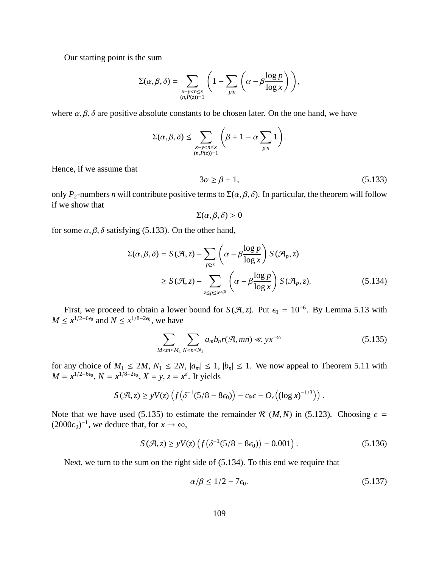Our starting point is the sum

$$
\Sigma(\alpha,\beta,\delta) = \sum_{\substack{x-y
$$

where  $\alpha, \beta, \delta$  are positive absolute constants to be chosen later. On the one hand, we have

$$
\Sigma(\alpha,\beta,\delta) \leq \sum_{\substack{x-y
$$

Hence, if we assume that

$$
3\alpha \ge \beta + 1,\tag{5.133}
$$

only  $P_2$ -numbers *n* will contribute positive terms to  $\Sigma(\alpha, \beta, \delta)$ . In particular, the theorem will follow if we show that

$$
\Sigma(\alpha,\beta,\delta)>0
$$

for some  $\alpha$ ,  $\beta$ ,  $\delta$  satisfying (5.133). On the other hand,

$$
\Sigma(\alpha, \beta, \delta) = S(\mathcal{A}, z) - \sum_{p \ge z} \left( \alpha - \beta \frac{\log p}{\log x} \right) S(\mathcal{A}_p, z)
$$
  
 
$$
\ge S(\mathcal{A}, z) - \sum_{z \le p \le x^{\alpha/\beta}} \left( \alpha - \beta \frac{\log p}{\log x} \right) S(\mathcal{A}_p, z).
$$
 (5.134)

First, we proceed to obtain a lower bound for  $S(\mathcal{A}, z)$ . Put  $\epsilon_0 = 10^{-6}$ . By Lemma 5.13 with *M* ≤  $x^{1/2-6\epsilon_0}$  and *N* ≤  $x^{1/8-2\epsilon_0}$ , we have

$$
\sum_{M < m \le M_1} \sum_{N < n \le N_1} a_m b_n r(\mathcal{A}, mn) \ll y x^{-\epsilon_0} \tag{5.135}
$$

for any choice of  $M_1 \le 2M$ ,  $N_1 \le 2N$ ,  $|a_m| \le 1$ ,  $|b_n| \le 1$ . We now appeal to Theorem 5.11 with  $M = x^{1/2-6\epsilon_0}$ ,  $N = x^{1/8-2\epsilon_0}$ ,  $X = y$ ,  $z = x^{\delta}$ . It yields

$$
S(\mathcal{A},z) \geq yV(z)\left(f\left(\delta^{-1}(5/8-8\epsilon_0)\right)-c_9\epsilon-O_{\epsilon}\left((\log x)^{-1/3}\right)\right).
$$

Note that we have used (5.135) to estimate the remainder  $\mathcal{R}^{-}(M, N)$  in (5.123). Choosing  $\epsilon =$  $(2000c<sub>9</sub>)<sup>-1</sup>$ , we deduce that, for  $x \to \infty$ ,

$$
S(\mathcal{A}, z) \ge yV(z) \left( f(\delta^{-1}(5/8 - 8\epsilon_0)) - 0.001 \right). \tag{5.136}
$$

Next, we turn to the sum on the right side of (5.134). To this end we require that

$$
\alpha/\beta \le 1/2 - 7\epsilon_0. \tag{5.137}
$$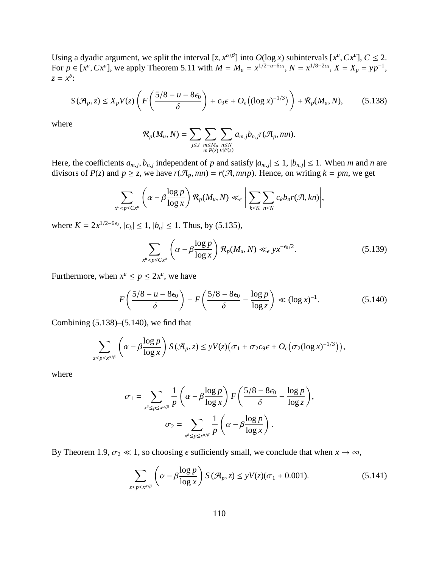Using a dyadic argument, we split the interval  $[z, x^{\alpha/\beta}]$  into  $O(\log x)$  subintervals  $[x^{\mu}, Cx^{\mu}]$ ,  $C \le 2$ . For  $p \text{ } \in [x^u, Cx^u]$ , we apply Theorem 5.11 with  $M = M_u = x^{1/2 - u - 6\epsilon_0}$ ,  $N = x^{1/8 - 2\epsilon_0}$ ,  $X = X_p = yp^{-1}$ ,  $z = x^{\delta}$ :

$$
S(\mathcal{A}_p, z) \le X_p V(z) \left( F\left(\frac{5/8 - u - 8\epsilon_0}{\delta}\right) + c_9 \epsilon + O_{\epsilon}\left(\left(\log x\right)^{-1/3}\right) \right) + \mathcal{R}_p(M_u, N),\tag{5.138}
$$

where

$$
\mathcal{R}_p(M_u,N)=\sum_{j\leq J}\sum_{\substack{m\leq M_u\\m|P(z)}}\sum_{\substack{n\leq N\\n|P(z)}}a_{m,j}b_{n,j}r(\mathcal{A}_p,mn).
$$

Here, the coefficients  $a_{m,j}$ ,  $b_{n,j}$  independent of *p* and satisfy  $|a_{m,j}| \le 1$ ,  $|b_{n,j}| \le 1$ . When *m* and *n* are divisors of  $P(z)$  and  $p \ge z$ , we have  $r(\mathcal{A}_p, mn) = r(\mathcal{A}, mnp)$ . Hence, on writing  $k = pm$ , we get

$$
\sum_{x^u < p \le Cx^u} \left( \alpha - \beta \frac{\log p}{\log x} \right) \mathcal{R}_p(M_u, N) \ll_{\epsilon} \left| \sum_{k \le K} \sum_{n \le N} c_k b_n r(\mathcal{A}, kn) \right|,
$$

where  $K = 2x^{1/2-6\varepsilon_0}$ ,  $|c_k|$  ≤ 1,  $|b_n|$  ≤ 1. Thus, by (5.135),

$$
\sum_{x^u < p \le C x^u} \left( \alpha - \beta \frac{\log p}{\log x} \right) \mathcal{R}_p(M_u, N) \ll_{\epsilon} y x^{-\epsilon_0/2}.\tag{5.139}
$$

Furthermore, when  $x^u \le p \le 2x^u$ , we have

$$
F\left(\frac{5/8-u-8\epsilon_0}{\delta}\right)-F\left(\frac{5/8-8\epsilon_0}{\delta}-\frac{\log p}{\log z}\right)\ll (\log x)^{-1}.
$$
 (5.140)

Combining (5.138)–(5.140), we find that

$$
\sum_{z \le p \le x^{\alpha/\beta}} \left( \alpha - \beta \frac{\log p}{\log x} \right) S(\mathcal{A}_p, z) \le yV(z) \big( \sigma_1 + \sigma_2 c_9 \epsilon + O_{\epsilon} \big( \sigma_2 (\log x)^{-1/3} \big) \big),
$$

where

$$
\sigma_1 = \sum_{x^{\delta} \le p \le x^{\alpha/\beta}} \frac{1}{p} \left( \alpha - \beta \frac{\log p}{\log x} \right) F \left( \frac{5/8 - 8\epsilon_0}{\delta} - \frac{\log p}{\log z} \right),
$$

$$
\sigma_2 = \sum_{x^{\delta} \le p \le x^{\alpha/\beta}} \frac{1}{p} \left( \alpha - \beta \frac{\log p}{\log x} \right).
$$

By Theorem 1.9,  $\sigma_2 \ll 1$ , so choosing  $\epsilon$  sufficiently small, we conclude that when  $x \to \infty$ ,

$$
\sum_{z \le p \le x^{\alpha/\beta}} \left( \alpha - \beta \frac{\log p}{\log x} \right) S(\mathcal{A}_p, z) \le yV(z)(\sigma_1 + 0.001). \tag{5.141}
$$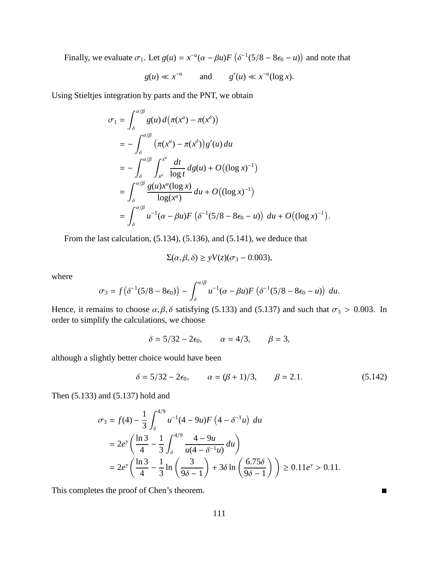Finally, we evaluate  $\sigma_1$ . Let  $g(u) = x^{-u}(\alpha - \beta u)F(\delta^{-1}(5/8 - 8\epsilon_0 - u))$  and note that

$$
g(u) \ll x^{-u}
$$
 and  $g'(u) \ll x^{-u}(\log x)$ .

Using Stieltjes integration by parts and the PNT, we obtain

$$
\sigma_1 = \int_{\delta}^{\alpha/\beta} g(u) d(\pi(x^u) - \pi(x^{\delta}))
$$
  
\n
$$
= -\int_{\delta}^{\alpha/\beta} (\pi(x^u) - \pi(x^{\delta})) g'(u) du
$$
  
\n
$$
= -\int_{\delta}^{\alpha/\beta} \int_{x^{\delta}}^{x^u} \frac{dt}{\log t} d g(u) + O((\log x)^{-1})
$$
  
\n
$$
= \int_{\delta}^{\alpha/\beta} \frac{g(u)x^u(\log x)}{\log(x^u)} du + O((\log x)^{-1})
$$
  
\n
$$
= \int_{\delta}^{\alpha/\beta} u^{-1} (\alpha - \beta u) F(\delta^{-1}(5/8 - 8\epsilon_0 - u)) du + O((\log x)^{-1}).
$$

From the last calculation, (5.134), (5.136), and (5.141), we deduce that

$$
\Sigma(\alpha, \beta, \delta) \ge yV(z)(\sigma_3 - 0.003),
$$

where

$$
\sigma_3 = f(\delta^{-1}(5/8 - 8\epsilon_0)) - \int_{\delta}^{\alpha/\beta} u^{-1}(\alpha - \beta u) F(\delta^{-1}(5/8 - 8\epsilon_0 - u)) du.
$$

Hence, it remains to choose  $\alpha, \beta, \delta$  satisfying (5.133) and (5.137) and such that  $\sigma_3 > 0.003$ . In order to simplify the calculations, we choose

 $\delta = 5/32 - 2\epsilon_0$ ,  $\alpha = 4/3$ ,  $\beta = 3$ ,

although a slightly better choice would have been

$$
\delta = 5/32 - 2\epsilon_0, \qquad \alpha = (\beta + 1)/3, \qquad \beta = 2.1. \tag{5.142}
$$

Then (5.133) and (5.137) hold and

$$
\sigma_3 = f(4) - \frac{1}{3} \int_{\delta}^{4/9} u^{-1} (4 - 9u) F\left(4 - \delta^{-1} u\right) du
$$
  
=  $2e^{\gamma} \left( \frac{\ln 3}{4} - \frac{1}{3} \int_{\delta}^{4/9} \frac{4 - 9u}{u(4 - \delta^{-1} u)} du \right)$   
=  $2e^{\gamma} \left( \frac{\ln 3}{4} - \frac{1}{3} \ln \left( \frac{3}{9\delta - 1} \right) + 3\delta \ln \left( \frac{6.75\delta}{9\delta - 1} \right) \right) \ge 0.11e^{\gamma} > 0.11.$ 

This completes the proof of Chen's theorem.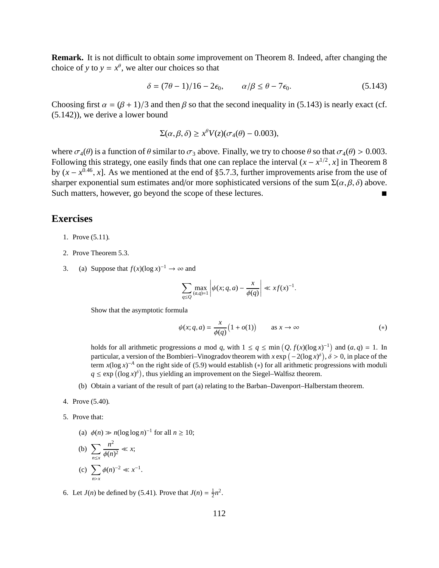**Remark.** It is not difficult to obtain *some* improvement on Theorem 8. Indeed, after changing the choice of *y* to  $y = x^{\theta}$ , we alter our choices so that

$$
\delta = (7\theta - 1)/16 - 2\epsilon_0, \qquad \alpha/\beta \le \theta - 7\epsilon_0. \tag{5.143}
$$

Choosing first  $\alpha = (\beta + 1)/3$  and then  $\beta$  so that the second inequality in (5.143) is nearly exact (cf. (5.142)), we derive a lower bound

$$
\Sigma(\alpha, \beta, \delta) \ge x^{\theta} V(z) (\sigma_4(\theta) - 0.003),
$$

where  $\sigma_4(\theta)$  is a function of  $\theta$  similar to  $\sigma_3$  above. Finally, we try to choose  $\theta$  so that  $\sigma_4(\theta) > 0.003$ . Following this strategy, one easily finds that one can replace the interval  $(x - x^{1/2}, x]$  in Theorem 8 by  $(x - x^{0.46}, x]$ . As we mentioned at the end of §5.7.3, further improvements arise from the use of sharper exponential sum estimates and/or more sophisticated versions of the sum  $\Sigma(\alpha, \beta, \delta)$  above. Such matters, however, go beyond the scope of these lectures.

#### **Exercises**

- 1. Prove (5.11).
- 2. Prove Theorem 5.3.
- 3. (a) Suppose that  $f(x)(\log x)^{-1} \to \infty$  and

$$
\sum_{q\leq Q} \max_{(a,q)=1} \left| \psi(x;q,a) - \frac{x}{\phi(q)} \right| \ll xf(x)^{-1}.
$$

Show that the asymptotic formula

$$
\psi(x; q, a) = \frac{x}{\phi(q)} \left( 1 + o(1) \right) \qquad \text{as } x \to \infty \tag{*}
$$

holds for all arithmetic progressions *a* mod *q*, with  $1 \le q \le \min(Q, f(x)(\log x)^{-1})$  and  $(a, q) = 1$ . In particular, a version of the Bombieri–Vinogradov theorem with  $x \exp(-2(\log x)^{\delta})$ ,  $\delta > 0$ , in place of the term  $x(\log x)^{-A}$  on the right side of (5.9) would establish (\*) for all arithmetic progressions with moduli  $q \leq \exp((\log x)^{\delta})$ , thus yielding an improvement on the Siegel–Walfisz theorem.

(b) Obtain a variant of the result of part (a) relating to the Barban–Davenport–Halberstam theorem.

4. Prove (5.40).

- 5. Prove that:
	- (a)  $\phi(n) \gg n(\log \log n)^{-1}$  for all  $n \ge 10$ ;

(b) 
$$
\sum_{n \le x} \frac{n^2}{\phi(n)^2} \ll x;
$$
  
(c) 
$$
\sum_{n > x} \phi(n)^{-2} \ll x^{-1}.
$$

6. Let  $J(n)$  be defined by (5.41). Prove that  $J(n) = \frac{1}{2}n^2$ .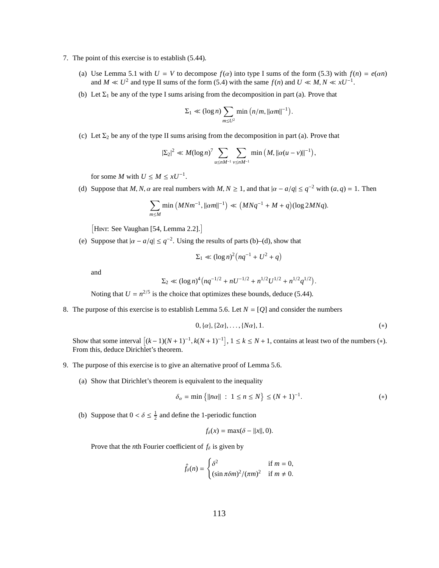- 7. The point of this exercise is to establish (5.44).
	- (a) Use Lemma 5.1 with  $U = V$  to decompose  $f(\alpha)$  into type I sums of the form (5.3) with  $f(n) = e(\alpha n)$ and *M*  $\ll U^2$  and type II sums of the form (5.4) with the same *f*(*n*) and *U*  $\ll M, N \ll xU^{-1}$ .
	- (b) Let  $\Sigma_1$  be any of the type I sums arising from the decomposition in part (a). Prove that

$$
\Sigma_1 \ll (\log n) \sum_{m \leq U^2} \min \left( n/m, ||\alpha m||^{-1} \right).
$$

(c) Let  $\Sigma_2$  be any of the type II sums arising from the decomposition in part (a). Prove that

$$
|\Sigma_2|^2 \ll M(\log n)^7 \sum_{u \le nM^{-1}} \sum_{v \le nM^{-1}} \min(M, ||\alpha(u-v)||^{-1}),
$$

for some *M* with  $U \leq M \leq xU^{-1}$ .

(d) Suppose that *M*, *N*,  $\alpha$  are real numbers with *M*,  $N \ge 1$ , and that  $|\alpha - a/q| \le q^{-2}$  with  $(a, q) = 1$ . Then

$$
\sum_{m \le M} \min (M N m^{-1}, ||\alpha m||^{-1}) \ll (M N q^{-1} + M + q)(\log 2 M N q).
$$

[HINT: See Vaughan [54, Lemma 2.2].]

(e) Suppose that  $|\alpha - a/q| \leq q^{-2}$ . Using the results of parts (b)–(d), show that

$$
\Sigma_1 \ll (\log n)^2 \big( nq^{-1} + U^2 + q \big)
$$

and

$$
\Sigma_2 \ll (\log n)^4 \left( nq^{-1/2} + nU^{-1/2} + n^{1/2}U^{1/2} + n^{1/2}q^{1/2} \right)
$$

Noting that  $U = n^{2/5}$  is the choice that optimizes these bounds, deduce (5.44).

8. The purpose of this exercise is to establish Lemma 5.6. Let *N* = [*Q*] and consider the numbers

$$
0, \{\alpha\}, \{2\alpha\}, \ldots, \{N\alpha\}, 1. \tag{*}
$$

.

Show that some interval  $[(k-1)(N+1)^{-1}, k(N+1)^{-1}]$ ,  $1 \le k \le N+1$ , contains at least two of the numbers (\*). From this, deduce Dirichlet's theorem.

- 9. The purpose of this exercise is to give an alternative proof of Lemma 5.6.
	- (a) Show that Dirichlet's theorem is equivalent to the inequality

$$
\delta_{\alpha} = \min \{|n\alpha| | : 1 \le n \le N\} \le (N+1)^{-1}.
$$
 (\*)

(b) Suppose that  $0 < \delta \leq \frac{1}{2}$  and define the 1-periodic function

$$
f_{\delta}(x) = \max(\delta - ||x||, 0).
$$

Prove that the *n*th Fourier coefficient of  $f_\delta$  is given by

$$
\hat{f}_{\delta}(n) = \begin{cases} \delta^2 & \text{if } m = 0, \\ (\sin \pi \delta m)^2 / (\pi m)^2 & \text{if } m \neq 0. \end{cases}
$$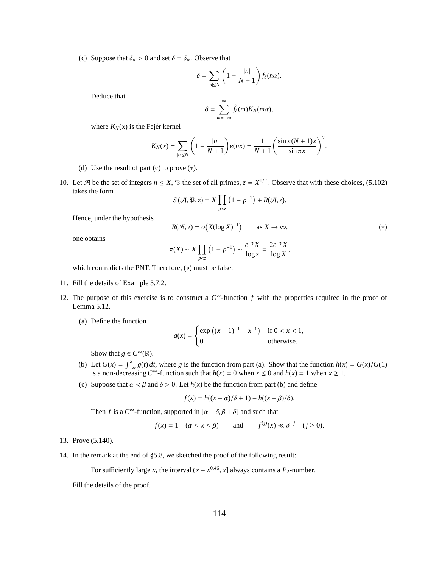(c) Suppose that  $\delta_{\alpha} > 0$  and set  $\delta = \delta_{\alpha}$ . Observe that

$$
\delta = \sum_{|n| \le N} \left(1 - \frac{|n|}{N+1}\right) f_\delta(n\alpha).
$$

Deduce that

$$
\delta=\sum_{m=-\infty}^{\infty}\hat{f}_{\delta}(m)K_N(m\alpha),
$$

where  $K_N(x)$  is the Fejér kernel

$$
K_N(x)=\sum_{|n|\leq N}\left(1-\frac{|n|}{N+1}\right)e(nx)=\frac{1}{N+1}\left(\frac{\sin \pi (N+1)x}{\sin \pi x}\right)^2.
$$

- (d) Use the result of part (c) to prove  $(*).$
- 10. Let  $\mathcal{A}$  be the set of integers  $n \leq X$ ,  $\mathcal{P}$  the set of all primes,  $z = X^{1/2}$ . Observe that with these choices, (5.102) takes the form

$$
S(\mathcal{A}, \mathfrak{P}, z) = X \prod_{p < z} (1 - p^{-1}) + R(\mathcal{A}, z).
$$

Hence, under the hypothesis

$$
R(\mathcal{A}, z) = o(X(\log X)^{-1}) \qquad \text{as } X \to \infty,
$$
 (\*)

one obtains

$$
\pi(X) \sim X \prod_{p < z} \left(1 - p^{-1}\right) \sim \frac{e^{-\gamma} X}{\log z} = \frac{2e^{-\gamma} X}{\log X},
$$

which contradicts the PNT. Therefore, (∗) must be false.

- 11. Fill the details of Example 5.7.2.
- 12. The purpose of this exercise is to construct a  $C^{\infty}$ -function f with the properties required in the proof of Lemma 5.12.
	- (a) Define the function

$$
g(x) = \begin{cases} \exp\left((x-1)^{-1} - x^{-1}\right) & \text{if } 0 < x < 1, \\ 0 & \text{otherwise.} \end{cases}
$$

Show that *g*  $\in C^{\infty}(\mathbb{R})$ .

- (b) Let  $G(x) = \int_{-\infty}^{x} g(t) dt$ , where *g* is the function from part (a). Show that the function  $h(x) = G(x)/G(1)$ is a non-decreasing  $C^{\infty}$ -function such that  $h(x) = 0$  when  $x \le 0$  and  $h(x) = 1$  when  $x \ge 1$ .
- (c) Suppose that  $\alpha < \beta$  and  $\delta > 0$ . Let  $h(x)$  be the function from part (b) and define

$$
f(x) = h((x - \alpha)/\delta + 1) - h((x - \beta)/\delta).
$$

Then *f* is a  $C^{\infty}$ -function, supported in  $[\alpha - \delta, \beta + \delta]$  and such that

$$
f(x) = 1
$$
  $(\alpha \le x \le \beta)$  and  $f^{(j)}(x) \ll \delta^{-j}$   $(j \ge 0)$ .

- 13. Prove (5.140).
- 14. In the remark at the end of §5.8, we sketched the proof of the following result:

For sufficiently large *x*, the interval  $(x - x^{0.46}, x]$  always contains a  $P_2$ -number.

Fill the details of the proof.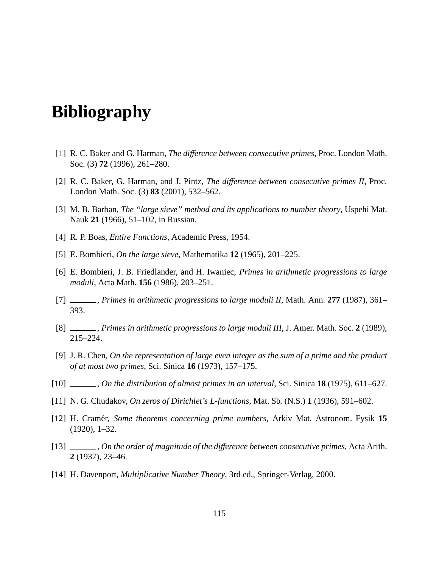# **Bibliography**

- [1] R. C. Baker and G. Harman, *The di*ff*erence between consecutive primes*, Proc. London Math. Soc. (3) **72** (1996), 261–280.
- [2] R. C. Baker, G. Harman, and J. Pintz, *The di*ff*erence between consecutive primes II*, Proc. London Math. Soc. (3) **83** (2001), 532–562.
- [3] M. B. Barban, *The "large sieve" method and its applications to number theory*, Uspehi Mat. Nauk **21** (1966), 51–102, in Russian.
- [4] R. P. Boas, *Entire Functions*, Academic Press, 1954.
- [5] E. Bombieri, *On the large sieve*, Mathematika **12** (1965), 201–225.
- [6] E. Bombieri, J. B. Friedlander, and H. Iwaniec, *Primes in arithmetic progressions to large moduli*, Acta Math. **156** (1986), 203–251.
- [7] , *Primes in arithmetic progressions to large moduli II*, Math. Ann. **277** (1987), 361– 393.
- [8] , *Primes in arithmetic progressions to large moduli III*, J. Amer. Math. Soc. **2** (1989), 215–224.
- [9] J. R. Chen, *On the representation of large even integer as the sum of a prime and the product of at most two primes*, Sci. Sinica **16** (1973), 157–175.
- [10] , *On the distribution of almost primes in an interval*, Sci. Sinica **18** (1975), 611–627.
- [11] N. G. Chudakov, *On zeros of Dirichlet's L-functions*, Mat. Sb. (N.S.) **1** (1936), 591–602.
- [12] H. Cram´er, *Some theorems concerning prime numbers*, Arkiv Mat. Astronom. Fysik **15** (1920), 1–32.
- [13] , *On the order of magnitude of the di*ff*erence between consecutive primes*, Acta Arith. **2** (1937), 23–46.
- [14] H. Davenport, *Multiplicative Number Theory*, 3rd ed., Springer-Verlag, 2000.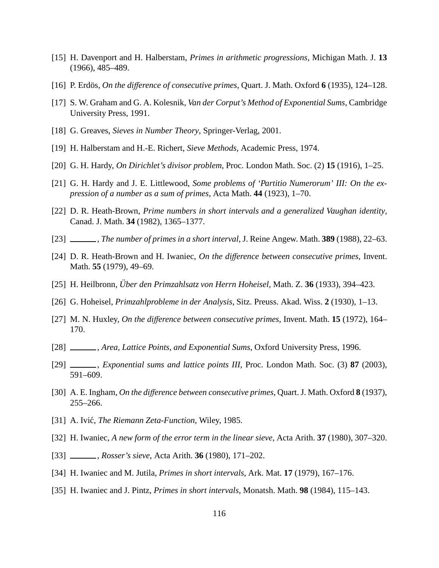- [15] H. Davenport and H. Halberstam, *Primes in arithmetic progressions*, Michigan Math. J. **13** (1966), 485–489.
- [16] P. Erd¨os, *On the di*ff*erence of consecutive primes*, Quart. J. Math. Oxford **6** (1935), 124–128.
- [17] S. W. Graham and G. A. Kolesnik, *Van der Corput's Method of Exponential Sums*, Cambridge University Press, 1991.
- [18] G. Greaves, *Sieves in Number Theory*, Springer-Verlag, 2001.
- [19] H. Halberstam and H.-E. Richert, *Sieve Methods*, Academic Press, 1974.
- [20] G. H. Hardy, *On Dirichlet's divisor problem*, Proc. London Math. Soc. (2) **15** (1916), 1–25.
- [21] G. H. Hardy and J. E. Littlewood, *Some problems of 'Partitio Numerorum' III: On the expression of a number as a sum of primes*, Acta Math. **44** (1923), 1–70.
- [22] D. R. Heath-Brown, *Prime numbers in short intervals and a generalized Vaughan identity*, Canad. J. Math. **34** (1982), 1365–1377.
- [23] , *The number of primes in a short interval*, J. Reine Angew. Math. **389** (1988), 22–63.
- [24] D. R. Heath-Brown and H. Iwaniec, *On the di*ff*erence between consecutive primes*, Invent. Math. **55** (1979), 49–69.
- [25] H. Heilbronn, *Uber den Primzahlsatz von Herrn Hoheisel ¨* , Math. Z. **36** (1933), 394–423.
- [26] G. Hoheisel, *Primzahlprobleme in der Analysis*, Sitz. Preuss. Akad. Wiss. **2** (1930), 1–13.
- [27] M. N. Huxley, *On the di*ff*erence between consecutive primes*, Invent. Math. **15** (1972), 164– 170.
- [28] , *Area, Lattice Points, and Exponential Sums*, Oxford University Press, 1996.
- [29] , *Exponential sums and lattice points III*, Proc. London Math. Soc. (3) **87** (2003), 591–609.
- [30] A. E. Ingham, *On the di*ff*erence between consecutive primes*, Quart. J. Math. Oxford **8** (1937), 255–266.
- [31] A. Ivić, *The Riemann Zeta-Function*, Wiley, 1985.
- [32] H. Iwaniec, *A new form of the error term in the linear sieve*, Acta Arith. **37** (1980), 307–320.
- [33] , *Rosser's sieve*, Acta Arith. **36** (1980), 171–202.
- [34] H. Iwaniec and M. Jutila, *Primes in short intervals*, Ark. Mat. **17** (1979), 167–176.
- [35] H. Iwaniec and J. Pintz, *Primes in short intervals*, Monatsh. Math. **98** (1984), 115–143.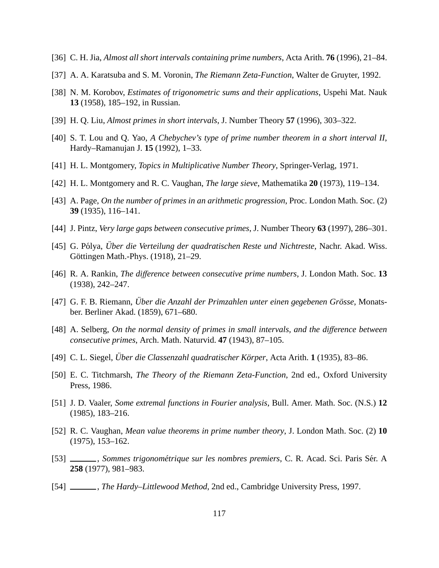- [36] C. H. Jia, *Almost all short intervals containing prime numbers*, Acta Arith. **76** (1996), 21–84.
- [37] A. A. Karatsuba and S. M. Voronin, *The Riemann Zeta-Function*, Walter de Gruyter, 1992.
- [38] N. M. Korobov, *Estimates of trigonometric sums and their applications*, Uspehi Mat. Nauk **13** (1958), 185–192, in Russian.
- [39] H. Q. Liu, *Almost primes in short intervals*, J. Number Theory **57** (1996), 303–322.
- [40] S. T. Lou and Q. Yao, *A Chebychev's type of prime number theorem in a short interval II*, Hardy–Ramanujan J. **15** (1992), 1–33.
- [41] H. L. Montgomery, *Topics in Multiplicative Number Theory*, Springer-Verlag, 1971.
- [42] H. L. Montgomery and R. C. Vaughan, *The large sieve*, Mathematika **20** (1973), 119–134.
- [43] A. Page, *On the number of primes in an arithmetic progression*, Proc. London Math. Soc. (2) **39** (1935), 116–141.
- [44] J. Pintz, *Very large gaps between consecutive primes*, J. Number Theory **63** (1997), 286–301.
- [45] G. Pólya, *Über die Verteilung der quadratischen Reste und Nichtreste*, Nachr. Akad. Wiss. Göttingen Math.-Phys. (1918), 21–29.
- [46] R. A. Rankin, *The di*ff*erence between consecutive prime numbers*, J. London Math. Soc. **13** (1938), 242–247.
- [47] G. F. B. Riemann, *Über die Anzahl der Primzahlen unter einen gegebenen Grösse*, Monatsber. Berliner Akad. (1859), 671–680.
- [48] A. Selberg, *On the normal density of primes in small intervals, and the di*ff*erence between consecutive primes*, Arch. Math. Naturvid. **47** (1943), 87–105.
- [49] C. L. Siegel, *Uber die Classenzahl quadratischer K¨orper ¨* , Acta Arith. **1** (1935), 83–86.
- [50] E. C. Titchmarsh, *The Theory of the Riemann Zeta-Function*, 2nd ed., Oxford University Press, 1986.
- [51] J. D. Vaaler, *Some extremal functions in Fourier analysis*, Bull. Amer. Math. Soc. (N.S.) **12** (1985), 183–216.
- [52] R. C. Vaughan, *Mean value theorems in prime number theory*, J. London Math. Soc. (2) **10** (1975), 153–162.
- [53] , *Sommes trigonométrique sur les nombres premiers*, C. R. Acad. Sci. Paris Sér. A **258** (1977), 981–983.
- [54] , *The Hardy–Littlewood Method*, 2nd ed., Cambridge University Press, 1997.